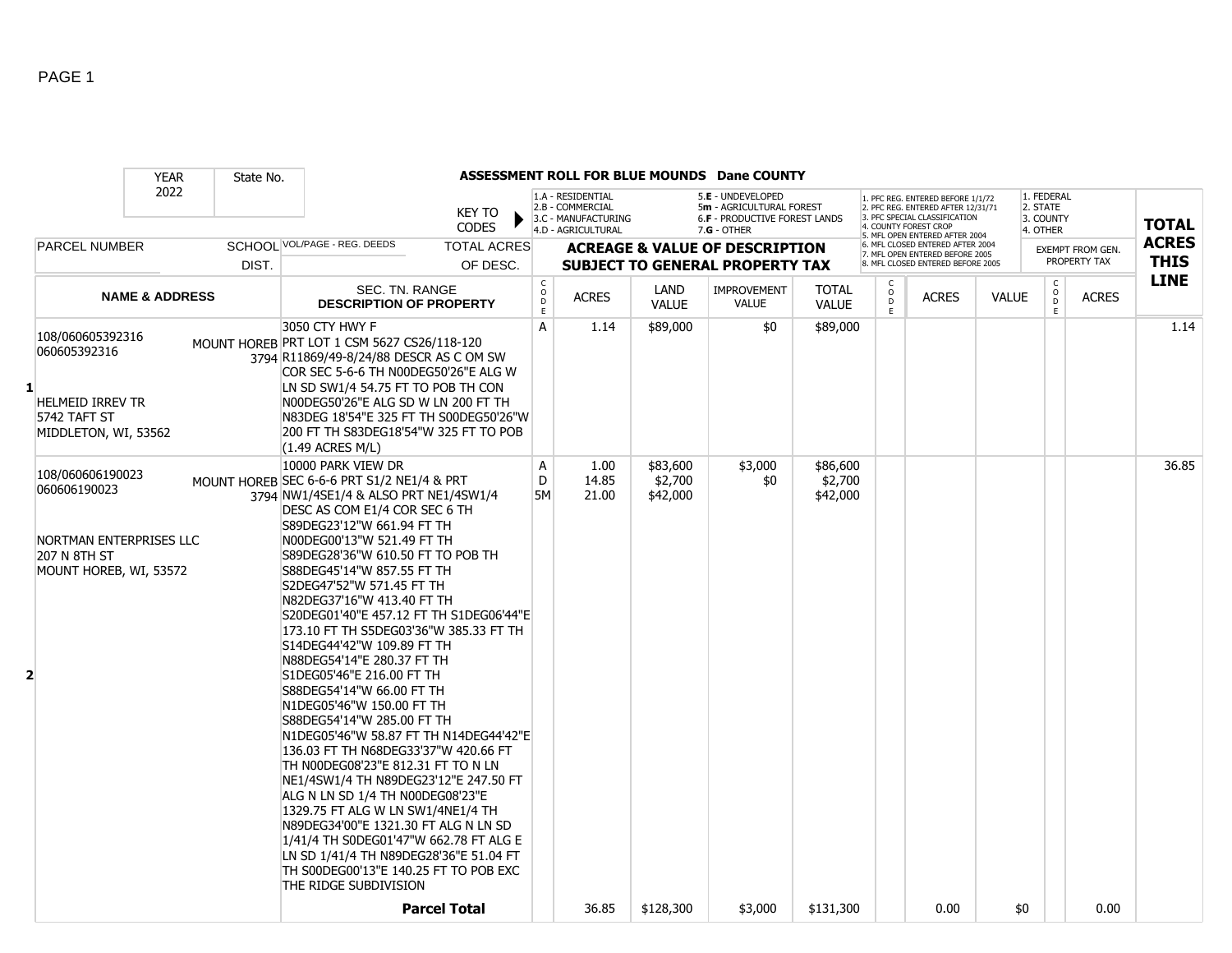|              | <b>YEAR</b>                                                                                           | State No. |                                                                                                                                                                                                                                                                                                                                                                                                                                                                                                                                                                                                                                                                                                                                                                                                                                                                                                                                                                                                                                                    |                                                        |                                                                                    |                                 | ASSESSMENT ROLL FOR BLUE MOUNDS Dane COUNTY                                                   |                                 |                                     |                                                                                                                                                                     |              |                                                 |                                  |                             |
|--------------|-------------------------------------------------------------------------------------------------------|-----------|----------------------------------------------------------------------------------------------------------------------------------------------------------------------------------------------------------------------------------------------------------------------------------------------------------------------------------------------------------------------------------------------------------------------------------------------------------------------------------------------------------------------------------------------------------------------------------------------------------------------------------------------------------------------------------------------------------------------------------------------------------------------------------------------------------------------------------------------------------------------------------------------------------------------------------------------------------------------------------------------------------------------------------------------------|--------------------------------------------------------|------------------------------------------------------------------------------------|---------------------------------|-----------------------------------------------------------------------------------------------|---------------------------------|-------------------------------------|---------------------------------------------------------------------------------------------------------------------------------------------------------------------|--------------|-------------------------------------------------|----------------------------------|-----------------------------|
|              | 2022                                                                                                  |           | <b>KEY TO</b><br><b>CODES</b>                                                                                                                                                                                                                                                                                                                                                                                                                                                                                                                                                                                                                                                                                                                                                                                                                                                                                                                                                                                                                      |                                                        | 1.A - RESIDENTIAL<br>2.B - COMMERCIAL<br>3.C - MANUFACTURING<br>4.D - AGRICULTURAL |                                 | 5.E - UNDEVELOPED<br>5m - AGRICULTURAL FOREST<br>6.F - PRODUCTIVE FOREST LANDS<br>7.G - OTHER |                                 |                                     | 1. PFC REG. ENTERED BEFORE 1/1/72<br>2. PFC REG. ENTERED AFTER 12/31/71<br>3. PFC SPECIAL CLASSIFICATION<br>4. COUNTY FOREST CROP<br>5. MFL OPEN ENTERED AFTER 2004 |              | 1. FEDERAL<br>2. STATE<br>3. COUNTY<br>4. OTHER |                                  | <b>TOTAL</b>                |
|              | <b>PARCEL NUMBER</b>                                                                                  | DIST.     | SCHOOL VOL/PAGE - REG. DEEDS<br><b>TOTAL ACRES</b><br>OF DESC.                                                                                                                                                                                                                                                                                                                                                                                                                                                                                                                                                                                                                                                                                                                                                                                                                                                                                                                                                                                     |                                                        |                                                                                    |                                 | <b>ACREAGE &amp; VALUE OF DESCRIPTION</b><br><b>SUBJECT TO GENERAL PROPERTY TAX</b>           |                                 |                                     | 6. MFL CLOSED ENTERED AFTER 2004<br>7. MFL OPEN ENTERED BEFORE 2005<br>8. MFL CLOSED ENTERED BEFORE 2005                                                            |              |                                                 | EXEMPT FROM GEN.<br>PROPERTY TAX | <b>ACRES</b><br><b>THIS</b> |
|              | <b>NAME &amp; ADDRESS</b>                                                                             |           | SEC. TN. RANGE<br><b>DESCRIPTION OF PROPERTY</b>                                                                                                                                                                                                                                                                                                                                                                                                                                                                                                                                                                                                                                                                                                                                                                                                                                                                                                                                                                                                   | С<br>$\mathsf{o}\xspace$<br>$\mathsf D$<br>$\mathsf E$ | <b>ACRES</b>                                                                       | <b>LAND</b><br><b>VALUE</b>     | <b>IMPROVEMENT</b><br><b>VALUE</b>                                                            | <b>TOTAL</b><br><b>VALUE</b>    | C<br>$_\mathrm{D}^\mathrm{O}$<br>E. | <b>ACRES</b>                                                                                                                                                        | <b>VALUE</b> | $\mathsf{C}$<br>$_{\rm D}^{\rm O}$<br>E         | <b>ACRES</b>                     | <b>LINE</b>                 |
| $\mathbf{1}$ | 108/060605392316<br>060605392316<br>HELMEID IRREV TR<br>5742 TAFT ST<br>MIDDLETON, WI, 53562          |           | 3050 CTY HWY F<br>MOUNT HOREB PRT LOT 1 CSM 5627 CS26/118-120<br>3794 R11869/49-8/24/88 DESCR AS C OM SW<br>COR SEC 5-6-6 TH N00DEG50'26"E ALG W<br>LN SD SW1/4 54.75 FT TO POB TH CON<br>N00DEG50'26"E ALG SD W LN 200 FT TH<br>N83DEG 18'54"E 325 FT TH S00DEG50'26"W<br>200 FT TH S83DEG18'54"W 325 FT TO POB<br>(1.49 ACRES M/L)                                                                                                                                                                                                                                                                                                                                                                                                                                                                                                                                                                                                                                                                                                               | A                                                      | 1.14                                                                               | \$89,000                        | \$0                                                                                           | \$89,000                        |                                     |                                                                                                                                                                     |              |                                                 |                                  | 1.14                        |
| 2            | 108/060606190023<br>060606190023<br>NORTMAN ENTERPRISES LLC<br>207 N 8TH ST<br>MOUNT HOREB, WI, 53572 |           | 10000 PARK VIEW DR<br>MOUNT HOREB SEC 6-6-6 PRT S1/2 NE1/4 & PRT<br>3794 NW1/4SE1/4 & ALSO PRT NE1/4SW1/4<br>DESC AS COM E1/4 COR SEC 6 TH<br>S89DEG23'12"W 661.94 FT TH<br>N00DEG00'13"W 521.49 FT TH<br>S89DEG28'36"W 610.50 FT TO POB TH<br>S88DEG45'14"W 857.55 FT TH<br>S2DEG47'52"W 571.45 FT TH<br>N82DEG37'16"W 413.40 FT TH<br>S20DEG01'40"E 457.12 FT TH S1DEG06'44"E<br>173.10 FT TH S5DEG03'36"W 385.33 FT TH<br>S14DEG44'42"W 109.89 FT TH<br>N88DEG54'14"E 280.37 FT TH<br>S1DEG05'46"E 216.00 FT TH<br>S88DEG54'14"W 66.00 FT TH<br>N1DEG05'46"W 150.00 FT TH<br>S88DEG54'14"W 285.00 FT TH<br>N1DEG05'46"W 58.87 FT TH N14DEG44'42"E<br>136.03 FT TH N68DEG33'37"W 420.66 FT<br>TH N00DEG08'23"E 812.31 FT TO N LN<br>NE1/4SW1/4 TH N89DEG23'12"E 247.50 FT<br>ALG N LN SD 1/4 TH N00DEG08'23"E<br>1329.75 FT ALG W LN SW1/4NE1/4 TH<br>N89DEG34'00"E 1321.30 FT ALG N LN SD<br>1/41/4 TH S0DEG01'47"W 662.78 FT ALG E<br>LN SD 1/41/4 TH N89DEG28'36"E 51.04 FT<br>TH S00DEG00'13"E 140.25 FT TO POB EXC<br>THE RIDGE SUBDIVISION | Α<br>D<br>5M                                           | 1.00<br>14.85<br>21.00                                                             | \$83,600<br>\$2,700<br>\$42,000 | \$3,000<br>\$0                                                                                | \$86,600<br>\$2,700<br>\$42,000 |                                     |                                                                                                                                                                     |              |                                                 |                                  | 36.85                       |
|              |                                                                                                       |           | <b>Parcel Total</b>                                                                                                                                                                                                                                                                                                                                                                                                                                                                                                                                                                                                                                                                                                                                                                                                                                                                                                                                                                                                                                |                                                        | 36.85                                                                              | \$128,300                       | \$3,000                                                                                       | \$131,300                       |                                     | 0.00                                                                                                                                                                | \$0          |                                                 | 0.00                             |                             |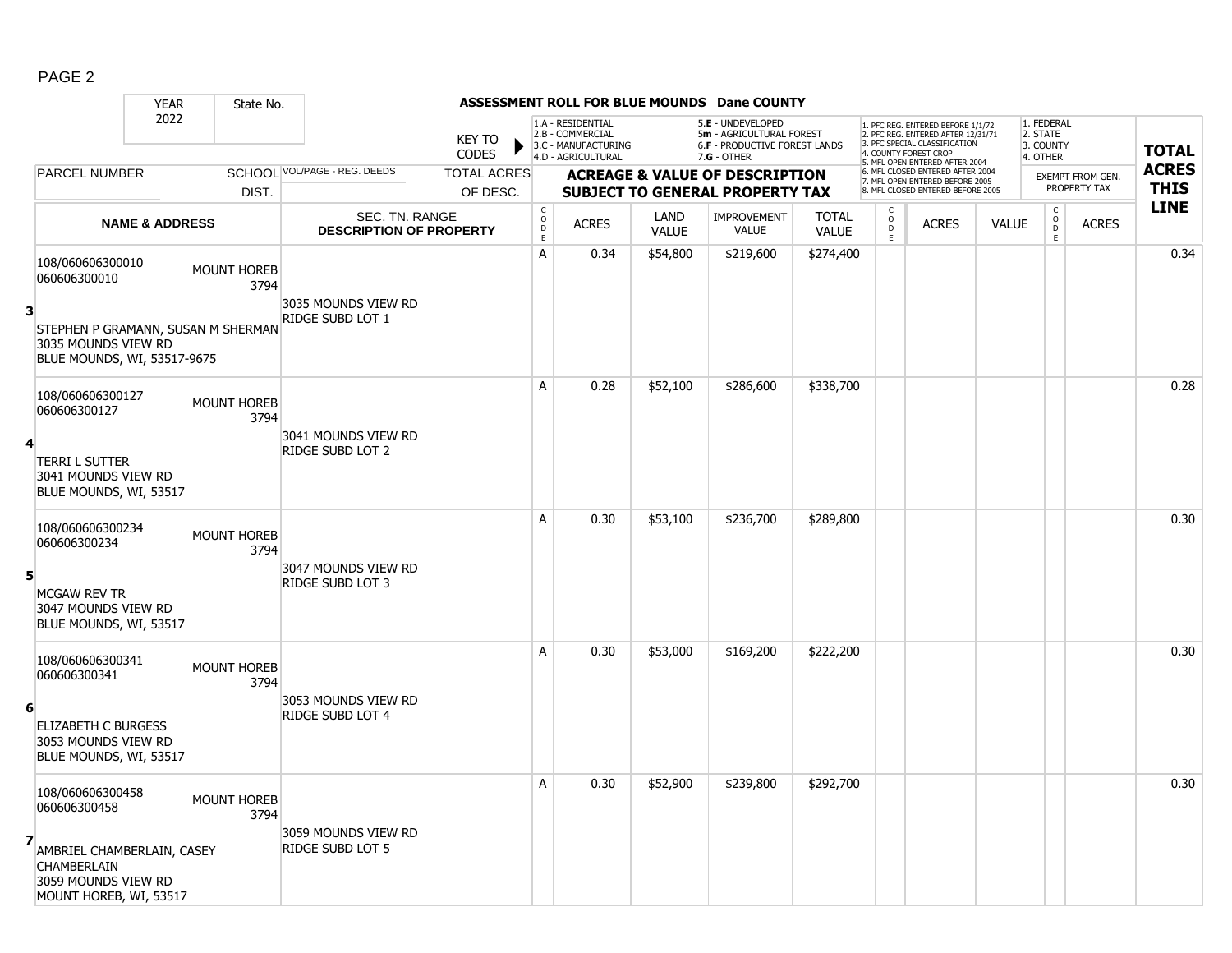|--|--|

|                                                                                                                                            | <b>YEAR</b>               | State No.                  |                                                  | ASSESSMENT ROLL FOR BLUE MOUNDS Dane COUNTY |                                            |                                                                                    |                      |                                                                                                      |                              |                     |                                                                                                                                                                     |              |                                                 |                                  |                             |
|--------------------------------------------------------------------------------------------------------------------------------------------|---------------------------|----------------------------|--------------------------------------------------|---------------------------------------------|--------------------------------------------|------------------------------------------------------------------------------------|----------------------|------------------------------------------------------------------------------------------------------|------------------------------|---------------------|---------------------------------------------------------------------------------------------------------------------------------------------------------------------|--------------|-------------------------------------------------|----------------------------------|-----------------------------|
|                                                                                                                                            | 2022                      |                            |                                                  | <b>KEY TO</b><br><b>CODES</b>               |                                            | 1.A - RESIDENTIAL<br>2.B - COMMERCIAL<br>3.C - MANUFACTURING<br>4.D - AGRICULTURAL |                      | 5.E - UNDEVELOPED<br>5m - AGRICULTURAL FOREST<br><b>6.F - PRODUCTIVE FOREST LANDS</b><br>7.G - OTHER |                              |                     | 1. PFC REG. ENTERED BEFORE 1/1/72<br>2. PFC REG. ENTERED AFTER 12/31/71<br>3. PFC SPECIAL CLASSIFICATION<br>4. COUNTY FOREST CROP<br>5. MFL OPEN ENTERED AFTER 2004 |              | 1. FEDERAL<br>2. STATE<br>3. COUNTY<br>4. OTHER |                                  | <b>TOTAL</b>                |
| PARCEL NUMBER                                                                                                                              |                           | DIST.                      | SCHOOL VOL/PAGE - REG. DEEDS                     | <b>TOTAL ACRES</b><br>OF DESC.              |                                            |                                                                                    |                      | <b>ACREAGE &amp; VALUE OF DESCRIPTION</b><br><b>SUBJECT TO GENERAL PROPERTY TAX</b>                  |                              |                     | 6. MFL CLOSED ENTERED AFTER 2004<br>7. MFL OPEN ENTERED BEFORE 2005<br>8. MFL CLOSED ENTERED BEFORE 2005                                                            |              |                                                 | EXEMPT FROM GEN.<br>PROPERTY TAX | <b>ACRES</b><br><b>THIS</b> |
|                                                                                                                                            | <b>NAME &amp; ADDRESS</b> |                            | SEC. TN. RANGE<br><b>DESCRIPTION OF PROPERTY</b> |                                             | $\begin{array}{c} C \\ 0 \\ E \end{array}$ | <b>ACRES</b>                                                                       | LAND<br><b>VALUE</b> | <b>IMPROVEMENT</b><br><b>VALUE</b>                                                                   | <b>TOTAL</b><br><b>VALUE</b> | $\overline{D}$<br>E | <b>ACRES</b>                                                                                                                                                        | <b>VALUE</b> | $\mathsf{C}$<br>$\circ$<br>D<br>E               | <b>ACRES</b>                     | <b>LINE</b>                 |
| 108/060606300010<br>060606300010<br>3<br>STEPHEN P GRAMANN, SUSAN M SHERMAN<br>3035 MOUNDS VIEW RD<br>BLUE MOUNDS, WI, 53517-9675          |                           | <b>MOUNT HOREB</b><br>3794 | 3035 MOUNDS VIEW RD<br>RIDGE SUBD LOT 1          |                                             | A                                          | 0.34                                                                               | \$54,800             | \$219,600                                                                                            | \$274,400                    |                     |                                                                                                                                                                     |              |                                                 |                                  | 0.34                        |
| 108/060606300127<br>060606300127<br>4<br><b>TERRI L SUTTER</b><br>3041 MOUNDS VIEW RD<br>BLUE MOUNDS, WI, 53517                            |                           | <b>MOUNT HOREB</b><br>3794 | 3041 MOUNDS VIEW RD<br>RIDGE SUBD LOT 2          |                                             | A                                          | 0.28                                                                               | \$52,100             | \$286,600                                                                                            | \$338,700                    |                     |                                                                                                                                                                     |              |                                                 |                                  | 0.28                        |
| 108/060606300234<br>060606300234<br>5<br>MCGAW REV TR<br>3047 MOUNDS VIEW RD<br>BLUE MOUNDS, WI, 53517                                     |                           | <b>MOUNT HOREB</b><br>3794 | 3047 MOUNDS VIEW RD<br>RIDGE SUBD LOT 3          |                                             | A                                          | 0.30                                                                               | \$53,100             | \$236,700                                                                                            | \$289,800                    |                     |                                                                                                                                                                     |              |                                                 |                                  | 0.30                        |
| 108/060606300341<br>060606300341<br>6<br><b>ELIZABETH C BURGESS</b><br>3053 MOUNDS VIEW RD<br>BLUE MOUNDS, WI, 53517                       |                           | <b>MOUNT HOREB</b><br>3794 | 3053 MOUNDS VIEW RD<br>RIDGE SUBD LOT 4          |                                             | A                                          | 0.30                                                                               | \$53,000             | \$169,200                                                                                            | \$222,200                    |                     |                                                                                                                                                                     |              |                                                 |                                  | 0.30                        |
| 108/060606300458<br>060606300458<br>7<br>AMBRIEL CHAMBERLAIN, CASEY<br><b>CHAMBERLAIN</b><br>3059 MOUNDS VIEW RD<br>MOUNT HOREB, WI, 53517 |                           | <b>MOUNT HOREB</b><br>3794 | 3059 MOUNDS VIEW RD<br>RIDGE SUBD LOT 5          |                                             | A                                          | 0.30                                                                               | \$52,900             | \$239,800                                                                                            | \$292,700                    |                     |                                                                                                                                                                     |              |                                                 |                                  | 0.30                        |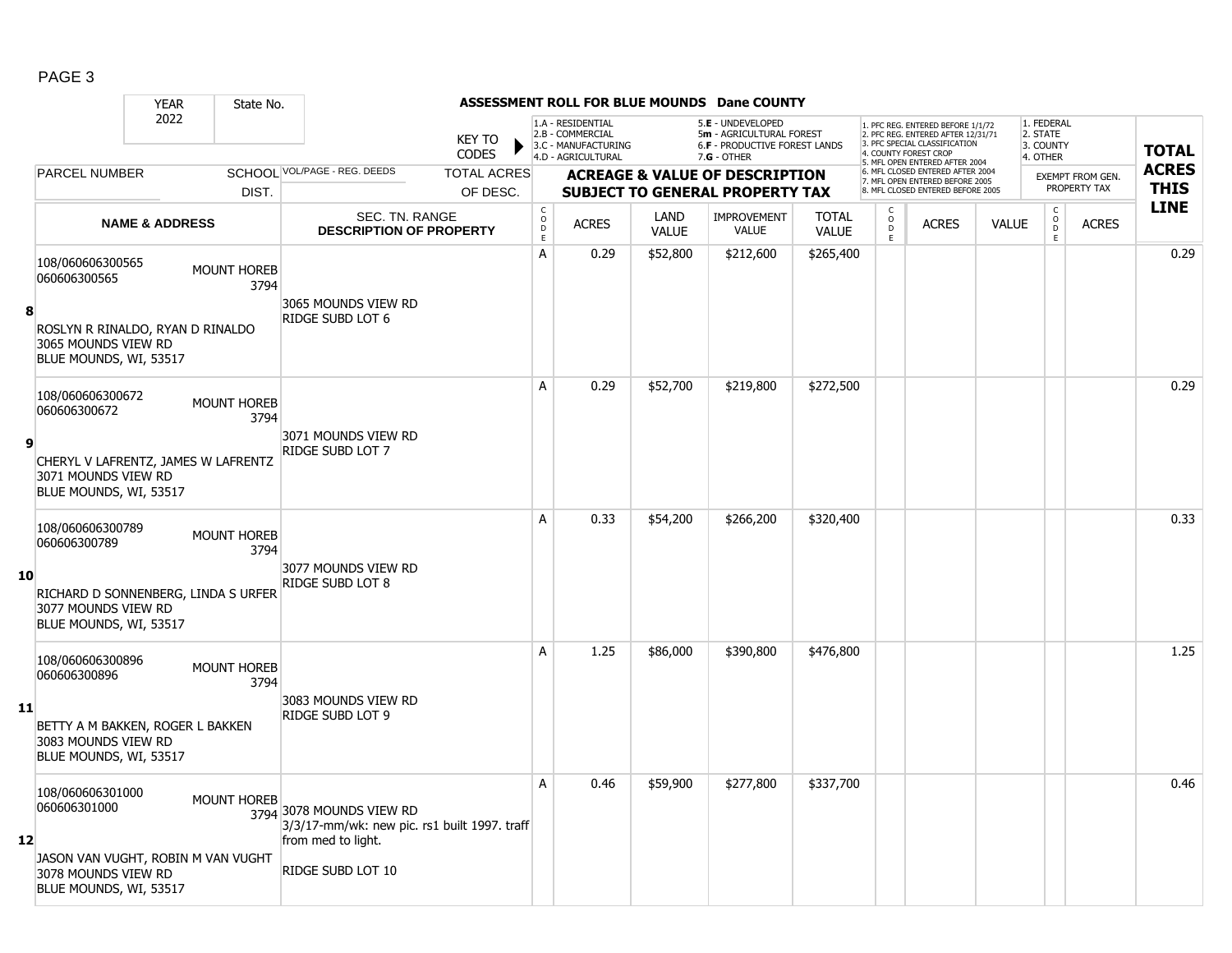|--|--|

|     |                                                                                      | <b>YEAR</b>               | State No.                  |                                                                                                |                               |                                                |                                                                                    |                      | ASSESSMENT ROLL FOR BLUE MOUNDS Dane COUNTY                                                            |                              |                      |                                                                                                                                                                    |              |                                                 |                         |              |
|-----|--------------------------------------------------------------------------------------|---------------------------|----------------------------|------------------------------------------------------------------------------------------------|-------------------------------|------------------------------------------------|------------------------------------------------------------------------------------|----------------------|--------------------------------------------------------------------------------------------------------|------------------------------|----------------------|--------------------------------------------------------------------------------------------------------------------------------------------------------------------|--------------|-------------------------------------------------|-------------------------|--------------|
|     |                                                                                      | 2022                      |                            |                                                                                                | <b>KEY TO</b><br><b>CODES</b> |                                                | 1.A - RESIDENTIAL<br>2.B - COMMERCIAL<br>3.C - MANUFACTURING<br>4.D - AGRICULTURAL |                      | 5.E - UNDEVELOPED<br>5m - AGRICULTURAL FOREST<br><b>6.F - PRODUCTIVE FOREST LANDS</b><br>$7.G - OTHER$ |                              |                      | 1. PFC REG. ENTERED BEFORE 1/1/72<br>2. PFC REG. ENTERED AFTER 12/31/71<br>3 PEC SPECIAL CLASSIFICATION<br>4. COUNTY FOREST CROP<br>5. MFL OPEN ENTERED AFTER 2004 |              | 1. FEDERAL<br>2. STATE<br>3. COUNTY<br>4. OTHER |                         | <b>TOTAL</b> |
|     | PARCEL NUMBER                                                                        |                           |                            | SCHOOL VOL/PAGE - REG. DEEDS                                                                   | <b>TOTAL ACRES</b>            |                                                |                                                                                    |                      | <b>ACREAGE &amp; VALUE OF DESCRIPTION</b>                                                              |                              |                      | 6. MFL CLOSED ENTERED AFTER 2004<br>7. MFL OPEN ENTERED BEFORE 2005                                                                                                |              |                                                 | <b>EXEMPT FROM GEN.</b> | <b>ACRES</b> |
|     |                                                                                      |                           | DIST.                      |                                                                                                | OF DESC.                      |                                                |                                                                                    |                      | <b>SUBJECT TO GENERAL PROPERTY TAX</b>                                                                 |                              |                      | 8. MFL CLOSED ENTERED BEFORE 2005                                                                                                                                  |              |                                                 | PROPERTY TAX            | <b>THIS</b>  |
|     |                                                                                      | <b>NAME &amp; ADDRESS</b> |                            | SEC. TN. RANGE<br><b>DESCRIPTION OF PROPERTY</b>                                               |                               | $\begin{matrix} 0 \\ 0 \\ D \end{matrix}$<br>E | <b>ACRES</b>                                                                       | LAND<br><b>VALUE</b> | IMPROVEMENT<br><b>VALUE</b>                                                                            | <b>TOTAL</b><br><b>VALUE</b> | $\overline{O}$<br>E. | <b>ACRES</b>                                                                                                                                                       | <b>VALUE</b> | $\begin{matrix} 0 \\ 0 \\ D \end{matrix}$<br>E  | <b>ACRES</b>            | <b>LINE</b>  |
| 8   | 108/060606300565<br>060606300565<br>ROSLYN R RINALDO, RYAN D RINALDO                 |                           | <b>MOUNT HOREB</b><br>3794 | 3065 MOUNDS VIEW RD<br>RIDGE SUBD LOT 6                                                        |                               | A                                              | 0.29                                                                               | \$52,800             | \$212,600                                                                                              | \$265,400                    |                      |                                                                                                                                                                    |              |                                                 |                         | 0.29         |
|     | 3065 MOUNDS VIEW RD<br>BLUE MOUNDS, WI, 53517                                        |                           |                            |                                                                                                |                               |                                                |                                                                                    |                      |                                                                                                        |                              |                      |                                                                                                                                                                    |              |                                                 |                         |              |
|     | 108/060606300672<br>060606300672                                                     |                           | <b>MOUNT HOREB</b><br>3794 |                                                                                                |                               | A                                              | 0.29                                                                               | \$52,700             | \$219,800                                                                                              | \$272,500                    |                      |                                                                                                                                                                    |              |                                                 |                         | 0.29         |
| 9   | CHERYL V LAFRENTZ, JAMES W LAFRENTZ<br>3071 MOUNDS VIEW RD<br>BLUE MOUNDS, WI, 53517 |                           |                            | 3071 MOUNDS VIEW RD<br>RIDGE SUBD LOT 7                                                        |                               |                                                |                                                                                    |                      |                                                                                                        |                              |                      |                                                                                                                                                                    |              |                                                 |                         |              |
|     | 108/060606300789<br>060606300789                                                     |                           | <b>MOUNT HOREB</b><br>3794 |                                                                                                |                               | A                                              | 0.33                                                                               | \$54,200             | \$266,200                                                                                              | \$320,400                    |                      |                                                                                                                                                                    |              |                                                 |                         | 0.33         |
| 10  | RICHARD D SONNENBERG, LINDA S URFER<br>3077 MOUNDS VIEW RD<br>BLUE MOUNDS, WI, 53517 |                           |                            | 3077 MOUNDS VIEW RD<br>RIDGE SUBD LOT 8                                                        |                               |                                                |                                                                                    |                      |                                                                                                        |                              |                      |                                                                                                                                                                    |              |                                                 |                         |              |
|     | 108/060606300896<br>060606300896                                                     |                           | <b>MOUNT HOREB</b><br>3794 |                                                                                                |                               | A                                              | 1.25                                                                               | \$86,000             | \$390,800                                                                                              | \$476,800                    |                      |                                                                                                                                                                    |              |                                                 |                         | 1.25         |
| -11 | BETTY A M BAKKEN, ROGER L BAKKEN<br>3083 MOUNDS VIEW RD<br>BLUE MOUNDS, WI, 53517    |                           |                            | 3083 MOUNDS VIEW RD<br><b>RIDGE SUBD LOT 9</b>                                                 |                               |                                                |                                                                                    |                      |                                                                                                        |                              |                      |                                                                                                                                                                    |              |                                                 |                         |              |
| 12  | 108/060606301000<br>060606301000                                                     |                           | <b>MOUNT HOREB</b>         | 3794 3078 MOUNDS VIEW RD<br>3/3/17-mm/wk: new pic. rs1 built 1997. traff<br>from med to light. |                               | A                                              | 0.46                                                                               | \$59,900             | \$277,800                                                                                              | \$337,700                    |                      |                                                                                                                                                                    |              |                                                 |                         | 0.46         |
|     | JASON VAN VUGHT, ROBIN M VAN VUGHT<br>3078 MOUNDS VIEW RD<br>BLUE MOUNDS, WI, 53517  |                           |                            | RIDGE SUBD LOT 10                                                                              |                               |                                                |                                                                                    |                      |                                                                                                        |                              |                      |                                                                                                                                                                    |              |                                                 |                         |              |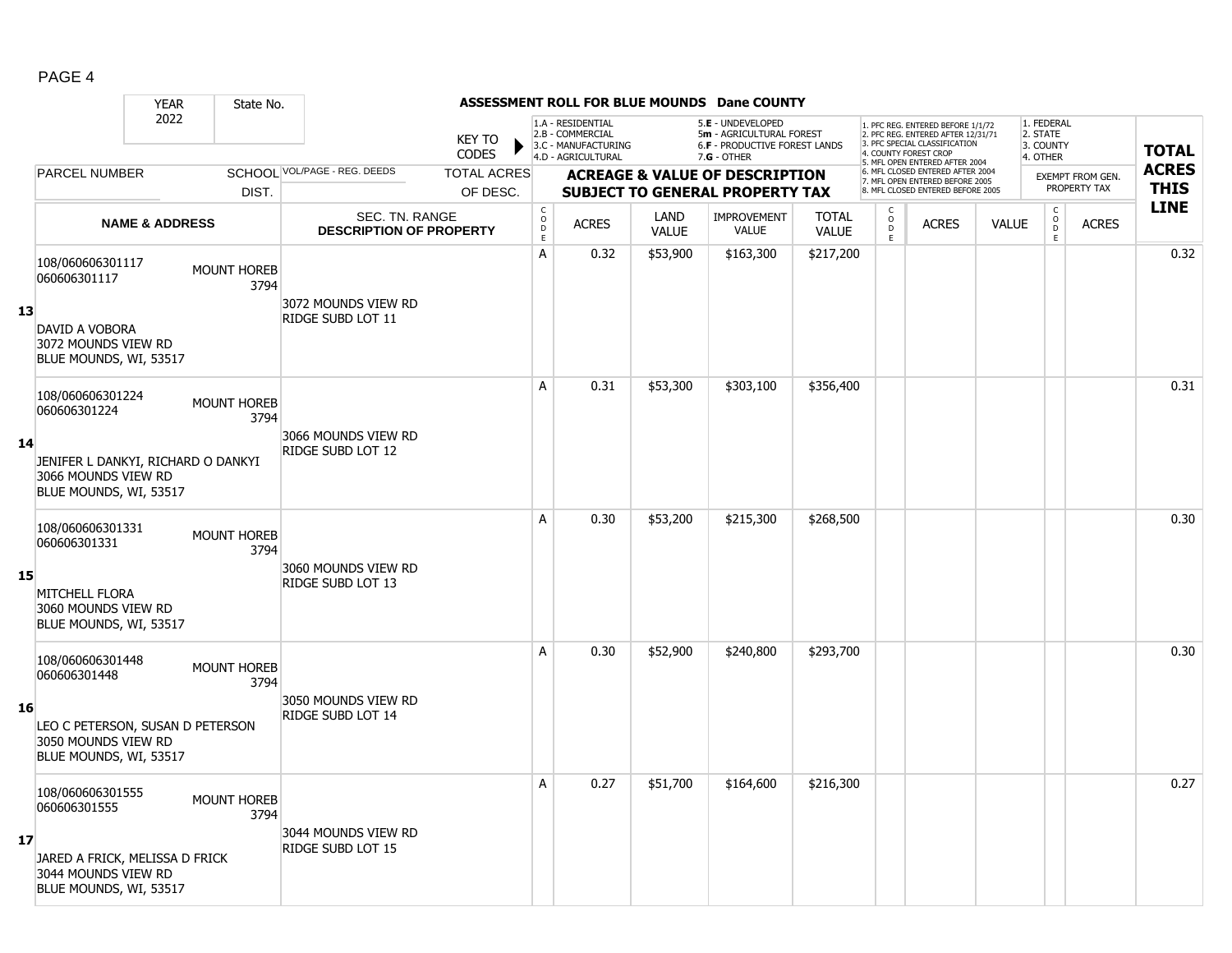|--|--|

|     |                                                                                                                         | <b>YEAR</b>               | State No.                  |                                                  |                                |                                                          |                                                                                    |                      | ASSESSMENT ROLL FOR BLUE MOUNDS Dane COUNTY                                                          |                              |                         |                                                                                                                                                                     |              |                                                 |                                         |                             |
|-----|-------------------------------------------------------------------------------------------------------------------------|---------------------------|----------------------------|--------------------------------------------------|--------------------------------|----------------------------------------------------------|------------------------------------------------------------------------------------|----------------------|------------------------------------------------------------------------------------------------------|------------------------------|-------------------------|---------------------------------------------------------------------------------------------------------------------------------------------------------------------|--------------|-------------------------------------------------|-----------------------------------------|-----------------------------|
|     |                                                                                                                         | 2022                      |                            |                                                  | <b>KEY TO</b><br><b>CODES</b>  |                                                          | 1.A - RESIDENTIAL<br>2.B - COMMERCIAL<br>3.C - MANUFACTURING<br>4.D - AGRICULTURAL |                      | 5.E - UNDEVELOPED<br>5m - AGRICULTURAL FOREST<br><b>6.F - PRODUCTIVE FOREST LANDS</b><br>7.G - OTHER |                              |                         | 1. PFC REG. ENTERED BEFORE 1/1/72<br>2. PFC REG. ENTERED AFTER 12/31/71<br>3. PFC SPECIAL CLASSIFICATION<br>4. COUNTY FOREST CROP<br>5. MFL OPEN ENTERED AFTER 2004 |              | 1. FEDERAL<br>2. STATE<br>3. COUNTY<br>4. OTHER |                                         | <b>TOTAL</b>                |
|     | <b>PARCEL NUMBER</b>                                                                                                    |                           | DIST.                      | SCHOOL VOL/PAGE - REG. DEEDS                     | <b>TOTAL ACRES</b><br>OF DESC. |                                                          |                                                                                    |                      | <b>ACREAGE &amp; VALUE OF DESCRIPTION</b><br><b>SUBJECT TO GENERAL PROPERTY TAX</b>                  |                              |                         | 6. MFL CLOSED ENTERED AFTER 2004<br>7. MFL OPEN ENTERED BEFORE 2005<br>8. MFL CLOSED ENTERED BEFORE 2005                                                            |              |                                                 | <b>EXEMPT FROM GEN.</b><br>PROPERTY TAX | <b>ACRES</b><br><b>THIS</b> |
|     |                                                                                                                         | <b>NAME &amp; ADDRESS</b> |                            | SEC. TN. RANGE<br><b>DESCRIPTION OF PROPERTY</b> |                                | $\begin{matrix} C \\ 0 \\ D \end{matrix}$<br>$\mathsf E$ | <b>ACRES</b>                                                                       | LAND<br><b>VALUE</b> | <b>IMPROVEMENT</b><br><b>VALUE</b>                                                                   | <b>TOTAL</b><br><b>VALUE</b> | $_{\rm D}^{\rm O}$<br>E | <b>ACRES</b>                                                                                                                                                        | <b>VALUE</b> | $\mathsf C$<br>$_{\rm D}^{\rm O}$<br>E          | <b>ACRES</b>                            | <b>LINE</b>                 |
| -13 | 108/060606301117<br>060606301117<br><b>DAVID A VOBORA</b><br>3072 MOUNDS VIEW RD<br>BLUE MOUNDS, WI, 53517              |                           | <b>MOUNT HOREB</b><br>3794 | 3072 MOUNDS VIEW RD<br><b>RIDGE SUBD LOT 11</b>  |                                | A                                                        | 0.32                                                                               | \$53,900             | \$163,300                                                                                            | \$217,200                    |                         |                                                                                                                                                                     |              |                                                 |                                         | 0.32                        |
| -14 | 108/060606301224<br>060606301224<br>JENIFER L DANKYI, RICHARD O DANKYI<br>3066 MOUNDS VIEW RD<br>BLUE MOUNDS, WI, 53517 |                           | <b>MOUNT HOREB</b><br>3794 | 3066 MOUNDS VIEW RD<br><b>RIDGE SUBD LOT 12</b>  |                                | A                                                        | 0.31                                                                               | \$53,300             | \$303,100                                                                                            | \$356,400                    |                         |                                                                                                                                                                     |              |                                                 |                                         | 0.31                        |
| 15  | 108/060606301331<br>060606301331<br><b>MITCHELL FLORA</b><br>3060 MOUNDS VIEW RD<br>BLUE MOUNDS, WI, 53517              |                           | <b>MOUNT HOREB</b><br>3794 | 3060 MOUNDS VIEW RD<br><b>RIDGE SUBD LOT 13</b>  |                                | A                                                        | 0.30                                                                               | \$53,200             | \$215,300                                                                                            | \$268,500                    |                         |                                                                                                                                                                     |              |                                                 |                                         | 0.30                        |
| -16 | 108/060606301448<br>060606301448<br>LEO C PETERSON, SUSAN D PETERSON<br>3050 MOUNDS VIEW RD<br>BLUE MOUNDS, WI, 53517   |                           | <b>MOUNT HOREB</b><br>3794 | 3050 MOUNDS VIEW RD<br><b>RIDGE SUBD LOT 14</b>  |                                | A                                                        | 0.30                                                                               | \$52,900             | \$240,800                                                                                            | \$293,700                    |                         |                                                                                                                                                                     |              |                                                 |                                         | 0.30                        |
| 17  | 108/060606301555<br>060606301555<br>JARED A FRICK, MELISSA D FRICK<br>3044 MOUNDS VIEW RD<br>BLUE MOUNDS, WI, 53517     |                           | <b>MOUNT HOREB</b><br>3794 | 3044 MOUNDS VIEW RD<br><b>RIDGE SUBD LOT 15</b>  |                                | A                                                        | 0.27                                                                               | \$51,700             | \$164,600                                                                                            | \$216,300                    |                         |                                                                                                                                                                     |              |                                                 |                                         | 0.27                        |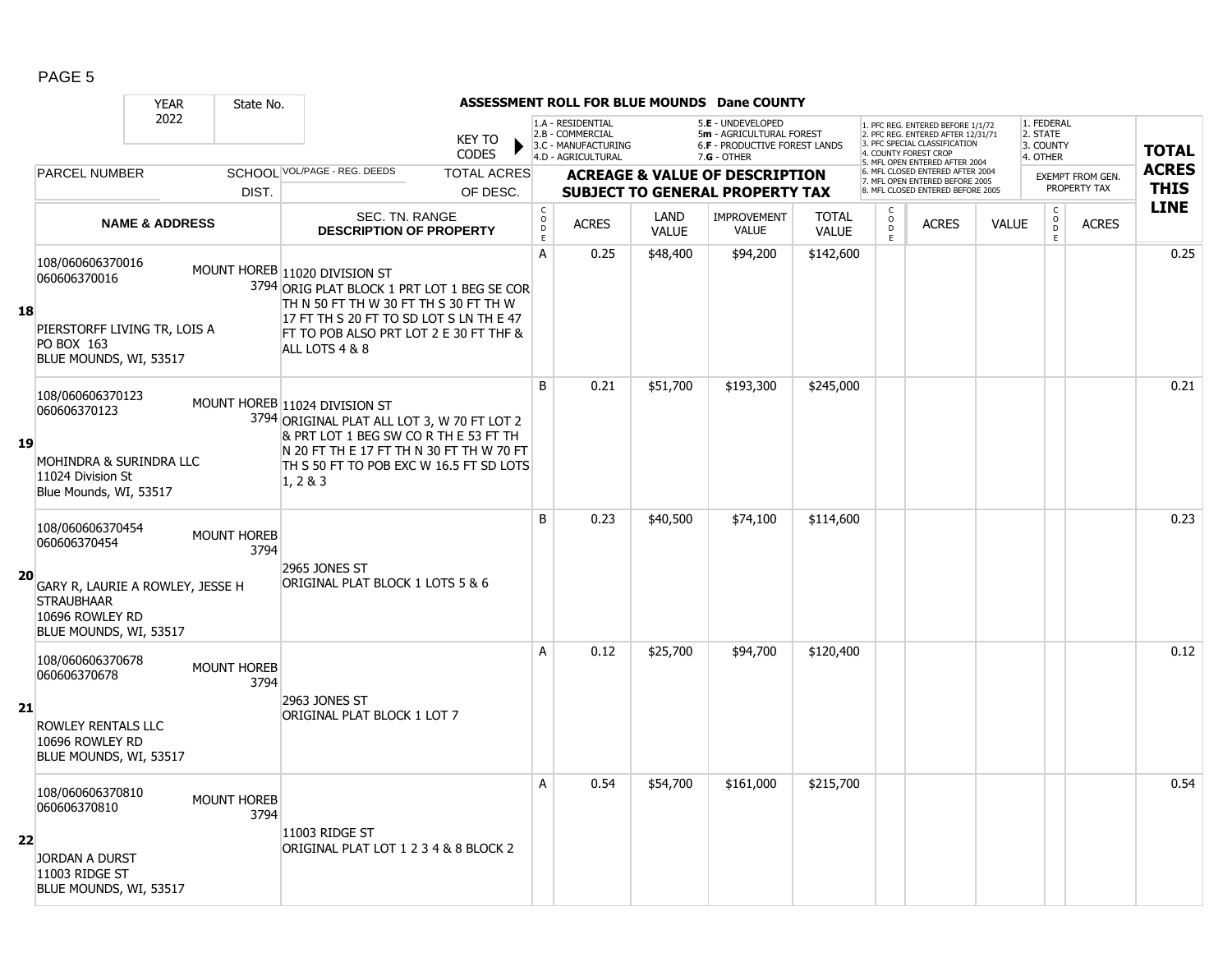|    | <b>YEAR</b>                                                                                                                            | State No.                  |                                                                                                                                                                                                                              |                                                      |                                                                                    |                      | <b>ASSESSMENT ROLL FOR BLUE MOUNDS Dane COUNTY</b>                                                     |                              |                                |                                                                                                                                                                    |              |                                                 |                  |                            |
|----|----------------------------------------------------------------------------------------------------------------------------------------|----------------------------|------------------------------------------------------------------------------------------------------------------------------------------------------------------------------------------------------------------------------|------------------------------------------------------|------------------------------------------------------------------------------------|----------------------|--------------------------------------------------------------------------------------------------------|------------------------------|--------------------------------|--------------------------------------------------------------------------------------------------------------------------------------------------------------------|--------------|-------------------------------------------------|------------------|----------------------------|
|    | 2022                                                                                                                                   |                            | <b>KEY TO</b><br><b>CODES</b>                                                                                                                                                                                                |                                                      | 1.A - RESIDENTIAL<br>2.B - COMMERCIAL<br>3.C - MANUFACTURING<br>4.D - AGRICULTURAL |                      | 5.E - UNDEVELOPED<br>5m - AGRICULTURAL FOREST<br><b>6.F - PRODUCTIVE FOREST LANDS</b><br>$7.G - OTHER$ |                              |                                | . PFC REG. ENTERED BEFORE 1/1/72<br>2. PFC REG. ENTERED AFTER 12/31/71<br>3. PFC SPECIAL CLASSIFICATION<br>4. COUNTY FOREST CROP<br>5. MFL OPEN ENTERED AFTER 2004 |              | 1. FEDERAL<br>2. STATE<br>3. COUNTY<br>4. OTHER |                  | <b>TOTAL</b>               |
|    | <b>PARCEL NUMBER</b>                                                                                                                   |                            | SCHOOL VOL/PAGE - REG. DEEDS<br><b>TOTAL ACRES</b>                                                                                                                                                                           |                                                      |                                                                                    |                      | <b>ACREAGE &amp; VALUE OF DESCRIPTION</b>                                                              |                              |                                | 6. MFL CLOSED ENTERED AFTER 2004<br>7. MFL OPEN ENTERED BEFORE 2005                                                                                                |              |                                                 | EXEMPT FROM GEN. | <b>ACRES</b>               |
|    |                                                                                                                                        | DIST.                      | OF DESC.                                                                                                                                                                                                                     |                                                      |                                                                                    |                      | <b>SUBJECT TO GENERAL PROPERTY TAX</b>                                                                 |                              |                                | <b>B. MFL CLOSED ENTERED BEFORE 2005</b>                                                                                                                           |              |                                                 | PROPERTY TAX     | <b>THIS</b><br><b>LINE</b> |
|    | <b>NAME &amp; ADDRESS</b>                                                                                                              |                            | SEC. TN. RANGE<br><b>DESCRIPTION OF PROPERTY</b>                                                                                                                                                                             | $\begin{smallmatrix}&&C\0\0\0\end{smallmatrix}$<br>E | <b>ACRES</b>                                                                       | LAND<br><b>VALUE</b> | <b>IMPROVEMENT</b><br><b>VALUE</b>                                                                     | <b>TOTAL</b><br><b>VALUE</b> | C<br>$\overline{0}$<br>D<br>Ē. | <b>ACRES</b>                                                                                                                                                       | <b>VALUE</b> | $\begin{matrix} 0 \\ 0 \\ D \end{matrix}$<br>E  | <b>ACRES</b>     |                            |
| 18 | 108/060606370016<br>060606370016<br>PIERSTORFF LIVING TR, LOIS A<br>PO BOX 163<br>BLUE MOUNDS, WI, 53517                               |                            | MOUNT HOREB 11020 DIVISION ST<br>3794 ORIG PLAT BLOCK 1 PRT LOT 1 BEG SE COR<br>TH N 50 FT TH W 30 FT TH S 30 FT TH W<br>17 FT TH S 20 FT TO SD LOT S LN TH E 47<br>FT TO POB ALSO PRT LOT 2 E 30 FT THF &<br>ALL LOTS 4 & 8 | A                                                    | 0.25                                                                               | \$48,400             | \$94,200                                                                                               | \$142,600                    |                                |                                                                                                                                                                    |              |                                                 |                  | 0.25                       |
| 19 | 108/060606370123<br>060606370123<br>MOHINDRA & SURINDRA LLC<br>11024 Division St<br>Blue Mounds, WI, 53517                             |                            | MOUNT HOREB 11024 DIVISION ST<br>3794 ORIGINAL PLAT ALL LOT 3, W 70 FT LOT 2<br>& PRT LOT 1 BEG SW CO R TH E 53 FT TH<br>N 20 FT TH E 17 FT TH N 30 FT TH W 70 FT<br>TH S 50 FT TO POB EXC W 16.5 FT SD LOTS<br>1, 283       | B                                                    | 0.21                                                                               | \$51,700             | \$193,300                                                                                              | \$245,000                    |                                |                                                                                                                                                                    |              |                                                 |                  | 0.21                       |
| 20 | 108/060606370454<br>060606370454<br>GARY R, LAURIE A ROWLEY, JESSE H<br><b>STRAUBHAAR</b><br>10696 ROWLEY RD<br>BLUE MOUNDS, WI, 53517 | <b>MOUNT HOREB</b><br>3794 | 2965 JONES ST<br>ORIGINAL PLAT BLOCK 1 LOTS 5 & 6                                                                                                                                                                            | B                                                    | 0.23                                                                               | \$40,500             | \$74,100                                                                                               | \$114,600                    |                                |                                                                                                                                                                    |              |                                                 |                  | 0.23                       |
| 21 | 108/060606370678<br>060606370678<br>ROWLEY RENTALS LLC<br>10696 ROWLEY RD<br>BLUE MOUNDS, WI, 53517                                    | <b>MOUNT HOREB</b><br>3794 | 2963 JONES ST<br>ORIGINAL PLAT BLOCK 1 LOT 7                                                                                                                                                                                 | A                                                    | 0.12                                                                               | \$25,700             | \$94,700                                                                                               | \$120,400                    |                                |                                                                                                                                                                    |              |                                                 |                  | 0.12                       |
| 22 | 108/060606370810<br>060606370810<br><b>JORDAN A DURST</b><br>11003 RIDGE ST<br>BLUE MOUNDS, WI, 53517                                  | <b>MOUNT HOREB</b><br>3794 | 11003 RIDGE ST<br>ORIGINAL PLAT LOT 1 2 3 4 & 8 BLOCK 2                                                                                                                                                                      | A                                                    | 0.54                                                                               | \$54,700             | \$161,000                                                                                              | \$215,700                    |                                |                                                                                                                                                                    |              |                                                 |                  | 0.54                       |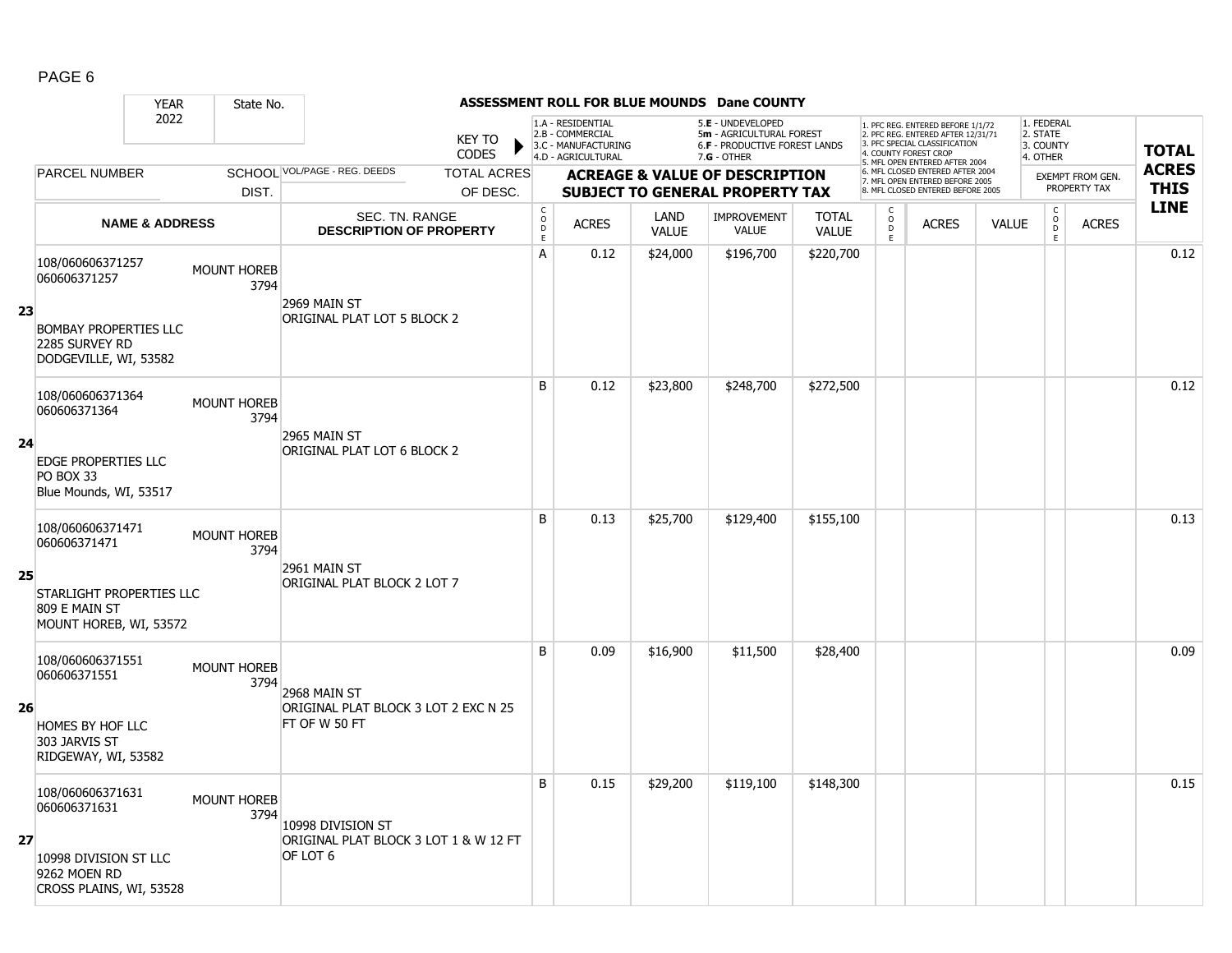|    |                                                                                    | <b>YEAR</b>               | State No.                  |                                                                        |                               |                                            |                                                                                    |                      | ASSESSMENT ROLL FOR BLUE MOUNDS Dane COUNTY                                                   |                              |                        |                                                                                                                                  |              |                                                          |                  |              |
|----|------------------------------------------------------------------------------------|---------------------------|----------------------------|------------------------------------------------------------------------|-------------------------------|--------------------------------------------|------------------------------------------------------------------------------------|----------------------|-----------------------------------------------------------------------------------------------|------------------------------|------------------------|----------------------------------------------------------------------------------------------------------------------------------|--------------|----------------------------------------------------------|------------------|--------------|
|    |                                                                                    | 2022                      |                            |                                                                        | <b>KEY TO</b><br><b>CODES</b> |                                            | 1.A - RESIDENTIAL<br>2.B - COMMERCIAL<br>3.C - MANUFACTURING<br>4.D - AGRICULTURAL |                      | 5.E - UNDEVELOPED<br>5m - AGRICULTURAL FOREST<br>6.F - PRODUCTIVE FOREST LANDS<br>7.G - OTHER |                              |                        | . PFC REG. ENTERED BEFORE 1/1/72<br>2. PFC REG. ENTERED AFTER 12/31/71<br>3. PFC SPECIAL CLASSIFICATION<br>4. COUNTY FOREST CROP |              | 1. FEDERAL<br>2. STATE<br>3. COUNTY<br>4. OTHER          |                  | <b>TOTAL</b> |
|    | PARCEL NUMBER                                                                      |                           |                            | SCHOOL VOL/PAGE - REG. DEEDS                                           | <b>TOTAL ACRES</b>            |                                            |                                                                                    |                      | <b>ACREAGE &amp; VALUE OF DESCRIPTION</b>                                                     |                              |                        | 5. MFL OPEN ENTERED AFTER 2004<br>6. MFL CLOSED ENTERED AFTER 2004                                                               |              |                                                          | EXEMPT FROM GEN. | <b>ACRES</b> |
|    |                                                                                    |                           | DIST.                      |                                                                        | OF DESC.                      |                                            |                                                                                    |                      | <b>SUBJECT TO GENERAL PROPERTY TAX</b>                                                        |                              |                        | 7. MFL OPEN ENTERED BEFORE 2005<br>8. MFL CLOSED ENTERED BEFORE 2005                                                             |              |                                                          | PROPERTY TAX     | <b>THIS</b>  |
|    |                                                                                    | <b>NAME &amp; ADDRESS</b> |                            | SEC. TN. RANGE<br><b>DESCRIPTION OF PROPERTY</b>                       |                               | $\begin{array}{c} C \\ O \\ E \end{array}$ | <b>ACRES</b>                                                                       | LAND<br><b>VALUE</b> | <b>IMPROVEMENT</b><br><b>VALUE</b>                                                            | <b>TOTAL</b><br><b>VALUE</b> | C<br>$\circ$<br>D<br>E | <b>ACRES</b>                                                                                                                     | <b>VALUE</b> | $\begin{matrix} 0 \\ 0 \\ D \end{matrix}$<br>$\mathsf E$ | <b>ACRES</b>     | <b>LINE</b>  |
| 23 | 108/060606371257<br>060606371257<br><b>BOMBAY PROPERTIES LLC</b><br>2285 SURVEY RD |                           | <b>MOUNT HOREB</b><br>3794 | 2969 MAIN ST<br>ORIGINAL PLAT LOT 5 BLOCK 2                            |                               | A                                          | 0.12                                                                               | \$24,000             | \$196,700                                                                                     | \$220,700                    |                        |                                                                                                                                  |              |                                                          |                  | 0.12         |
|    | DODGEVILLE, WI, 53582<br>108/060606371364<br>060606371364                          |                           | MOUNT HOREB<br>3794        |                                                                        |                               | B                                          | 0.12                                                                               | \$23,800             | \$248,700                                                                                     | \$272,500                    |                        |                                                                                                                                  |              |                                                          |                  | 0.12         |
| 24 | EDGE PROPERTIES LLC<br>PO BOX 33<br>Blue Mounds, WI, 53517                         |                           |                            | 2965 MAIN ST<br>ORIGINAL PLAT LOT 6 BLOCK 2                            |                               |                                            |                                                                                    |                      |                                                                                               |                              |                        |                                                                                                                                  |              |                                                          |                  |              |
|    | 108/060606371471<br>060606371471                                                   |                           | <b>MOUNT HOREB</b><br>3794 |                                                                        |                               | B                                          | 0.13                                                                               | \$25,700             | \$129,400                                                                                     | \$155,100                    |                        |                                                                                                                                  |              |                                                          |                  | 0.13         |
| 25 | STARLIGHT PROPERTIES LLC<br>809 E MAIN ST<br>MOUNT HOREB, WI, 53572                |                           |                            | 2961 MAIN ST<br>ORIGINAL PLAT BLOCK 2 LOT 7                            |                               |                                            |                                                                                    |                      |                                                                                               |                              |                        |                                                                                                                                  |              |                                                          |                  |              |
|    | 108/060606371551<br>060606371551                                                   |                           | <b>MOUNT HOREB</b><br>3794 | 2968 MAIN ST                                                           |                               | B                                          | 0.09                                                                               | \$16,900             | \$11,500                                                                                      | \$28,400                     |                        |                                                                                                                                  |              |                                                          |                  | 0.09         |
| 26 | HOMES BY HOF LLC<br>303 JARVIS ST<br>RIDGEWAY, WI, 53582                           |                           |                            | ORIGINAL PLAT BLOCK 3 LOT 2 EXC N 25<br>FT OF W 50 FT                  |                               |                                            |                                                                                    |                      |                                                                                               |                              |                        |                                                                                                                                  |              |                                                          |                  |              |
| 27 | 108/060606371631<br>060606371631<br>10998 DIVISION ST LLC                          |                           | <b>MOUNT HOREB</b><br>3794 | 10998 DIVISION ST<br>ORIGINAL PLAT BLOCK 3 LOT 1 & W 12 FT<br>OF LOT 6 |                               | B                                          | 0.15                                                                               | \$29,200             | \$119,100                                                                                     | \$148,300                    |                        |                                                                                                                                  |              |                                                          |                  | 0.15         |
|    | 9262 MOEN RD<br>CROSS PLAINS, WI, 53528                                            |                           |                            |                                                                        |                               |                                            |                                                                                    |                      |                                                                                               |                              |                        |                                                                                                                                  |              |                                                          |                  |              |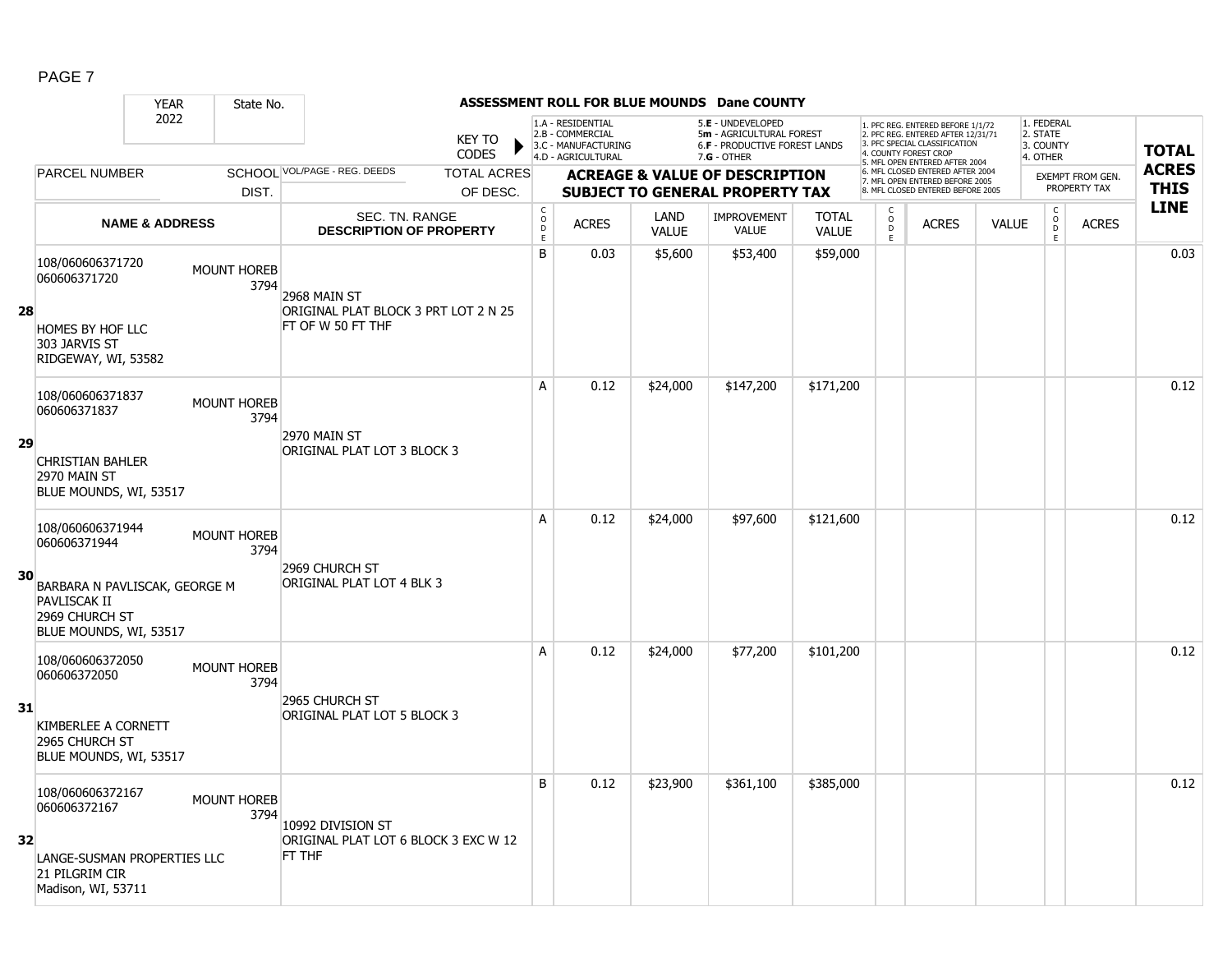|                 | <b>YEAR</b>                                                                                                                   | State No.                  |                                                                           |                                        |                                                                                    |                      | <b>ASSESSMENT ROLL FOR BLUE MOUNDS Dane COUNTY</b>                                            |                              |                                                |                                                                                                                                   |              |                                                          |                                         |              |
|-----------------|-------------------------------------------------------------------------------------------------------------------------------|----------------------------|---------------------------------------------------------------------------|----------------------------------------|------------------------------------------------------------------------------------|----------------------|-----------------------------------------------------------------------------------------------|------------------------------|------------------------------------------------|-----------------------------------------------------------------------------------------------------------------------------------|--------------|----------------------------------------------------------|-----------------------------------------|--------------|
|                 | 2022                                                                                                                          |                            | <b>KEY TO</b><br><b>CODES</b>                                             |                                        | 1.A - RESIDENTIAL<br>2.B - COMMERCIAL<br>3.C - MANUFACTURING<br>4.D - AGRICULTURAL |                      | 5.E - UNDEVELOPED<br>5m - AGRICULTURAL FOREST<br>6.F - PRODUCTIVE FOREST LANDS<br>7.G - OTHER |                              |                                                | 1. PFC REG. ENTERED BEFORE 1/1/72<br>2. PFC REG. ENTERED AFTER 12/31/71<br>3. PFC SPECIAL CLASSIFICATION<br>4. COUNTY FOREST CROP |              | 1. FEDERAL<br>2. STATE<br>3. COUNTY<br>4. OTHER          |                                         | <b>TOTAL</b> |
|                 | <b>PARCEL NUMBER</b>                                                                                                          |                            | SCHOOL VOL/PAGE - REG. DEEDS<br><b>TOTAL ACRES</b>                        |                                        |                                                                                    |                      |                                                                                               |                              |                                                | 5. MFL OPEN ENTERED AFTER 2004<br>6. MFL CLOSED ENTERED AFTER 2004                                                                |              |                                                          |                                         | <b>ACRES</b> |
|                 |                                                                                                                               | DIST.                      | OF DESC.                                                                  |                                        |                                                                                    |                      | <b>ACREAGE &amp; VALUE OF DESCRIPTION</b><br><b>SUBJECT TO GENERAL PROPERTY TAX</b>           |                              |                                                | 7. MFL OPEN ENTERED BEFORE 2005<br>8. MFL CLOSED ENTERED BEFORE 2005                                                              |              |                                                          | <b>EXEMPT FROM GEN.</b><br>PROPERTY TAX | <b>THIS</b>  |
|                 | <b>NAME &amp; ADDRESS</b>                                                                                                     |                            | SEC. TN. RANGE<br><b>DESCRIPTION OF PROPERTY</b>                          | $\mathsf{C}$<br>$\mathsf{o}$<br>D<br>E | <b>ACRES</b>                                                                       | LAND<br><b>VALUE</b> | <b>IMPROVEMENT</b><br><b>VALUE</b>                                                            | <b>TOTAL</b><br><b>VALUE</b> | $\begin{matrix} 0 \\ 0 \\ D \end{matrix}$<br>E | <b>ACRES</b>                                                                                                                      | <b>VALUE</b> | $\begin{matrix} 0 \\ 0 \\ D \end{matrix}$<br>$\mathsf E$ | <b>ACRES</b>                            | <b>LINE</b>  |
| 28              | 108/060606371720<br>060606371720<br>HOMES BY HOF LLC<br>303 JARVIS ST<br>RIDGEWAY, WI, 53582                                  | <b>MOUNT HOREB</b><br>3794 | 2968 MAIN ST<br>ORIGINAL PLAT BLOCK 3 PRT LOT 2 N 25<br>FT OF W 50 FT THF | B                                      | 0.03                                                                               | \$5,600              | \$53,400                                                                                      | \$59,000                     |                                                |                                                                                                                                   |              |                                                          |                                         | 0.03         |
| 29              | 108/060606371837<br>060606371837<br><b>CHRISTIAN BAHLER</b><br>2970 MAIN ST<br>BLUE MOUNDS, WI, 53517                         | MOUNT HOREB<br>3794        | 2970 MAIN ST<br>ORIGINAL PLAT LOT 3 BLOCK 3                               | A                                      | 0.12                                                                               | \$24,000             | \$147,200                                                                                     | \$171,200                    |                                                |                                                                                                                                   |              |                                                          |                                         | 0.12         |
| 30              | 108/060606371944<br>060606371944<br>BARBARA N PAVLISCAK, GEORGE M<br>PAVLISCAK II<br>2969 CHURCH ST<br>BLUE MOUNDS, WI, 53517 | <b>MOUNT HOREB</b><br>3794 | 2969 CHURCH ST<br>ORIGINAL PLAT LOT 4 BLK 3                               | A                                      | 0.12                                                                               | \$24,000             | \$97,600                                                                                      | \$121,600                    |                                                |                                                                                                                                   |              |                                                          |                                         | 0.12         |
| 31              | 108/060606372050<br>060606372050<br>KIMBERLEE A CORNETT<br>2965 CHURCH ST<br>BLUE MOUNDS, WI, 53517                           | <b>MOUNT HOREB</b><br>3794 | 2965 CHURCH ST<br>ORIGINAL PLAT LOT 5 BLOCK 3                             | A                                      | 0.12                                                                               | \$24,000             | \$77,200                                                                                      | \$101,200                    |                                                |                                                                                                                                   |              |                                                          |                                         | 0.12         |
| 32 <sub>2</sub> | 108/060606372167<br>060606372167<br>LANGE-SUSMAN PROPERTIES LLC<br>21 PILGRIM CIR<br>Madison, WI, 53711                       | <b>MOUNT HOREB</b><br>3794 | 10992 DIVISION ST<br>ORIGINAL PLAT LOT 6 BLOCK 3 EXC W 12<br>FT THF       | B                                      | 0.12                                                                               | \$23,900             | \$361,100                                                                                     | \$385,000                    |                                                |                                                                                                                                   |              |                                                          |                                         | 0.12         |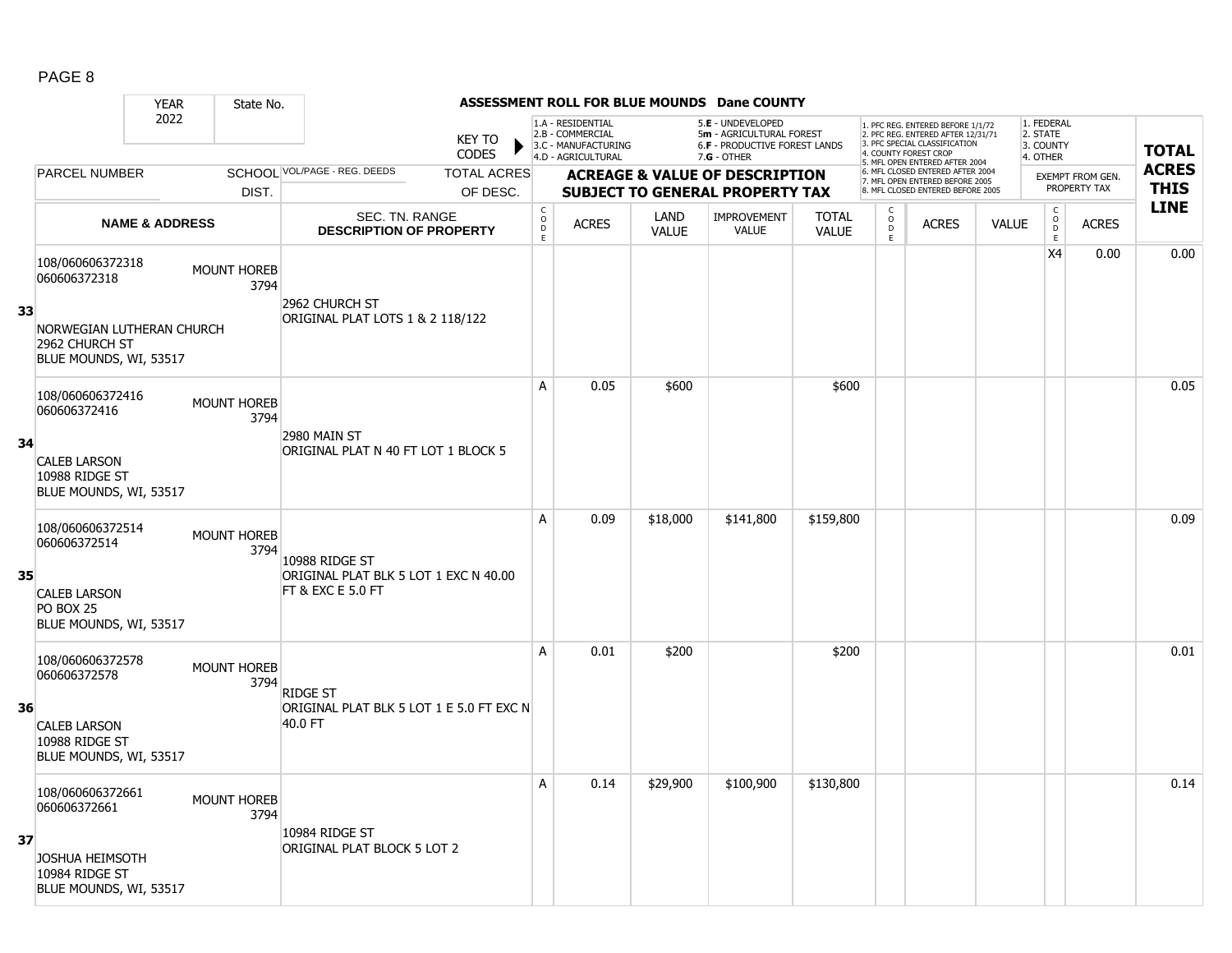|    |                                                                                                           | <b>YEAR</b> | State No.                  |                                                                              |                                        |                                                              |                      | <b>ASSESSMENT ROLL FOR BLUE MOUNDS Dane COUNTY</b>                             |                              |                          |                                                                                                                                   |       |                                                           |                                  |              |
|----|-----------------------------------------------------------------------------------------------------------|-------------|----------------------------|------------------------------------------------------------------------------|----------------------------------------|--------------------------------------------------------------|----------------------|--------------------------------------------------------------------------------|------------------------------|--------------------------|-----------------------------------------------------------------------------------------------------------------------------------|-------|-----------------------------------------------------------|----------------------------------|--------------|
|    |                                                                                                           | 2022        |                            | <b>KEY TO</b><br><b>CODES</b>                                                |                                        | 1.A - RESIDENTIAL<br>2.B - COMMERCIAL<br>3.C - MANUFACTURING |                      | 5.E - UNDEVELOPED<br>5m - AGRICULTURAL FOREST<br>6.F - PRODUCTIVE FOREST LANDS |                              |                          | 1. PFC REG. ENTERED BEFORE 1/1/72<br>2. PFC REG. ENTERED AFTER 12/31/71<br>3. PFC SPECIAL CLASSIFICATION<br>4. COUNTY FOREST CROP |       | 1. FEDERAL<br>2. STATE<br>3. COUNTY                       |                                  | <b>TOTAL</b> |
|    |                                                                                                           |             |                            | SCHOOL VOL/PAGE - REG. DEEDS                                                 |                                        | 4.D - AGRICULTURAL                                           |                      | 7.G - OTHER                                                                    |                              |                          | 5. MFL OPEN ENTERED AFTER 2004<br>6. MFL CLOSED ENTERED AFTER 2004                                                                |       | 4. OTHER                                                  |                                  | <b>ACRES</b> |
|    | <b>PARCEL NUMBER</b>                                                                                      |             |                            | <b>TOTAL ACRES</b>                                                           |                                        |                                                              |                      | <b>ACREAGE &amp; VALUE OF DESCRIPTION</b>                                      |                              |                          | 7. MFL OPEN ENTERED BEFORE 2005<br>8. MFL CLOSED ENTERED BEFORE 2005                                                              |       |                                                           | EXEMPT FROM GEN.<br>PROPERTY TAX | <b>THIS</b>  |
|    |                                                                                                           |             | DIST.                      | OF DESC.                                                                     |                                        |                                                              |                      | <b>SUBJECT TO GENERAL PROPERTY TAX</b>                                         |                              |                          |                                                                                                                                   |       |                                                           |                                  | <b>LINE</b>  |
|    | <b>NAME &amp; ADDRESS</b>                                                                                 |             |                            | SEC. TN. RANGE<br><b>DESCRIPTION OF PROPERTY</b>                             | $\mathsf{C}$<br>$\mathsf{o}$<br>D<br>E | <b>ACRES</b>                                                 | LAND<br><b>VALUE</b> | <b>IMPROVEMENT</b><br><b>VALUE</b>                                             | <b>TOTAL</b><br><b>VALUE</b> | C<br>$\overline{0}$<br>E | <b>ACRES</b>                                                                                                                      | VALUE | $\begin{matrix} 0 \\ 0 \\ D \end{matrix}$<br>$\mathsf{E}$ | <b>ACRES</b>                     |              |
| 33 | 108/060606372318<br>060606372318<br>NORWEGIAN LUTHERAN CHURCH<br>2962 CHURCH ST<br>BLUE MOUNDS, WI, 53517 |             | <b>MOUNT HOREB</b><br>3794 | 2962 CHURCH ST<br>ORIGINAL PLAT LOTS 1 & 2 118/122                           |                                        |                                                              |                      |                                                                                |                              |                          |                                                                                                                                   |       | X4                                                        | 0.00                             | 0.00         |
| 34 | 108/060606372416<br>060606372416<br><b>CALEB LARSON</b><br>10988 RIDGE ST<br>BLUE MOUNDS, WI, 53517       |             | <b>MOUNT HOREB</b><br>3794 | 2980 MAIN ST<br>ORIGINAL PLAT N 40 FT LOT 1 BLOCK 5                          | A                                      | 0.05                                                         | \$600                |                                                                                | \$600                        |                          |                                                                                                                                   |       |                                                           |                                  | 0.05         |
| 35 | 108/060606372514<br>060606372514<br><b>CALEB LARSON</b><br>PO BOX 25<br>BLUE MOUNDS, WI, 53517            |             | <b>MOUNT HOREB</b><br>3794 | 10988 RIDGE ST<br>ORIGINAL PLAT BLK 5 LOT 1 EXC N 40.00<br>FT & EXC E 5.0 FT | A                                      | 0.09                                                         | \$18,000             | \$141,800                                                                      | \$159,800                    |                          |                                                                                                                                   |       |                                                           |                                  | 0.09         |
| 36 | 108/060606372578<br>060606372578<br><b>CALEB LARSON</b><br>10988 RIDGE ST<br>BLUE MOUNDS, WI, 53517       |             | <b>MOUNT HOREB</b><br>3794 | <b>RIDGE ST</b><br>ORIGINAL PLAT BLK 5 LOT 1 E 5.0 FT EXC N<br>40.0 FT       | A                                      | 0.01                                                         | \$200                |                                                                                | \$200                        |                          |                                                                                                                                   |       |                                                           |                                  | 0.01         |
| 37 | 108/060606372661<br>060606372661<br><b>JOSHUA HEIMSOTH</b><br>10984 RIDGE ST<br>BLUE MOUNDS, WI, 53517    |             | <b>MOUNT HOREB</b><br>3794 | 10984 RIDGE ST<br>ORIGINAL PLAT BLOCK 5 LOT 2                                | A                                      | 0.14                                                         | \$29,900             | \$100,900                                                                      | \$130,800                    |                          |                                                                                                                                   |       |                                                           |                                  | 0.14         |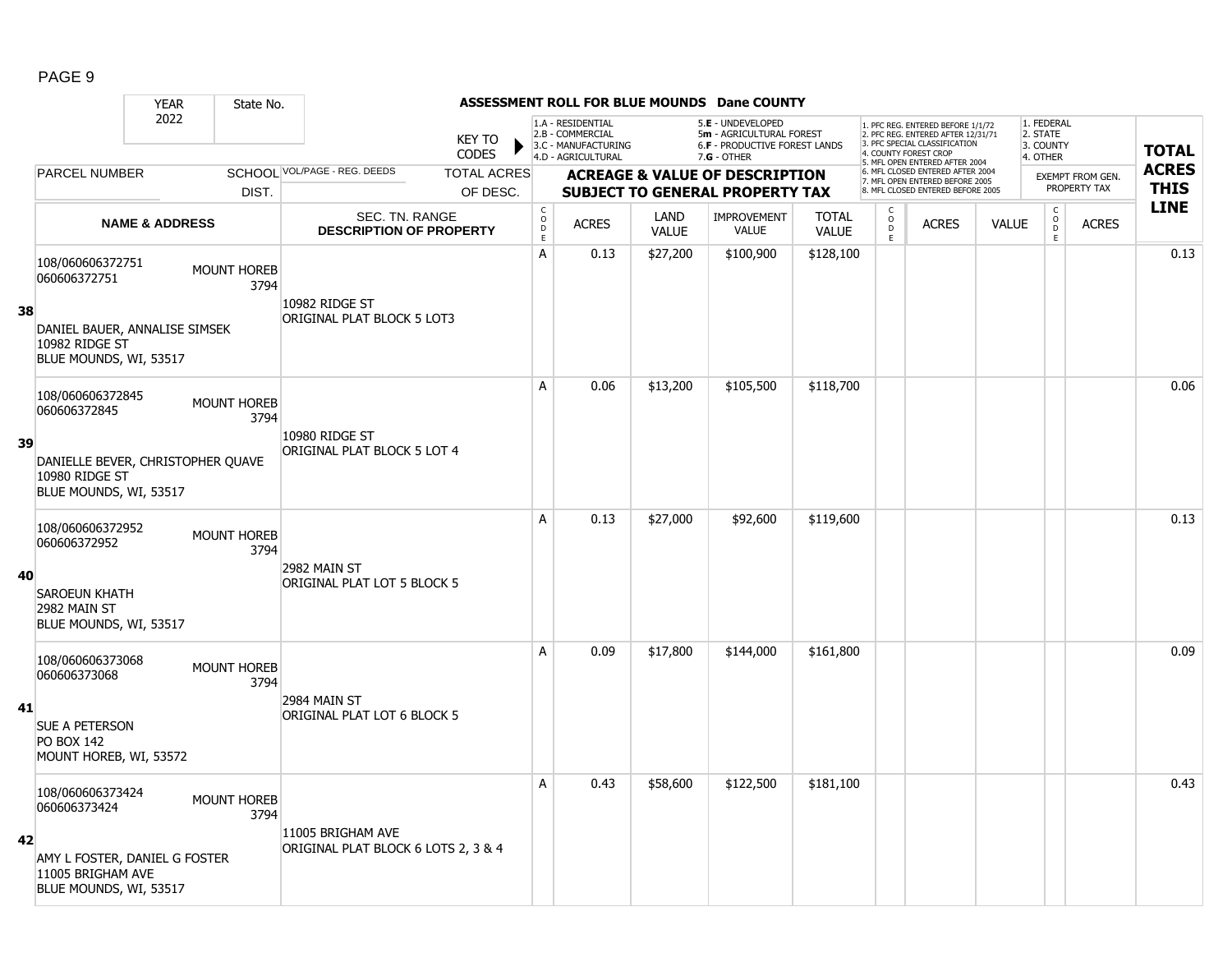|    |                                                                               | <b>YEAR</b>               | State No.                  |                                                  |                               |                                            |                                                                                    |                      | ASSESSMENT ROLL FOR BLUE MOUNDS Dane COUNTY                                                     |                              |                                                             |                                                                                                                                                                     |              |                                                 |                  |              |
|----|-------------------------------------------------------------------------------|---------------------------|----------------------------|--------------------------------------------------|-------------------------------|--------------------------------------------|------------------------------------------------------------------------------------|----------------------|-------------------------------------------------------------------------------------------------|------------------------------|-------------------------------------------------------------|---------------------------------------------------------------------------------------------------------------------------------------------------------------------|--------------|-------------------------------------------------|------------------|--------------|
|    |                                                                               | 2022                      |                            |                                                  | <b>KEY TO</b><br><b>CODES</b> |                                            | 1.A - RESIDENTIAL<br>2.B - COMMERCIAL<br>3.C - MANUFACTURING<br>4.D - AGRICULTURAL |                      | 5.E - UNDEVELOPED<br>5m - AGRICULTURAL FOREST<br>6.F - PRODUCTIVE FOREST LANDS<br>$7.G - OTHER$ |                              |                                                             | 1. PFC REG. ENTERED BEFORE 1/1/72<br>2. PFC REG. ENTERED AFTER 12/31/71<br>3. PFC SPECIAL CLASSIFICATION<br>4. COUNTY FOREST CROP<br>5. MFL OPEN ENTERED AFTER 2004 |              | 1. FEDERAL<br>2. STATE<br>3. COUNTY<br>4. OTHER |                  | <b>TOTAL</b> |
|    | PARCEL NUMBER                                                                 |                           |                            | SCHOOL VOL/PAGE - REG. DEEDS                     | <b>TOTAL ACRES</b>            |                                            |                                                                                    |                      | <b>ACREAGE &amp; VALUE OF DESCRIPTION</b>                                                       |                              |                                                             | 6. MFL CLOSED ENTERED AFTER 2004<br>7. MFL OPEN ENTERED BEFORE 2005                                                                                                 |              |                                                 | EXEMPT FROM GEN. | <b>ACRES</b> |
|    |                                                                               |                           | DIST.                      |                                                  | OF DESC.                      |                                            |                                                                                    |                      | <b>SUBJECT TO GENERAL PROPERTY TAX</b>                                                          |                              |                                                             | 8. MFL CLOSED ENTERED BEFORE 2005                                                                                                                                   |              |                                                 | PROPERTY TAX     | <b>THIS</b>  |
|    |                                                                               | <b>NAME &amp; ADDRESS</b> |                            | SEC. TN. RANGE<br><b>DESCRIPTION OF PROPERTY</b> |                               | $\begin{array}{c} C \\ O \\ E \end{array}$ | <b>ACRES</b>                                                                       | LAND<br><b>VALUE</b> | <b>IMPROVEMENT</b><br>VALUE                                                                     | <b>TOTAL</b><br><b>VALUE</b> | $\begin{matrix} 0 \\ 0 \\ 0 \end{matrix}$<br>$\mathsf{E}^-$ | <b>ACRES</b>                                                                                                                                                        | <b>VALUE</b> | $\mathsf{C}$<br>$\circ$<br>D<br>E               | <b>ACRES</b>     | <b>LINE</b>  |
|    | 108/060606372751<br>060606372751                                              |                           | MOUNT HOREB<br>3794        | 10982 RIDGE ST                                   |                               | A                                          | 0.13                                                                               | \$27,200             | \$100,900                                                                                       | \$128,100                    |                                                             |                                                                                                                                                                     |              |                                                 |                  | 0.13         |
| 38 | DANIEL BAUER, ANNALISE SIMSEK<br>10982 RIDGE ST<br>BLUE MOUNDS, WI, 53517     |                           |                            | ORIGINAL PLAT BLOCK 5 LOT3                       |                               |                                            |                                                                                    |                      |                                                                                                 |                              |                                                             |                                                                                                                                                                     |              |                                                 |                  |              |
|    | 108/060606372845<br>060606372845                                              |                           | MOUNT HOREB<br>3794        |                                                  |                               | A                                          | 0.06                                                                               | \$13,200             | \$105,500                                                                                       | \$118,700                    |                                                             |                                                                                                                                                                     |              |                                                 |                  | 0.06         |
| 39 | DANIELLE BEVER, CHRISTOPHER QUAVE<br>10980 RIDGE ST<br>BLUE MOUNDS, WI, 53517 |                           |                            | 10980 RIDGE ST<br>ORIGINAL PLAT BLOCK 5 LOT 4    |                               |                                            |                                                                                    |                      |                                                                                                 |                              |                                                             |                                                                                                                                                                     |              |                                                 |                  |              |
|    | 108/060606372952<br>060606372952                                              |                           | MOUNT HOREB<br>3794        |                                                  |                               | A                                          | 0.13                                                                               | \$27,000             | \$92,600                                                                                        | \$119,600                    |                                                             |                                                                                                                                                                     |              |                                                 |                  | 0.13         |
| 40 | <b>SAROEUN KHATH</b><br>2982 MAIN ST<br>BLUE MOUNDS, WI, 53517                |                           |                            | 2982 MAIN ST<br>ORIGINAL PLAT LOT 5 BLOCK 5      |                               |                                            |                                                                                    |                      |                                                                                                 |                              |                                                             |                                                                                                                                                                     |              |                                                 |                  |              |
|    | 108/060606373068<br>060606373068                                              |                           | MOUNT HOREB<br>3794        |                                                  |                               | A                                          | 0.09                                                                               | \$17,800             | \$144,000                                                                                       | \$161,800                    |                                                             |                                                                                                                                                                     |              |                                                 |                  | 0.09         |
| 41 | SUE A PETERSON<br><b>PO BOX 142</b><br>MOUNT HOREB, WI, 53572                 |                           |                            | 2984 MAIN ST<br>ORIGINAL PLAT LOT 6 BLOCK 5      |                               |                                            |                                                                                    |                      |                                                                                                 |                              |                                                             |                                                                                                                                                                     |              |                                                 |                  |              |
|    | 108/060606373424<br>060606373424                                              |                           | <b>MOUNT HOREB</b><br>3794 | 11005 BRIGHAM AVE                                |                               | A                                          | 0.43                                                                               | \$58,600             | \$122,500                                                                                       | \$181,100                    |                                                             |                                                                                                                                                                     |              |                                                 |                  | 0.43         |
| 42 | AMY L FOSTER, DANIEL G FOSTER<br>11005 BRIGHAM AVE<br>BLUE MOUNDS, WI, 53517  |                           |                            | ORIGINAL PLAT BLOCK 6 LOTS 2, 3 & 4              |                               |                                            |                                                                                    |                      |                                                                                                 |                              |                                                             |                                                                                                                                                                     |              |                                                 |                  |              |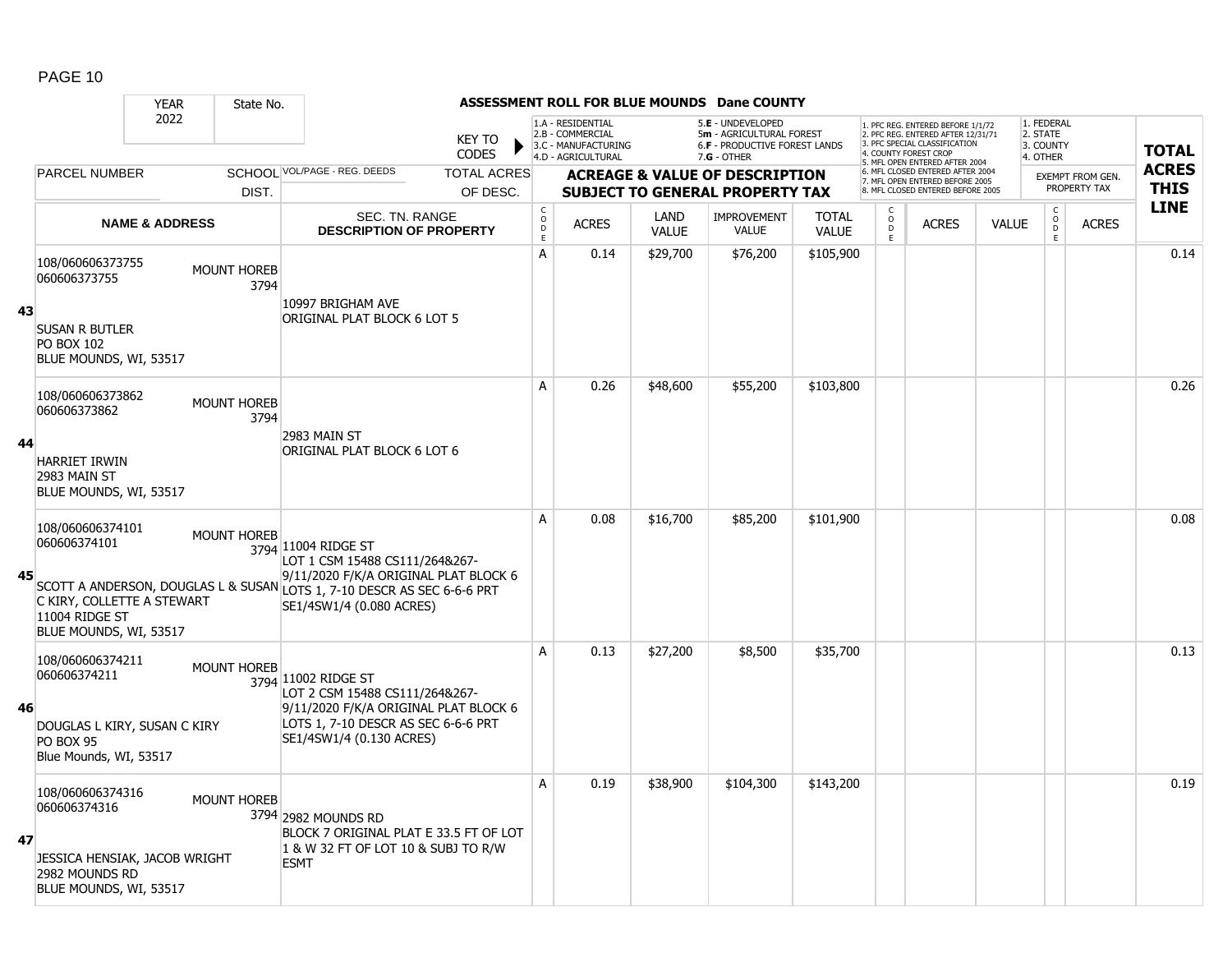|    |                                                                                                                | <b>YEAR</b>               | State No.                  |                                                                                                                                                                                                       |                               |                                            |                                                                                    |                      | ASSESSMENT ROLL FOR BLUE MOUNDS Dane COUNTY                                                            |                       |                         |                                                                                                                                                                    |              |                                                 |                         |              |
|----|----------------------------------------------------------------------------------------------------------------|---------------------------|----------------------------|-------------------------------------------------------------------------------------------------------------------------------------------------------------------------------------------------------|-------------------------------|--------------------------------------------|------------------------------------------------------------------------------------|----------------------|--------------------------------------------------------------------------------------------------------|-----------------------|-------------------------|--------------------------------------------------------------------------------------------------------------------------------------------------------------------|--------------|-------------------------------------------------|-------------------------|--------------|
|    |                                                                                                                | 2022                      |                            |                                                                                                                                                                                                       | <b>KEY TO</b><br><b>CODES</b> |                                            | 1.A - RESIDENTIAL<br>2.B - COMMERCIAL<br>3.C - MANUFACTURING<br>4.D - AGRICULTURAL |                      | 5.E - UNDEVELOPED<br>5m - AGRICULTURAL FOREST<br><b>6.F - PRODUCTIVE FOREST LANDS</b><br>$7.G - OTHER$ |                       |                         | 1. PFC REG. ENTERED BEFORE 1/1/72<br>2. PFC REG. ENTERED AFTER 12/31/71<br>3 PEC SPECIAL CLASSIFICATION<br>4. COUNTY FOREST CROP<br>5. MFL OPEN ENTERED AFTER 2004 |              | 1. FEDERAL<br>2. STATE<br>3. COUNTY<br>4. OTHER |                         | <b>TOTAL</b> |
|    | PARCEL NUMBER                                                                                                  |                           |                            | SCHOOL VOL/PAGE - REG. DEEDS                                                                                                                                                                          | <b>TOTAL ACRES</b>            |                                            |                                                                                    |                      | <b>ACREAGE &amp; VALUE OF DESCRIPTION</b>                                                              |                       |                         | 6. MFL CLOSED ENTERED AFTER 2004<br>7. MFL OPEN ENTERED BEFORE 2005                                                                                                |              |                                                 | <b>EXEMPT FROM GEN.</b> | <b>ACRES</b> |
|    |                                                                                                                |                           | DIST.                      |                                                                                                                                                                                                       | OF DESC.                      |                                            |                                                                                    |                      | <b>SUBJECT TO GENERAL PROPERTY TAX</b>                                                                 |                       |                         | 8. MFL CLOSED ENTERED BEFORE 2005                                                                                                                                  |              |                                                 | PROPERTY TAX            | <b>THIS</b>  |
|    |                                                                                                                | <b>NAME &amp; ADDRESS</b> |                            | SEC. TN. RANGE<br><b>DESCRIPTION OF PROPERTY</b>                                                                                                                                                      |                               | $\begin{array}{c} C \\ O \\ E \end{array}$ | <b>ACRES</b>                                                                       | LAND<br><b>VALUE</b> | IMPROVEMENT<br><b>VALUE</b>                                                                            | <b>TOTAL</b><br>VALUE | $_{\rm D}^{\rm O}$<br>E | <b>ACRES</b>                                                                                                                                                       | <b>VALUE</b> | $\begin{matrix} 0 \\ 0 \\ 0 \end{matrix}$<br>E  | <b>ACRES</b>            | <b>LINE</b>  |
| 43 | 108/060606373755<br>060606373755<br><b>SUSAN R BUTLER</b><br><b>PO BOX 102</b>                                 |                           | <b>MOUNT HOREB</b><br>3794 | 10997 BRIGHAM AVE<br>ORIGINAL PLAT BLOCK 6 LOT 5                                                                                                                                                      |                               | A                                          | 0.14                                                                               | \$29,700             | \$76,200                                                                                               | \$105,900             |                         |                                                                                                                                                                    |              |                                                 |                         | 0.14         |
|    | BLUE MOUNDS, WI, 53517<br>108/060606373862<br>060606373862                                                     |                           | <b>MOUNT HOREB</b>         |                                                                                                                                                                                                       |                               | A                                          | 0.26                                                                               | \$48,600             | \$55,200                                                                                               | \$103,800             |                         |                                                                                                                                                                    |              |                                                 |                         | 0.26         |
| 44 | <b>HARRIET IRWIN</b><br>2983 MAIN ST<br>BLUE MOUNDS, WI, 53517                                                 |                           | 3794                       | 2983 MAIN ST<br>ORIGINAL PLAT BLOCK 6 LOT 6                                                                                                                                                           |                               |                                            |                                                                                    |                      |                                                                                                        |                       |                         |                                                                                                                                                                    |              |                                                 |                         |              |
| 45 | 108/060606374101<br>060606374101<br>C KIRY, COLLETTE A STEWART<br>11004 RIDGE ST<br>BLUE MOUNDS, WI, 53517     |                           | <b>MOUNT HOREB</b>         | 3794 11004 RIDGE ST<br>LOT 1 CSM 15488 CS111/264&267-<br>9/11/2020 F/K/A ORIGINAL PLAT BLOCK 6<br>SCOTT A ANDERSON, DOUGLAS L & SUSAN LOTS 1, 7-10 DESCR AS SEC 6-6-6 PRT<br>SE1/4SW1/4 (0.080 ACRES) |                               | A                                          | 0.08                                                                               | \$16,700             | \$85,200                                                                                               | \$101,900             |                         |                                                                                                                                                                    |              |                                                 |                         | 0.08         |
| 46 | 108/060606374211<br>060606374211<br>DOUGLAS L KIRY, SUSAN C KIRY<br><b>PO BOX 95</b><br>Blue Mounds, WI, 53517 |                           | <b>MOUNT HOREB</b>         | 3794 11002 RIDGE ST<br>LOT 2 CSM 15488 CS111/264&267-<br>9/11/2020 F/K/A ORIGINAL PLAT BLOCK 6<br>LOTS 1, 7-10 DESCR AS SEC 6-6-6 PRT<br>SE1/4SW1/4 (0.130 ACRES)                                     |                               | A                                          | 0.13                                                                               | \$27,200             | \$8,500                                                                                                | \$35,700              |                         |                                                                                                                                                                    |              |                                                 |                         | 0.13         |
| 47 | 108/060606374316<br>060606374316<br>JESSICA HENSIAK, JACOB WRIGHT<br>2982 MOUNDS RD<br>BLUE MOUNDS, WI, 53517  |                           | <b>MOUNT HOREB</b>         | 3794 2982 MOUNDS RD<br>BLOCK 7 ORIGINAL PLAT E 33.5 FT OF LOT<br>1 & W 32 FT OF LOT 10 & SUBJ TO R/W<br><b>ESMT</b>                                                                                   |                               | A                                          | 0.19                                                                               | \$38,900             | \$104,300                                                                                              | \$143,200             |                         |                                                                                                                                                                    |              |                                                 |                         | 0.19         |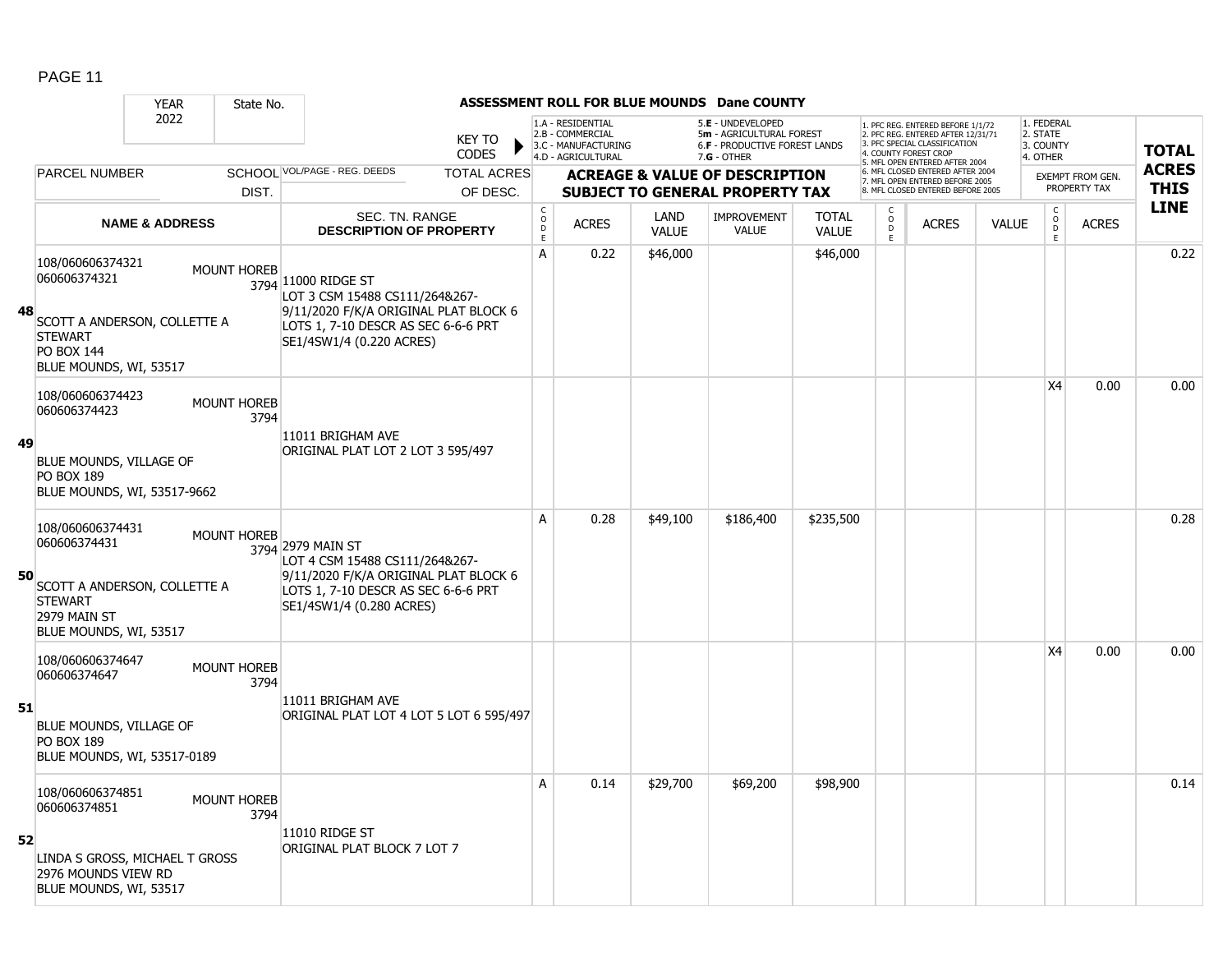|    |                                                                                                                                   | <b>YEAR</b>               | State No.                  |                                                                                                                                                                   |                                                |                                                                                    |                      | ASSESSMENT ROLL FOR BLUE MOUNDS Dane COUNTY                                                            |                              |                                     |                                                                                                                                                                    |              |                                                 |                         |                            |
|----|-----------------------------------------------------------------------------------------------------------------------------------|---------------------------|----------------------------|-------------------------------------------------------------------------------------------------------------------------------------------------------------------|------------------------------------------------|------------------------------------------------------------------------------------|----------------------|--------------------------------------------------------------------------------------------------------|------------------------------|-------------------------------------|--------------------------------------------------------------------------------------------------------------------------------------------------------------------|--------------|-------------------------------------------------|-------------------------|----------------------------|
|    |                                                                                                                                   | 2022                      |                            | <b>KEY TO</b><br><b>CODES</b>                                                                                                                                     |                                                | 1.A - RESIDENTIAL<br>2.B - COMMERCIAL<br>3.C - MANUFACTURING<br>4.D - AGRICULTURAL |                      | 5.E - UNDEVELOPED<br>5m - AGRICULTURAL FOREST<br><b>6.F - PRODUCTIVE FOREST LANDS</b><br>$7.G - OTHER$ |                              |                                     | 1. PFC REG. ENTERED BEFORE 1/1/72<br>2. PFC REG. ENTERED AFTER 12/31/71<br>3 PEC SPECIAL CLASSIFICATION<br>4. COUNTY FOREST CROP<br>5. MFL OPEN ENTERED AFTER 2004 |              | 1. FEDERAL<br>2. STATE<br>3. COUNTY<br>4. OTHER |                         | <b>TOTAL</b>               |
|    | PARCEL NUMBER                                                                                                                     |                           |                            | SCHOOL VOL/PAGE - REG. DEEDS<br><b>TOTAL ACRES</b>                                                                                                                |                                                |                                                                                    |                      | <b>ACREAGE &amp; VALUE OF DESCRIPTION</b>                                                              |                              |                                     | 6. MFL CLOSED ENTERED AFTER 2004<br>7. MFL OPEN ENTERED BEFORE 2005                                                                                                |              |                                                 | <b>EXEMPT FROM GEN.</b> | <b>ACRES</b>               |
|    |                                                                                                                                   |                           | DIST.                      | OF DESC.                                                                                                                                                          |                                                |                                                                                    |                      | <b>SUBJECT TO GENERAL PROPERTY TAX</b>                                                                 |                              |                                     | 8. MFL CLOSED ENTERED BEFORE 2005                                                                                                                                  |              |                                                 | PROPERTY TAX            | <b>THIS</b><br><b>LINE</b> |
|    |                                                                                                                                   | <b>NAME &amp; ADDRESS</b> |                            | SEC. TN. RANGE<br><b>DESCRIPTION OF PROPERTY</b>                                                                                                                  | $\begin{matrix} 0 \\ 0 \\ D \end{matrix}$<br>E | <b>ACRES</b>                                                                       | LAND<br><b>VALUE</b> | <b>IMPROVEMENT</b><br><b>VALUE</b>                                                                     | <b>TOTAL</b><br><b>VALUE</b> | $\overset{\circ}{\mathsf{D}}$<br>E. | <b>ACRES</b>                                                                                                                                                       | <b>VALUE</b> | $\mathsf C$<br>$\overline{D}$<br>E              | <b>ACRES</b>            |                            |
| 48 | 108/060606374321<br>060606374321<br>SCOTT A ANDERSON, COLLETTE A<br><b>STEWART</b><br><b>PO BOX 144</b><br>BLUE MOUNDS, WI, 53517 |                           | <b>MOUNT HOREB</b>         | 3794 11000 RIDGE ST<br>LOT 3 CSM 15488 CS111/264&267-<br>9/11/2020 F/K/A ORIGINAL PLAT BLOCK 6<br>LOTS 1, 7-10 DESCR AS SEC 6-6-6 PRT<br>SE1/4SW1/4 (0.220 ACRES) | A                                              | 0.22                                                                               | \$46,000             |                                                                                                        | \$46,000                     |                                     |                                                                                                                                                                    |              |                                                 |                         | 0.22                       |
| 49 | 108/060606374423<br>060606374423<br>BLUE MOUNDS, VILLAGE OF<br><b>PO BOX 189</b><br>BLUE MOUNDS, WI, 53517-9662                   |                           | <b>MOUNT HOREB</b><br>3794 | 11011 BRIGHAM AVE<br>ORIGINAL PLAT LOT 2 LOT 3 595/497                                                                                                            |                                                |                                                                                    |                      |                                                                                                        |                              |                                     |                                                                                                                                                                    |              | X4                                              | 0.00                    | 0.00                       |
| 50 | 108/060606374431<br>060606374431<br>SCOTT A ANDERSON, COLLETTE A<br><b>STEWART</b><br>2979 MAIN ST<br>BLUE MOUNDS, WI, 53517      |                           | <b>MOUNT HOREB</b>         | 3794 2979 MAIN ST<br>LOT 4 CSM 15488 CS111/264&267-<br>9/11/2020 F/K/A ORIGINAL PLAT BLOCK 6<br>LOTS 1, 7-10 DESCR AS SEC 6-6-6 PRT<br>SE1/4SW1/4 (0.280 ACRES)   | A                                              | 0.28                                                                               | \$49,100             | \$186,400                                                                                              | \$235,500                    |                                     |                                                                                                                                                                    |              |                                                 |                         | 0.28                       |
| 51 | 108/060606374647<br>060606374647<br>BLUE MOUNDS, VILLAGE OF<br><b>PO BOX 189</b><br>BLUE MOUNDS, WI, 53517-0189                   |                           | <b>MOUNT HOREB</b><br>3794 | 11011 BRIGHAM AVE<br>ORIGINAL PLAT LOT 4 LOT 5 LOT 6 595/497                                                                                                      |                                                |                                                                                    |                      |                                                                                                        |                              |                                     |                                                                                                                                                                    |              | X4                                              | 0.00                    | 0.00                       |
| 52 | 108/060606374851<br>060606374851<br>LINDA S GROSS, MICHAEL T GROSS<br>2976 MOUNDS VIEW RD<br>BLUE MOUNDS, WI, 53517               |                           | <b>MOUNT HOREB</b><br>3794 | 11010 RIDGE ST<br>ORIGINAL PLAT BLOCK 7 LOT 7                                                                                                                     | A                                              | 0.14                                                                               | \$29,700             | \$69,200                                                                                               | \$98,900                     |                                     |                                                                                                                                                                    |              |                                                 |                         | 0.14                       |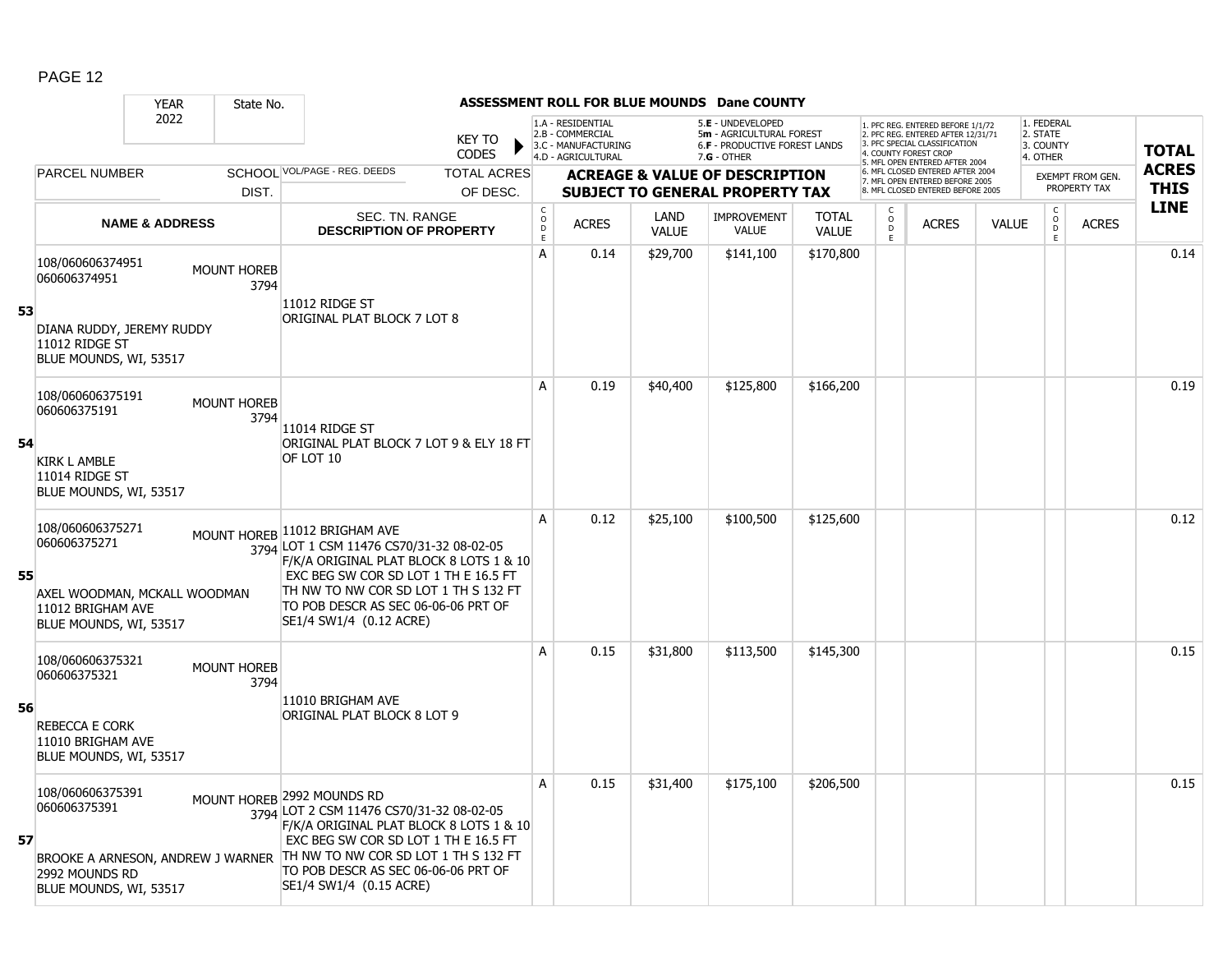|    |                                                                             | <b>YEAR</b>               | State No.                  |                                                                                                                                                                                                                                                                            |                                         |                                                                                    |                      | ASSESSMENT ROLL FOR BLUE MOUNDS Dane COUNTY                                                   |                              |                                         |                                                                                                                                                                    |              |                                                 |                         |              |
|----|-----------------------------------------------------------------------------|---------------------------|----------------------------|----------------------------------------------------------------------------------------------------------------------------------------------------------------------------------------------------------------------------------------------------------------------------|-----------------------------------------|------------------------------------------------------------------------------------|----------------------|-----------------------------------------------------------------------------------------------|------------------------------|-----------------------------------------|--------------------------------------------------------------------------------------------------------------------------------------------------------------------|--------------|-------------------------------------------------|-------------------------|--------------|
|    |                                                                             | 2022                      |                            | <b>KEY TO</b><br><b>CODES</b>                                                                                                                                                                                                                                              |                                         | 1.A - RESIDENTIAL<br>2.B - COMMERCIAL<br>3.C - MANUFACTURING<br>4.D - AGRICULTURAL |                      | 5.E - UNDEVELOPED<br>5m - AGRICULTURAL FOREST<br>6.F - PRODUCTIVE FOREST LANDS<br>7.G - OTHER |                              |                                         | 1. PFC REG. ENTERED BEFORE 1/1/72<br>2. PFC REG. ENTERED AFTER 12/31/71<br>3 PEC SPECIAL CLASSIFICATION<br>4. COUNTY FOREST CROP<br>5. MFL OPEN ENTERED AFTER 2004 |              | 1. FEDERAL<br>2. STATE<br>3. COUNTY<br>4. OTHER |                         | <b>TOTAL</b> |
|    | PARCEL NUMBER                                                               |                           |                            | SCHOOL VOL/PAGE - REG. DEEDS<br><b>TOTAL ACRES</b>                                                                                                                                                                                                                         |                                         |                                                                                    |                      | <b>ACREAGE &amp; VALUE OF DESCRIPTION</b>                                                     |                              |                                         | 6. MFL CLOSED ENTERED AFTER 2004<br>7. MFL OPEN ENTERED BEFORE 2005                                                                                                |              |                                                 | <b>EXEMPT FROM GEN.</b> | <b>ACRES</b> |
|    |                                                                             |                           | DIST.                      | OF DESC.                                                                                                                                                                                                                                                                   |                                         |                                                                                    |                      | <b>SUBJECT TO GENERAL PROPERTY TAX</b>                                                        |                              |                                         | 8. MFL CLOSED ENTERED BEFORE 2005                                                                                                                                  |              |                                                 | PROPERTY TAX            | <b>THIS</b>  |
|    |                                                                             | <b>NAME &amp; ADDRESS</b> |                            | SEC. TN. RANGE<br><b>DESCRIPTION OF PROPERTY</b>                                                                                                                                                                                                                           | $_{\rm o}^{\rm c}$<br>$\mathsf{D}$<br>E | <b>ACRES</b>                                                                       | LAND<br><b>VALUE</b> | IMPROVEMENT<br><b>VALUE</b>                                                                   | <b>TOTAL</b><br><b>VALUE</b> | $\overset{\mathsf{O}}{\mathsf{D}}$<br>E | <b>ACRES</b>                                                                                                                                                       | <b>VALUE</b> | $\begin{matrix} 0 \\ 0 \\ 0 \end{matrix}$<br>E  | <b>ACRES</b>            | <b>LINE</b>  |
| 53 | 108/060606374951<br>060606374951                                            |                           | <b>MOUNT HOREB</b><br>3794 | 11012 RIDGE ST                                                                                                                                                                                                                                                             | A                                       | 0.14                                                                               | \$29,700             | \$141,100                                                                                     | \$170,800                    |                                         |                                                                                                                                                                    |              |                                                 |                         | 0.14         |
|    | DIANA RUDDY, JEREMY RUDDY<br>11012 RIDGE ST<br>BLUE MOUNDS, WI, 53517       |                           |                            | ORIGINAL PLAT BLOCK 7 LOT 8                                                                                                                                                                                                                                                |                                         |                                                                                    |                      |                                                                                               |                              |                                         |                                                                                                                                                                    |              |                                                 |                         |              |
|    | 108/060606375191<br>060606375191                                            |                           | <b>MOUNT HOREB</b><br>3794 | 11014 RIDGE ST                                                                                                                                                                                                                                                             | A                                       | 0.19                                                                               | \$40,400             | \$125,800                                                                                     | \$166,200                    |                                         |                                                                                                                                                                    |              |                                                 |                         | 0.19         |
| 54 | <b>KIRK L AMBLE</b><br>11014 RIDGE ST<br>BLUE MOUNDS, WI, 53517             |                           |                            | ORIGINAL PLAT BLOCK 7 LOT 9 & ELY 18 FT<br>OF LOT 10                                                                                                                                                                                                                       |                                         |                                                                                    |                      |                                                                                               |                              |                                         |                                                                                                                                                                    |              |                                                 |                         |              |
| 55 | 108/060606375271<br>060606375271                                            |                           |                            | MOUNT HOREB 11012 BRIGHAM AVE<br>3794 LOT 1 CSM 11476 CS70/31-32 08-02-05<br>F/K/A ORIGINAL PLAT BLOCK 8 LOTS 1 & 10<br>EXC BEG SW COR SD LOT 1 TH E 16.5 FT                                                                                                               | A                                       | 0.12                                                                               | \$25,100             | \$100,500                                                                                     | \$125,600                    |                                         |                                                                                                                                                                    |              |                                                 |                         | 0.12         |
|    | AXEL WOODMAN, MCKALL WOODMAN<br>11012 BRIGHAM AVE<br>BLUE MOUNDS, WI, 53517 |                           |                            | TH NW TO NW COR SD LOT 1 TH S 132 FT<br>TO POB DESCR AS SEC 06-06-06 PRT OF<br>SE1/4 SW1/4 (0.12 ACRE)                                                                                                                                                                     |                                         |                                                                                    |                      |                                                                                               |                              |                                         |                                                                                                                                                                    |              |                                                 |                         |              |
|    | 108/060606375321<br>060606375321                                            |                           | <b>MOUNT HOREB</b><br>3794 |                                                                                                                                                                                                                                                                            | A                                       | 0.15                                                                               | \$31,800             | \$113,500                                                                                     | \$145,300                    |                                         |                                                                                                                                                                    |              |                                                 |                         | 0.15         |
| 56 | <b>REBECCA E CORK</b><br>11010 BRIGHAM AVE<br>BLUE MOUNDS, WI, 53517        |                           |                            | 11010 BRIGHAM AVE<br>ORIGINAL PLAT BLOCK 8 LOT 9                                                                                                                                                                                                                           |                                         |                                                                                    |                      |                                                                                               |                              |                                         |                                                                                                                                                                    |              |                                                 |                         |              |
| 57 | 108/060606375391<br>060606375391                                            |                           |                            | MOUNT HOREB 2992 MOUNDS RD<br>3794 LOT 2 CSM 11476 CS70/31-32 08-02-05<br>F/K/A ORIGINAL PLAT BLOCK 8 LOTS 1 & 10<br>EXC BEG SW COR SD LOT 1 TH E 16.5 FT<br>BROOKE A ARNESON, ANDREW J WARNER TH NW TO NW COR SD LOT 1 TH S 132 FT<br>TO POB DESCR AS SEC 06-06-06 PRT OF | A                                       | 0.15                                                                               | \$31,400             | \$175,100                                                                                     | \$206,500                    |                                         |                                                                                                                                                                    |              |                                                 |                         | 0.15         |
|    | 2992 MOUNDS RD<br>BLUE MOUNDS, WI, 53517                                    |                           |                            | SE1/4 SW1/4 (0.15 ACRE)                                                                                                                                                                                                                                                    |                                         |                                                                                    |                      |                                                                                               |                              |                                         |                                                                                                                                                                    |              |                                                 |                         |              |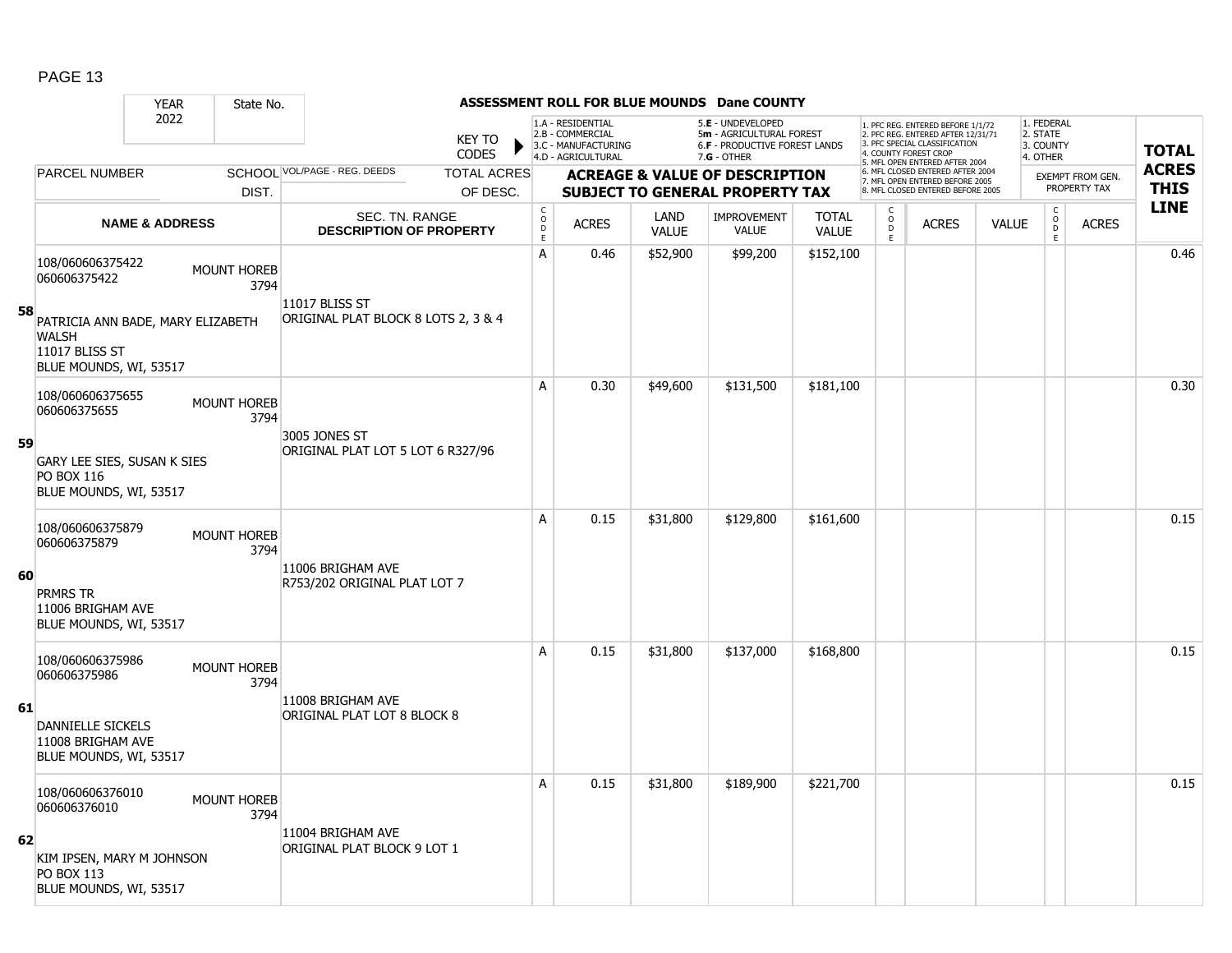|    |                                                                                               | <b>YEAR</b>               | State No.                  |                                                         |                               |                                                 |                                                                                    |                      | ASSESSMENT ROLL FOR BLUE MOUNDS Dane COUNTY                                                     |                              |                                                 |                                                                                                                                                                     |              |                                                 |                         |                             |
|----|-----------------------------------------------------------------------------------------------|---------------------------|----------------------------|---------------------------------------------------------|-------------------------------|-------------------------------------------------|------------------------------------------------------------------------------------|----------------------|-------------------------------------------------------------------------------------------------|------------------------------|-------------------------------------------------|---------------------------------------------------------------------------------------------------------------------------------------------------------------------|--------------|-------------------------------------------------|-------------------------|-----------------------------|
|    |                                                                                               | 2022                      |                            |                                                         | <b>KEY TO</b><br><b>CODES</b> |                                                 | 1.A - RESIDENTIAL<br>2.B - COMMERCIAL<br>3.C - MANUFACTURING<br>4.D - AGRICULTURAL |                      | 5.E - UNDEVELOPED<br>5m - AGRICULTURAL FOREST<br>6.F - PRODUCTIVE FOREST LANDS<br>$7.G - OTHER$ |                              |                                                 | 1. PFC REG. ENTERED BEFORE 1/1/72<br>2. PFC REG. ENTERED AFTER 12/31/71<br>3. PFC SPECIAL CLASSIFICATION<br>4. COUNTY FOREST CROP<br>5. MFL OPEN ENTERED AFTER 2004 |              | 1. FEDERAL<br>2. STATE<br>3. COUNTY<br>4. OTHER |                         | <b>TOTAL</b>                |
|    | <b>PARCEL NUMBER</b>                                                                          |                           |                            | SCHOOL VOL/PAGE - REG. DEEDS                            | <b>TOTAL ACRES</b>            |                                                 |                                                                                    |                      | <b>ACREAGE &amp; VALUE OF DESCRIPTION</b>                                                       |                              |                                                 | 6. MFL CLOSED ENTERED AFTER 2004<br>7. MFL OPEN ENTERED BEFORE 2005                                                                                                 |              |                                                 | <b>EXEMPT FROM GEN.</b> | <b>ACRES</b><br><b>THIS</b> |
|    |                                                                                               |                           | DIST.                      |                                                         | OF DESC.                      |                                                 |                                                                                    |                      | <b>SUBJECT TO GENERAL PROPERTY TAX</b>                                                          |                              |                                                 | 8. MFL CLOSED ENTERED BEFORE 2005                                                                                                                                   |              |                                                 | PROPERTY TAX            |                             |
|    |                                                                                               | <b>NAME &amp; ADDRESS</b> |                            | <b>SEC. TN. RANGE</b><br><b>DESCRIPTION OF PROPERTY</b> |                               | $\begin{array}{c} C \\ O \\ D \\ E \end{array}$ | <b>ACRES</b>                                                                       | LAND<br><b>VALUE</b> | <b>IMPROVEMENT</b><br>VALUE                                                                     | <b>TOTAL</b><br><b>VALUE</b> | C<br>$\begin{array}{c} 0 \\ D \\ E \end{array}$ | <b>ACRES</b>                                                                                                                                                        | <b>VALUE</b> | $\mathsf{C}$<br>$\circ$<br>D<br>E               | <b>ACRES</b>            | <b>LINE</b>                 |
| 58 | 108/060606375422<br>060606375422                                                              |                           | <b>MOUNT HOREB</b><br>3794 | 11017 BLISS ST                                          |                               | A                                               | 0.46                                                                               | \$52,900             | \$99,200                                                                                        | \$152,100                    |                                                 |                                                                                                                                                                     |              |                                                 |                         | 0.46                        |
|    | PATRICIA ANN BADE, MARY ELIZABETH<br><b>WALSH</b><br>11017 BLISS ST<br>BLUE MOUNDS, WI, 53517 |                           |                            | ORIGINAL PLAT BLOCK 8 LOTS 2, 3 & 4                     |                               |                                                 |                                                                                    |                      |                                                                                                 |                              |                                                 |                                                                                                                                                                     |              |                                                 |                         |                             |
|    | 108/060606375655<br>060606375655                                                              |                           | <b>MOUNT HOREB</b><br>3794 |                                                         |                               | A                                               | 0.30                                                                               | \$49,600             | \$131,500                                                                                       | \$181,100                    |                                                 |                                                                                                                                                                     |              |                                                 |                         | 0.30                        |
| 59 | GARY LEE SIES, SUSAN K SIES<br><b>PO BOX 116</b><br>BLUE MOUNDS, WI, 53517                    |                           |                            | 3005 JONES ST<br>ORIGINAL PLAT LOT 5 LOT 6 R327/96      |                               |                                                 |                                                                                    |                      |                                                                                                 |                              |                                                 |                                                                                                                                                                     |              |                                                 |                         |                             |
|    | 108/060606375879<br>060606375879                                                              |                           | <b>MOUNT HOREB</b><br>3794 |                                                         |                               | A                                               | 0.15                                                                               | \$31,800             | \$129,800                                                                                       | \$161,600                    |                                                 |                                                                                                                                                                     |              |                                                 |                         | 0.15                        |
| 60 | <b>PRMRS TR</b><br>11006 BRIGHAM AVE<br>BLUE MOUNDS, WI, 53517                                |                           |                            | 11006 BRIGHAM AVE<br>R753/202 ORIGINAL PLAT LOT 7       |                               |                                                 |                                                                                    |                      |                                                                                                 |                              |                                                 |                                                                                                                                                                     |              |                                                 |                         |                             |
|    | 108/060606375986<br>060606375986                                                              |                           | <b>MOUNT HOREB</b><br>3794 |                                                         |                               | A                                               | 0.15                                                                               | \$31,800             | \$137,000                                                                                       | \$168,800                    |                                                 |                                                                                                                                                                     |              |                                                 |                         | 0.15                        |
| 61 | DANNIELLE SICKELS<br>11008 BRIGHAM AVE<br>BLUE MOUNDS, WI, 53517                              |                           |                            | 11008 BRIGHAM AVE<br>ORIGINAL PLAT LOT 8 BLOCK 8        |                               |                                                 |                                                                                    |                      |                                                                                                 |                              |                                                 |                                                                                                                                                                     |              |                                                 |                         |                             |
|    | 108/060606376010<br>060606376010                                                              |                           | <b>MOUNT HOREB</b><br>3794 | 11004 BRIGHAM AVE                                       |                               | A                                               | 0.15                                                                               | \$31,800             | \$189,900                                                                                       | \$221,700                    |                                                 |                                                                                                                                                                     |              |                                                 |                         | 0.15                        |
| 62 | KIM IPSEN, MARY M JOHNSON<br>PO BOX 113<br>BLUE MOUNDS, WI, 53517                             |                           |                            | ORIGINAL PLAT BLOCK 9 LOT 1                             |                               |                                                 |                                                                                    |                      |                                                                                                 |                              |                                                 |                                                                                                                                                                     |              |                                                 |                         |                             |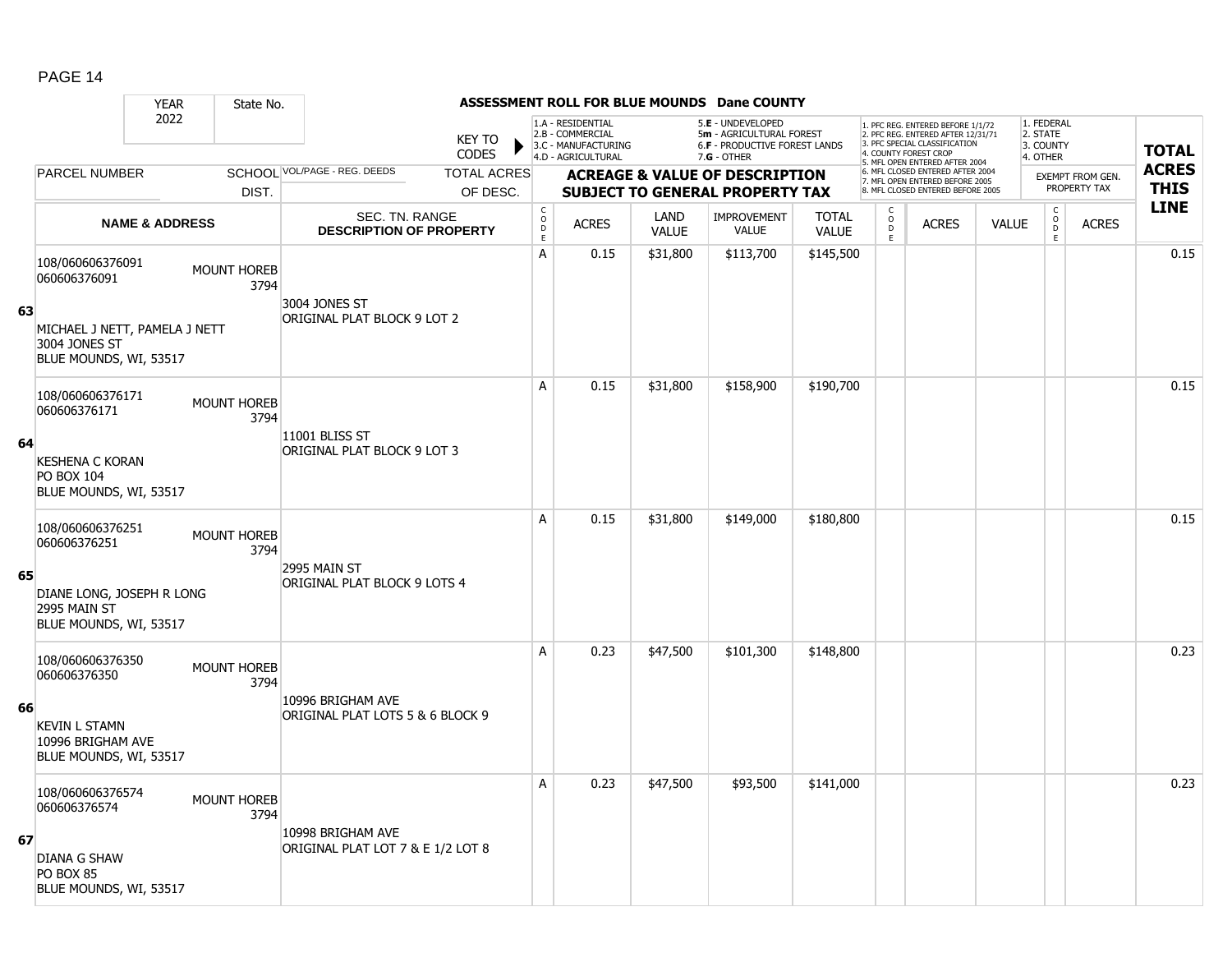|    |                                                                                                              | <b>YEAR</b> | State No.                  |                                                         |                               |                                                 |                                                                                    |                      | ASSESSMENT ROLL FOR BLUE MOUNDS Dane COUNTY                                                            |                              |                                                 |                                                                                                                                                                     |              |                                                 |                         |              |
|----|--------------------------------------------------------------------------------------------------------------|-------------|----------------------------|---------------------------------------------------------|-------------------------------|-------------------------------------------------|------------------------------------------------------------------------------------|----------------------|--------------------------------------------------------------------------------------------------------|------------------------------|-------------------------------------------------|---------------------------------------------------------------------------------------------------------------------------------------------------------------------|--------------|-------------------------------------------------|-------------------------|--------------|
|    |                                                                                                              | 2022        |                            |                                                         | <b>KEY TO</b><br><b>CODES</b> |                                                 | 1.A - RESIDENTIAL<br>2.B - COMMERCIAL<br>3.C - MANUFACTURING<br>4.D - AGRICULTURAL |                      | 5.E - UNDEVELOPED<br>5m - AGRICULTURAL FOREST<br><b>6.F - PRODUCTIVE FOREST LANDS</b><br>$7.G - OTHER$ |                              |                                                 | 1. PFC REG. ENTERED BEFORE 1/1/72<br>2. PFC REG. ENTERED AFTER 12/31/71<br>3. PFC SPECIAL CLASSIFICATION<br>4. COUNTY FOREST CROP<br>5. MFL OPEN ENTERED AFTER 2004 |              | 1. FEDERAL<br>2. STATE<br>3. COUNTY<br>4. OTHER |                         | <b>TOTAL</b> |
|    | PARCEL NUMBER                                                                                                |             |                            | SCHOOL VOL/PAGE - REG. DEEDS                            | <b>TOTAL ACRES</b>            |                                                 |                                                                                    |                      | <b>ACREAGE &amp; VALUE OF DESCRIPTION</b>                                                              |                              |                                                 | 6. MFL CLOSED ENTERED AFTER 2004<br>7. MFL OPEN ENTERED BEFORE 2005                                                                                                 |              |                                                 | <b>EXEMPT FROM GEN.</b> | <b>ACRES</b> |
|    |                                                                                                              |             | DIST.                      |                                                         | OF DESC.                      |                                                 |                                                                                    |                      | <b>SUBJECT TO GENERAL PROPERTY TAX</b>                                                                 |                              |                                                 | 8. MFL CLOSED ENTERED BEFORE 2005                                                                                                                                   |              |                                                 | PROPERTY TAX            | <b>THIS</b>  |
|    | <b>NAME &amp; ADDRESS</b>                                                                                    |             |                            | <b>SEC. TN. RANGE</b><br><b>DESCRIPTION OF PROPERTY</b> |                               | $\begin{array}{c} C \\ O \\ D \\ E \end{array}$ | <b>ACRES</b>                                                                       | LAND<br><b>VALUE</b> | <b>IMPROVEMENT</b><br>VALUE                                                                            | <b>TOTAL</b><br><b>VALUE</b> | C<br>$\begin{array}{c} 0 \\ D \\ E \end{array}$ | <b>ACRES</b>                                                                                                                                                        | <b>VALUE</b> | $\mathsf{C}$<br>$\circ$<br>D<br>E               | <b>ACRES</b>            | <b>LINE</b>  |
| 63 | 108/060606376091<br>060606376091<br>MICHAEL J NETT, PAMELA J NETT<br>3004 JONES ST<br>BLUE MOUNDS, WI, 53517 |             | MOUNT HOREB<br>3794        | 3004 JONES ST<br>ORIGINAL PLAT BLOCK 9 LOT 2            |                               | A                                               | 0.15                                                                               | \$31,800             | \$113,700                                                                                              | \$145,500                    |                                                 |                                                                                                                                                                     |              |                                                 |                         | 0.15         |
| 64 | 108/060606376171<br>060606376171                                                                             |             | MOUNT HOREB<br>3794        | 11001 BLISS ST                                          |                               | A                                               | 0.15                                                                               | \$31,800             | \$158,900                                                                                              | \$190,700                    |                                                 |                                                                                                                                                                     |              |                                                 |                         | 0.15         |
|    | <b>KESHENA C KORAN</b><br><b>PO BOX 104</b><br>BLUE MOUNDS, WI, 53517                                        |             |                            | ORIGINAL PLAT BLOCK 9 LOT 3                             |                               |                                                 |                                                                                    |                      |                                                                                                        |                              |                                                 |                                                                                                                                                                     |              |                                                 |                         |              |
|    | 108/060606376251<br>060606376251                                                                             |             | <b>MOUNT HOREB</b><br>3794 |                                                         |                               | A                                               | 0.15                                                                               | \$31,800             | \$149,000                                                                                              | \$180,800                    |                                                 |                                                                                                                                                                     |              |                                                 |                         | 0.15         |
| 65 | DIANE LONG, JOSEPH R LONG<br>2995 MAIN ST<br>BLUE MOUNDS, WI, 53517                                          |             |                            | 2995 MAIN ST<br>ORIGINAL PLAT BLOCK 9 LOTS 4            |                               |                                                 |                                                                                    |                      |                                                                                                        |                              |                                                 |                                                                                                                                                                     |              |                                                 |                         |              |
|    | 108/060606376350<br>060606376350                                                                             |             | <b>MOUNT HOREB</b><br>3794 |                                                         |                               | A                                               | 0.23                                                                               | \$47,500             | \$101,300                                                                                              | \$148,800                    |                                                 |                                                                                                                                                                     |              |                                                 |                         | 0.23         |
| 66 | <b>KEVIN L STAMN</b><br>10996 BRIGHAM AVE<br>BLUE MOUNDS, WI, 53517                                          |             |                            | 10996 BRIGHAM AVE<br>ORIGINAL PLAT LOTS 5 & 6 BLOCK 9   |                               |                                                 |                                                                                    |                      |                                                                                                        |                              |                                                 |                                                                                                                                                                     |              |                                                 |                         |              |
| 67 | 108/060606376574<br>060606376574<br><b>DIANA G SHAW</b>                                                      |             | <b>MOUNT HOREB</b><br>3794 | 10998 BRIGHAM AVE<br>ORIGINAL PLAT LOT 7 & E 1/2 LOT 8  |                               | A                                               | 0.23                                                                               | \$47,500             | \$93,500                                                                                               | \$141,000                    |                                                 |                                                                                                                                                                     |              |                                                 |                         | 0.23         |
|    | PO BOX 85<br>BLUE MOUNDS, WI, 53517                                                                          |             |                            |                                                         |                               |                                                 |                                                                                    |                      |                                                                                                        |                              |                                                 |                                                                                                                                                                     |              |                                                 |                         |              |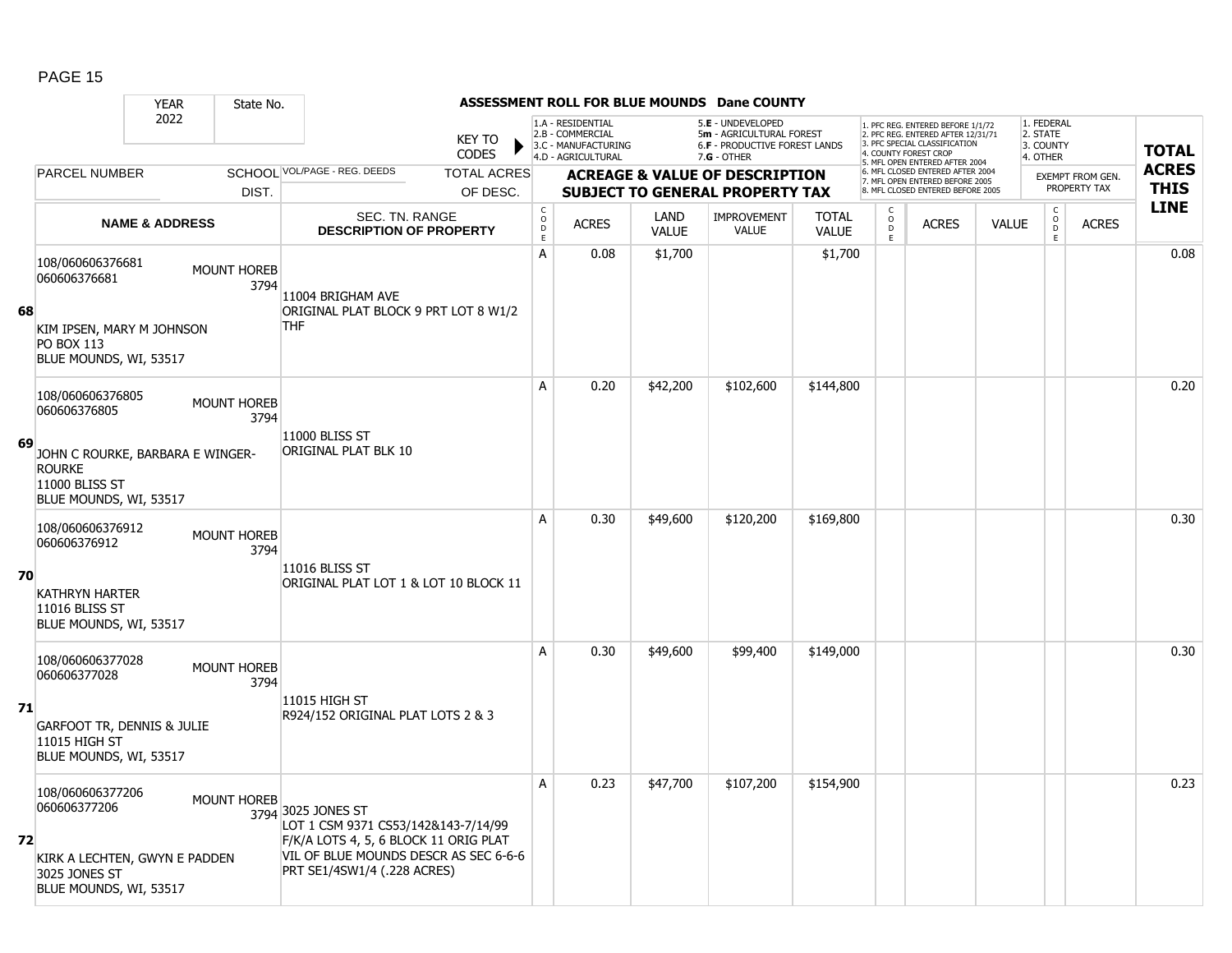|    |                                                                                                                                   | <b>YEAR</b>               | State No.                  |                                                                                                                                                                            |                    |                                   |                                                                                    |                             | ASSESSMENT ROLL FOR BLUE MOUNDS Dane COUNTY                                                          |                              |                     |                                                                                                                                  |              |                                                 |                         |              |
|----|-----------------------------------------------------------------------------------------------------------------------------------|---------------------------|----------------------------|----------------------------------------------------------------------------------------------------------------------------------------------------------------------------|--------------------|-----------------------------------|------------------------------------------------------------------------------------|-----------------------------|------------------------------------------------------------------------------------------------------|------------------------------|---------------------|----------------------------------------------------------------------------------------------------------------------------------|--------------|-------------------------------------------------|-------------------------|--------------|
|    |                                                                                                                                   | 2022                      |                            | <b>KEY TO</b><br><b>CODES</b>                                                                                                                                              |                    |                                   | 1.A - RESIDENTIAL<br>2.B - COMMERCIAL<br>3.C - MANUFACTURING<br>4.D - AGRICULTURAL |                             | 5.E - UNDEVELOPED<br>5m - AGRICULTURAL FOREST<br><b>6.F - PRODUCTIVE FOREST LANDS</b><br>7.G - OTHER |                              |                     | 1. PFC REG. ENTERED BEFORE 1/1/72<br>2. PFC REG. ENTERED AFTER 12/31/71<br>3 PEC SPECIAL CLASSIFICATION<br>4. COUNTY FOREST CROP |              | 1. FEDERAL<br>2. STATE<br>3. COUNTY<br>4. OTHER |                         | <b>TOTAL</b> |
|    | PARCEL NUMBER                                                                                                                     |                           |                            | SCHOOL VOL/PAGE - REG. DEEDS                                                                                                                                               | <b>TOTAL ACRES</b> |                                   |                                                                                    |                             | <b>ACREAGE &amp; VALUE OF DESCRIPTION</b>                                                            |                              |                     | 5. MFL OPEN ENTERED AFTER 2004<br>6. MFL CLOSED ENTERED AFTER 2004<br>7. MFL OPEN ENTERED BEFORE 2005                            |              |                                                 | <b>EXEMPT FROM GEN.</b> | <b>ACRES</b> |
|    |                                                                                                                                   |                           | DIST.                      |                                                                                                                                                                            | OF DESC.           |                                   |                                                                                    |                             | <b>SUBJECT TO GENERAL PROPERTY TAX</b>                                                               |                              |                     | 8. MFL CLOSED ENTERED BEFORE 2005                                                                                                |              |                                                 | PROPERTY TAX            | <b>THIS</b>  |
|    |                                                                                                                                   | <b>NAME &amp; ADDRESS</b> |                            | SEC. TN. RANGE<br><b>DESCRIPTION OF PROPERTY</b>                                                                                                                           |                    | $\mathsf{C}$<br>$\circ$<br>D<br>E | <b>ACRES</b>                                                                       | <b>LAND</b><br><b>VALUE</b> | IMPROVEMENT<br><b>VALUE</b>                                                                          | <b>TOTAL</b><br><b>VALUE</b> | $\overline{0}$<br>E | <b>ACRES</b>                                                                                                                     | <b>VALUE</b> | $\begin{matrix} 0 \\ 0 \\ 0 \end{matrix}$<br>E  | <b>ACRES</b>            | <b>LINE</b>  |
| 68 | 108/060606376681<br>060606376681<br>KIM IPSEN, MARY M JOHNSON<br><b>PO BOX 113</b><br>BLUE MOUNDS, WI, 53517                      |                           | <b>MOUNT HOREB</b><br>3794 | 11004 BRIGHAM AVE<br>ORIGINAL PLAT BLOCK 9 PRT LOT 8 W1/2<br><b>THF</b>                                                                                                    |                    | A                                 | 0.08                                                                               | \$1,700                     |                                                                                                      | \$1,700                      |                     |                                                                                                                                  |              |                                                 |                         | 0.08         |
| 69 | 108/060606376805<br>060606376805<br>JOHN C ROURKE, BARBARA E WINGER-<br><b>ROURKE</b><br>11000 BLISS ST<br>BLUE MOUNDS, WI, 53517 |                           | <b>MOUNT HOREB</b><br>3794 | 11000 BLISS ST<br>ORIGINAL PLAT BLK 10                                                                                                                                     |                    | A                                 | 0.20                                                                               | \$42,200                    | \$102,600                                                                                            | \$144,800                    |                     |                                                                                                                                  |              |                                                 |                         | 0.20         |
| 70 | 108/060606376912<br>060606376912<br><b>KATHRYN HARTER</b><br>11016 BLISS ST<br>BLUE MOUNDS, WI, 53517                             |                           | MOUNT HOREB<br>3794        | 11016 BLISS ST<br>ORIGINAL PLAT LOT 1 & LOT 10 BLOCK 11                                                                                                                    |                    | A                                 | 0.30                                                                               | \$49,600                    | \$120,200                                                                                            | \$169,800                    |                     |                                                                                                                                  |              |                                                 |                         | 0.30         |
| 71 | 108/060606377028<br>060606377028<br><b>GARFOOT TR, DENNIS &amp; JULIE</b><br>11015 HIGH ST<br>BLUE MOUNDS, WI, 53517              |                           | <b>MOUNT HOREB</b><br>3794 | 11015 HIGH ST<br>R924/152 ORIGINAL PLAT LOTS 2 & 3                                                                                                                         |                    | A                                 | 0.30                                                                               | \$49,600                    | \$99,400                                                                                             | \$149,000                    |                     |                                                                                                                                  |              |                                                 |                         | 0.30         |
| 72 | 108/060606377206<br>060606377206<br>KIRK A LECHTEN, GWYN E PADDEN<br>3025 JONES ST<br>BLUE MOUNDS, WI, 53517                      |                           | <b>MOUNT HOREB</b>         | 3794 3025 JONES ST<br>LOT 1 CSM 9371 CS53/142&143-7/14/99<br>F/K/A LOTS 4, 5, 6 BLOCK 11 ORIG PLAT<br>VIL OF BLUE MOUNDS DESCR AS SEC 6-6-6<br>PRT SE1/4SW1/4 (.228 ACRES) |                    | A                                 | 0.23                                                                               | \$47,700                    | \$107,200                                                                                            | \$154,900                    |                     |                                                                                                                                  |              |                                                 |                         | 0.23         |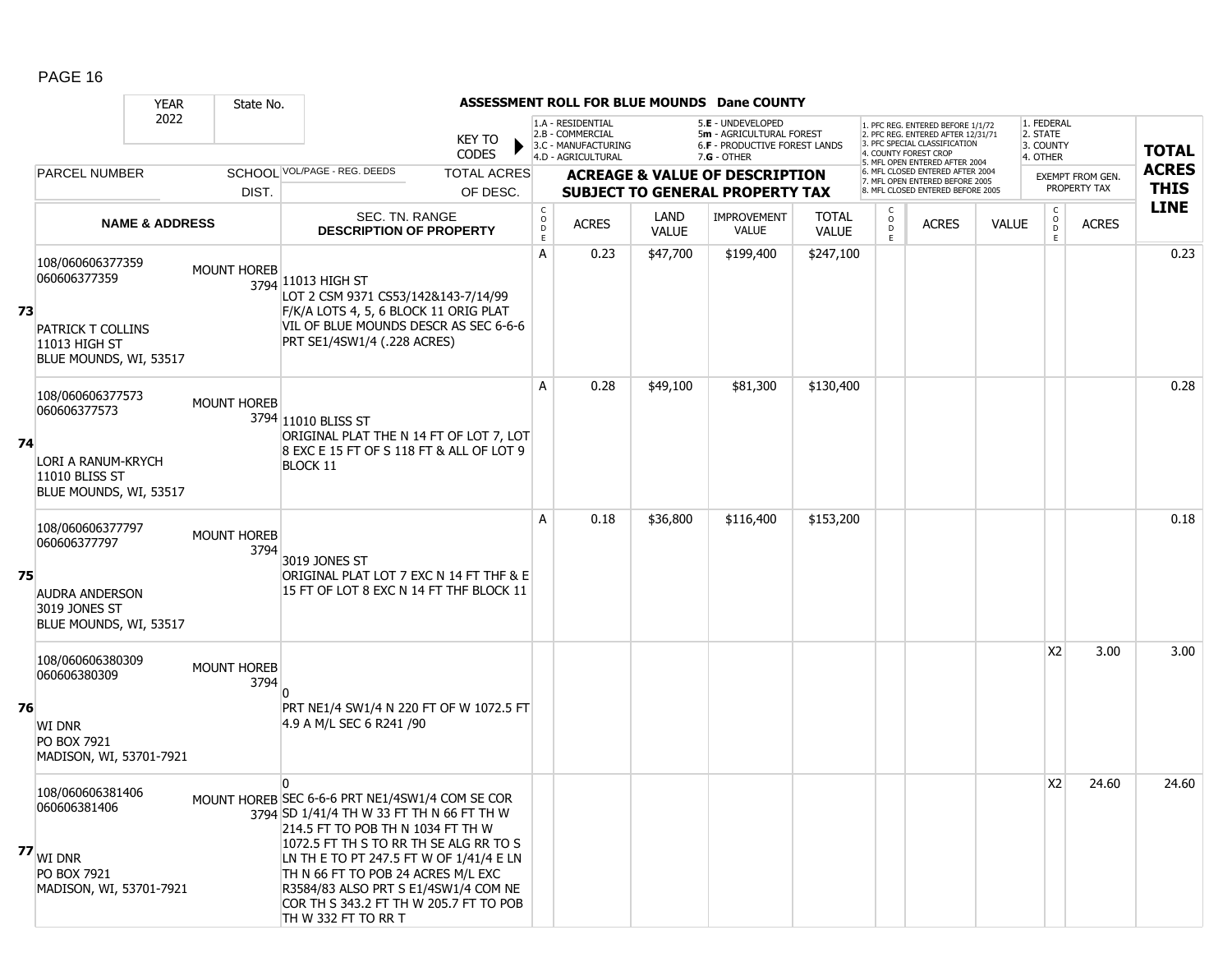|    |                                                                                                      | <b>YEAR</b> | State No.                  |                                                                                                                                                                                                                                                                                                                                                                                       |                               |                                   |                                                                                    |                             | ASSESSMENT ROLL FOR BLUE MOUNDS Dane COUNTY                                                   |                              |                                                |                                                                                                                                   |              |                                                 |                         |              |
|----|------------------------------------------------------------------------------------------------------|-------------|----------------------------|---------------------------------------------------------------------------------------------------------------------------------------------------------------------------------------------------------------------------------------------------------------------------------------------------------------------------------------------------------------------------------------|-------------------------------|-----------------------------------|------------------------------------------------------------------------------------|-----------------------------|-----------------------------------------------------------------------------------------------|------------------------------|------------------------------------------------|-----------------------------------------------------------------------------------------------------------------------------------|--------------|-------------------------------------------------|-------------------------|--------------|
|    |                                                                                                      | 2022        |                            |                                                                                                                                                                                                                                                                                                                                                                                       | <b>KEY TO</b><br><b>CODES</b> |                                   | 1.A - RESIDENTIAL<br>2.B - COMMERCIAL<br>3.C - MANUFACTURING<br>4.D - AGRICULTURAL |                             | 5.E - UNDEVELOPED<br>5m - AGRICULTURAL FOREST<br>6.F - PRODUCTIVE FOREST LANDS<br>7.G - OTHER |                              |                                                | 1. PFC REG. ENTERED BEFORE 1/1/72<br>2. PFC REG. ENTERED AFTER 12/31/71<br>3. PFC SPECIAL CLASSIFICATION<br>4. COUNTY FOREST CROP |              | 1. FEDERAL<br>2. STATE<br>3. COUNTY<br>4. OTHER |                         | <b>TOTAL</b> |
|    | <b>PARCEL NUMBER</b>                                                                                 |             |                            | SCHOOL VOL/PAGE - REG. DEEDS                                                                                                                                                                                                                                                                                                                                                          | <b>TOTAL ACRES</b>            |                                   |                                                                                    |                             | <b>ACREAGE &amp; VALUE OF DESCRIPTION</b>                                                     |                              |                                                | 5. MFL OPEN ENTERED AFTER 2004<br>6. MFL CLOSED ENTERED AFTER 2004                                                                |              |                                                 | <b>EXEMPT FROM GEN.</b> | <b>ACRES</b> |
|    |                                                                                                      |             | DIST.                      |                                                                                                                                                                                                                                                                                                                                                                                       | OF DESC.                      |                                   |                                                                                    |                             | <b>SUBJECT TO GENERAL PROPERTY TAX</b>                                                        |                              |                                                | 7. MFL OPEN ENTERED BEFORE 2005<br>8. MFL CLOSED ENTERED BEFORE 2005                                                              |              |                                                 | PROPERTY TAX            | <b>THIS</b>  |
|    | <b>NAME &amp; ADDRESS</b>                                                                            |             |                            | SEC. TN. RANGE<br><b>DESCRIPTION OF PROPERTY</b>                                                                                                                                                                                                                                                                                                                                      |                               | $\mathsf{C}$<br>$\circ$<br>D<br>E | <b>ACRES</b>                                                                       | <b>LAND</b><br><b>VALUE</b> | <b>IMPROVEMENT</b><br><b>VALUE</b>                                                            | <b>TOTAL</b><br><b>VALUE</b> | $\begin{matrix} 0 \\ 0 \\ 0 \end{matrix}$<br>E | <b>ACRES</b>                                                                                                                      | <b>VALUE</b> | $\begin{matrix} 0 \\ 0 \\ D \end{matrix}$<br>E  | <b>ACRES</b>            | <b>LINE</b>  |
| 73 | 108/060606377359<br>060606377359<br>PATRICK T COLLINS<br>11013 HIGH ST<br>BLUE MOUNDS, WI, 53517     |             | <b>MOUNT HOREB</b>         | 3794 11013 HIGH ST<br>LOT 2 CSM 9371 CS53/142&143-7/14/99<br>F/K/A LOTS 4, 5, 6 BLOCK 11 ORIG PLAT<br>VIL OF BLUE MOUNDS DESCR AS SEC 6-6-6<br>PRT SE1/4SW1/4 (.228 ACRES)                                                                                                                                                                                                            |                               | A                                 | 0.23                                                                               | \$47,700                    | \$199,400                                                                                     | \$247,100                    |                                                |                                                                                                                                   |              |                                                 |                         | 0.23         |
| 74 | 108/060606377573<br>060606377573<br>LORI A RANUM-KRYCH<br>11010 BLISS ST<br>BLUE MOUNDS, WI, 53517   |             | <b>MOUNT HOREB</b>         | 3794 11010 BLISS ST<br>ORIGINAL PLAT THE N 14 FT OF LOT 7, LOT<br>8 EXC E 15 FT OF S 118 FT & ALL OF LOT 9<br><b>BLOCK 11</b>                                                                                                                                                                                                                                                         |                               | A                                 | 0.28                                                                               | \$49,100                    | \$81,300                                                                                      | \$130,400                    |                                                |                                                                                                                                   |              |                                                 |                         | 0.28         |
| 75 | 108/060606377797<br>060606377797<br><b>AUDRA ANDERSON</b><br>3019 JONES ST<br>BLUE MOUNDS, WI, 53517 |             | <b>MOUNT HOREB</b><br>3794 | 3019 JONES ST<br>ORIGINAL PLAT LOT 7 EXC N 14 FT THF & E<br>15 FT OF LOT 8 EXC N 14 FT THF BLOCK 11                                                                                                                                                                                                                                                                                   |                               | А                                 | 0.18                                                                               | \$36,800                    | \$116,400                                                                                     | \$153,200                    |                                                |                                                                                                                                   |              |                                                 |                         | 0.18         |
| 76 | 108/060606380309<br>060606380309<br><b>WI DNR</b><br>PO BOX 7921<br>MADISON, WI, 53701-7921          |             | MOUNT HOREB<br>3794        | PRT NE1/4 SW1/4 N 220 FT OF W 1072.5 FT<br>4.9 A M/L SEC 6 R241 /90                                                                                                                                                                                                                                                                                                                   |                               |                                   |                                                                                    |                             |                                                                                               |                              |                                                |                                                                                                                                   |              | <b>X2</b>                                       | 3.00                    | 3.00         |
|    | 108/060606381406<br>060606381406<br>$77$ WI DNR<br>PO BOX 7921<br>MADISON, WI, 53701-7921            |             |                            | $\mathbf{0}$<br>MOUNT HOREB SEC 6-6-6 PRT NE1/4SW1/4 COM SE COR<br>3794 SD 1/41/4 TH W 33 FT TH N 66 FT TH W<br>214.5 FT TO POB TH N 1034 FT TH W<br>1072.5 FT TH S TO RR TH SE ALG RR TO S<br>LN TH E TO PT 247.5 FT W OF 1/41/4 E LN<br>TH N 66 FT TO POB 24 ACRES M/L EXC<br>R3584/83 ALSO PRT S E1/4SW1/4 COM NE<br>COR TH S 343.2 FT TH W 205.7 FT TO POB<br>TH W 332 FT TO RR T |                               |                                   |                                                                                    |                             |                                                                                               |                              |                                                |                                                                                                                                   |              | X <sub>2</sub>                                  | 24.60                   | 24.60        |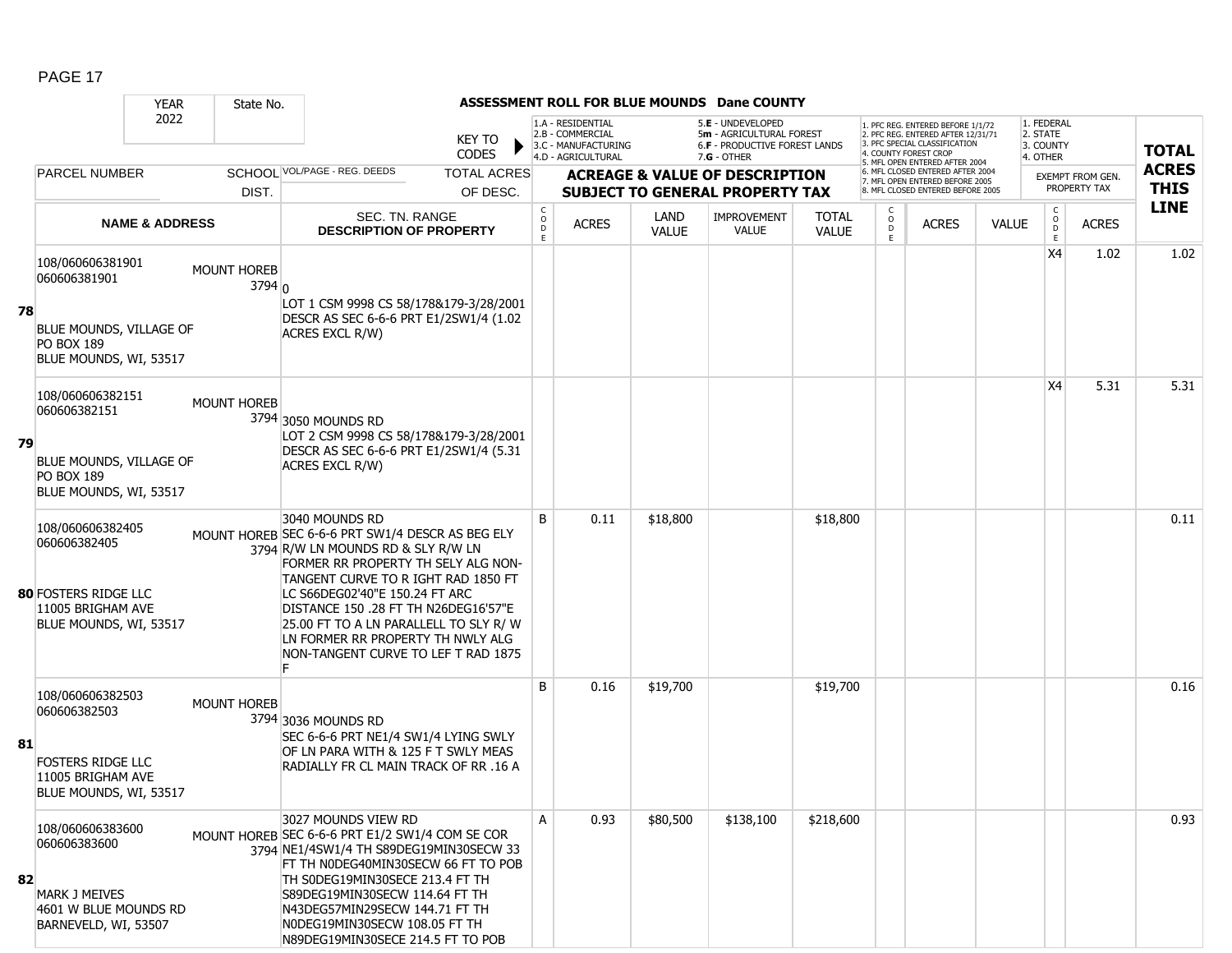|    |                                                                                                                | <b>YEAR</b>               | State No.             |                                                                                                                                                                                                                                                                                                                                                                                       |                               |                                                                   |                                                                                    |                             | ASSESSMENT ROLL FOR BLUE MOUNDS Dane COUNTY                                                     |                              |                   |                                                                                                                                  |              |                                                         |                         |              |
|----|----------------------------------------------------------------------------------------------------------------|---------------------------|-----------------------|---------------------------------------------------------------------------------------------------------------------------------------------------------------------------------------------------------------------------------------------------------------------------------------------------------------------------------------------------------------------------------------|-------------------------------|-------------------------------------------------------------------|------------------------------------------------------------------------------------|-----------------------------|-------------------------------------------------------------------------------------------------|------------------------------|-------------------|----------------------------------------------------------------------------------------------------------------------------------|--------------|---------------------------------------------------------|-------------------------|--------------|
|    |                                                                                                                | 2022                      |                       |                                                                                                                                                                                                                                                                                                                                                                                       | <b>KEY TO</b><br><b>CODES</b> |                                                                   | 1.A - RESIDENTIAL<br>2.B - COMMERCIAL<br>3.C - MANUFACTURING<br>4.D - AGRICULTURAL |                             | 5.E - UNDEVELOPED<br>5m - AGRICULTURAL FOREST<br>6.F - PRODUCTIVE FOREST LANDS<br>$7.G - OTHER$ |                              |                   | 1. PFC REG. ENTERED BEFORE 1/1/72<br>2. PFC REG. ENTERED AFTER 12/31/71<br>3. PFC SPECIAL CLASSIFICATION<br>. COUNTY FOREST CROP |              | 1. FEDERAL<br>2. STATE<br>3. COUNTY<br>4. OTHER         |                         | <b>TOTAL</b> |
|    | <b>PARCEL NUMBER</b>                                                                                           |                           |                       | SCHOOL VOL/PAGE - REG. DEEDS                                                                                                                                                                                                                                                                                                                                                          | <b>TOTAL ACRES</b>            |                                                                   |                                                                                    |                             | <b>ACREAGE &amp; VALUE OF DESCRIPTION</b>                                                       |                              |                   | . MFL OPEN ENTERED AFTER 2004<br>6. MFL CLOSED ENTERED AFTER 2004<br>7. MFL OPEN ENTERED BEFORE 2005                             |              |                                                         | <b>EXEMPT FROM GEN.</b> | <b>ACRES</b> |
|    |                                                                                                                |                           | DIST.                 |                                                                                                                                                                                                                                                                                                                                                                                       | OF DESC.                      |                                                                   |                                                                                    |                             | <b>SUBJECT TO GENERAL PROPERTY TAX</b>                                                          |                              |                   | B. MFL CLOSED ENTERED BEFORE 2005                                                                                                |              |                                                         | PROPERTY TAX            | <b>THIS</b>  |
|    |                                                                                                                | <b>NAME &amp; ADDRESS</b> |                       | SEC. TN. RANGE<br><b>DESCRIPTION OF PROPERTY</b>                                                                                                                                                                                                                                                                                                                                      |                               | $\mathsf{C}$<br>$\overset{\circ}{\phantom{\circ}}$<br>$\mathsf E$ | <b>ACRES</b>                                                                       | <b>LAND</b><br><b>VALUE</b> | <b>IMPROVEMENT</b><br><b>VALUE</b>                                                              | <b>TOTAL</b><br><b>VALUE</b> | $\circ$<br>D<br>E | <b>ACRES</b>                                                                                                                     | <b>VALUE</b> | $\mathsf{C}$<br>$\overset{\mathsf{O}}{\mathsf{D}}$<br>E | <b>ACRES</b>            | <b>LINE</b>  |
| 78 | 108/060606381901<br>060606381901<br>BLUE MOUNDS, VILLAGE OF<br><b>PO BOX 189</b><br>BLUE MOUNDS, WI, 53517     |                           | MOUNT HOREB<br>3794 0 | LOT 1 CSM 9998 CS 58/178&179-3/28/2001<br>DESCR AS SEC 6-6-6 PRT E1/2SW1/4 (1.02)<br>ACRES EXCL R/W)                                                                                                                                                                                                                                                                                  |                               |                                                                   |                                                                                    |                             |                                                                                                 |                              |                   |                                                                                                                                  |              | X4                                                      | 1.02                    | 1.02         |
| 79 | 108/060606382151<br>060606382151<br>BLUE MOUNDS, VILLAGE OF<br>PO BOX 189<br>BLUE MOUNDS, WI, 53517            |                           | <b>MOUNT HOREB</b>    | 3794 3050 MOUNDS RD<br>LOT 2 CSM 9998 CS 58/178&179-3/28/2001<br>DESCR AS SEC 6-6-6 PRT E1/2SW1/4 (5.31)<br>ACRES EXCL R/W)                                                                                                                                                                                                                                                           |                               |                                                                   |                                                                                    |                             |                                                                                                 |                              |                   |                                                                                                                                  |              | X4                                                      | 5.31                    | 5.31         |
|    | 108/060606382405<br>060606382405<br><b>80 FOSTERS RIDGE LLC</b><br>11005 BRIGHAM AVE<br>BLUE MOUNDS, WI, 53517 |                           |                       | 3040 MOUNDS RD<br>MOUNT HOREB SEC 6-6-6 PRT SW1/4 DESCR AS BEG ELY<br>3794 R/W LN MOUNDS RD & SLY R/W LN<br>FORMER RR PROPERTY TH SELY ALG NON-<br>TANGENT CURVE TO R IGHT RAD 1850 FT<br>LC S66DEG02'40"E 150.24 FT ARC<br>DISTANCE 150 .28 FT TH N26DEG16'57"E<br>25.00 FT TO A LN PARALLELL TO SLY R/W<br>LN FORMER RR PROPERTY TH NWLY ALG<br>NON-TANGENT CURVE TO LEF T RAD 1875 |                               | B                                                                 | 0.11                                                                               | \$18,800                    |                                                                                                 | \$18,800                     |                   |                                                                                                                                  |              |                                                         |                         | 0.11         |
| 81 | 108/060606382503<br>060606382503<br><b>FOSTERS RIDGE LLC</b><br>11005 BRIGHAM AVE<br>BLUE MOUNDS, WI, 53517    |                           | <b>MOUNT HOREB</b>    | 3794 3036 MOUNDS RD<br>SEC 6-6-6 PRT NE1/4 SW1/4 LYING SWLY<br>OF LN PARA WITH & 125 F T SWLY MEAS<br>RADIALLY FR CL MAIN TRACK OF RR .16 A                                                                                                                                                                                                                                           |                               | B                                                                 | 0.16                                                                               | \$19,700                    |                                                                                                 | \$19,700                     |                   |                                                                                                                                  |              |                                                         |                         | 0.16         |
| 82 | 108/060606383600<br>060606383600<br><b>MARK J MEIVES</b><br>4601 W BLUE MOUNDS RD<br>BARNEVELD, WI, 53507      |                           |                       | 3027 MOUNDS VIEW RD<br>MOUNT HOREB SEC 6-6-6 PRT E1/2 SW1/4 COM SE COR<br>3794 NE1/4SW1/4 TH S89DEG19MIN30SECW 33<br>FT TH NODEG40MIN30SECW 66 FT TO POB<br>TH SODEG19MIN30SECE 213.4 FT TH<br>S89DEG19MIN30SECW 114.64 FT TH<br>N43DEG57MIN29SECW 144.71 FT TH<br>NODEG19MIN30SECW 108.05 FT TH<br>N89DEG19MIN30SECE 214.5 FT TO POB                                                 |                               | А                                                                 | 0.93                                                                               | \$80,500                    | \$138,100                                                                                       | \$218,600                    |                   |                                                                                                                                  |              |                                                         |                         | 0.93         |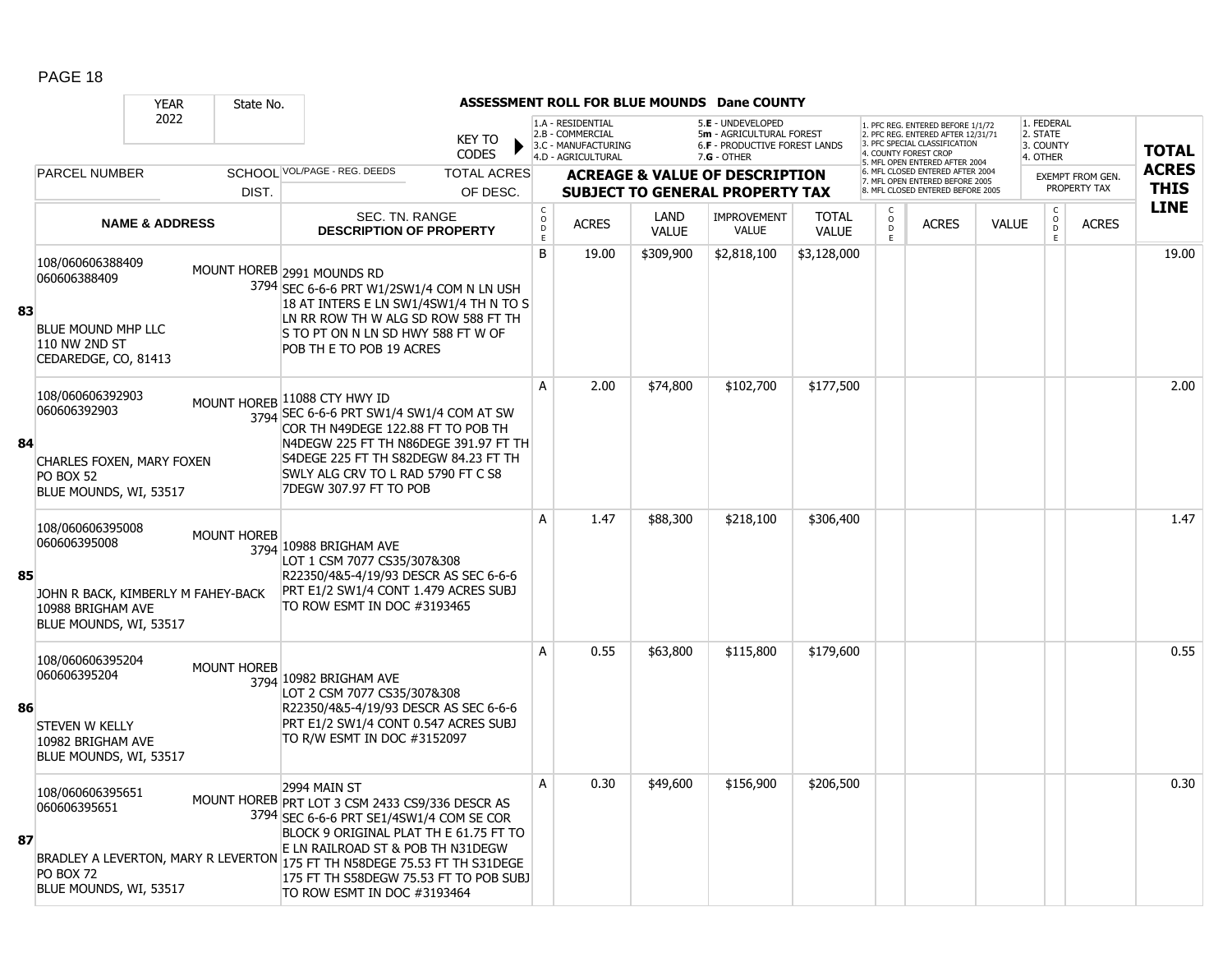|    |                                                                                                                       | <b>YEAR</b>               | State No.          |                                                                                                                                                                                                                                                                                                                                                  |                                |                                             |                                                                                    |                             | ASSESSMENT ROLL FOR BLUE MOUNDS Dane COUNTY                                                          |                              |                     |                                                                                                                                           |              |                                                 |                                         |                             |
|----|-----------------------------------------------------------------------------------------------------------------------|---------------------------|--------------------|--------------------------------------------------------------------------------------------------------------------------------------------------------------------------------------------------------------------------------------------------------------------------------------------------------------------------------------------------|--------------------------------|---------------------------------------------|------------------------------------------------------------------------------------|-----------------------------|------------------------------------------------------------------------------------------------------|------------------------------|---------------------|-------------------------------------------------------------------------------------------------------------------------------------------|--------------|-------------------------------------------------|-----------------------------------------|-----------------------------|
|    |                                                                                                                       | 2022                      |                    |                                                                                                                                                                                                                                                                                                                                                  | KEY TO<br><b>CODES</b>         |                                             | 1.A - RESIDENTIAL<br>2.B - COMMERCIAL<br>3.C - MANUFACTURING<br>4.D - AGRICULTURAL |                             | 5.E - UNDEVELOPED<br>5m - AGRICULTURAL FOREST<br><b>6.F - PRODUCTIVE FOREST LANDS</b><br>7.G - OTHER |                              |                     | 1. PFC REG. ENTERED BEFORE 1/1/72<br>2. PFC REG. ENTERED AFTER 12/31/71<br>3 PEC SPECIAL CLASSIFICATION<br>5. MFL OPEN ENTERED AFTER 2004 |              | 1. FEDERAL<br>2. STATE<br>3. COUNTY<br>4. OTHER |                                         | <b>TOTAL</b>                |
|    | <b>PARCEL NUMBER</b>                                                                                                  |                           | DIST.              | SCHOOL VOL/PAGE - REG. DEEDS                                                                                                                                                                                                                                                                                                                     | <b>TOTAL ACRES</b><br>OF DESC. |                                             |                                                                                    |                             | <b>ACREAGE &amp; VALUE OF DESCRIPTION</b><br><b>SUBJECT TO GENERAL PROPERTY TAX</b>                  |                              |                     | 6. MFL CLOSED ENTERED AFTER 2004<br>7. MFL OPEN ENTERED BEFORE 2005<br>8. MFL CLOSED ENTERED BEFORE 2005                                  |              |                                                 | <b>EXEMPT FROM GEN.</b><br>PROPERTY TAX | <b>ACRES</b><br><b>THIS</b> |
|    |                                                                                                                       | <b>NAME &amp; ADDRESS</b> |                    | SEC. TN. RANGE<br><b>DESCRIPTION OF PROPERTY</b>                                                                                                                                                                                                                                                                                                 |                                | $\mathsf{C}$<br>$\circ$<br>$\mathsf D$<br>E | <b>ACRES</b>                                                                       | <b>LAND</b><br><b>VALUE</b> | <b>IMPROVEMENT</b><br><b>VALUE</b>                                                                   | <b>TOTAL</b><br><b>VALUE</b> | $\overline{0}$<br>E | <b>ACRES</b>                                                                                                                              | <b>VALUE</b> | $\mathsf{C}$<br>$\overline{0}$<br>E             | <b>ACRES</b>                            | <b>LINE</b>                 |
| 83 | 108/060606388409<br>060606388409<br>BLUE MOUND MHP LLC<br><b>110 NW 2ND ST</b><br>CEDAREDGE, CO, 81413                |                           |                    | MOUNT HOREB 2991 MOUNDS RD<br>3794 SEC 6-6-6 PRT W1/2SW1/4 COM N LN USH<br>18 AT INTERS E LN SW1/4SW1/4 TH N TO S<br>LN RR ROW TH W ALG SD ROW 588 FT TH<br>Is to PT on N LN SD HWY 588 FT W OF<br>POB TH E TO POB 19 ACRES                                                                                                                      |                                | B                                           | 19.00                                                                              | \$309,900                   | \$2,818,100                                                                                          | \$3,128,000                  |                     |                                                                                                                                           |              |                                                 |                                         | 19.00                       |
| 84 | 108/060606392903<br>060606392903<br>CHARLES FOXEN, MARY FOXEN<br><b>PO BOX 52</b><br>BLUE MOUNDS, WI, 53517           |                           |                    | MOUNT HOREB 11088 CTY HWY ID<br>3794 SEC 6-6-6 PRT SW1/4 SW1/4 COM AT SW<br>COR TH N49DEGE 122.88 FT TO POB TH<br>N4DEGW 225 FT TH N86DEGE 391.97 FT TH<br>S4DEGE 225 FT TH S82DEGW 84.23 FT TH<br>SWLY ALG CRV TO L RAD 5790 FT C S8<br>7DEGW 307.97 FT TO POB                                                                                  |                                | A                                           | 2.00                                                                               | \$74,800                    | \$102,700                                                                                            | \$177,500                    |                     |                                                                                                                                           |              |                                                 |                                         | 2.00                        |
| 85 | 108/060606395008<br>060606395008<br>JOHN R BACK, KIMBERLY M FAHEY-BACK<br>10988 BRIGHAM AVE<br>BLUE MOUNDS, WI, 53517 |                           | <b>MOUNT HOREB</b> | 3794 10988 BRIGHAM AVE<br>LOT 1 CSM 7077 CS35/307&308<br>R22350/4&5-4/19/93 DESCR AS SEC 6-6-6<br>PRT E1/2 SW1/4 CONT 1.479 ACRES SUBJ<br>TO ROW ESMT IN DOC #3193465                                                                                                                                                                            |                                | A                                           | 1.47                                                                               | \$88,300                    | \$218,100                                                                                            | \$306,400                    |                     |                                                                                                                                           |              |                                                 |                                         | 1.47                        |
| 86 | 108/060606395204<br>060606395204<br>STEVEN W KELLY<br>10982 BRIGHAM AVE<br>BLUE MOUNDS, WI, 53517                     |                           | <b>MOUNT HOREB</b> | 3794 10982 BRIGHAM AVE<br>LOT 2 CSM 7077 CS35/307&308<br>R22350/4&5-4/19/93 DESCR AS SEC 6-6-6<br>PRT E1/2 SW1/4 CONT 0.547 ACRES SUBJ<br>TO R/W ESMT IN DOC #3152097                                                                                                                                                                            |                                | A                                           | 0.55                                                                               | \$63,800                    | \$115,800                                                                                            | \$179,600                    |                     |                                                                                                                                           |              |                                                 |                                         | 0.55                        |
| 87 | 108/060606395651<br>060606395651<br><b>PO BOX 72</b><br>BLUE MOUNDS, WI, 53517                                        |                           |                    | 2994 MAIN ST<br>MOUNT HOREB PRT LOT 3 CSM 2433 CS9/336 DESCR AS<br>3794 SEC 6-6-6 PRT SE1/4SW1/4 COM SE COR<br>BLOCK 9 ORIGINAL PLAT TH E 61.75 FT TO<br>E LN RAILROAD ST & POB TH N31DEGW<br>BRADLEY A LEVERTON, MARY R LEVERTON 175 FT TH N58DEGE 75.53 FT TH S31DEGE<br>175 FT TH S58DEGW 75.53 FT TO POB SUBJ<br>TO ROW ESMT IN DOC #3193464 |                                | A                                           | 0.30                                                                               | \$49,600                    | \$156,900                                                                                            | \$206,500                    |                     |                                                                                                                                           |              |                                                 |                                         | 0.30                        |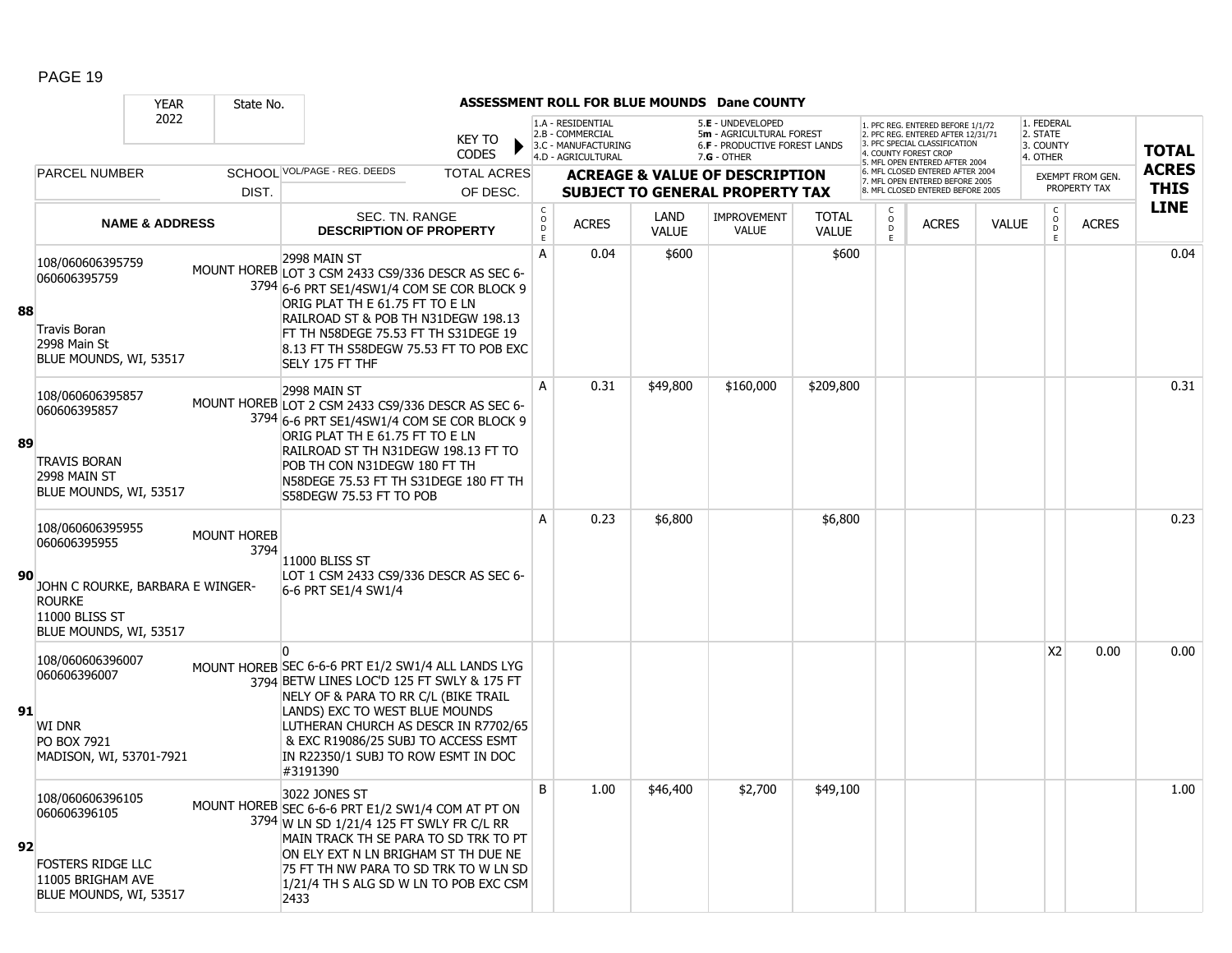|    |                                                                                                                                   | <b>YEAR</b>               | State No.                  |                                                                                                                                                                                                                                                                                                                          |                               |                                |                                                                                    |                      | ASSESSMENT ROLL FOR BLUE MOUNDS Dane COUNTY                                                            |                              |                         |                                                                                                                                                                     |              |                                                 |                                         |                             |
|----|-----------------------------------------------------------------------------------------------------------------------------------|---------------------------|----------------------------|--------------------------------------------------------------------------------------------------------------------------------------------------------------------------------------------------------------------------------------------------------------------------------------------------------------------------|-------------------------------|--------------------------------|------------------------------------------------------------------------------------|----------------------|--------------------------------------------------------------------------------------------------------|------------------------------|-------------------------|---------------------------------------------------------------------------------------------------------------------------------------------------------------------|--------------|-------------------------------------------------|-----------------------------------------|-----------------------------|
|    |                                                                                                                                   | 2022                      |                            |                                                                                                                                                                                                                                                                                                                          | <b>KEY TO</b><br><b>CODES</b> |                                | 1.A - RESIDENTIAL<br>2.B - COMMERCIAL<br>3.C - MANUFACTURING<br>4.D - AGRICULTURAL |                      | 5.E - UNDEVELOPED<br>5m - AGRICULTURAL FOREST<br><b>6.F - PRODUCTIVE FOREST LANDS</b><br>$7.G - OTHER$ |                              |                         | 1. PFC REG. ENTERED BEFORE 1/1/72<br>2. PFC REG. ENTERED AFTER 12/31/71<br>3. PFC SPECIAL CLASSIFICATION<br>4. COUNTY FOREST CROP<br>5. MFL OPEN ENTERED AFTER 2004 |              | 1. FEDERAL<br>2. STATE<br>3. COUNTY<br>4. OTHER |                                         | <b>TOTAL</b>                |
|    | PARCEL NUMBER                                                                                                                     |                           |                            | SCHOOL VOL/PAGE - REG. DEEDS                                                                                                                                                                                                                                                                                             | <b>TOTAL ACRES</b>            |                                |                                                                                    |                      | <b>ACREAGE &amp; VALUE OF DESCRIPTION</b>                                                              |                              |                         | 6. MFL CLOSED ENTERED AFTER 2004<br>7. MFL OPEN ENTERED BEFORE 2005                                                                                                 |              |                                                 | <b>EXEMPT FROM GEN.</b><br>PROPERTY TAX | <b>ACRES</b><br><b>THIS</b> |
|    |                                                                                                                                   |                           | DIST.                      |                                                                                                                                                                                                                                                                                                                          | OF DESC.                      | $\mathsf{C}$                   |                                                                                    |                      | <b>SUBJECT TO GENERAL PROPERTY TAX</b>                                                                 |                              |                         | 8 MFL CLOSED ENTERED BEFORE 2005                                                                                                                                    |              |                                                 |                                         | <b>LINE</b>                 |
|    |                                                                                                                                   | <b>NAME &amp; ADDRESS</b> |                            | SEC. TN. RANGE<br><b>DESCRIPTION OF PROPERTY</b>                                                                                                                                                                                                                                                                         |                               | $\overset{\mathsf{O}}{D}$<br>E | <b>ACRES</b>                                                                       | LAND<br><b>VALUE</b> | <b>IMPROVEMENT</b><br><b>VALUE</b>                                                                     | <b>TOTAL</b><br><b>VALUE</b> | $_{\rm D}^{\rm O}$<br>E | <b>ACRES</b>                                                                                                                                                        | <b>VALUE</b> | $\begin{matrix} 0 \\ 0 \\ 0 \end{matrix}$<br>E. | <b>ACRES</b>                            |                             |
| 88 | 108/060606395759<br>060606395759<br><b>Travis Boran</b><br>2998 Main St<br>BLUE MOUNDS, WI, 53517                                 |                           |                            | 2998 MAIN ST<br>MOUNT HOREB LOT 3 CSM 2433 CS9/336 DESCR AS SEC 6-<br>3794 6-6 PRT SE1/4SW1/4 COM SE COR BLOCK 9<br>ORIG PLAT TH E 61.75 FT TO E LN<br>RAILROAD ST & POB TH N31DEGW 198.13<br>FT TH N58DEGE 75.53 FT TH S31DEGE 19<br>8.13 FT TH S58DEGW 75.53 FT TO POB EXC<br>SELY 175 FT THF                          |                               | A                              | 0.04                                                                               | \$600                |                                                                                                        | \$600                        |                         |                                                                                                                                                                     |              |                                                 |                                         | 0.04                        |
| 89 | 108/060606395857<br>060606395857<br><b>TRAVIS BORAN</b><br>2998 MAIN ST<br>BLUE MOUNDS, WI, 53517                                 |                           |                            | 2998 MAIN ST<br>MOUNT HOREB LOT 2 CSM 2433 CS9/336 DESCR AS SEC 6-<br>3794 6-6 PRT SE1/4SW1/4 COM SE COR BLOCK 9<br>ORIG PLAT TH E 61.75 FT TO E LN<br>RAILROAD ST TH N31DEGW 198.13 FT TO<br>POB TH CON N31DEGW 180 FT TH<br>N58DEGE 75.53 FT TH S31DEGE 180 FT TH<br>S58DEGW 75.53 FT TO POB                           |                               | A                              | 0.31                                                                               | \$49,800             | \$160,000                                                                                              | \$209,800                    |                         |                                                                                                                                                                     |              |                                                 |                                         | 0.31                        |
| 90 | 108/060606395955<br>060606395955<br>JOHN C ROURKE, BARBARA E WINGER-<br><b>ROURKE</b><br>11000 BLISS ST<br>BLUE MOUNDS, WI, 53517 |                           | <b>MOUNT HOREB</b><br>3794 | <b>11000 BLISS ST</b><br>LOT 1 CSM 2433 CS9/336 DESCR AS SEC 6-<br>6-6 PRT SE1/4 SW1/4                                                                                                                                                                                                                                   |                               | A                              | 0.23                                                                               | \$6,800              |                                                                                                        | \$6,800                      |                         |                                                                                                                                                                     |              |                                                 |                                         | 0.23                        |
| 91 | 108/060606396007<br>060606396007<br>WI DNR<br>PO BOX 7921<br>MADISON, WI, 53701-7921                                              |                           |                            | $\Omega$<br>MOUNT HOREB SEC 6-6-6 PRT E1/2 SW1/4 ALL LANDS LYG<br>3794 BETW LINES LOC'D 125 FT SWLY & 175 FT<br>NELY OF & PARA TO RR C/L (BIKE TRAIL<br>LANDS) EXC TO WEST BLUE MOUNDS<br>LUTHERAN CHURCH AS DESCR IN R7702/65<br>& EXC R19086/25 SUBJ TO ACCESS ESMT<br>IN R22350/1 SUBJ TO ROW ESMT IN DOC<br>#3191390 |                               |                                |                                                                                    |                      |                                                                                                        |                              |                         |                                                                                                                                                                     |              | X <sub>2</sub>                                  | 0.00                                    | 0.00                        |
| 92 | 108/060606396105<br>060606396105<br><b>FOSTERS RIDGE LLC</b><br>11005 BRIGHAM AVE<br>BLUE MOUNDS, WI, 53517                       |                           |                            | 3022 JONES ST<br>MOUNT HOREB SEC 6-6-6 PRT E1/2 SW1/4 COM AT PT ON<br>3794 W LN SD 1/21/4 125 FT SWLY FR C/L RR<br>MAIN TRACK TH SE PARA TO SD TRK TO PT<br>ON ELY EXT N LN BRIGHAM ST TH DUE NE<br>75 FT TH NW PARA TO SD TRK TO W LN SD<br>1/21/4 TH S ALG SD W LN TO POB EXC CSM<br>2433                              |                               | B                              | 1.00                                                                               | \$46,400             | \$2,700                                                                                                | \$49,100                     |                         |                                                                                                                                                                     |              |                                                 |                                         | 1.00                        |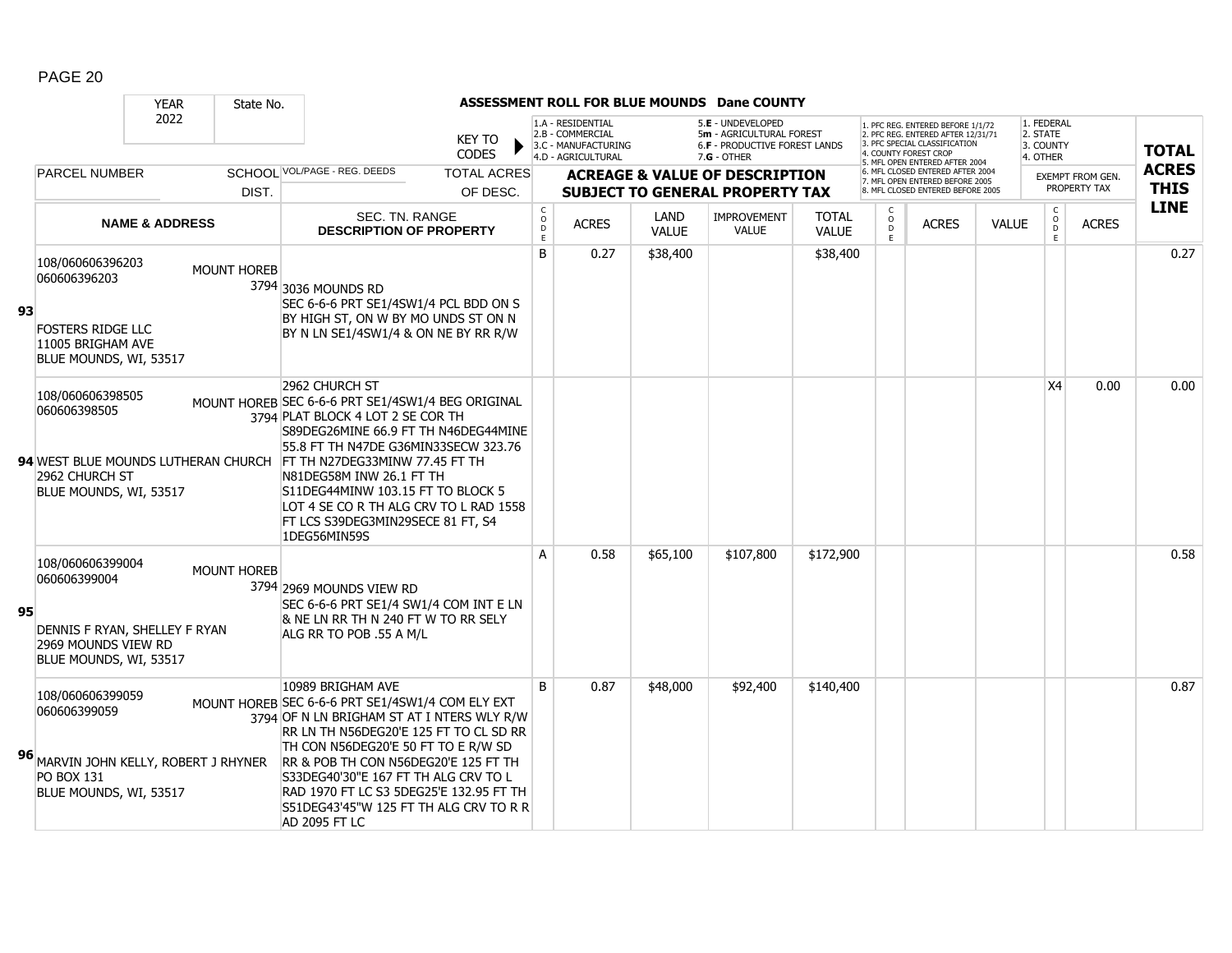|    |                                                                                                                       | <b>YEAR</b>               | State No.          |                                                                                                                                                                                                                                                                                                                                                                                                   |                                         |                                                                                    |                      | ASSESSMENT ROLL FOR BLUE MOUNDS Dane COUNTY                                                   |                              |                     |                                                                                                                                                                     |              |                                                    |                                  |                             |
|----|-----------------------------------------------------------------------------------------------------------------------|---------------------------|--------------------|---------------------------------------------------------------------------------------------------------------------------------------------------------------------------------------------------------------------------------------------------------------------------------------------------------------------------------------------------------------------------------------------------|-----------------------------------------|------------------------------------------------------------------------------------|----------------------|-----------------------------------------------------------------------------------------------|------------------------------|---------------------|---------------------------------------------------------------------------------------------------------------------------------------------------------------------|--------------|----------------------------------------------------|----------------------------------|-----------------------------|
|    |                                                                                                                       | 2022                      |                    | KEY TO<br><b>CODES</b>                                                                                                                                                                                                                                                                                                                                                                            |                                         | 1.A - RESIDENTIAL<br>2.B - COMMERCIAL<br>3.C - MANUFACTURING<br>4.D - AGRICULTURAL |                      | 5.E - UNDEVELOPED<br>5m - AGRICULTURAL FOREST<br>6.F - PRODUCTIVE FOREST LANDS<br>7.G - OTHER |                              |                     | 1. PFC REG. ENTERED BEFORE 1/1/72<br>2. PFC REG. ENTERED AFTER 12/31/71<br>3. PFC SPECIAL CLASSIFICATION<br>4. COUNTY FOREST CROP<br>5. MFL OPEN ENTERED AFTER 2004 |              | 1. FEDERAL<br>2. STATE<br>3. COUNTY<br>4. OTHER    |                                  | <b>TOTAL</b>                |
|    | <b>PARCEL NUMBER</b>                                                                                                  |                           | DIST.              | SCHOOL VOL/PAGE - REG. DEEDS<br><b>TOTAL ACRES</b><br>OF DESC.                                                                                                                                                                                                                                                                                                                                    |                                         |                                                                                    |                      | <b>ACREAGE &amp; VALUE OF DESCRIPTION</b><br><b>SUBJECT TO GENERAL PROPERTY TAX</b>           |                              |                     | 6. MFL CLOSED ENTERED AFTER 2004<br>7. MFL OPEN ENTERED BEFORE 2005<br>8. MFL CLOSED ENTERED BEFORE 2005                                                            |              |                                                    | EXEMPT FROM GEN.<br>PROPERTY TAX | <b>ACRES</b><br><b>THIS</b> |
|    |                                                                                                                       | <b>NAME &amp; ADDRESS</b> |                    | SEC. TN. RANGE<br><b>DESCRIPTION OF PROPERTY</b>                                                                                                                                                                                                                                                                                                                                                  | $\mathsf{C}$<br>$_{\rm D}^{\rm O}$<br>E | <b>ACRES</b>                                                                       | LAND<br><b>VALUE</b> | <b>IMPROVEMENT</b><br><b>VALUE</b>                                                            | <b>TOTAL</b><br><b>VALUE</b> | $\overline{0}$<br>E | <b>ACRES</b>                                                                                                                                                        | <b>VALUE</b> | $\mathsf{C}$<br>$\overset{\circ}{\mathsf{D}}$<br>E | <b>ACRES</b>                     | <b>LINE</b>                 |
| 93 | 108/060606396203<br>060606396203<br><b>FOSTERS RIDGE LLC</b><br>11005 BRIGHAM AVE<br>BLUE MOUNDS, WI, 53517           |                           | <b>MOUNT HOREB</b> | 3794 3036 MOUNDS RD<br>SEC 6-6-6 PRT SE1/4SW1/4 PCL BDD ON S<br>BY HIGH ST, ON W BY MO UNDS ST ON N<br>BY N LN SE1/4SW1/4 & ON NE BY RR R/W                                                                                                                                                                                                                                                       | B                                       | 0.27                                                                               | \$38,400             |                                                                                               | \$38,400                     |                     |                                                                                                                                                                     |              |                                                    |                                  | 0.27                        |
|    | 108/060606398505<br>060606398505<br>94 WEST BLUE MOUNDS LUTHERAN CHURCH<br>2962 CHURCH ST<br>BLUE MOUNDS, WI, 53517   |                           |                    | 2962 CHURCH ST<br>MOUNT HOREB SEC 6-6-6 PRT SE1/4SW1/4 BEG ORIGINAL<br>3794 PLAT BLOCK 4 LOT 2 SE COR TH<br>S89DEG26MINE 66.9 FT TH N46DEG44MINE<br>55.8 FT TH N47DE G36MIN33SECW 323.76<br>FT TH N27DEG33MINW 77.45 FT TH<br>N81DEG58M INW 26.1 FT TH<br>S11DEG44MINW 103.15 FT TO BLOCK 5<br>LOT 4 SE CO R TH ALG CRV TO L RAD 1558<br>FT LCS S39DEG3MIN29SECE 81 FT, S4<br>1DEG56MIN59S        |                                         |                                                                                    |                      |                                                                                               |                              |                     |                                                                                                                                                                     |              | X <sub>4</sub>                                     | 0.00                             | 0.00                        |
| 95 | 108/060606399004<br>060606399004<br>DENNIS F RYAN, SHELLEY F RYAN<br>2969 MOUNDS VIEW RD<br>BLUE MOUNDS, WI, 53517    |                           | <b>MOUNT HOREB</b> | 3794 2969 MOUNDS VIEW RD<br>SEC 6-6-6 PRT SE1/4 SW1/4 COM INT E LN<br>& NE LN RR TH N 240 FT W TO RR SELY<br>ALG RR TO POB .55 A M/L                                                                                                                                                                                                                                                              | A                                       | 0.58                                                                               | \$65,100             | \$107,800                                                                                     | \$172,900                    |                     |                                                                                                                                                                     |              |                                                    |                                  | 0.58                        |
| 96 | 108/060606399059<br>060606399059<br>MARVIN JOHN KELLY, ROBERT J RHYNER<br><b>PO BOX 131</b><br>BLUE MOUNDS, WI, 53517 |                           |                    | 10989 BRIGHAM AVE<br>MOUNT HOREB SEC 6-6-6 PRT SE1/4SW1/4 COM ELY EXT<br>3794 OF N LN BRIGHAM ST AT I NTERS WLY R/W<br>RR LN TH N56DEG20'E 125 FT TO CL SD RR<br>TH CON N56DEG20'E 50 FT TO E R/W SD<br>RR & POB TH CON N56DEG20'E 125 FT TH<br>S33DEG40'30"E 167 FT TH ALG CRV TO L<br>RAD 1970 FT LC S3 5DEG25'E 132.95 FT TH<br>S51DEG43'45"W 125 FT TH ALG CRV TO R R<br><b>AD 2095 FT LC</b> | B                                       | 0.87                                                                               | \$48,000             | \$92,400                                                                                      | \$140,400                    |                     |                                                                                                                                                                     |              |                                                    |                                  | 0.87                        |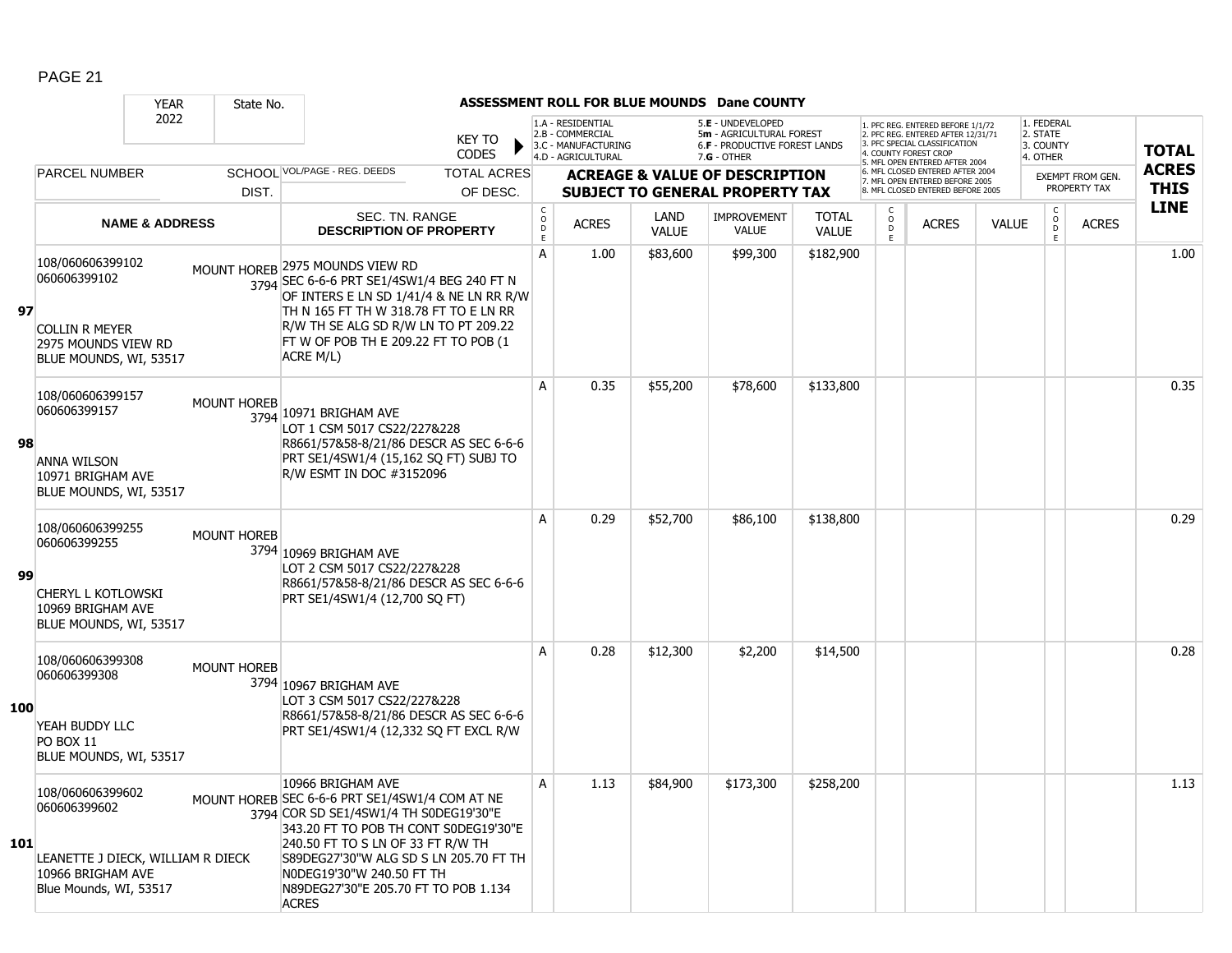|            |                                                                                                                      | <b>YEAR</b>               | State No.          |                                                                                                                                                                                                                                                                                                                            |                               |                              |                                                                                    |                      | <b>ASSESSMENT ROLL FOR BLUE MOUNDS Dane COUNTY</b>                                              |                              |                        |                                                                                                          |              |                                                 |                         |                            |
|------------|----------------------------------------------------------------------------------------------------------------------|---------------------------|--------------------|----------------------------------------------------------------------------------------------------------------------------------------------------------------------------------------------------------------------------------------------------------------------------------------------------------------------------|-------------------------------|------------------------------|------------------------------------------------------------------------------------|----------------------|-------------------------------------------------------------------------------------------------|------------------------------|------------------------|----------------------------------------------------------------------------------------------------------|--------------|-------------------------------------------------|-------------------------|----------------------------|
|            |                                                                                                                      | 2022                      |                    |                                                                                                                                                                                                                                                                                                                            | <b>KEY TO</b><br><b>CODES</b> |                              | 1.A - RESIDENTIAL<br>2.B - COMMERCIAL<br>3.C - MANUFACTURING<br>4.D - AGRICULTURAL |                      | 5.E - UNDEVELOPED<br>5m - AGRICULTURAL FOREST<br>6.F - PRODUCTIVE FOREST LANDS<br>$7.G - OTHER$ |                              | 4. COUNTY FOREST CROP  | 1. PFC REG. ENTERED BEFORE 1/1/72<br>2. PFC REG. ENTERED AFTER 12/31/71<br>3. PFC SPECIAL CLASSIFICATION |              | 1. FEDERAL<br>2. STATE<br>3. COUNTY<br>4. OTHER |                         | <b>TOTAL</b>               |
|            | <b>PARCEL NUMBER</b>                                                                                                 |                           |                    | SCHOOL VOL/PAGE - REG. DEEDS                                                                                                                                                                                                                                                                                               | <b>TOTAL ACRES</b>            |                              |                                                                                    |                      | <b>ACREAGE &amp; VALUE OF DESCRIPTION</b>                                                       |                              |                        | 5. MFL OPEN ENTERED AFTER 2004<br>6. MFL CLOSED ENTERED AFTER 2004<br>7. MFL OPEN ENTERED BEFORE 2005    |              |                                                 | <b>EXEMPT FROM GEN.</b> | <b>ACRES</b>               |
|            |                                                                                                                      |                           | DIST.              |                                                                                                                                                                                                                                                                                                                            | OF DESC.                      |                              |                                                                                    |                      | <b>SUBJECT TO GENERAL PROPERTY TAX</b>                                                          |                              |                        | 8. MFL CLOSED ENTERED BEFORE 2005                                                                        |              |                                                 | PROPERTY TAX            | <b>THIS</b><br><b>LINE</b> |
|            |                                                                                                                      | <b>NAME &amp; ADDRESS</b> |                    | SEC. TN. RANGE<br><b>DESCRIPTION OF PROPERTY</b>                                                                                                                                                                                                                                                                           |                               | $_{\rm o}^{\rm c}$<br>D<br>Ε | <b>ACRES</b>                                                                       | LAND<br><b>VALUE</b> | <b>IMPROVEMENT</b><br><b>VALUE</b>                                                              | <b>TOTAL</b><br><b>VALUE</b> | C<br>$\circ$<br>D<br>E | <b>ACRES</b>                                                                                             | <b>VALUE</b> | $_{\rm o}^{\rm c}$<br>D<br>E                    | <b>ACRES</b>            |                            |
| 97         | 108/060606399102<br>060606399102<br><b>COLLIN R MEYER</b><br>2975 MOUNDS VIEW RD<br>BLUE MOUNDS, WI, 53517           |                           |                    | MOUNT HOREB 2975 MOUNDS VIEW RD<br>3794 SEC 6-6-6 PRT SE1/4SW1/4 BEG 240 FT N<br>OF INTERS E LN SD 1/41/4 & NE LN RR R/W<br>TH N 165 FT TH W 318.78 FT TO E LN RR<br>R/W TH SE ALG SD R/W LN TO PT 209.22<br>FT W OF POB TH E 209.22 FT TO POB (1<br>ACRE M/L)                                                             |                               | A                            | 1.00                                                                               | \$83,600             | \$99,300                                                                                        | \$182,900                    |                        |                                                                                                          |              |                                                 |                         | 1.00                       |
| 98         | 108/060606399157<br>060606399157<br><b>ANNA WILSON</b><br>10971 BRIGHAM AVE                                          |                           | <b>MOUNT HOREB</b> | 3794 10971 BRIGHAM AVE<br>LOT 1 CSM 5017 CS22/227&228<br>R8661/57&58-8/21/86 DESCR AS SEC 6-6-6<br>PRT SE1/4SW1/4 (15,162 SQ FT) SUBJ TO<br>R/W ESMT IN DOC #3152096                                                                                                                                                       |                               | A                            | 0.35                                                                               | \$55,200             | \$78,600                                                                                        | \$133,800                    |                        |                                                                                                          |              |                                                 |                         | 0.35                       |
|            | BLUE MOUNDS, WI, 53517<br>108/060606399255                                                                           |                           |                    |                                                                                                                                                                                                                                                                                                                            |                               | A                            | 0.29                                                                               | \$52,700             | \$86,100                                                                                        | \$138,800                    |                        |                                                                                                          |              |                                                 |                         | 0.29                       |
| 99         | 060606399255<br><b>CHERYL L KOTLOWSKI</b><br>10969 BRIGHAM AVE<br>BLUE MOUNDS, WI, 53517                             |                           | <b>MOUNT HOREB</b> | 3794 10969 BRIGHAM AVE<br>LOT 2 CSM 5017 CS22/227&228<br>R8661/57&58-8/21/86 DESCR AS SEC 6-6-6<br>PRT SE1/4SW1/4 (12,700 SQ FT)                                                                                                                                                                                           |                               |                              |                                                                                    |                      |                                                                                                 |                              |                        |                                                                                                          |              |                                                 |                         |                            |
| <b>100</b> | 108/060606399308<br>060606399308<br>YEAH BUDDY LLC<br><b>PO BOX 11</b><br>BLUE MOUNDS, WI, 53517                     |                           | <b>MOUNT HOREB</b> | 3794 10967 BRIGHAM AVE<br>LOT 3 CSM 5017 CS22/227&228<br>R8661/57&58-8/21/86 DESCR AS SEC 6-6-6<br>PRT SE1/4SW1/4 (12,332 SQ FT EXCL R/W                                                                                                                                                                                   |                               | A                            | 0.28                                                                               | \$12,300             | \$2,200                                                                                         | \$14,500                     |                        |                                                                                                          |              |                                                 |                         | 0.28                       |
| 101        | 108/060606399602<br>060606399602<br>LEANETTE J DIECK, WILLIAM R DIECK<br>10966 BRIGHAM AVE<br>Blue Mounds, WI, 53517 |                           |                    | 10966 BRIGHAM AVE<br>MOUNT HOREB SEC 6-6-6 PRT SE1/4SW1/4 COM AT NE<br>3794 COR SD SE1/4SW1/4 TH S0DEG19'30"E<br>343.20 FT TO POB TH CONT S0DEG19'30"E<br>240.50 FT TO S LN OF 33 FT R/W TH<br>S89DEG27'30"W ALG SD S LN 205.70 FT TH<br>N0DEG19'30"W 240.50 FT TH<br>N89DEG27'30"E 205.70 FT TO POB 1.134<br><b>ACRES</b> |                               | Α                            | 1.13                                                                               | \$84,900             | \$173,300                                                                                       | \$258,200                    |                        |                                                                                                          |              |                                                 |                         | 1.13                       |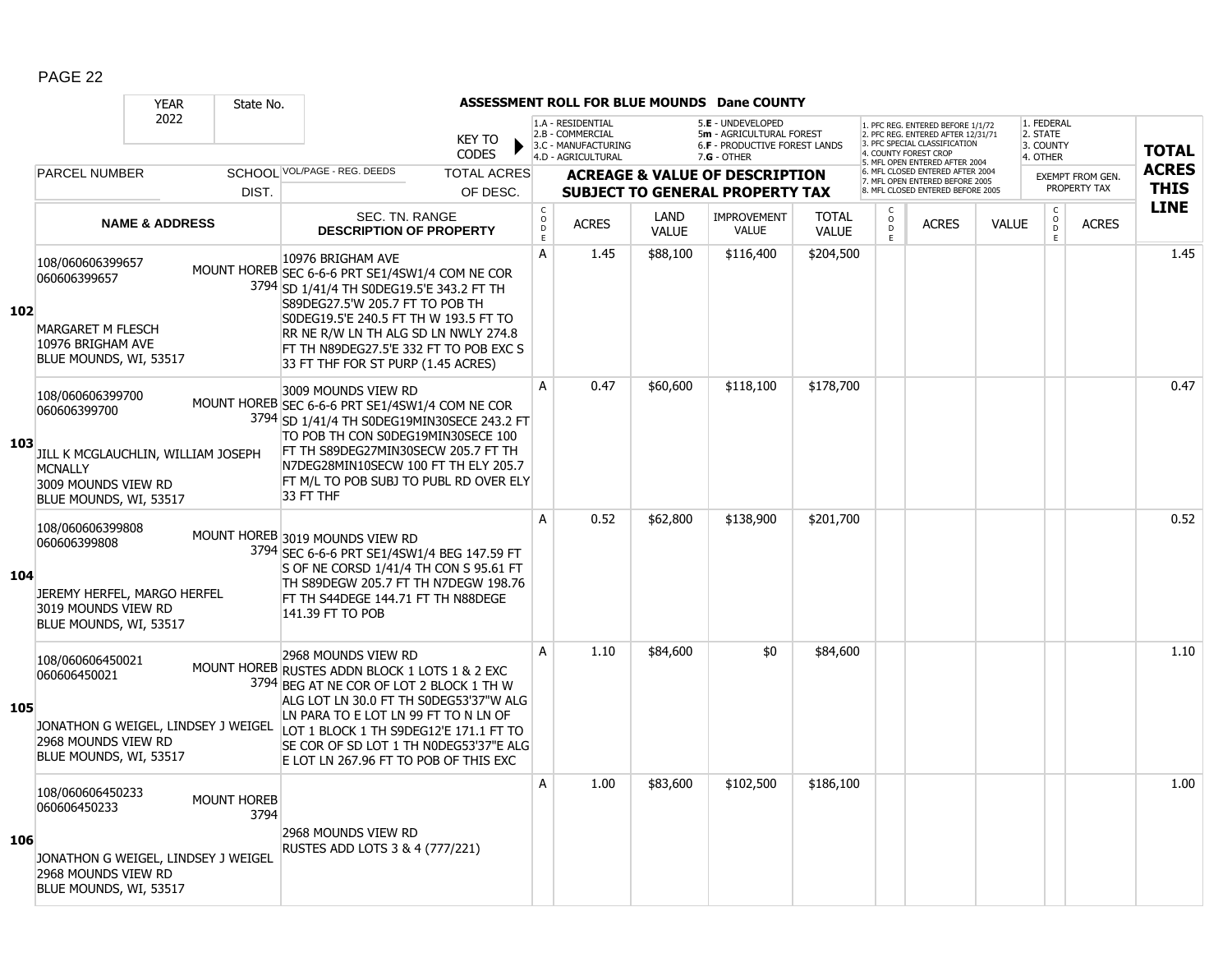|     |                                                                                                                                           | <b>YEAR</b>               | State No.                  |                                                                                                                                                                                                                                                                                                                                  |                                                 |                                                                                    |                      | ASSESSMENT ROLL FOR BLUE MOUNDS Dane COUNTY                                                     |                              |                      |                                                                                                                                  |              |                                                 |                         |              |
|-----|-------------------------------------------------------------------------------------------------------------------------------------------|---------------------------|----------------------------|----------------------------------------------------------------------------------------------------------------------------------------------------------------------------------------------------------------------------------------------------------------------------------------------------------------------------------|-------------------------------------------------|------------------------------------------------------------------------------------|----------------------|-------------------------------------------------------------------------------------------------|------------------------------|----------------------|----------------------------------------------------------------------------------------------------------------------------------|--------------|-------------------------------------------------|-------------------------|--------------|
|     |                                                                                                                                           | 2022                      |                            | <b>KEY TO</b><br><b>CODES</b>                                                                                                                                                                                                                                                                                                    |                                                 | 1.A - RESIDENTIAL<br>2.B - COMMERCIAL<br>3.C - MANUFACTURING<br>4.D - AGRICULTURAL |                      | 5.E - UNDEVELOPED<br>5m - AGRICULTURAL FOREST<br>6.F - PRODUCTIVE FOREST LANDS<br>$7.G - OTHER$ |                              |                      | 1. PFC REG. ENTERED BEFORE 1/1/72<br>2. PFC REG. ENTERED AFTER 12/31/71<br>3 PEC SPECIAL CLASSIFICATION<br>4. COUNTY FOREST CROP |              | 1. FEDERAL<br>2. STATE<br>3. COUNTY<br>4. OTHER |                         | <b>TOTAL</b> |
|     | <b>PARCEL NUMBER</b>                                                                                                                      |                           |                            | SCHOOL VOL/PAGE - REG. DEEDS<br><b>TOTAL ACRES</b>                                                                                                                                                                                                                                                                               |                                                 |                                                                                    |                      | <b>ACREAGE &amp; VALUE OF DESCRIPTION</b>                                                       |                              |                      | 5. MFL OPEN ENTERED AFTER 2004<br>6. MFL CLOSED ENTERED AFTER 2004<br>7. MFL OPEN ENTERED BEFORE 2005                            |              |                                                 | <b>EXEMPT FROM GEN.</b> | <b>ACRES</b> |
|     |                                                                                                                                           |                           | DIST.                      | OF DESC.                                                                                                                                                                                                                                                                                                                         |                                                 |                                                                                    |                      | <b>SUBJECT TO GENERAL PROPERTY TAX</b>                                                          |                              |                      | 8. MFL CLOSED ENTERED BEFORE 2005                                                                                                |              |                                                 | PROPERTY TAX            | <b>THIS</b>  |
|     |                                                                                                                                           | <b>NAME &amp; ADDRESS</b> |                            | SEC. TN. RANGE<br><b>DESCRIPTION OF PROPERTY</b>                                                                                                                                                                                                                                                                                 | $\begin{array}{c} C \\ O \\ D \end{array}$<br>E | <b>ACRES</b>                                                                       | LAND<br><b>VALUE</b> | <b>IMPROVEMENT</b><br>VALUE                                                                     | <b>TOTAL</b><br><b>VALUE</b> | $\overline{D}$<br>F. | <b>ACRES</b>                                                                                                                     | <b>VALUE</b> | $\begin{matrix} 0 \\ 0 \\ 0 \end{matrix}$<br>E  | <b>ACRES</b>            | <b>LINE</b>  |
| 102 | 108/060606399657<br>060606399657<br><b>MARGARET M FLESCH</b><br>10976 BRIGHAM AVE<br>BLUE MOUNDS, WI, 53517                               |                           |                            | 10976 BRIGHAM AVE<br>MOUNT HOREB SEC 6-6-6 PRT SE1/4SW1/4 COM NE COR<br>3794 SD 1/41/4 TH S0DEG19.5'E 343.2 FT TH<br>S89DEG27.5'W 205.7 FT TO POB TH<br>S0DEG19.5'E 240.5 FT TH W 193.5 FT TO<br>RR NE R/W LN TH ALG SD LN NWLY 274.8<br>FT TH N89DEG27.5'E 332 FT TO POB EXC S<br>33 FT THF FOR ST PURP (1.45 ACRES)            | A                                               | 1.45                                                                               | \$88,100             | \$116,400                                                                                       | \$204,500                    |                      |                                                                                                                                  |              |                                                 |                         | 1.45         |
| 103 | 108/060606399700<br>060606399700<br>JILL K MCGLAUCHLIN, WILLIAM JOSEPH<br><b>MCNALLY</b><br>3009 MOUNDS VIEW RD<br>BLUE MOUNDS, WI, 53517 |                           |                            | 3009 MOUNDS VIEW RD<br>MOUNT HOREB SEC 6-6-6 PRT SE1/4SW1/4 COM NE COR<br>3794 SD 1/41/4 TH S0DEG19MIN30SECE 243.2 FT<br>TO POB TH CON S0DEG19MIN30SECE 100<br>FT TH S89DEG27MIN30SECW 205.7 FT TH<br>N7DEG28MIN10SECW 100 FT TH ELY 205.7<br>FT M/L TO POB SUBJ TO PUBL RD OVER ELY<br>33 FT THF                                | $\overline{A}$                                  | 0.47                                                                               | \$60,600             | \$118,100                                                                                       | \$178,700                    |                      |                                                                                                                                  |              |                                                 |                         | 0.47         |
| 104 | 108/060606399808<br>060606399808<br>JEREMY HERFEL, MARGO HERFEL<br>3019 MOUNDS VIEW RD<br>BLUE MOUNDS, WI, 53517                          |                           |                            | MOUNT HOREB 3019 MOUNDS VIEW RD<br>3794 SEC 6-6-6 PRT SE1/4SW1/4 BEG 147.59 FT<br>S OF NE CORSD 1/41/4 TH CON S 95.61 FT<br>TH S89DEGW 205.7 FT TH N7DEGW 198.76<br>FT TH S44DEGE 144.71 FT TH N88DEGE<br>141.39 FT TO POB                                                                                                       | A                                               | 0.52                                                                               | \$62,800             | \$138,900                                                                                       | \$201,700                    |                      |                                                                                                                                  |              |                                                 |                         | 0.52         |
| 105 | 108/060606450021<br>060606450021<br>JONATHON G WEIGEL, LINDSEY J WEIGEL<br>2968 MOUNDS VIEW RD<br>BLUE MOUNDS, WI, 53517                  |                           |                            | 2968 MOUNDS VIEW RD<br>MOUNT HOREB RUSTES ADDN BLOCK 1 LOTS 1 & 2 EXC<br>3794 BEG AT NE COR OF LOT 2 BLOCK 1 TH W<br>ALG LOT LN 30.0 FT TH S0DEG53'37"W ALG<br>LN PARA TO E LOT LN 99 FT TO N LN OF<br>LOT 1 BLOCK 1 TH S9DEG12'E 171.1 FT TO<br>SE COR OF SD LOT 1 TH N0DEG53'37"E ALG<br>E LOT LN 267.96 FT TO POB OF THIS EXC | A                                               | 1.10                                                                               | \$84,600             | \$0                                                                                             | \$84,600                     |                      |                                                                                                                                  |              |                                                 |                         | 1.10         |
| 106 | 108/060606450233<br>060606450233<br>JONATHON G WEIGEL, LINDSEY J WEIGEL<br>2968 MOUNDS VIEW RD<br>BLUE MOUNDS, WI, 53517                  |                           | <b>MOUNT HOREB</b><br>3794 | 2968 MOUNDS VIEW RD<br>RUSTES ADD LOTS 3 & 4 (777/221)                                                                                                                                                                                                                                                                           | $\mathsf{A}$                                    | 1.00                                                                               | \$83,600             | \$102,500                                                                                       | \$186,100                    |                      |                                                                                                                                  |              |                                                 |                         | 1.00         |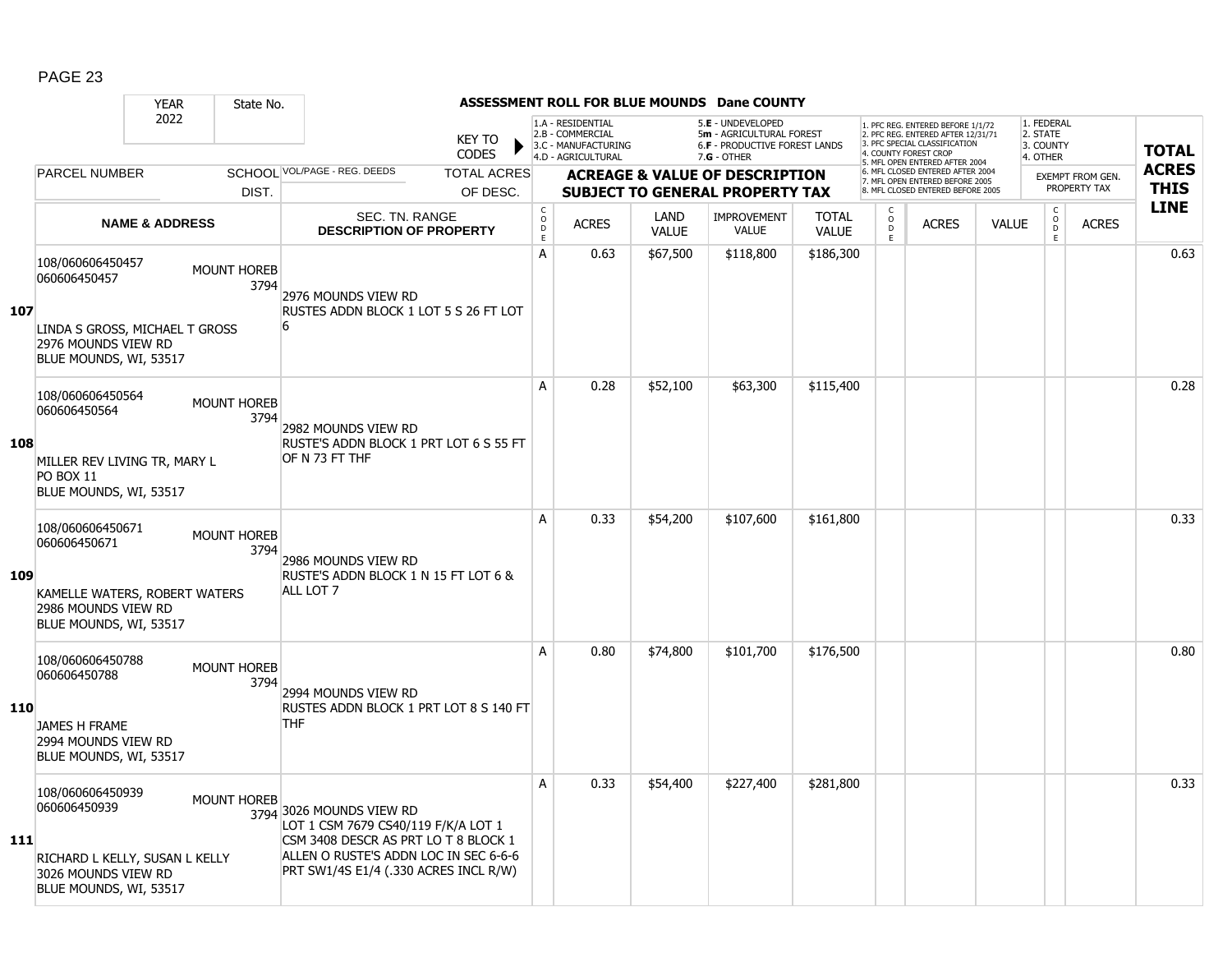|            |                                                                                                                     | <b>YEAR</b>               | State No.                  |                                                                                                                                                                                           |                               |                             |                                                                                    |                             | <b>ASSESSMENT ROLL FOR BLUE MOUNDS Dane COUNTY</b>                                              |                              |                                         |                                                                                                                                                                     |              |                                                 |                                         |                             |
|------------|---------------------------------------------------------------------------------------------------------------------|---------------------------|----------------------------|-------------------------------------------------------------------------------------------------------------------------------------------------------------------------------------------|-------------------------------|-----------------------------|------------------------------------------------------------------------------------|-----------------------------|-------------------------------------------------------------------------------------------------|------------------------------|-----------------------------------------|---------------------------------------------------------------------------------------------------------------------------------------------------------------------|--------------|-------------------------------------------------|-----------------------------------------|-----------------------------|
|            |                                                                                                                     | 2022                      |                            |                                                                                                                                                                                           | <b>KEY TO</b><br><b>CODES</b> |                             | 1.A - RESIDENTIAL<br>2.B - COMMERCIAL<br>3.C - MANUFACTURING<br>4.D - AGRICULTURAL |                             | 5.E - UNDEVELOPED<br>5m - AGRICULTURAL FOREST<br>6.F - PRODUCTIVE FOREST LANDS<br>$7.G - OTHER$ |                              |                                         | 1. PFC REG. ENTERED BEFORE 1/1/72<br>2. PFC REG. ENTERED AFTER 12/31/71<br>3. PFC SPECIAL CLASSIFICATION<br>4. COUNTY FOREST CROP<br>5. MFL OPEN ENTERED AFTER 2004 |              | 1. FEDERAL<br>2. STATE<br>3. COUNTY<br>4. OTHER |                                         | <b>TOTAL</b>                |
|            | <b>PARCEL NUMBER</b>                                                                                                |                           |                            | SCHOOL VOL/PAGE - REG. DEEDS                                                                                                                                                              | <b>TOTAL ACRES</b>            |                             |                                                                                    |                             | <b>ACREAGE &amp; VALUE OF DESCRIPTION</b>                                                       |                              |                                         | 6. MFL CLOSED ENTERED AFTER 2004<br>7. MFL OPEN ENTERED BEFORE 2005<br>8 MFL CLOSED ENTERED BEFORE 2005                                                             |              |                                                 | <b>EXEMPT FROM GEN.</b><br>PROPERTY TAX | <b>ACRES</b><br><b>THIS</b> |
|            |                                                                                                                     |                           | DIST.                      |                                                                                                                                                                                           | OF DESC.                      | $\mathsf C$                 |                                                                                    |                             | <b>SUBJECT TO GENERAL PROPERTY TAX</b>                                                          |                              | C                                       |                                                                                                                                                                     |              |                                                 |                                         | <b>LINE</b>                 |
|            |                                                                                                                     | <b>NAME &amp; ADDRESS</b> |                            | SEC. TN. RANGE<br><b>DESCRIPTION OF PROPERTY</b>                                                                                                                                          |                               | $\circ$<br>$\mathsf D$<br>E | <b>ACRES</b>                                                                       | <b>LAND</b><br><b>VALUE</b> | <b>IMPROVEMENT</b><br><b>VALUE</b>                                                              | <b>TOTAL</b><br><b>VALUE</b> | $\overset{\circ}{\phantom{\circ}}$<br>E | <b>ACRES</b>                                                                                                                                                        | <b>VALUE</b> | $\begin{matrix} 0 \\ 0 \\ 0 \end{matrix}$<br>E  | <b>ACRES</b>                            |                             |
| 107        | 108/060606450457<br>060606450457<br>LINDA S GROSS, MICHAEL T GROSS<br>2976 MOUNDS VIEW RD<br>BLUE MOUNDS, WI, 53517 |                           | <b>MOUNT HOREB</b><br>3794 | 2976 MOUNDS VIEW RD<br>RUSTES ADDN BLOCK 1 LOT 5 S 26 FT LOT<br>6                                                                                                                         |                               | A                           | 0.63                                                                               | \$67,500                    | \$118,800                                                                                       | \$186,300                    |                                         |                                                                                                                                                                     |              |                                                 |                                         | 0.63                        |
| 108        | 108/060606450564<br>060606450564<br>MILLER REV LIVING TR, MARY L<br><b>PO BOX 11</b><br>BLUE MOUNDS, WI, 53517      |                           | <b>MOUNT HOREB</b><br>3794 | 2982 MOUNDS VIEW RD<br>RUSTE'S ADDN BLOCK 1 PRT LOT 6 S 55 FT<br>OF N 73 FT THF                                                                                                           |                               | A                           | 0.28                                                                               | \$52,100                    | \$63,300                                                                                        | \$115,400                    |                                         |                                                                                                                                                                     |              |                                                 |                                         | 0.28                        |
| 109        | 108/060606450671<br>060606450671<br>KAMELLE WATERS, ROBERT WATERS<br>2986 MOUNDS VIEW RD<br>BLUE MOUNDS, WI, 53517  |                           | <b>MOUNT HOREB</b><br>3794 | 2986 MOUNDS VIEW RD<br>RUSTE'S ADDN BLOCK 1 N 15 FT LOT 6 &<br>ALL LOT 7                                                                                                                  |                               | A                           | 0.33                                                                               | \$54,200                    | \$107,600                                                                                       | \$161,800                    |                                         |                                                                                                                                                                     |              |                                                 |                                         | 0.33                        |
| <b>110</b> | 108/060606450788<br>060606450788<br><b>JAMES H FRAME</b><br>2994 MOUNDS VIEW RD<br>BLUE MOUNDS, WI, 53517           |                           | MOUNT HOREB<br>3794        | 2994 MOUNDS VIEW RD<br>RUSTES ADDN BLOCK 1 PRT LOT 8 S 140 FT<br><b>THF</b>                                                                                                               |                               | A                           | 0.80                                                                               | \$74,800                    | \$101,700                                                                                       | \$176,500                    |                                         |                                                                                                                                                                     |              |                                                 |                                         | 0.80                        |
| 111        | 108/060606450939<br>060606450939<br>RICHARD L KELLY, SUSAN L KELLY<br>3026 MOUNDS VIEW RD<br>BLUE MOUNDS, WI, 53517 |                           | <b>MOUNT HOREB</b>         | 3794 3026 MOUNDS VIEW RD<br>LOT 1 CSM 7679 CS40/119 F/K/A LOT 1<br>CSM 3408 DESCR AS PRT LO T 8 BLOCK 1<br>ALLEN O RUSTE'S ADDN LOC IN SEC 6-6-6<br>PRT SW1/4S E1/4 (.330 ACRES INCL R/W) |                               | A                           | 0.33                                                                               | \$54,400                    | \$227,400                                                                                       | \$281,800                    |                                         |                                                                                                                                                                     |              |                                                 |                                         | 0.33                        |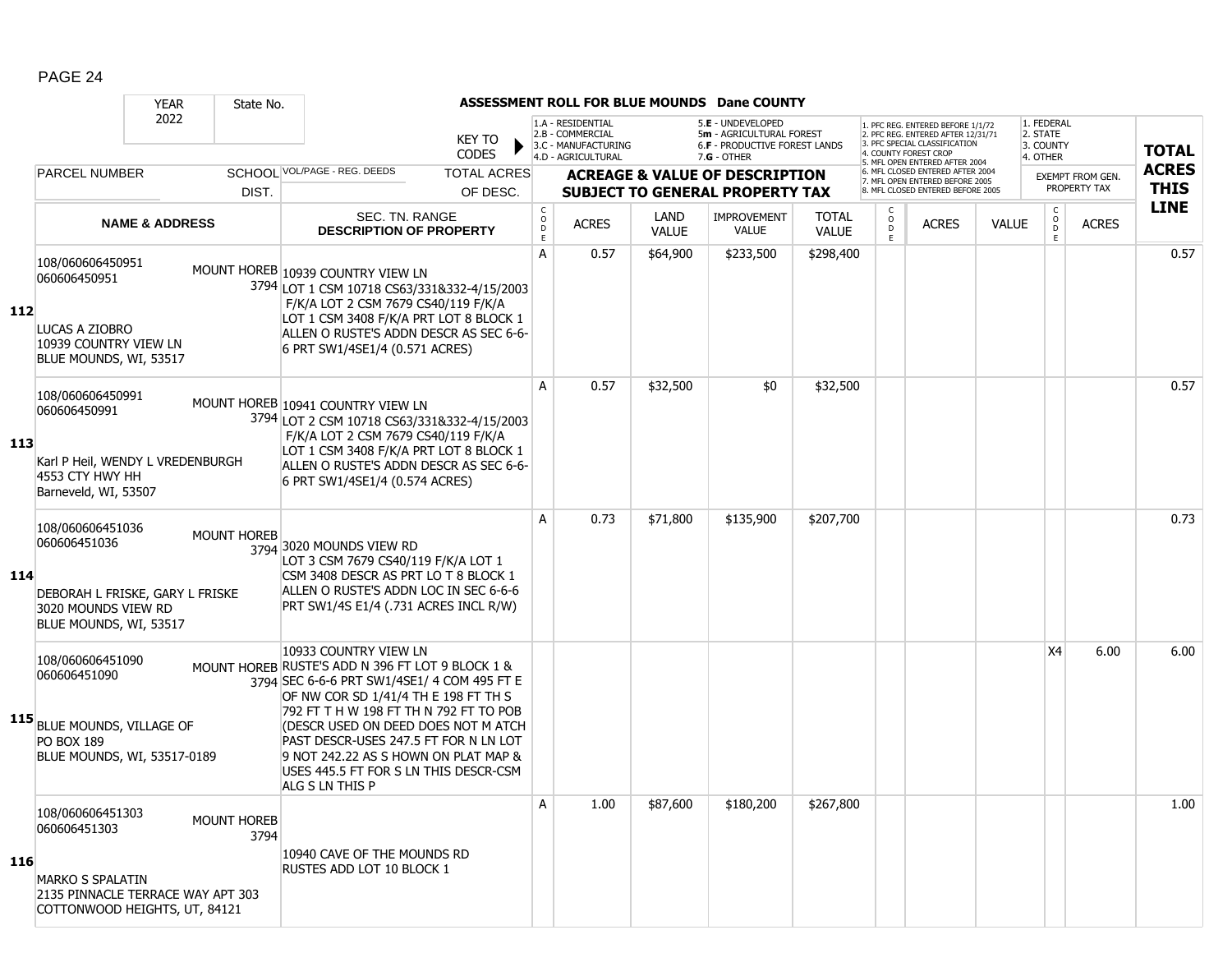|     |                                                                                                                                   | <b>YEAR</b>               | State No.           |                                                                                                                                                                                                                                                                                                                                                                                                |                               |                                        |                                                                                    |                             | ASSESSMENT ROLL FOR BLUE MOUNDS Dane COUNTY                                                            |                              |                                    |                                                                                                          |              |                                                 |                         |              |
|-----|-----------------------------------------------------------------------------------------------------------------------------------|---------------------------|---------------------|------------------------------------------------------------------------------------------------------------------------------------------------------------------------------------------------------------------------------------------------------------------------------------------------------------------------------------------------------------------------------------------------|-------------------------------|----------------------------------------|------------------------------------------------------------------------------------|-----------------------------|--------------------------------------------------------------------------------------------------------|------------------------------|------------------------------------|----------------------------------------------------------------------------------------------------------|--------------|-------------------------------------------------|-------------------------|--------------|
|     |                                                                                                                                   | 2022                      |                     |                                                                                                                                                                                                                                                                                                                                                                                                | <b>KEY TO</b><br><b>CODES</b> |                                        | 1.A - RESIDENTIAL<br>2.B - COMMERCIAL<br>3.C - MANUFACTURING<br>4.D - AGRICULTURAL |                             | 5.E - UNDEVELOPED<br>5m - AGRICULTURAL FOREST<br><b>6.F - PRODUCTIVE FOREST LANDS</b><br>$7.G - OTHER$ |                              | 4. COUNTY FOREST CROP              | 1. PFC REG. ENTERED BEFORE 1/1/72<br>2. PFC REG. ENTERED AFTER 12/31/71<br>3. PFC SPECIAL CLASSIFICATION |              | 1. FEDERAL<br>2. STATE<br>3. COUNTY<br>4. OTHER |                         | <b>TOTAL</b> |
|     | <b>PARCEL NUMBER</b>                                                                                                              |                           |                     | SCHOOL VOL/PAGE - REG. DEEDS                                                                                                                                                                                                                                                                                                                                                                   | <b>TOTAL ACRES</b>            |                                        |                                                                                    |                             | <b>ACREAGE &amp; VALUE OF DESCRIPTION</b>                                                              |                              |                                    | 5. MFL OPEN ENTERED AFTER 2004<br>6. MFL CLOSED ENTERED AFTER 2004<br>7. MFL OPEN ENTERED BEFORE 2005    |              |                                                 | <b>EXEMPT FROM GEN.</b> | <b>ACRES</b> |
|     |                                                                                                                                   |                           | DIST.               |                                                                                                                                                                                                                                                                                                                                                                                                | OF DESC.                      |                                        |                                                                                    |                             | <b>SUBJECT TO GENERAL PROPERTY TAX</b>                                                                 |                              |                                    | 8. MFL CLOSED ENTERED BEFORE 2005                                                                        |              |                                                 | PROPERTY TAX            | <b>THIS</b>  |
|     |                                                                                                                                   | <b>NAME &amp; ADDRESS</b> |                     | SEC. TN. RANGE<br><b>DESCRIPTION OF PROPERTY</b>                                                                                                                                                                                                                                                                                                                                               |                               | $\mathsf{C}$<br>$\mathsf{o}$<br>D<br>E | <b>ACRES</b>                                                                       | <b>LAND</b><br><b>VALUE</b> | <b>IMPROVEMENT</b><br><b>VALUE</b>                                                                     | <b>TOTAL</b><br><b>VALUE</b> | $\mathsf{C}$<br>$_{\rm D}^{\rm O}$ | <b>ACRES</b>                                                                                             | <b>VALUE</b> | $\rm _o^C$<br>E                                 | <b>ACRES</b>            | <b>LINE</b>  |
| 112 | 108/060606450951<br>060606450951<br>LUCAS A ZIOBRO<br>10939 COUNTRY VIEW LN<br>BLUE MOUNDS, WI, 53517                             |                           |                     | MOUNT HOREB 10939 COUNTRY VIEW LN<br>3794 LOT 1 CSM 10718 CS63/331&332-4/15/2003<br>F/K/A LOT 2 CSM 7679 CS40/119 F/K/A<br>LOT 1 CSM 3408 F/K/A PRT LOT 8 BLOCK 1<br>ALLEN O RUSTE'S ADDN DESCR AS SEC 6-6-<br>6 PRT SW1/4SE1/4 (0.571 ACRES)                                                                                                                                                  |                               | A                                      | 0.57                                                                               | \$64,900                    | \$233,500                                                                                              | \$298,400                    |                                    |                                                                                                          |              |                                                 |                         | 0.57         |
| 113 | 108/060606450991<br>060606450991<br>Karl P Heil, WENDY L VREDENBURGH<br>4553 CTY HWY HH<br>Barneveld, WI, 53507                   |                           |                     | MOUNT HOREB 10941 COUNTRY VIEW LN<br>3794 LOT 2 CSM 10718 CS63/331&332-4/15/2003<br>F/K/A LOT 2 CSM 7679 CS40/119 F/K/A<br>LOT 1 CSM 3408 F/K/A PRT LOT 8 BLOCK 1<br>ALLEN O RUSTE'S ADDN DESCR AS SEC 6-6-<br>6 PRT SW1/4SE1/4 (0.574 ACRES)                                                                                                                                                  |                               | A                                      | 0.57                                                                               | \$32,500                    | \$0                                                                                                    | \$32,500                     |                                    |                                                                                                          |              |                                                 |                         | 0.57         |
| 114 | 108/060606451036<br>060606451036<br>DEBORAH L FRISKE, GARY L FRISKE<br>3020 MOUNDS VIEW RD<br>BLUE MOUNDS, WI, 53517              |                           | <b>MOUNT HOREB</b>  | 3794 3020 MOUNDS VIEW RD<br>LOT 3 CSM 7679 CS40/119 F/K/A LOT 1<br>CSM 3408 DESCR AS PRT LO T 8 BLOCK 1<br>ALLEN O RUSTE'S ADDN LOC IN SEC 6-6-6<br>PRT SW1/4S E1/4 (.731 ACRES INCL R/W)                                                                                                                                                                                                      |                               | A                                      | 0.73                                                                               | \$71,800                    | \$135,900                                                                                              | \$207,700                    |                                    |                                                                                                          |              |                                                 |                         | 0.73         |
|     | 108/060606451090<br>060606451090<br>115 BLUE MOUNDS, VILLAGE OF<br><b>PO BOX 189</b><br>BLUE MOUNDS, WI, 53517-0189               |                           |                     | 10933 COUNTRY VIEW LN<br>MOUNT HOREB RUSTE'S ADD N 396 FT LOT 9 BLOCK 1 &<br>3794 SEC 6-6-6 PRT SW1/4SE1/ 4 COM 495 FT E<br>OF NW COR SD 1/41/4 TH E 198 FT TH S<br>792 FT T H W 198 FT TH N 792 FT TO POB<br>(DESCR USED ON DEED DOES NOT M ATCH<br>PAST DESCR-USES 247.5 FT FOR N LN LOT<br>9 NOT 242.22 AS S HOWN ON PLAT MAP &<br>USES 445.5 FT FOR S LN THIS DESCR-CSM<br>ALG S LN THIS P |                               |                                        |                                                                                    |                             |                                                                                                        |                              |                                    |                                                                                                          |              | X4                                              | 6.00                    | 6.00         |
| 116 | 108/060606451303<br>060606451303<br><b>MARKO S SPALATIN</b><br>2135 PINNACLE TERRACE WAY APT 303<br>COTTONWOOD HEIGHTS, UT, 84121 |                           | MOUNT HOREB<br>3794 | 10940 CAVE OF THE MOUNDS RD<br>RUSTES ADD LOT 10 BLOCK 1                                                                                                                                                                                                                                                                                                                                       |                               | A                                      | 1.00                                                                               | \$87,600                    | \$180,200                                                                                              | \$267,800                    |                                    |                                                                                                          |              |                                                 |                         | 1.00         |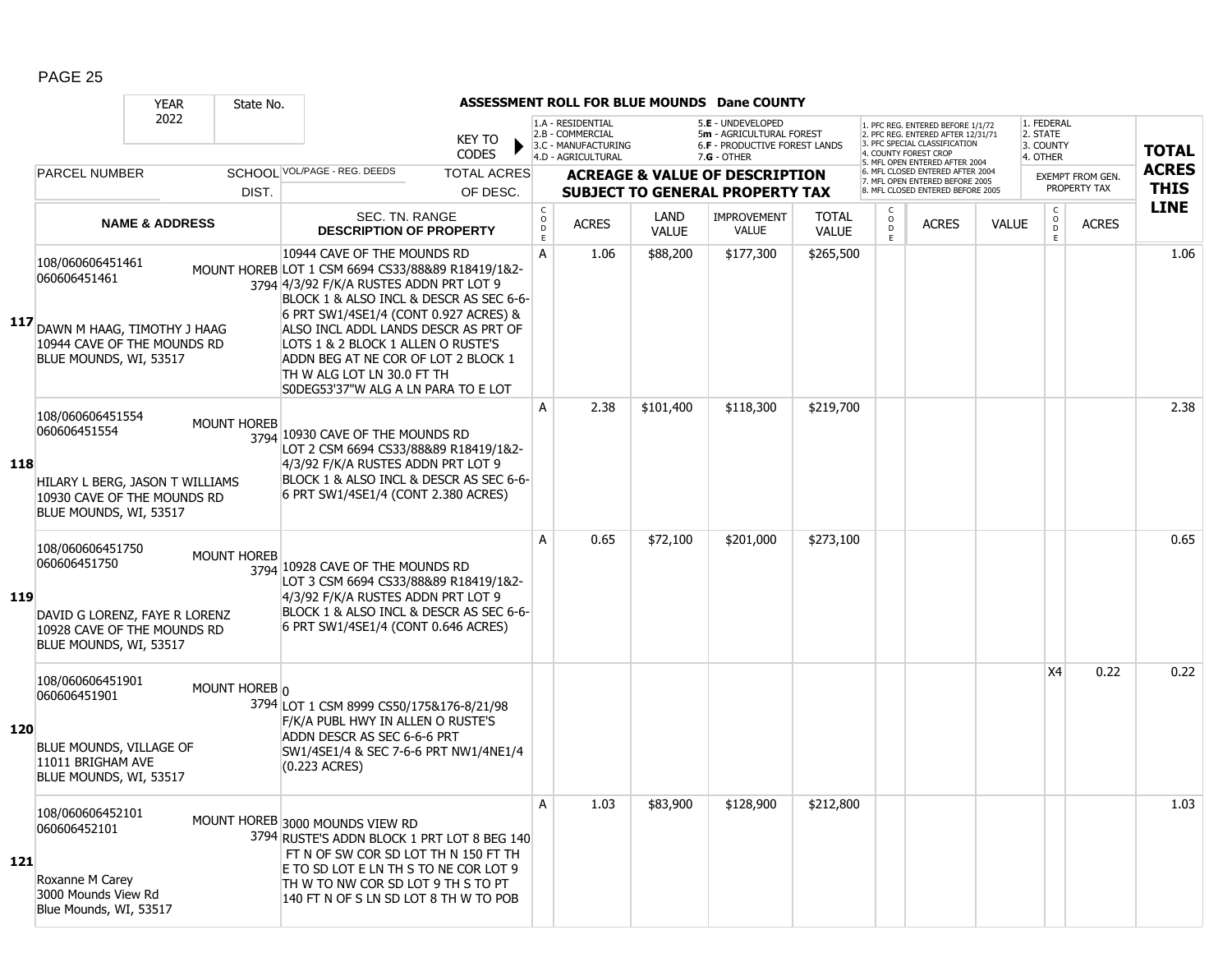|     |                                                                                                                              | <b>YEAR</b>               | State No.          |                                                                                                                                                                                                                                                                                               |                        |                                        |                                                                                    |                      | ASSESSMENT ROLL FOR BLUE MOUNDS Dane COUNTY                                                          |                              |                        |                                                                                                                                   |              |                                                 |                         |              |
|-----|------------------------------------------------------------------------------------------------------------------------------|---------------------------|--------------------|-----------------------------------------------------------------------------------------------------------------------------------------------------------------------------------------------------------------------------------------------------------------------------------------------|------------------------|----------------------------------------|------------------------------------------------------------------------------------|----------------------|------------------------------------------------------------------------------------------------------|------------------------------|------------------------|-----------------------------------------------------------------------------------------------------------------------------------|--------------|-------------------------------------------------|-------------------------|--------------|
|     |                                                                                                                              | 2022                      |                    |                                                                                                                                                                                                                                                                                               | KEY TO<br><b>CODES</b> |                                        | 1.A - RESIDENTIAL<br>2.B - COMMERCIAL<br>3.C - MANUFACTURING<br>4.D - AGRICULTURAL |                      | 5.E - UNDEVELOPED<br>5m - AGRICULTURAL FOREST<br><b>6.F - PRODUCTIVE FOREST LANDS</b><br>7.G - OTHER |                              |                        | 1. PFC REG. ENTERED BEFORE 1/1/72<br>2. PFC REG. ENTERED AFTER 12/31/71<br>3. PFC SPECIAL CLASSIFICATION<br>4. COUNTY FOREST CROP |              | 1. FEDERAL<br>2. STATE<br>3. COUNTY<br>4. OTHER |                         | <b>TOTAL</b> |
|     | <b>PARCEL NUMBER</b>                                                                                                         |                           |                    | SCHOOL VOL/PAGE - REG. DEEDS                                                                                                                                                                                                                                                                  | <b>TOTAL ACRES</b>     |                                        |                                                                                    |                      | <b>ACREAGE &amp; VALUE OF DESCRIPTION</b>                                                            |                              |                        | 5. MFL OPEN ENTERED AFTER 2004<br>6. MFL CLOSED ENTERED AFTER 2004<br>7. MFL OPEN ENTERED BEFORE 2005                             |              |                                                 | <b>EXEMPT FROM GEN.</b> | <b>ACRES</b> |
|     |                                                                                                                              |                           | DIST.              |                                                                                                                                                                                                                                                                                               | OF DESC.               |                                        |                                                                                    |                      | <b>SUBJECT TO GENERAL PROPERTY TAX</b>                                                               |                              |                        | 8. MFL CLOSED ENTERED BEFORE 2005                                                                                                 |              |                                                 | PROPERTY TAX            | <b>THIS</b>  |
|     |                                                                                                                              | <b>NAME &amp; ADDRESS</b> |                    | SEC. TN. RANGE<br><b>DESCRIPTION OF PROPERTY</b>                                                                                                                                                                                                                                              |                        | $\mathsf{C}$<br>$\mathsf{o}$<br>D<br>E | <b>ACRES</b>                                                                       | LAND<br><b>VALUE</b> | <b>IMPROVEMENT</b><br><b>VALUE</b>                                                                   | <b>TOTAL</b><br><b>VALUE</b> | C<br>$\circ$<br>D<br>E | <b>ACRES</b>                                                                                                                      | <b>VALUE</b> | C<br>$\circ$<br>D<br>E                          | <b>ACRES</b>            | <b>LINE</b>  |
| 117 | 108/060606451461<br>060606451461<br>DAWN M HAAG, TIMOTHY J HAAG<br>10944 CAVE OF THE MOUNDS RD                               |                           |                    | 10944 CAVE OF THE MOUNDS RD<br>MOUNT HOREB LOT 1 CSM 6694 CS33/88&89 R18419/1&2-<br>3794 4/3/92 F/K/A RUSTES ADDN PRT LOT 9<br>BLOCK 1 & ALSO INCL & DESCR AS SEC 6-6-<br>6 PRT SW1/4SE1/4 (CONT 0.927 ACRES) &<br>ALSO INCL ADDL LANDS DESCR AS PRT OF<br>LOTS 1 & 2 BLOCK 1 ALLEN O RUSTE'S |                        | A                                      | 1.06                                                                               | \$88,200             | \$177,300                                                                                            | \$265,500                    |                        |                                                                                                                                   |              |                                                 |                         | 1.06         |
|     | BLUE MOUNDS, WI, 53517                                                                                                       |                           |                    | ADDN BEG AT NE COR OF LOT 2 BLOCK 1<br>TH W ALG LOT LN 30.0 FT TH<br>S0DEG53'37"W ALG A LN PARA TO E LOT                                                                                                                                                                                      |                        |                                        |                                                                                    |                      |                                                                                                      |                              |                        |                                                                                                                                   |              |                                                 |                         |              |
| 118 | 108/060606451554<br>060606451554<br>HILARY L BERG, JASON T WILLIAMS<br>10930 CAVE OF THE MOUNDS RD<br>BLUE MOUNDS, WI, 53517 |                           | <b>MOUNT HOREB</b> | 3794 10930 CAVE OF THE MOUNDS RD<br>LOT 2 CSM 6694 CS33/88&89 R18419/1&2-<br>4/3/92 F/K/A RUSTES ADDN PRT LOT 9<br>BLOCK 1 & ALSO INCL & DESCR AS SEC 6-6-<br>6 PRT SW1/4SE1/4 (CONT 2.380 ACRES)                                                                                             |                        | A                                      | 2.38                                                                               | \$101,400            | \$118,300                                                                                            | \$219,700                    |                        |                                                                                                                                   |              |                                                 |                         | 2.38         |
| 119 | 108/060606451750<br>060606451750<br>DAVID G LORENZ, FAYE R LORENZ<br>10928 CAVE OF THE MOUNDS RD<br>BLUE MOUNDS, WI, 53517   |                           | <b>MOUNT HOREB</b> | 3794 10928 CAVE OF THE MOUNDS RD<br>LOT 3 CSM 6694 CS33/88&89 R18419/1&2-<br>4/3/92 F/K/A RUSTES ADDN PRT LOT 9<br>BLOCK 1 & ALSO INCL & DESCR AS SEC 6-6-<br>6 PRT SW1/4SE1/4 (CONT 0.646 ACRES)                                                                                             |                        | A                                      | 0.65                                                                               | \$72,100             | \$201,000                                                                                            | \$273,100                    |                        |                                                                                                                                   |              |                                                 |                         | 0.65         |
| 120 | 108/060606451901<br>060606451901<br>BLUE MOUNDS, VILLAGE OF<br>11011 BRIGHAM AVE<br>BLUE MOUNDS, WI, 53517                   |                           | MOUNT HOREB 0      | 3794 LOT 1 CSM 8999 CS50/175&176-8/21/98<br>F/K/A PUBL HWY IN ALLEN O RUSTE'S<br>ADDN DESCR AS SEC 6-6-6 PRT<br>SW1/4SE1/4 & SEC 7-6-6 PRT NW1/4NE1/4<br>(0.223 ACRES)                                                                                                                        |                        |                                        |                                                                                    |                      |                                                                                                      |                              |                        |                                                                                                                                   |              | X4                                              | 0.22                    | 0.22         |
| 121 | 108/060606452101<br>060606452101<br>Roxanne M Carey<br>3000 Mounds View Rd<br>Blue Mounds, WI, 53517                         |                           |                    | MOUNT HOREB 3000 MOUNDS VIEW RD<br>3794 RUSTE'S ADDN BLOCK 1 PRT LOT 8 BEG 140<br>FT N OF SW COR SD LOT TH N 150 FT TH<br>E TO SD LOT E LN TH S TO NE COR LOT 9<br>TH W TO NW COR SD LOT 9 TH S TO PT<br>140 FT N OF S LN SD LOT 8 TH W TO POB                                                |                        | Α                                      | 1.03                                                                               | \$83,900             | \$128,900                                                                                            | \$212,800                    |                        |                                                                                                                                   |              |                                                 |                         | 1.03         |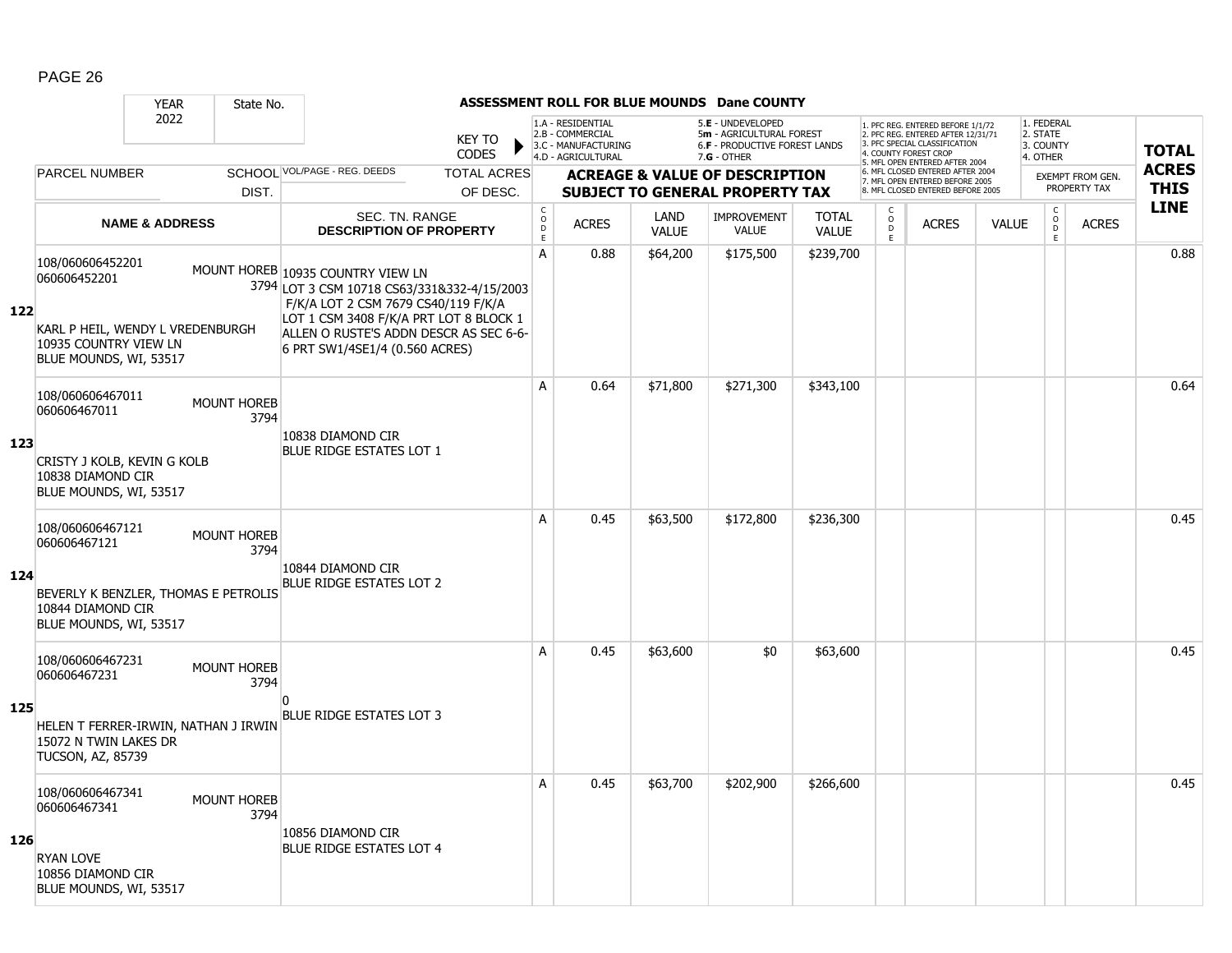|     |                                                                                                                               | <b>YEAR</b>               | State No.                  |                                                                                                                                                                                                                                               |                                |                                        |                                                                                    |                             | <b>ASSESSMENT ROLL FOR BLUE MOUNDS Dane COUNTY</b>                                                   |                              |                                                 |                                                                                                                                                                     |              |                                                 |                                         |                             |
|-----|-------------------------------------------------------------------------------------------------------------------------------|---------------------------|----------------------------|-----------------------------------------------------------------------------------------------------------------------------------------------------------------------------------------------------------------------------------------------|--------------------------------|----------------------------------------|------------------------------------------------------------------------------------|-----------------------------|------------------------------------------------------------------------------------------------------|------------------------------|-------------------------------------------------|---------------------------------------------------------------------------------------------------------------------------------------------------------------------|--------------|-------------------------------------------------|-----------------------------------------|-----------------------------|
|     |                                                                                                                               | 2022                      |                            |                                                                                                                                                                                                                                               | <b>KEY TO</b><br><b>CODES</b>  |                                        | 1.A - RESIDENTIAL<br>2.B - COMMERCIAL<br>3.C - MANUFACTURING<br>4.D - AGRICULTURAL |                             | 5.E - UNDEVELOPED<br>5m - AGRICULTURAL FOREST<br><b>6.F - PRODUCTIVE FOREST LANDS</b><br>7.G - OTHER |                              |                                                 | 1. PFC REG. ENTERED BEFORE 1/1/72<br>2. PFC REG. ENTERED AFTER 12/31/71<br>3. PFC SPECIAL CLASSIFICATION<br>4. COUNTY FOREST CROP<br>5. MFL OPEN ENTERED AFTER 2004 |              | 1. FEDERAL<br>2. STATE<br>3. COUNTY<br>4. OTHER |                                         | <b>TOTAL</b>                |
|     | <b>PARCEL NUMBER</b>                                                                                                          |                           | DIST.                      | SCHOOL VOL/PAGE - REG. DEEDS                                                                                                                                                                                                                  | <b>TOTAL ACRES</b><br>OF DESC. |                                        |                                                                                    |                             | <b>ACREAGE &amp; VALUE OF DESCRIPTION</b><br><b>SUBJECT TO GENERAL PROPERTY TAX</b>                  |                              |                                                 | 6. MFL CLOSED ENTERED AFTER 2004<br>7. MFL OPEN ENTERED BEFORE 2005<br>8. MFL CLOSED ENTERED BEFORE 2005                                                            |              |                                                 | <b>EXEMPT FROM GEN.</b><br>PROPERTY TAX | <b>ACRES</b><br><b>THIS</b> |
|     |                                                                                                                               | <b>NAME &amp; ADDRESS</b> |                            | <b>SEC. TN. RANGE</b><br><b>DESCRIPTION OF PROPERTY</b>                                                                                                                                                                                       |                                | $_{\rm o}^{\rm c}$<br>$\mathsf D$<br>E | <b>ACRES</b>                                                                       | <b>LAND</b><br><b>VALUE</b> | <b>IMPROVEMENT</b><br>VALUE                                                                          | <b>TOTAL</b><br><b>VALUE</b> | $\begin{matrix} 0 \\ 0 \\ D \end{matrix}$<br>E. | <b>ACRES</b>                                                                                                                                                        | <b>VALUE</b> | $\begin{matrix} 0 \\ 0 \\ D \end{matrix}$<br>E. | <b>ACRES</b>                            | <b>LINE</b>                 |
| 122 | 108/060606452201<br>060606452201<br>KARL P HEIL, WENDY L VREDENBURGH<br>10935 COUNTRY VIEW LN<br>BLUE MOUNDS, WI, 53517       |                           |                            | MOUNT HOREB 10935 COUNTRY VIEW LN<br>3794 LOT 3 CSM 10718 CS63/331&332-4/15/2003<br>F/K/A LOT 2 CSM 7679 CS40/119 F/K/A<br>LOT 1 CSM 3408 F/K/A PRT LOT 8 BLOCK 1<br>ALLEN O RUSTE'S ADDN DESCR AS SEC 6-6-<br>6 PRT SW1/4SE1/4 (0.560 ACRES) |                                | A                                      | 0.88                                                                               | \$64,200                    | \$175,500                                                                                            | \$239,700                    |                                                 |                                                                                                                                                                     |              |                                                 |                                         | 0.88                        |
| 123 | 108/060606467011<br>060606467011<br>CRISTY J KOLB, KEVIN G KOLB<br>10838 DIAMOND CIR<br>BLUE MOUNDS, WI, 53517                |                           | <b>MOUNT HOREB</b><br>3794 | 10838 DIAMOND CIR<br><b>BLUE RIDGE ESTATES LOT 1</b>                                                                                                                                                                                          |                                | A                                      | 0.64                                                                               | \$71,800                    | \$271,300                                                                                            | \$343,100                    |                                                 |                                                                                                                                                                     |              |                                                 |                                         | 0.64                        |
| 124 | 108/060606467121<br>060606467121<br>BEVERLY K BENZLER, THOMAS E PETROLIS<br>10844 DIAMOND CIR<br>BLUE MOUNDS, WI, 53517       |                           | <b>MOUNT HOREB</b><br>3794 | 10844 DIAMOND CIR<br><b>BLUE RIDGE ESTATES LOT 2</b>                                                                                                                                                                                          |                                | A                                      | 0.45                                                                               | \$63,500                    | \$172,800                                                                                            | \$236,300                    |                                                 |                                                                                                                                                                     |              |                                                 |                                         | 0.45                        |
| 125 | 108/060606467231<br>060606467231<br>HELEN T FERRER-IRWIN, NATHAN J IRWIN<br>15072 N TWIN LAKES DR<br><b>TUCSON, AZ, 85739</b> |                           | <b>MOUNT HOREB</b><br>3794 | n<br><b>BLUE RIDGE ESTATES LOT 3</b>                                                                                                                                                                                                          |                                | A                                      | 0.45                                                                               | \$63,600                    | \$0                                                                                                  | \$63,600                     |                                                 |                                                                                                                                                                     |              |                                                 |                                         | 0.45                        |
| 126 | 108/060606467341<br>060606467341<br><b>RYAN LOVE</b><br>10856 DIAMOND CIR<br>BLUE MOUNDS, WI, 53517                           |                           | <b>MOUNT HOREB</b><br>3794 | 10856 DIAMOND CIR<br><b>BLUE RIDGE ESTATES LOT 4</b>                                                                                                                                                                                          |                                | A                                      | 0.45                                                                               | \$63,700                    | \$202,900                                                                                            | \$266,600                    |                                                 |                                                                                                                                                                     |              |                                                 |                                         | 0.45                        |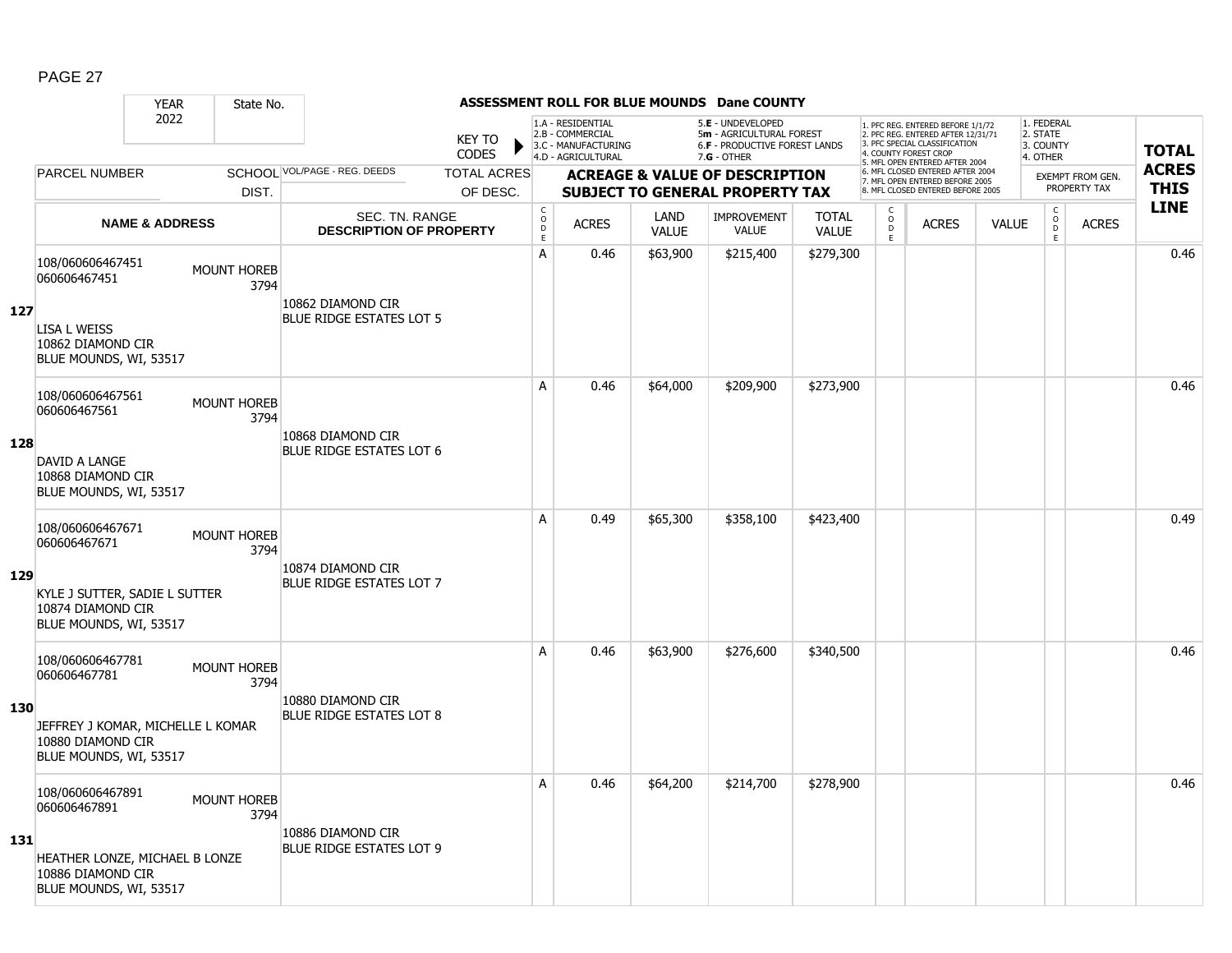|     |                                                                                  | <b>YEAR</b>               | State No.                  |                                                      |                                |                                               |                                                                                    |                      | <b>ASSESSMENT ROLL FOR BLUE MOUNDS Dane COUNTY</b>                                            |                              |                          |                                                                                                                                                                     |              |                                                 |                                         |                             |
|-----|----------------------------------------------------------------------------------|---------------------------|----------------------------|------------------------------------------------------|--------------------------------|-----------------------------------------------|------------------------------------------------------------------------------------|----------------------|-----------------------------------------------------------------------------------------------|------------------------------|--------------------------|---------------------------------------------------------------------------------------------------------------------------------------------------------------------|--------------|-------------------------------------------------|-----------------------------------------|-----------------------------|
|     |                                                                                  | 2022                      |                            |                                                      | <b>KEY TO</b><br><b>CODES</b>  |                                               | 1.A - RESIDENTIAL<br>2.B - COMMERCIAL<br>3.C - MANUFACTURING<br>4.D - AGRICULTURAL |                      | 5.E - UNDEVELOPED<br>5m - AGRICULTURAL FOREST<br>6.F - PRODUCTIVE FOREST LANDS<br>7.G - OTHER |                              |                          | 1. PFC REG. ENTERED BEFORE 1/1/72<br>2. PFC REG. ENTERED AFTER 12/31/71<br>3. PFC SPECIAL CLASSIFICATION<br>4. COUNTY FOREST CROP<br>5. MFL OPEN ENTERED AFTER 2004 |              | 1. FEDERAL<br>2. STATE<br>3. COUNTY<br>4. OTHER |                                         | <b>TOTAL</b>                |
|     | PARCEL NUMBER                                                                    |                           | DIST.                      | SCHOOL VOL/PAGE - REG. DEEDS                         | <b>TOTAL ACRES</b><br>OF DESC. |                                               |                                                                                    |                      | <b>ACREAGE &amp; VALUE OF DESCRIPTION</b><br><b>SUBJECT TO GENERAL PROPERTY TAX</b>           |                              |                          | 6. MFL CLOSED ENTERED AFTER 2004<br>7. MFL OPEN ENTERED BEFORE 2005<br>8. MFL CLOSED ENTERED BEFORE 2005                                                            |              |                                                 | <b>EXEMPT FROM GEN.</b><br>PROPERTY TAX | <b>ACRES</b><br><b>THIS</b> |
|     |                                                                                  | <b>NAME &amp; ADDRESS</b> |                            | SEC. TN. RANGE<br><b>DESCRIPTION OF PROPERTY</b>     |                                | $_{\rm o}^{\rm c}$<br>$\bar{\mathsf{D}}$<br>E | <b>ACRES</b>                                                                       | LAND<br><b>VALUE</b> | <b>IMPROVEMENT</b><br><b>VALUE</b>                                                            | <b>TOTAL</b><br><b>VALUE</b> | C<br>$\overline{D}$<br>E | <b>ACRES</b>                                                                                                                                                        | <b>VALUE</b> | $\begin{matrix} 0 \\ 0 \end{matrix}$<br>E       | <b>ACRES</b>                            | <b>LINE</b>                 |
| 127 | 108/060606467451<br>060606467451<br><b>LISA L WEISS</b>                          |                           | <b>MOUNT HOREB</b><br>3794 | 10862 DIAMOND CIR<br><b>BLUE RIDGE ESTATES LOT 5</b> |                                | A                                             | 0.46                                                                               | \$63,900             | \$215,400                                                                                     | \$279,300                    |                          |                                                                                                                                                                     |              |                                                 |                                         | 0.46                        |
|     | 10862 DIAMOND CIR<br>BLUE MOUNDS, WI, 53517                                      |                           |                            |                                                      |                                |                                               |                                                                                    |                      |                                                                                               |                              |                          |                                                                                                                                                                     |              |                                                 |                                         |                             |
|     | 108/060606467561<br>060606467561                                                 |                           | <b>MOUNT HOREB</b><br>3794 | 10868 DIAMOND CIR                                    |                                | A                                             | 0.46                                                                               | \$64,000             | \$209,900                                                                                     | \$273,900                    |                          |                                                                                                                                                                     |              |                                                 |                                         | 0.46                        |
| 128 | DAVID A LANGE<br>10868 DIAMOND CIR<br>BLUE MOUNDS, WI, 53517                     |                           |                            | BLUE RIDGE ESTATES LOT 6                             |                                |                                               |                                                                                    |                      |                                                                                               |                              |                          |                                                                                                                                                                     |              |                                                 |                                         |                             |
|     | 108/060606467671<br>060606467671                                                 |                           | <b>MOUNT HOREB</b><br>3794 | 10874 DIAMOND CIR                                    |                                | A                                             | 0.49                                                                               | \$65,300             | \$358,100                                                                                     | \$423,400                    |                          |                                                                                                                                                                     |              |                                                 |                                         | 0.49                        |
| 129 | KYLE J SUTTER, SADIE L SUTTER<br>10874 DIAMOND CIR<br>BLUE MOUNDS, WI, 53517     |                           |                            | <b>BLUE RIDGE ESTATES LOT 7</b>                      |                                |                                               |                                                                                    |                      |                                                                                               |                              |                          |                                                                                                                                                                     |              |                                                 |                                         |                             |
|     | 108/060606467781<br>060606467781                                                 |                           | <b>MOUNT HOREB</b><br>3794 | 10880 DIAMOND CIR                                    |                                | A                                             | 0.46                                                                               | \$63,900             | \$276,600                                                                                     | \$340,500                    |                          |                                                                                                                                                                     |              |                                                 |                                         | 0.46                        |
| 130 | JEFFREY J KOMAR, MICHELLE L KOMAR<br>10880 DIAMOND CIR<br>BLUE MOUNDS, WI, 53517 |                           |                            | <b>BLUE RIDGE ESTATES LOT 8</b>                      |                                |                                               |                                                                                    |                      |                                                                                               |                              |                          |                                                                                                                                                                     |              |                                                 |                                         |                             |
|     | 108/060606467891<br>060606467891                                                 |                           | <b>MOUNT HOREB</b><br>3794 | 10886 DIAMOND CIR                                    |                                | A                                             | 0.46                                                                               | \$64,200             | \$214,700                                                                                     | \$278,900                    |                          |                                                                                                                                                                     |              |                                                 |                                         | 0.46                        |
| 131 | HEATHER LONZE, MICHAEL B LONZE<br>10886 DIAMOND CIR<br>BLUE MOUNDS, WI, 53517    |                           |                            | <b>BLUE RIDGE ESTATES LOT 9</b>                      |                                |                                               |                                                                                    |                      |                                                                                               |                              |                          |                                                                                                                                                                     |              |                                                 |                                         |                             |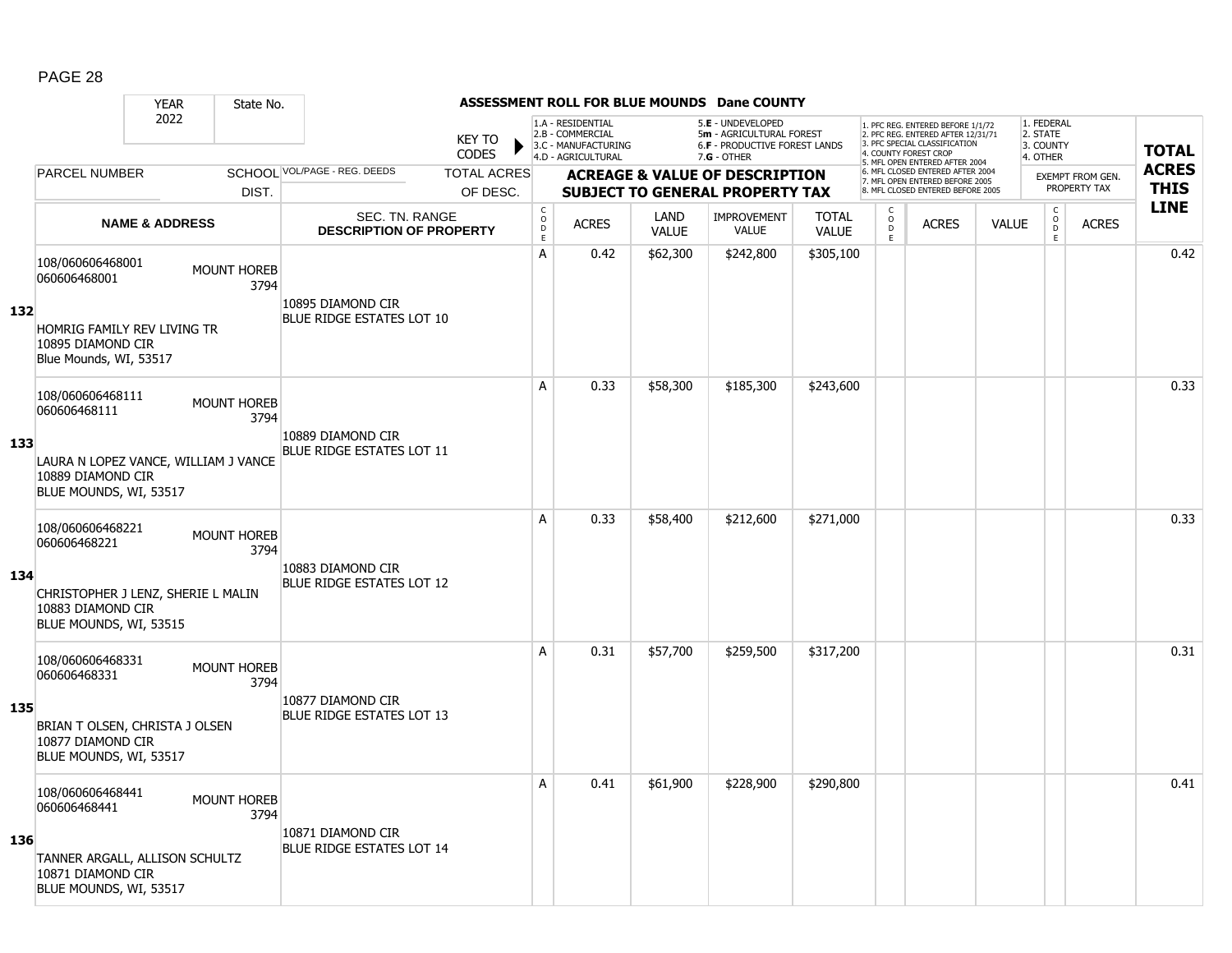|     |                                                                                                                                                 | <b>YEAR</b>               | State No.                  |                                                       |                               |                              |                                                                                    |                      | ASSESSMENT ROLL FOR BLUE MOUNDS Dane COUNTY                                                   |                              |                           |                                                                                                          |              |                                                 |                         |              |
|-----|-------------------------------------------------------------------------------------------------------------------------------------------------|---------------------------|----------------------------|-------------------------------------------------------|-------------------------------|------------------------------|------------------------------------------------------------------------------------|----------------------|-----------------------------------------------------------------------------------------------|------------------------------|---------------------------|----------------------------------------------------------------------------------------------------------|--------------|-------------------------------------------------|-------------------------|--------------|
|     |                                                                                                                                                 | 2022                      |                            |                                                       | <b>KEY TO</b><br><b>CODES</b> |                              | 1.A - RESIDENTIAL<br>2.B - COMMERCIAL<br>3.C - MANUFACTURING<br>4.D - AGRICULTURAL |                      | 5.E - UNDEVELOPED<br>5m - AGRICULTURAL FOREST<br>6.F - PRODUCTIVE FOREST LANDS<br>7.G - OTHER |                              | 4. COUNTY FOREST CROP     | 1. PFC REG. ENTERED BEFORE 1/1/72<br>2. PFC REG. ENTERED AFTER 12/31/71<br>3. PFC SPECIAL CLASSIFICATION |              | 1. FEDERAL<br>2. STATE<br>3. COUNTY<br>4. OTHER |                         | <b>TOTAL</b> |
|     | <b>PARCEL NUMBER</b>                                                                                                                            |                           |                            | SCHOOL VOL/PAGE - REG. DEEDS                          | <b>TOTAL ACRES</b>            |                              |                                                                                    |                      | <b>ACREAGE &amp; VALUE OF DESCRIPTION</b>                                                     |                              |                           | 5. MFL OPEN ENTERED AFTER 2004<br>6. MFL CLOSED ENTERED AFTER 2004<br>7. MFL OPEN ENTERED BEFORE 2005    |              |                                                 | <b>EXEMPT FROM GEN.</b> | <b>ACRES</b> |
|     |                                                                                                                                                 |                           | DIST.                      |                                                       | OF DESC.                      |                              |                                                                                    |                      | <b>SUBJECT TO GENERAL PROPERTY TAX</b>                                                        |                              |                           | 8. MFL CLOSED ENTERED BEFORE 2005                                                                        |              |                                                 | PROPERTY TAX            | <b>THIS</b>  |
|     |                                                                                                                                                 | <b>NAME &amp; ADDRESS</b> |                            | SEC. TN. RANGE<br><b>DESCRIPTION OF PROPERTY</b>      |                               | $_{\rm o}^{\rm c}$<br>D<br>E | <b>ACRES</b>                                                                       | LAND<br><b>VALUE</b> | <b>IMPROVEMENT</b><br><b>VALUE</b>                                                            | <b>TOTAL</b><br><b>VALUE</b> | $\int_{0}^{c}$<br>D<br>Ε. | <b>ACRES</b>                                                                                             | <b>VALUE</b> | $\begin{matrix} 0 \\ 0 \\ 0 \end{matrix}$<br>E  | <b>ACRES</b>            | <b>LINE</b>  |
| 132 | 108/060606468001<br>060606468001<br>HOMRIG FAMILY REV LIVING TR<br>10895 DIAMOND CIR                                                            |                           | <b>MOUNT HOREB</b><br>3794 | 10895 DIAMOND CIR<br>BLUE RIDGE ESTATES LOT 10        |                               | A                            | 0.42                                                                               | \$62,300             | \$242,800                                                                                     | \$305,100                    |                           |                                                                                                          |              |                                                 |                         | 0.42         |
| 133 | Blue Mounds, WI, 53517<br>108/060606468111<br>060606468111<br>LAURA N LOPEZ VANCE, WILLIAM J VANCE<br>10889 DIAMOND CIR                         |                           | <b>MOUNT HOREB</b><br>3794 | 10889 DIAMOND CIR<br>BLUE RIDGE ESTATES LOT 11        |                               | A                            | 0.33                                                                               | \$58,300             | \$185,300                                                                                     | \$243,600                    |                           |                                                                                                          |              |                                                 |                         | 0.33         |
| 134 | BLUE MOUNDS, WI, 53517<br>108/060606468221<br>060606468221<br>CHRISTOPHER J LENZ, SHERIE L MALIN<br>10883 DIAMOND CIR<br>BLUE MOUNDS, WI, 53515 |                           | <b>MOUNT HOREB</b><br>3794 | 10883 DIAMOND CIR<br><b>BLUE RIDGE ESTATES LOT 12</b> |                               | А                            | 0.33                                                                               | \$58,400             | \$212,600                                                                                     | \$271,000                    |                           |                                                                                                          |              |                                                 |                         | 0.33         |
| 135 | 108/060606468331<br>060606468331<br>BRIAN T OLSEN, CHRISTA J OLSEN<br>10877 DIAMOND CIR<br>BLUE MOUNDS, WI, 53517                               |                           | <b>MOUNT HOREB</b><br>3794 | 10877 DIAMOND CIR<br><b>BLUE RIDGE ESTATES LOT 13</b> |                               | A                            | 0.31                                                                               | \$57,700             | \$259,500                                                                                     | \$317,200                    |                           |                                                                                                          |              |                                                 |                         | 0.31         |
| 136 | 108/060606468441<br>060606468441<br>TANNER ARGALL, ALLISON SCHULTZ<br>10871 DIAMOND CIR<br>BLUE MOUNDS, WI, 53517                               |                           | <b>MOUNT HOREB</b><br>3794 | 10871 DIAMOND CIR<br>BLUE RIDGE ESTATES LOT 14        |                               | A                            | 0.41                                                                               | \$61,900             | \$228,900                                                                                     | \$290,800                    |                           |                                                                                                          |              |                                                 |                         | 0.41         |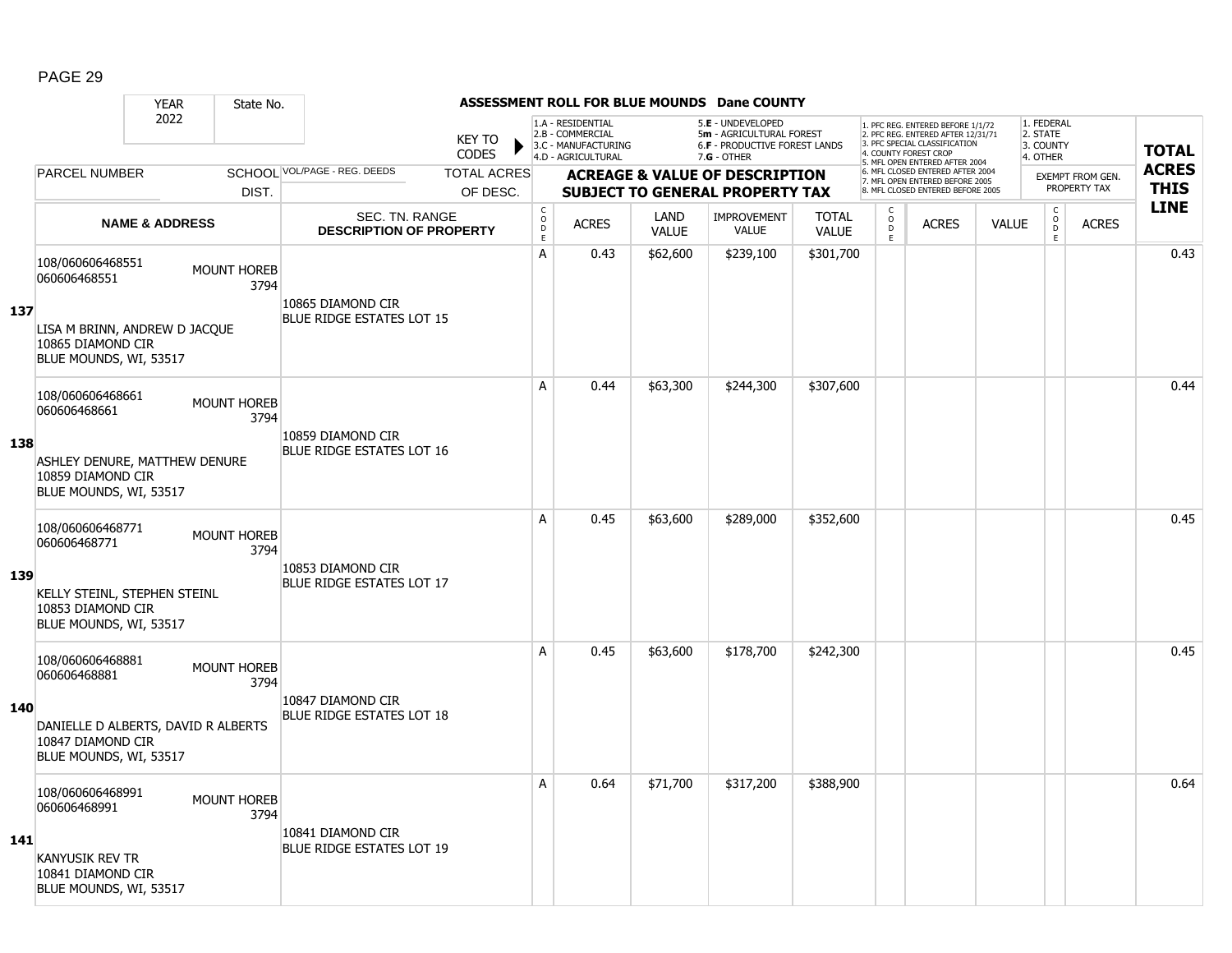|     |                                                                                    | <b>YEAR</b>               | State No.                  |                                                  |                                |                                                              |                                                                                    |                      | ASSESSMENT ROLL FOR BLUE MOUNDS Dane COUNTY                                                   |                              |                        |                                                                                                                                                                     |              |                                                        |                                         |                             |
|-----|------------------------------------------------------------------------------------|---------------------------|----------------------------|--------------------------------------------------|--------------------------------|--------------------------------------------------------------|------------------------------------------------------------------------------------|----------------------|-----------------------------------------------------------------------------------------------|------------------------------|------------------------|---------------------------------------------------------------------------------------------------------------------------------------------------------------------|--------------|--------------------------------------------------------|-----------------------------------------|-----------------------------|
|     |                                                                                    | 2022                      |                            |                                                  | <b>KEY TO</b><br><b>CODES</b>  |                                                              | 1.A - RESIDENTIAL<br>2.B - COMMERCIAL<br>3.C - MANUFACTURING<br>4.D - AGRICULTURAL |                      | 5.E - UNDEVELOPED<br>5m - AGRICULTURAL FOREST<br>6.F - PRODUCTIVE FOREST LANDS<br>7.G - OTHER |                              |                        | 1. PFC REG. ENTERED BEFORE 1/1/72<br>2. PFC REG. ENTERED AFTER 12/31/71<br>3. PFC SPECIAL CLASSIFICATION<br>4. COUNTY FOREST CROP<br>5. MFL OPEN ENTERED AFTER 2004 |              | 1. FEDERAL<br>2. STATE<br>3. COUNTY<br>4. OTHER        |                                         | <b>TOTAL</b>                |
|     | <b>PARCEL NUMBER</b>                                                               |                           | DIST.                      | SCHOOL VOL/PAGE - REG. DEEDS                     | <b>TOTAL ACRES</b><br>OF DESC. |                                                              |                                                                                    |                      | <b>ACREAGE &amp; VALUE OF DESCRIPTION</b><br><b>SUBJECT TO GENERAL PROPERTY TAX</b>           |                              |                        | 6. MFL CLOSED ENTERED AFTER 2004<br>7. MFL OPEN ENTERED BEFORE 2005<br>8. MFL CLOSED ENTERED BEFORE 2005                                                            |              |                                                        | <b>EXEMPT FROM GEN.</b><br>PROPERTY TAX | <b>ACRES</b><br><b>THIS</b> |
|     |                                                                                    | <b>NAME &amp; ADDRESS</b> |                            | SEC. TN. RANGE<br><b>DESCRIPTION OF PROPERTY</b> |                                | $\mathsf{C}$<br>$\overset{\circ}{\mathsf{D}}$<br>$\mathsf E$ | <b>ACRES</b>                                                                       | LAND<br><b>VALUE</b> | <b>IMPROVEMENT</b><br><b>VALUE</b>                                                            | <b>TOTAL</b><br><b>VALUE</b> | C<br>$\circ$<br>D<br>E | <b>ACRES</b>                                                                                                                                                        | <b>VALUE</b> | $\mathsf C$<br>$\overset{\mathsf{O}}{\mathsf{D}}$<br>E | <b>ACRES</b>                            | <b>LINE</b>                 |
|     | 108/060606468551<br>060606468551                                                   |                           | <b>MOUNT HOREB</b><br>3794 | 10865 DIAMOND CIR                                |                                | A                                                            | 0.43                                                                               | \$62,600             | \$239,100                                                                                     | \$301,700                    |                        |                                                                                                                                                                     |              |                                                        |                                         | 0.43                        |
| 137 | LISA M BRINN, ANDREW D JACQUE<br>10865 DIAMOND CIR<br>BLUE MOUNDS, WI, 53517       |                           |                            | <b>BLUE RIDGE ESTATES LOT 15</b>                 |                                |                                                              |                                                                                    |                      |                                                                                               |                              |                        |                                                                                                                                                                     |              |                                                        |                                         |                             |
|     | 108/060606468661<br>060606468661                                                   |                           | <b>MOUNT HOREB</b><br>3794 |                                                  |                                | A                                                            | 0.44                                                                               | \$63,300             | \$244,300                                                                                     | \$307,600                    |                        |                                                                                                                                                                     |              |                                                        |                                         | 0.44                        |
| 138 | ASHLEY DENURE, MATTHEW DENURE<br>10859 DIAMOND CIR<br>BLUE MOUNDS, WI, 53517       |                           |                            | 10859 DIAMOND CIR<br>BLUE RIDGE ESTATES LOT 16   |                                |                                                              |                                                                                    |                      |                                                                                               |                              |                        |                                                                                                                                                                     |              |                                                        |                                         |                             |
|     | 108/060606468771<br>060606468771                                                   |                           | <b>MOUNT HOREB</b><br>3794 |                                                  |                                | A                                                            | 0.45                                                                               | \$63,600             | \$289,000                                                                                     | \$352,600                    |                        |                                                                                                                                                                     |              |                                                        |                                         | 0.45                        |
| 139 | KELLY STEINL, STEPHEN STEINL<br>10853 DIAMOND CIR<br>BLUE MOUNDS, WI, 53517        |                           |                            | 10853 DIAMOND CIR<br>BLUE RIDGE ESTATES LOT 17   |                                |                                                              |                                                                                    |                      |                                                                                               |                              |                        |                                                                                                                                                                     |              |                                                        |                                         |                             |
|     | 108/060606468881<br>060606468881                                                   |                           | <b>MOUNT HOREB</b><br>3794 |                                                  |                                | A                                                            | 0.45                                                                               | \$63,600             | \$178,700                                                                                     | \$242,300                    |                        |                                                                                                                                                                     |              |                                                        |                                         | 0.45                        |
| 140 | DANIELLE D ALBERTS, DAVID R ALBERTS<br>10847 DIAMOND CIR<br>BLUE MOUNDS, WI, 53517 |                           |                            | 10847 DIAMOND CIR<br>BLUE RIDGE ESTATES LOT 18   |                                |                                                              |                                                                                    |                      |                                                                                               |                              |                        |                                                                                                                                                                     |              |                                                        |                                         |                             |
|     | 108/060606468991<br>060606468991                                                   |                           | <b>MOUNT HOREB</b><br>3794 |                                                  |                                | A                                                            | 0.64                                                                               | \$71,700             | \$317,200                                                                                     | \$388,900                    |                        |                                                                                                                                                                     |              |                                                        |                                         | 0.64                        |
| 141 | <b>KANYUSIK REV TR</b><br>10841 DIAMOND CIR<br>BLUE MOUNDS, WI, 53517              |                           |                            | 10841 DIAMOND CIR<br>BLUE RIDGE ESTATES LOT 19   |                                |                                                              |                                                                                    |                      |                                                                                               |                              |                        |                                                                                                                                                                     |              |                                                        |                                         |                             |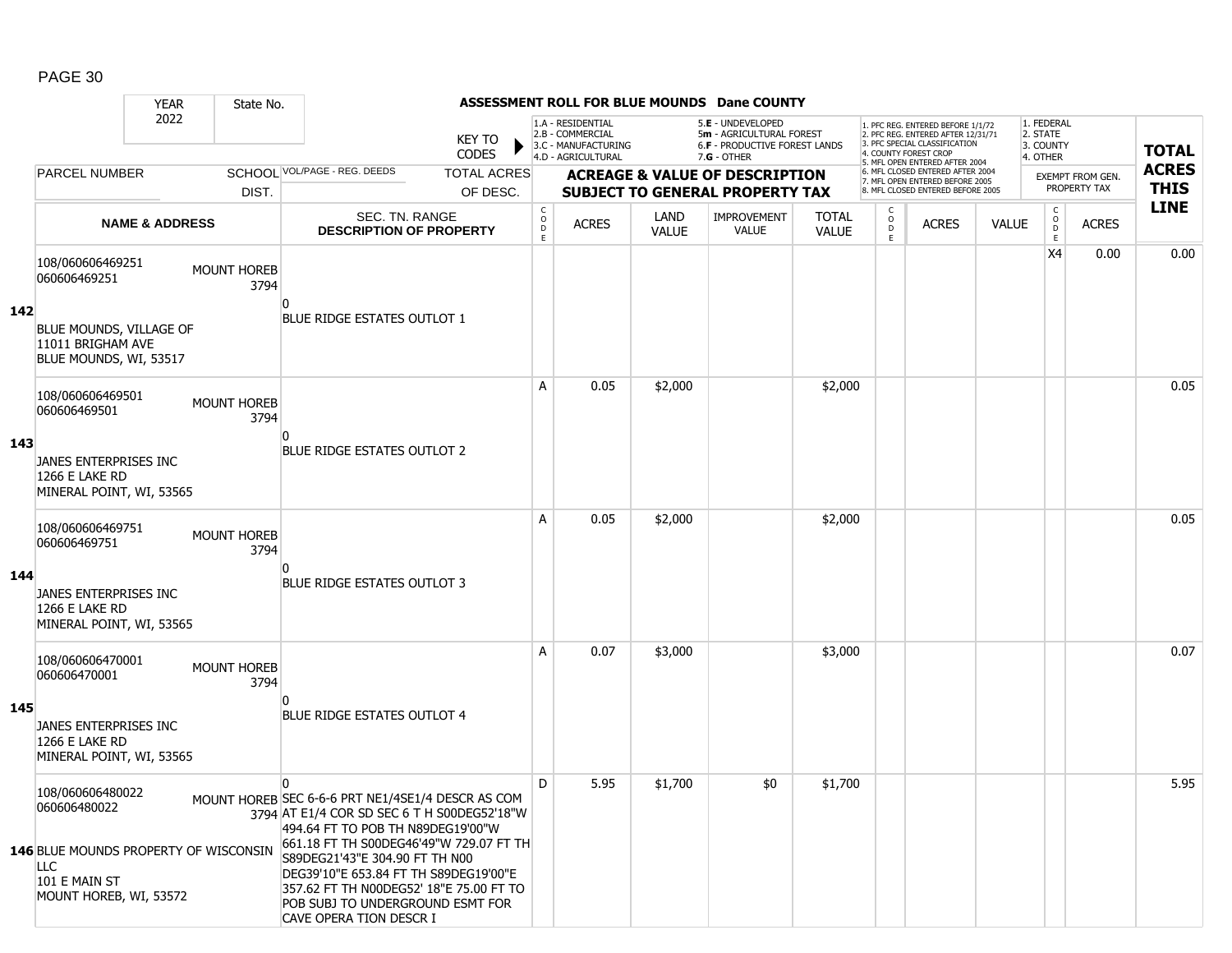|     |                                                                                                                                    | <b>YEAR</b>               | State No.                  |                                                                                                                                                                                                                                                                                                                                                                                       |                               |                                                |                                                                                    |                             | ASSESSMENT ROLL FOR BLUE MOUNDS Dane COUNTY                                                     |                              |                                   |                                                                                                                                   |              |                                                          |                  |              |
|-----|------------------------------------------------------------------------------------------------------------------------------------|---------------------------|----------------------------|---------------------------------------------------------------------------------------------------------------------------------------------------------------------------------------------------------------------------------------------------------------------------------------------------------------------------------------------------------------------------------------|-------------------------------|------------------------------------------------|------------------------------------------------------------------------------------|-----------------------------|-------------------------------------------------------------------------------------------------|------------------------------|-----------------------------------|-----------------------------------------------------------------------------------------------------------------------------------|--------------|----------------------------------------------------------|------------------|--------------|
|     |                                                                                                                                    | 2022                      |                            |                                                                                                                                                                                                                                                                                                                                                                                       | <b>KEY TO</b><br><b>CODES</b> |                                                | 1.A - RESIDENTIAL<br>2.B - COMMERCIAL<br>3.C - MANUFACTURING<br>4.D - AGRICULTURAL |                             | 5.E - UNDEVELOPED<br>5m - AGRICULTURAL FOREST<br>6.F - PRODUCTIVE FOREST LANDS<br>$7.G - OTHER$ |                              |                                   | 1. PFC REG. ENTERED BEFORE 1/1/72<br>2. PFC REG. ENTERED AFTER 12/31/71<br>3. PFC SPECIAL CLASSIFICATION<br>4. COUNTY FOREST CROP |              | 1. FEDERAL<br>2. STATE<br>3. COUNTY<br>4. OTHER          |                  | <b>TOTAL</b> |
|     | <b>PARCEL NUMBER</b>                                                                                                               |                           |                            | SCHOOL VOL/PAGE - REG. DEEDS                                                                                                                                                                                                                                                                                                                                                          | <b>TOTAL ACRES</b>            |                                                |                                                                                    |                             | <b>ACREAGE &amp; VALUE OF DESCRIPTION</b>                                                       |                              |                                   | 5. MFL OPEN ENTERED AFTER 2004<br>6. MFL CLOSED ENTERED AFTER 2004<br>7. MFL OPEN ENTERED BEFORE 2005                             |              |                                                          | EXEMPT FROM GEN. | <b>ACRES</b> |
|     |                                                                                                                                    |                           | DIST.                      |                                                                                                                                                                                                                                                                                                                                                                                       | OF DESC.                      |                                                |                                                                                    |                             | <b>SUBJECT TO GENERAL PROPERTY TAX</b>                                                          |                              |                                   | 8. MFL CLOSED ENTERED BEFORE 2005                                                                                                 |              |                                                          | PROPERTY TAX     | <b>THIS</b>  |
|     |                                                                                                                                    | <b>NAME &amp; ADDRESS</b> |                            | SEC. TN. RANGE<br><b>DESCRIPTION OF PROPERTY</b>                                                                                                                                                                                                                                                                                                                                      |                               | $\begin{matrix} 0 \\ 0 \\ D \end{matrix}$<br>E | <b>ACRES</b>                                                                       | <b>LAND</b><br><b>VALUE</b> | <b>IMPROVEMENT</b><br><b>VALUE</b>                                                              | <b>TOTAL</b><br><b>VALUE</b> | $\mathsf{C}$<br>$\circ$<br>D<br>E | <b>ACRES</b>                                                                                                                      | <b>VALUE</b> | $\begin{matrix} 0 \\ 0 \\ 0 \end{matrix}$<br>$\mathsf E$ | <b>ACRES</b>     | <b>LINE</b>  |
| 142 | 108/060606469251<br>060606469251<br>BLUE MOUNDS, VILLAGE OF<br>11011 BRIGHAM AVE<br>BLUE MOUNDS, WI, 53517                         |                           | MOUNT HOREB<br>3794        | <b>BLUE RIDGE ESTATES OUTLOT 1</b>                                                                                                                                                                                                                                                                                                                                                    |                               |                                                |                                                                                    |                             |                                                                                                 |                              |                                   |                                                                                                                                   |              | X4                                                       | 0.00             | 0.00         |
| 143 | 108/060606469501<br>060606469501<br>JANES ENTERPRISES INC<br>1266 E LAKE RD<br>MINERAL POINT, WI, 53565                            |                           | <b>MOUNT HOREB</b><br>3794 | BLUE RIDGE ESTATES OUTLOT 2                                                                                                                                                                                                                                                                                                                                                           |                               | A                                              | 0.05                                                                               | \$2,000                     |                                                                                                 | \$2,000                      |                                   |                                                                                                                                   |              |                                                          |                  | 0.05         |
| 144 | 108/060606469751<br>060606469751<br>JANES ENTERPRISES INC<br><b>1266 E LAKE RD</b><br>MINERAL POINT, WI, 53565                     |                           | <b>MOUNT HOREB</b><br>3794 | n<br>BLUE RIDGE ESTATES OUTLOT 3                                                                                                                                                                                                                                                                                                                                                      |                               | A                                              | 0.05                                                                               | \$2,000                     |                                                                                                 | \$2,000                      |                                   |                                                                                                                                   |              |                                                          |                  | 0.05         |
| 145 | 108/060606470001<br>060606470001<br>JANES ENTERPRISES INC<br>1266 E LAKE RD<br>MINERAL POINT, WI, 53565                            |                           | MOUNT HOREB<br>3794        | <b>BLUE RIDGE ESTATES OUTLOT 4</b>                                                                                                                                                                                                                                                                                                                                                    |                               | A                                              | 0.07                                                                               | \$3,000                     |                                                                                                 | \$3,000                      |                                   |                                                                                                                                   |              |                                                          |                  | 0.07         |
|     | 108/060606480022<br>060606480022<br>146 BLUE MOUNDS PROPERTY OF WISCONSIN<br><b>LLC</b><br>101 E MAIN ST<br>MOUNT HOREB, WI, 53572 |                           |                            | $\mathbf{0}$<br>MOUNT HOREB SEC 6-6-6 PRT NE1/4SE1/4 DESCR AS COM<br>3794 AT E1/4 COR SD SEC 6 T H S00DEG52'18"W<br>494.64 FT TO POB TH N89DEG19'00"W<br>661.18 FT TH S00DEG46'49"W 729.07 FT TH<br>S89DEG21'43"E 304.90 FT TH N00<br>DEG39'10"E 653.84 FT TH S89DEG19'00"E<br>357.62 FT TH N00DEG52' 18"E 75.00 FT TO<br>POB SUBJ TO UNDERGROUND ESMT FOR<br>CAVE OPERA TION DESCR I |                               | D                                              | 5.95                                                                               | \$1,700                     | \$0                                                                                             | \$1,700                      |                                   |                                                                                                                                   |              |                                                          |                  | 5.95         |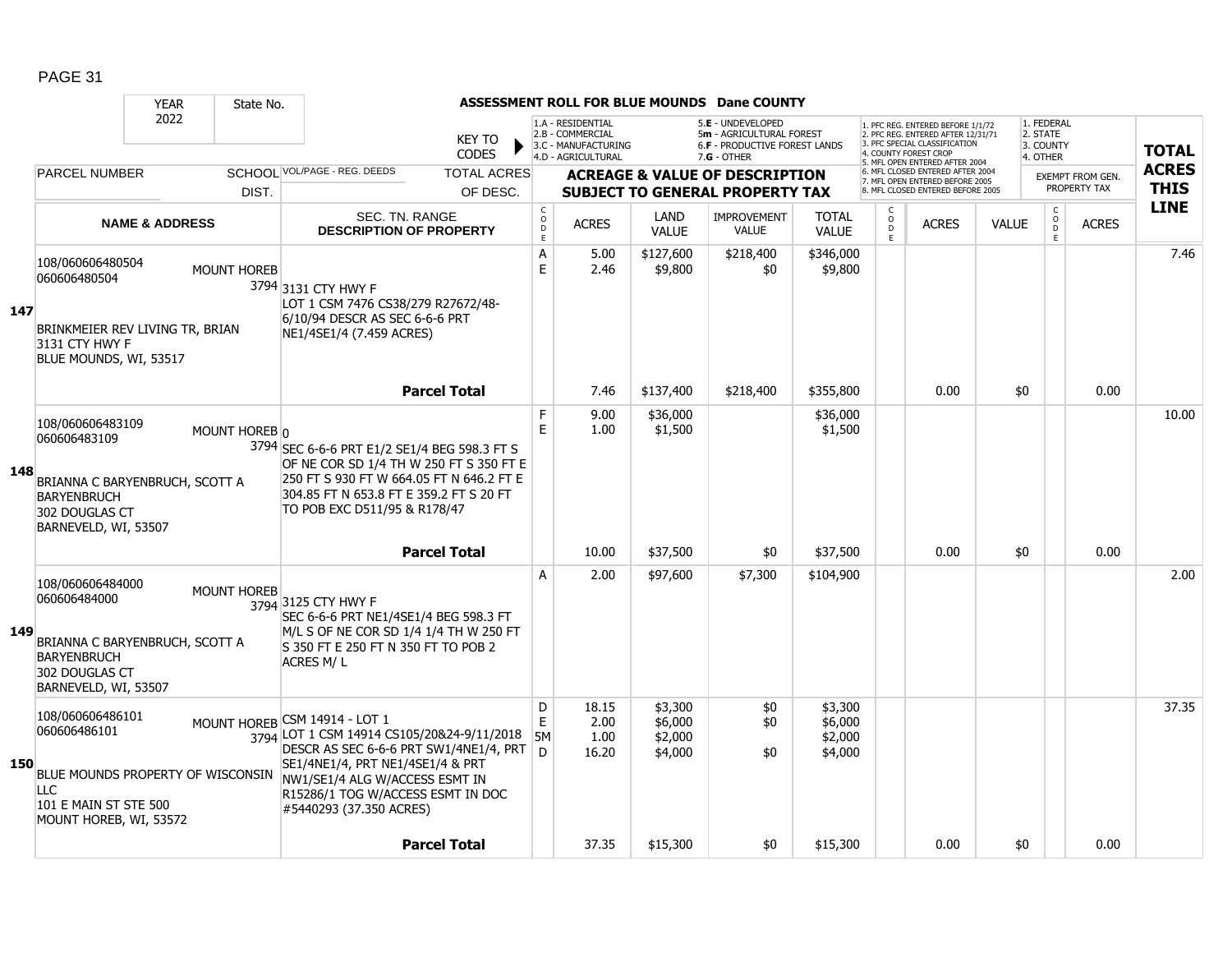|     |                                                                                                                                        | <b>YEAR</b>               | State No.          |                                                                                                                                                                                                                                                             |                             |                                                                                    |                                          | ASSESSMENT ROLL FOR BLUE MOUNDS Dane COUNTY                                                     |                                          |                                                 |                                                                                                                                            |              |                                                 |                                  |                             |
|-----|----------------------------------------------------------------------------------------------------------------------------------------|---------------------------|--------------------|-------------------------------------------------------------------------------------------------------------------------------------------------------------------------------------------------------------------------------------------------------------|-----------------------------|------------------------------------------------------------------------------------|------------------------------------------|-------------------------------------------------------------------------------------------------|------------------------------------------|-------------------------------------------------|--------------------------------------------------------------------------------------------------------------------------------------------|--------------|-------------------------------------------------|----------------------------------|-----------------------------|
|     |                                                                                                                                        | 2022                      |                    | <b>KEY TO</b><br><b>CODES</b>                                                                                                                                                                                                                               |                             | 1.A - RESIDENTIAL<br>2.B - COMMERCIAL<br>3.C - MANUFACTURING<br>4.D - AGRICULTURAL |                                          | 5.E - UNDEVELOPED<br>5m - AGRICULTURAL FOREST<br>6.F - PRODUCTIVE FOREST LANDS<br>$7.G - OTHER$ |                                          |                                                 | 1. PFC REG. ENTERED BEFORE 1/1/72<br>2. PFC REG. ENTERED AFTER 12/31/71<br>3. PFC SPECIAL CLASSIFICATION<br>4. COUNTY FOREST CROP          |              | 1. FEDERAL<br>2. STATE<br>3. COUNTY<br>4. OTHER |                                  | <b>TOTAL</b>                |
|     | <b>PARCEL NUMBER</b>                                                                                                                   |                           | DIST.              | SCHOOL VOL/PAGE - REG. DEEDS<br><b>TOTAL ACRES</b>                                                                                                                                                                                                          |                             |                                                                                    |                                          | <b>ACREAGE &amp; VALUE OF DESCRIPTION</b><br><b>SUBJECT TO GENERAL PROPERTY TAX</b>             |                                          |                                                 | 5. MFL OPEN ENTERED AFTER 2004<br>6. MFL CLOSED ENTERED AFTER 2004<br>7. MFL OPEN ENTERED BEFORE 2005<br>8. MFL CLOSED ENTERED BEFORE 2005 |              |                                                 | EXEMPT FROM GEN.<br>PROPERTY TAX | <b>ACRES</b><br><b>THIS</b> |
|     |                                                                                                                                        |                           |                    | OF DESC.                                                                                                                                                                                                                                                    | $\mathsf C$                 |                                                                                    |                                          |                                                                                                 |                                          |                                                 |                                                                                                                                            |              |                                                 |                                  | <b>LINE</b>                 |
|     |                                                                                                                                        | <b>NAME &amp; ADDRESS</b> |                    | <b>SEC. TN. RANGE</b><br><b>DESCRIPTION OF PROPERTY</b>                                                                                                                                                                                                     | $\circ$<br>$\mathsf D$<br>E | <b>ACRES</b>                                                                       | <b>LAND</b><br><b>VALUE</b>              | <b>IMPROVEMENT</b><br><b>VALUE</b>                                                              | <b>TOTAL</b><br><b>VALUE</b>             | $\begin{matrix} 0 \\ 0 \\ D \end{matrix}$<br>F. | <b>ACRES</b>                                                                                                                               | <b>VALUE</b> | $_{\rm o}^{\rm c}$<br>$\overline{D}$<br>E       | <b>ACRES</b>                     |                             |
| 147 | 108/060606480504<br>060606480504<br>BRINKMEIER REV LIVING TR, BRIAN<br>3131 CTY HWY F<br>BLUE MOUNDS, WI, 53517                        |                           | <b>MOUNT HOREB</b> | 3794 3131 CTY HWY F<br>LOT 1 CSM 7476 CS38/279 R27672/48-<br>6/10/94 DESCR AS SEC 6-6-6 PRT<br>NE1/4SE1/4 (7.459 ACRES)                                                                                                                                     | А<br>E                      | 5.00<br>2.46                                                                       | \$127,600<br>\$9,800                     | \$218,400<br>\$0                                                                                | \$346,000<br>\$9,800                     |                                                 |                                                                                                                                            |              |                                                 |                                  | 7.46                        |
|     |                                                                                                                                        |                           |                    | <b>Parcel Total</b>                                                                                                                                                                                                                                         |                             | 7.46                                                                               | \$137,400                                | \$218,400                                                                                       | \$355,800                                |                                                 | 0.00                                                                                                                                       | \$0          |                                                 | 0.00                             |                             |
| 148 | 108/060606483109<br>060606483109<br>BRIANNA C BARYENBRUCH, SCOTT A<br><b>BARYENBRUCH</b><br>302 DOUGLAS CT<br>BARNEVELD, WI, 53507     |                           | MOUNT HOREB n      | 3794 SEC 6-6-6 PRT E1/2 SE1/4 BEG 598.3 FT S<br>OF NE COR SD 1/4 TH W 250 FT S 350 FT E<br>250 FT S 930 FT W 664.05 FT N 646.2 FT E<br>304.85 FT N 653.8 FT E 359.2 FT S 20 FT<br>TO POB EXC D511/95 & R178/47                                              | F<br>E                      | 9.00<br>1.00                                                                       | \$36,000<br>\$1,500                      |                                                                                                 | \$36,000<br>\$1,500                      |                                                 |                                                                                                                                            |              |                                                 |                                  | 10.00                       |
|     |                                                                                                                                        |                           |                    | <b>Parcel Total</b>                                                                                                                                                                                                                                         |                             | 10.00                                                                              | \$37,500                                 | \$0                                                                                             | \$37,500                                 |                                                 | 0.00                                                                                                                                       | \$0          |                                                 | 0.00                             |                             |
| 149 | 108/060606484000<br>060606484000<br>BRIANNA C BARYENBRUCH, SCOTT A<br><b>BARYENBRUCH</b><br>302 DOUGLAS CT<br>BARNEVELD, WI, 53507     |                           | <b>MOUNT HOREB</b> | 3794 3125 CTY HWY F<br>SEC 6-6-6 PRT NE1/4SE1/4 BEG 598.3 FT<br>M/L S OF NE COR SD 1/4 1/4 TH W 250 FT<br>S 350 FT E 250 FT N 350 FT TO POB 2<br>ACRES M/L                                                                                                  | A                           | 2.00                                                                               | \$97,600                                 | \$7,300                                                                                         | \$104,900                                |                                                 |                                                                                                                                            |              |                                                 |                                  | 2.00                        |
| 150 | 108/060606486101<br>060606486101<br>BLUE MOUNDS PROPERTY OF WISCONSIN<br><b>LLC</b><br>101 E MAIN ST STE 500<br>MOUNT HOREB, WI, 53572 |                           |                    | MOUNT HOREB CSM 14914 - LOT 1<br>3794 LOT 1 CSM 14914 CS105/20&24-9/11/2018<br>DESCR AS SEC 6-6-6 PRT SW1/4NE1/4, PRT<br>SE1/4NE1/4, PRT NE1/4SE1/4 & PRT<br>NW1/SE1/4 ALG W/ACCESS ESMT IN<br>R15286/1 TOG W/ACCESS ESMT IN DOC<br>#5440293 (37.350 ACRES) | D<br>E<br><b>5M</b><br>D.   | 18.15<br>2.00<br>1.00<br>16.20                                                     | \$3,300<br>\$6,000<br>\$2,000<br>\$4,000 | \$0<br>\$0<br>\$0                                                                               | \$3,300<br>\$6,000<br>\$2,000<br>\$4,000 |                                                 |                                                                                                                                            |              |                                                 |                                  | 37.35                       |
|     |                                                                                                                                        |                           |                    | <b>Parcel Total</b>                                                                                                                                                                                                                                         |                             | 37.35                                                                              | \$15,300                                 | \$0                                                                                             | \$15,300                                 |                                                 | 0.00                                                                                                                                       | \$0          |                                                 | 0.00                             |                             |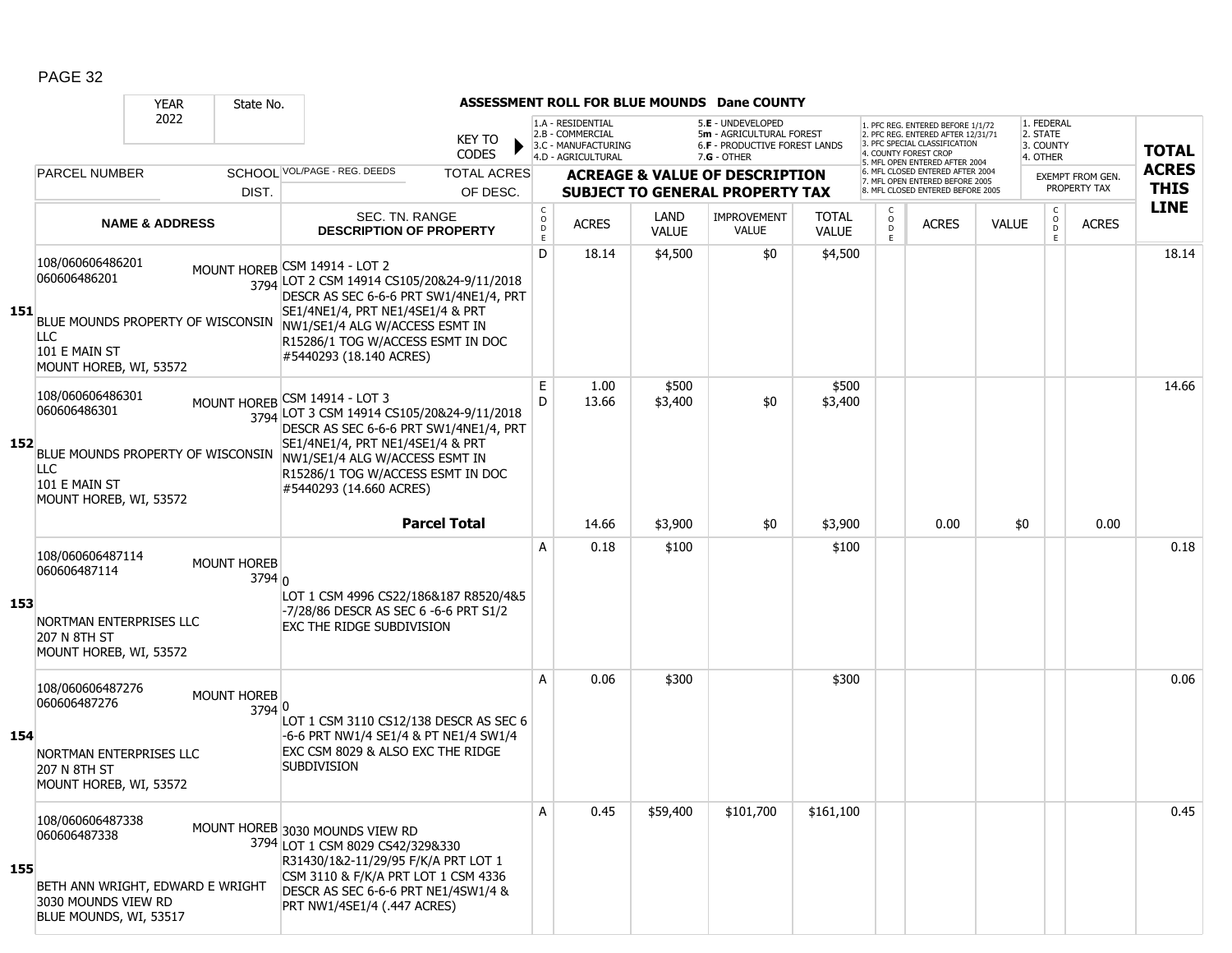|     |                                                                                                                                | <b>YEAR</b>               | State No.                      |                                                                                                                                                                                                                                                             |                                                          |                                                              |                      | ASSESSMENT ROLL FOR BLUE MOUNDS Dane COUNTY                                         |                              |                          |                      |                                                                                                          |              |                                     |                                         |              |
|-----|--------------------------------------------------------------------------------------------------------------------------------|---------------------------|--------------------------------|-------------------------------------------------------------------------------------------------------------------------------------------------------------------------------------------------------------------------------------------------------------|----------------------------------------------------------|--------------------------------------------------------------|----------------------|-------------------------------------------------------------------------------------|------------------------------|--------------------------|----------------------|----------------------------------------------------------------------------------------------------------|--------------|-------------------------------------|-----------------------------------------|--------------|
|     |                                                                                                                                | 2022                      |                                | KEY TO<br><b>CODES</b>                                                                                                                                                                                                                                      |                                                          | 1.A - RESIDENTIAL<br>2.B - COMMERCIAL<br>3.C - MANUFACTURING |                      | 5.E - UNDEVELOPED<br>5m - AGRICULTURAL FOREST<br>6.F - PRODUCTIVE FOREST LANDS      |                              |                          | . COUNTY FOREST CROP | 1. PFC REG. ENTERED BEFORE 1/1/72<br>2. PFC REG. ENTERED AFTER 12/31/71<br>3. PFC SPECIAL CLASSIFICATION |              | 1. FEDERAL<br>2. STATE<br>3. COUNTY |                                         | <b>TOTAL</b> |
|     | <b>PARCEL NUMBER</b>                                                                                                           |                           |                                | SCHOOL VOL/PAGE - REG. DEEDS                                                                                                                                                                                                                                |                                                          | 4.D - AGRICULTURAL                                           |                      | $7.G - OTHER$                                                                       |                              |                          |                      | . MFL OPEN ENTERED AFTER 2004<br>6. MFL CLOSED ENTERED AFTER 2004                                        |              | 4. OTHER                            |                                         | <b>ACRES</b> |
|     |                                                                                                                                |                           | DIST.                          | <b>TOTAL ACRES</b><br>OF DESC.                                                                                                                                                                                                                              |                                                          |                                                              |                      | <b>ACREAGE &amp; VALUE OF DESCRIPTION</b><br><b>SUBJECT TO GENERAL PROPERTY TAX</b> |                              |                          |                      | 7. MFL OPEN ENTERED BEFORE 2005<br>R MEL CLOSED ENTERED REFORE 2005                                      |              |                                     | <b>EXEMPT FROM GEN.</b><br>PROPERTY TAX | <b>THIS</b>  |
|     |                                                                                                                                | <b>NAME &amp; ADDRESS</b> |                                | SEC. TN. RANGE<br><b>DESCRIPTION OF PROPERTY</b>                                                                                                                                                                                                            | $\begin{matrix} 0 \\ 0 \\ 0 \end{matrix}$<br>$\mathsf E$ | <b>ACRES</b>                                                 | LAND<br><b>VALUE</b> | <b>IMPROVEMENT</b><br><b>VALUE</b>                                                  | <b>TOTAL</b><br><b>VALUE</b> | C<br>$\overline{0}$<br>E |                      | <b>ACRES</b>                                                                                             | <b>VALUE</b> | $\mathsf{C}$<br>$\overline{D}$<br>E | <b>ACRES</b>                            | <b>LINE</b>  |
| 151 | 108/060606486201<br>060606486201<br>BLUE MOUNDS PROPERTY OF WISCONSIN<br><b>LLC</b><br>101 E MAIN ST<br>MOUNT HOREB, WI, 53572 |                           |                                | MOUNT HOREB CSM 14914 - LOT 2<br>3794 LOT 2 CSM 14914 CS105/20&24-9/11/2018<br>DESCR AS SEC 6-6-6 PRT SW1/4NE1/4, PRT<br>SE1/4NE1/4, PRT NE1/4SE1/4 & PRT<br>NW1/SE1/4 ALG W/ACCESS ESMT IN<br>R15286/1 TOG W/ACCESS ESMT IN DOC<br>#5440293 (18.140 ACRES) | D                                                        | 18.14                                                        | \$4,500              | \$0                                                                                 | \$4,500                      |                          |                      |                                                                                                          |              |                                     |                                         | 18.14        |
| 152 | 108/060606486301<br>060606486301<br>BLUE MOUNDS PROPERTY OF WISCONSIN<br><b>LLC</b><br>101 E MAIN ST<br>MOUNT HOREB, WI, 53572 |                           |                                | MOUNT HOREB CSM 14914 - LOT 3<br>3794 LOT 3 CSM 14914 CS105/20&24-9/11/2018<br>DESCR AS SEC 6-6-6 PRT SW1/4NE1/4, PRT<br>SE1/4NE1/4, PRT NE1/4SE1/4 & PRT<br>NW1/SE1/4 ALG W/ACCESS ESMT IN<br>R15286/1 TOG W/ACCESS ESMT IN DOC<br>#5440293 (14.660 ACRES) | E<br>D                                                   | 1.00<br>13.66                                                | \$500<br>\$3,400     | \$0                                                                                 | \$500<br>\$3,400             |                          |                      |                                                                                                          |              |                                     |                                         | 14.66        |
|     |                                                                                                                                |                           |                                | <b>Parcel Total</b>                                                                                                                                                                                                                                         |                                                          | 14.66                                                        | \$3,900              | \$0                                                                                 | \$3,900                      |                          |                      | 0.00                                                                                                     | \$0          |                                     | 0.00                                    |              |
| 153 | 108/060606487114<br>060606487114<br><b>NORTMAN ENTERPRISES LLC</b><br>207 N 8TH ST<br>MOUNT HOREB, WI, 53572                   |                           | <b>MOUNT HOREB</b><br>3794 $n$ | LOT 1 CSM 4996 CS22/186&187 R8520/4&5<br>-7/28/86 DESCR AS SEC 6 -6-6 PRT S1/2<br>EXC THE RIDGE SUBDIVISION                                                                                                                                                 | A                                                        | 0.18                                                         | \$100                |                                                                                     | \$100                        |                          |                      |                                                                                                          |              |                                     |                                         | 0.18         |
| 154 | 108/060606487276<br>060606487276<br><b>NORTMAN ENTERPRISES LLC</b><br>207 N 8TH ST<br>MOUNT HOREB, WI, 53572                   |                           | <b>MOUNT HOREB</b><br>3794 0   | LOT 1 CSM 3110 CS12/138 DESCR AS SEC 6<br>-6-6 PRT NW1/4 SE1/4 & PT NE1/4 SW1/4<br>EXC CSM 8029 & ALSO EXC THE RIDGE<br><b>SUBDIVISION</b>                                                                                                                  | A                                                        | 0.06                                                         | \$300                |                                                                                     | \$300                        |                          |                      |                                                                                                          |              |                                     |                                         | 0.06         |
| 155 | 108/060606487338<br>060606487338<br>BETH ANN WRIGHT, EDWARD E WRIGHT<br>3030 MOUNDS VIEW RD<br>BLUE MOUNDS, WI, 53517          |                           |                                | MOUNT HOREB 3030 MOUNDS VIEW RD<br>3794 LOT 1 CSM 8029 CS42/3298330<br>R31430/1&2-11/29/95 F/K/A PRT LOT 1<br>CSM 3110 & F/K/A PRT LOT 1 CSM 4336<br>DESCR AS SEC 6-6-6 PRT NE1/4SW1/4 &<br>PRT NW1/4SE1/4 (.447 ACRES)                                     | A                                                        | 0.45                                                         | \$59,400             | \$101,700                                                                           | \$161,100                    |                          |                      |                                                                                                          |              |                                     |                                         | 0.45         |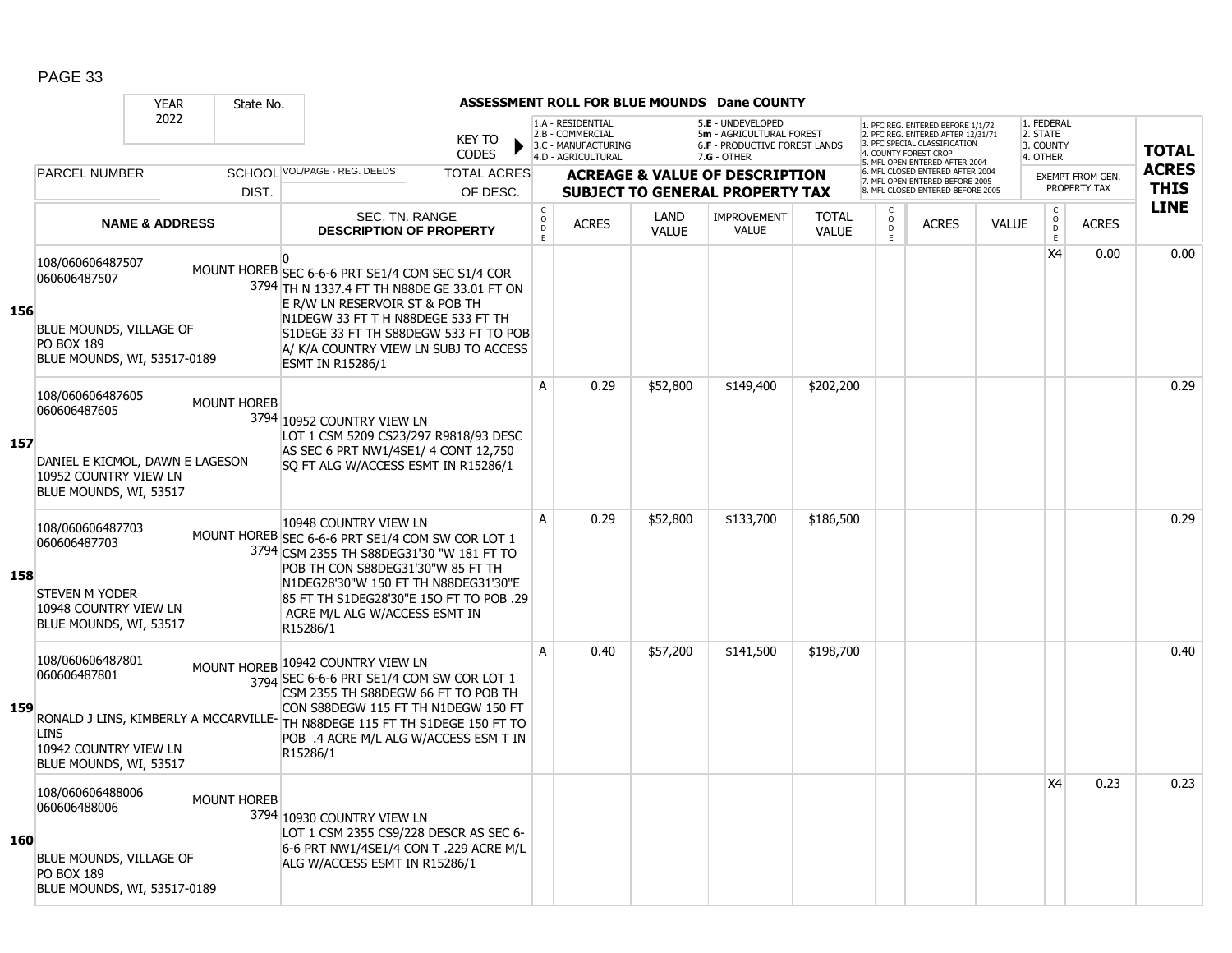|     |                                                                                                                        | <b>YEAR</b>               | State No.          |                                                                                                                                                                                                                                                                                                  |                               |                                           |                                                                                    |                      | ASSESSMENT ROLL FOR BLUE MOUNDS Dane COUNTY                                                     |                              |                     |                                                                                                                                 |              |                                                 |                  |              |
|-----|------------------------------------------------------------------------------------------------------------------------|---------------------------|--------------------|--------------------------------------------------------------------------------------------------------------------------------------------------------------------------------------------------------------------------------------------------------------------------------------------------|-------------------------------|-------------------------------------------|------------------------------------------------------------------------------------|----------------------|-------------------------------------------------------------------------------------------------|------------------------------|---------------------|---------------------------------------------------------------------------------------------------------------------------------|--------------|-------------------------------------------------|------------------|--------------|
|     |                                                                                                                        | 2022                      |                    |                                                                                                                                                                                                                                                                                                  | <b>KEY TO</b><br><b>CODES</b> |                                           | 1.A - RESIDENTIAL<br>2.B - COMMERCIAL<br>3.C - MANUFACTURING<br>4.D - AGRICULTURAL |                      | 5.E - UNDEVELOPED<br>5m - AGRICULTURAL FOREST<br>6.F - PRODUCTIVE FOREST LANDS<br>$7.G - OTHER$ |                              |                     | 1. PFC REG. ENTERED BEFORE 1/1/72<br>2. PFC REG. ENTERED AFTER 12/31/71<br>3 PEC SPECIAL CLASSIFICATION<br>. COUNTY FOREST CROP |              | 1. FEDERAL<br>2. STATE<br>3. COUNTY<br>4. OTHER |                  | <b>TOTAL</b> |
|     | <b>PARCEL NUMBER</b>                                                                                                   |                           |                    | SCHOOL VOL/PAGE - REG. DEEDS                                                                                                                                                                                                                                                                     | <b>TOTAL ACRES</b>            |                                           |                                                                                    |                      | <b>ACREAGE &amp; VALUE OF DESCRIPTION</b>                                                       |                              |                     | 5. MFL OPEN ENTERED AFTER 2004<br>6. MFL CLOSED ENTERED AFTER 2004<br>7. MFL OPEN ENTERED BEFORE 2005                           |              |                                                 | EXEMPT FROM GEN. | <b>ACRES</b> |
|     |                                                                                                                        |                           | DIST.              |                                                                                                                                                                                                                                                                                                  | OF DESC.                      |                                           |                                                                                    |                      | <b>SUBJECT TO GENERAL PROPERTY TAX</b>                                                          |                              |                     | 8. MFL CLOSED ENTERED BEFORE 2005                                                                                               |              |                                                 | PROPERTY TAX     | <b>THIS</b>  |
|     |                                                                                                                        | <b>NAME &amp; ADDRESS</b> |                    | SEC. TN. RANGE<br><b>DESCRIPTION OF PROPERTY</b>                                                                                                                                                                                                                                                 |                               | $\begin{matrix} 0 \\ 0 \\ D \end{matrix}$ | <b>ACRES</b>                                                                       | LAND<br><b>VALUE</b> | <b>IMPROVEMENT</b><br><b>VALUE</b>                                                              | <b>TOTAL</b><br><b>VALUE</b> | $\overline{D}$<br>E | <b>ACRES</b>                                                                                                                    | <b>VALUE</b> | $\begin{matrix} 0 \\ 0 \\ 0 \end{matrix}$<br>E  | <b>ACRES</b>     | <b>LINE</b>  |
| 156 | 108/060606487507<br>060606487507<br>BLUE MOUNDS, VILLAGE OF<br><b>PO BOX 189</b><br>BLUE MOUNDS, WI, 53517-0189        |                           |                    | $\Omega$<br>MOUNT HOREB SEC 6-6-6 PRT SE1/4 COM SEC S1/4 COR<br>3794 TH N 1337.4 FT TH N88DE GE 33.01 FT ON<br>E R/W LN RESERVOIR ST & POB TH<br>N1DEGW 33 FT T H N88DEGE 533 FT TH<br>S1DEGE 33 FT TH S88DEGW 533 FT TO POB<br>A/ K/A COUNTRY VIEW LN SUBJ TO ACCESS<br><b>ESMT IN R15286/1</b> |                               |                                           |                                                                                    |                      |                                                                                                 |                              |                     |                                                                                                                                 |              | X <sub>4</sub>                                  | 0.00             | 0.00         |
| 157 | 108/060606487605<br>060606487605<br>DANIEL E KICMOL, DAWN E LAGESON<br>10952 COUNTRY VIEW LN<br>BLUE MOUNDS, WI, 53517 |                           | <b>MOUNT HOREB</b> | 3794 10952 COUNTRY VIEW LN<br>LOT 1 CSM 5209 CS23/297 R9818/93 DESC<br>AS SEC 6 PRT NW1/4SE1/ 4 CONT 12,750<br>SQ FT ALG W/ACCESS ESMT IN R15286/1                                                                                                                                               |                               | A                                         | 0.29                                                                               | \$52,800             | \$149,400                                                                                       | \$202,200                    |                     |                                                                                                                                 |              |                                                 |                  | 0.29         |
| 158 | 108/060606487703<br>060606487703<br><b>STEVEN M YODER</b><br>10948 COUNTRY VIEW LN<br>BLUE MOUNDS, WI, 53517           |                           |                    | 10948 COUNTRY VIEW LN<br>MOUNT HOREB SEC 6-6-6 PRT SE1/4 COM SW COR LOT 1<br>3794 CSM 2355 TH S88DEG31'30 "W 181 FT TO<br>POB TH CON S88DEG31'30"W 85 FT TH<br>N1DEG28'30"W 150 FT TH N88DEG31'30"E<br>85 FT TH S1DEG28'30"E 150 FT TO POB .29<br>ACRE M/L ALG W/ACCESS ESMT IN<br>R15286/1      |                               | A                                         | 0.29                                                                               | \$52,800             | \$133,700                                                                                       | \$186,500                    |                     |                                                                                                                                 |              |                                                 |                  | 0.29         |
| 159 | 108/060606487801<br>060606487801<br><b>LINS</b><br>10942 COUNTRY VIEW LN<br>BLUE MOUNDS, WI, 53517                     |                           |                    | MOUNT HOREB 10942 COUNTRY VIEW LN<br>3794 SEC 6-6-6 PRT SE1/4 COM SW COR LOT 1<br>CSM 2355 TH S88DEGW 66 FT TO POB TH<br>CON S88DEGW 115 FT TH N1DEGW 150 FT<br>RONALD J LINS, KIMBERLY A MCCARVILLE- TH N88DEGE 115 FT TH S1DEGE 150 FT TO<br>POB .4 ACRE M/L ALG W/ACCESS ESM T IN<br>R15286/1 |                               | A                                         | 0.40                                                                               | \$57,200             | \$141,500                                                                                       | \$198,700                    |                     |                                                                                                                                 |              |                                                 |                  | 0.40         |
| 160 | 108/060606488006<br>060606488006<br>BLUE MOUNDS, VILLAGE OF<br><b>PO BOX 189</b><br>BLUE MOUNDS, WI, 53517-0189        |                           | <b>MOUNT HOREB</b> | 3794 10930 COUNTRY VIEW LN<br>LOT 1 CSM 2355 CS9/228 DESCR AS SEC 6-<br>6-6 PRT NW1/4SE1/4 CON T .229 ACRE M/L<br>ALG W/ACCESS ESMT IN R15286/1                                                                                                                                                  |                               |                                           |                                                                                    |                      |                                                                                                 |                              |                     |                                                                                                                                 |              | X <sub>4</sub>                                  | 0.23             | 0.23         |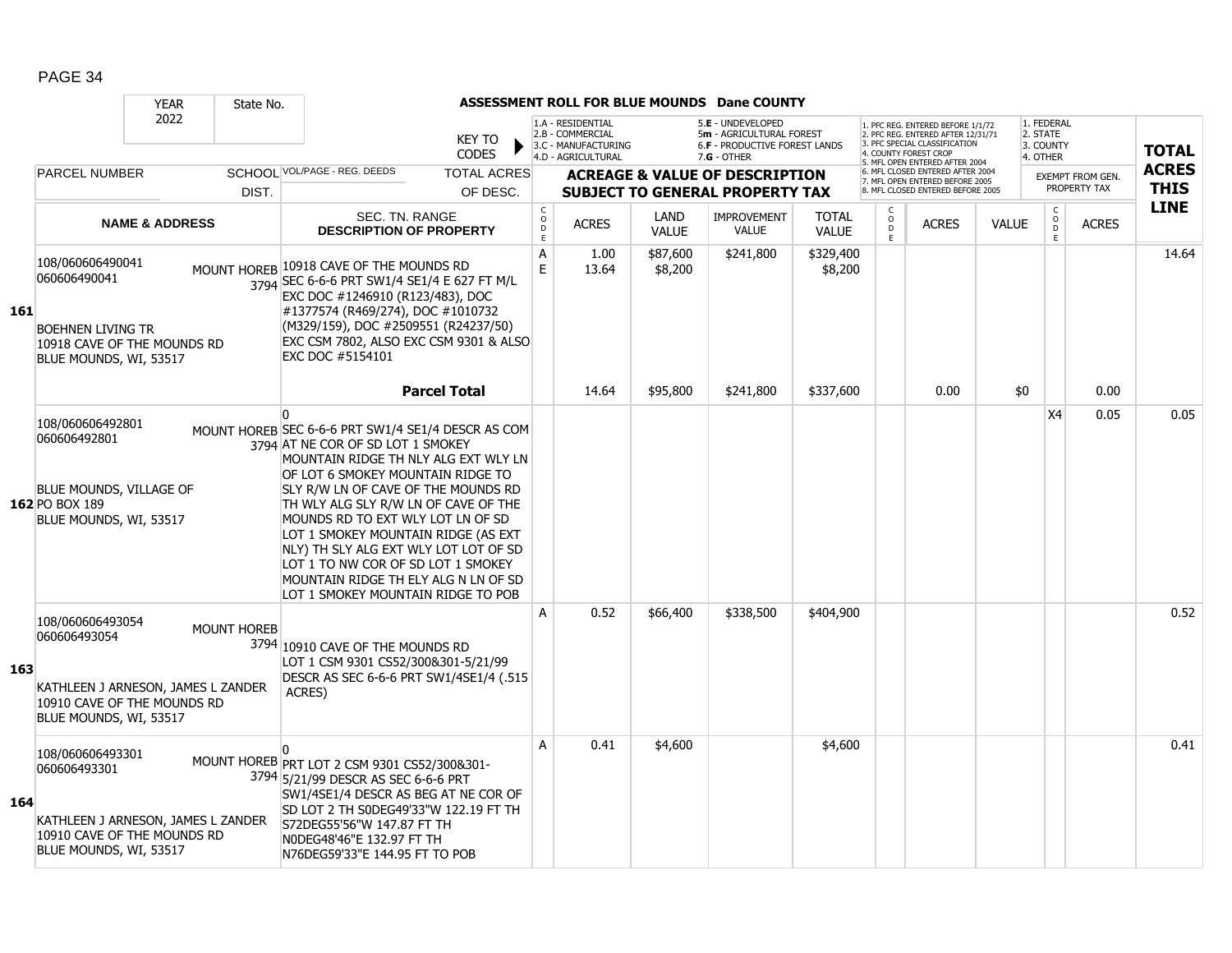|     |                                                                                                                                 | <b>YEAR</b> | State No.                                                      |                                                                                                                                                                                                                                                                                                                                                                                                                                                                                                   |                                                      |                                                                                     |                                                                                    |                      | <b>ASSESSMENT ROLL FOR BLUE MOUNDS Dane COUNTY</b>                                              |                              |                                                                                                                                                                     |      |              |                                                 |                             |              |
|-----|---------------------------------------------------------------------------------------------------------------------------------|-------------|----------------------------------------------------------------|---------------------------------------------------------------------------------------------------------------------------------------------------------------------------------------------------------------------------------------------------------------------------------------------------------------------------------------------------------------------------------------------------------------------------------------------------------------------------------------------------|------------------------------------------------------|-------------------------------------------------------------------------------------|------------------------------------------------------------------------------------|----------------------|-------------------------------------------------------------------------------------------------|------------------------------|---------------------------------------------------------------------------------------------------------------------------------------------------------------------|------|--------------|-------------------------------------------------|-----------------------------|--------------|
|     | 2022                                                                                                                            |             |                                                                |                                                                                                                                                                                                                                                                                                                                                                                                                                                                                                   | <b>KEY TO</b><br><b>CODES</b>                        |                                                                                     | 1.A - RESIDENTIAL<br>2.B - COMMERCIAL<br>3.C - MANUFACTURING<br>4.D - AGRICULTURAL |                      | 5.E - UNDEVELOPED<br>5m - AGRICULTURAL FOREST<br>6.F - PRODUCTIVE FOREST LANDS<br>$7.G - OTHER$ |                              | 1. PFC REG. ENTERED BEFORE 1/1/72<br>2. PFC REG. ENTERED AFTER 12/31/71<br>3. PFC SPECIAL CLASSIFICATION<br>4. COUNTY FOREST CROP<br>5. MFL OPEN ENTERED AFTER 2004 |      |              | 1. FEDERAL<br>2. STATE<br>3. COUNTY<br>4. OTHER |                             | <b>TOTAL</b> |
|     | <b>PARCEL NUMBER</b><br>DIST.                                                                                                   |             | SCHOOL VOL/PAGE - REG. DEEDS<br><b>TOTAL ACRES</b><br>OF DESC. |                                                                                                                                                                                                                                                                                                                                                                                                                                                                                                   |                                                      | <b>ACREAGE &amp; VALUE OF DESCRIPTION</b><br><b>SUBJECT TO GENERAL PROPERTY TAX</b> |                                                                                    |                      |                                                                                                 |                              | 6. MFL CLOSED ENTERED AFTER 2004<br>7. MFL OPEN ENTERED BEFORE 2005<br>8. MFL CLOSED ENTERED BEFORE 2005                                                            |      |              | <b>EXEMPT FROM GEN.</b><br>PROPERTY TAX         | <b>ACRES</b><br><b>THIS</b> |              |
| 161 | <b>NAME &amp; ADDRESS</b>                                                                                                       |             |                                                                | SEC. TN. RANGE<br><b>DESCRIPTION OF PROPERTY</b>                                                                                                                                                                                                                                                                                                                                                                                                                                                  | $\mathsf{C}$<br>$\circ$<br>$\mathsf{D}_{\mathsf{E}}$ |                                                                                     | <b>ACRES</b>                                                                       | LAND<br><b>VALUE</b> | <b>IMPROVEMENT</b><br><b>VALUE</b>                                                              | <b>TOTAL</b><br><b>VALUE</b> | C<br>$\circ$<br><b>ACRES</b><br>D<br>F.                                                                                                                             |      | <b>VALUE</b> | C<br>$\circ$<br>D<br>E                          | <b>ACRES</b>                | <b>LINE</b>  |
|     | 108/060606490041<br>060606490041<br><b>BOEHNEN LIVING TR</b><br>10918 CAVE OF THE MOUNDS RD<br>BLUE MOUNDS, WI, 53517           |             |                                                                | MOUNT HOREB 10918 CAVE OF THE MOUNDS RD<br>3794 SEC 6-6-6 PRT SW1/4 SE1/4 E 627 FT M/L<br>EXC DOC #1246910 (R123/483), DOC<br>#1377574 (R469/274), DOC #1010732<br>(M329/159), DOC #2509551 (R24237/50)<br>EXC CSM 7802, ALSO EXC CSM 9301 & ALSO<br>EXC DOC #5154101                                                                                                                                                                                                                             |                                                      | A<br>E                                                                              | 1.00<br>13.64                                                                      | \$87,600<br>\$8,200  | \$241,800                                                                                       | \$329,400<br>\$8,200         |                                                                                                                                                                     |      |              |                                                 |                             | 14.64        |
|     |                                                                                                                                 |             |                                                                |                                                                                                                                                                                                                                                                                                                                                                                                                                                                                                   | <b>Parcel Total</b>                                  |                                                                                     | 14.64                                                                              | \$95,800             | \$241,800                                                                                       | \$337,600                    |                                                                                                                                                                     | 0.00 | \$0          |                                                 | 0.00                        |              |
|     | 108/060606492801<br>060606492801<br>BLUE MOUNDS, VILLAGE OF<br>162 PO BOX 189<br>BLUE MOUNDS, WI, 53517                         |             |                                                                | n<br>MOUNT HOREB SEC 6-6-6 PRT SW1/4 SE1/4 DESCR AS COM<br>3794 AT NE COR OF SD LOT 1 SMOKEY<br>MOUNTAIN RIDGE TH NLY ALG EXT WLY LN<br>OF LOT 6 SMOKEY MOUNTAIN RIDGE TO<br>SLY R/W LN OF CAVE OF THE MOUNDS RD<br>TH WLY ALG SLY R/W LN OF CAVE OF THE<br>MOUNDS RD TO EXT WLY LOT LN OF SD<br>LOT 1 SMOKEY MOUNTAIN RIDGE (AS EXT<br>NLY) TH SLY ALG EXT WLY LOT LOT OF SD<br>LOT 1 TO NW COR OF SD LOT 1 SMOKEY<br>MOUNTAIN RIDGE TH ELY ALG N LN OF SD<br>LOT 1 SMOKEY MOUNTAIN RIDGE TO POB |                                                      |                                                                                     |                                                                                    |                      |                                                                                                 |                              |                                                                                                                                                                     |      |              | X4                                              | 0.05                        | 0.05         |
| 163 | 108/060606493054<br>060606493054<br>KATHLEEN J ARNESON, JAMES L ZANDER<br>10910 CAVE OF THE MOUNDS RD<br>BLUE MOUNDS, WI, 53517 |             | <b>MOUNT HOREB</b>                                             | 3794 10910 CAVE OF THE MOUNDS RD<br>LOT 1 CSM 9301 CS52/300&301-5/21/99<br>DESCR AS SEC 6-6-6 PRT SW1/4SE1/4 (.515<br>ACRES)                                                                                                                                                                                                                                                                                                                                                                      |                                                      | A                                                                                   | 0.52                                                                               | \$66,400             | \$338,500                                                                                       | \$404,900                    |                                                                                                                                                                     |      |              |                                                 |                             | 0.52         |
| 164 | 108/060606493301<br>060606493301<br>KATHLEEN J ARNESON, JAMES L ZANDER<br>10910 CAVE OF THE MOUNDS RD<br>BLUE MOUNDS, WI, 53517 |             |                                                                | MOUNT HOREB PRT LOT 2 CSM 9301 CS52/300&301-<br>3794 5/21/99 DESCR AS SEC 6-6-6 PRT<br>SW1/4SE1/4 DESCR AS BEG AT NE COR OF<br>SD LOT 2 TH S0DEG49'33"W 122.19 FT TH<br>S72DEG55'56"W 147.87 FT TH<br>NODEG48'46"E 132.97 FT TH<br>N76DEG59'33"E 144.95 FT TO POB                                                                                                                                                                                                                                 |                                                      | A                                                                                   | 0.41                                                                               | \$4,600              |                                                                                                 | \$4,600                      |                                                                                                                                                                     |      |              |                                                 |                             | 0.41         |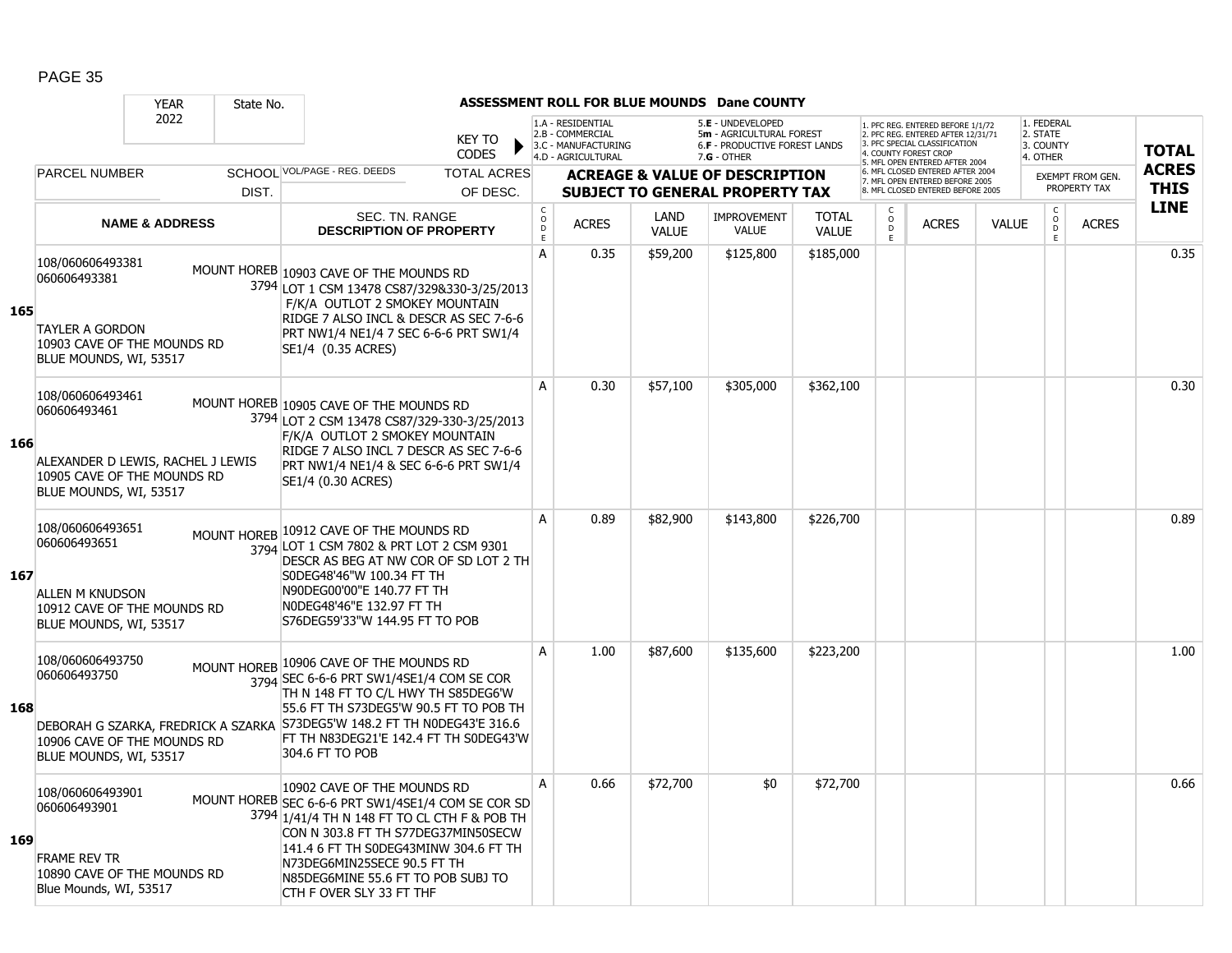|     |                                                                                                                                  | <b>YEAR</b>               | State No.                                          |                                                                                                                                                                                                                                                                                                                    |                                           |                                                                                    |              |                                        | ASSESSMENT ROLL FOR BLUE MOUNDS Dane COUNTY                                                     |                                                                                                       |                                                                                                                                   |              |                         |                                                 |                            |              |
|-----|----------------------------------------------------------------------------------------------------------------------------------|---------------------------|----------------------------------------------------|--------------------------------------------------------------------------------------------------------------------------------------------------------------------------------------------------------------------------------------------------------------------------------------------------------------------|-------------------------------------------|------------------------------------------------------------------------------------|--------------|----------------------------------------|-------------------------------------------------------------------------------------------------|-------------------------------------------------------------------------------------------------------|-----------------------------------------------------------------------------------------------------------------------------------|--------------|-------------------------|-------------------------------------------------|----------------------------|--------------|
|     | 2022                                                                                                                             |                           |                                                    |                                                                                                                                                                                                                                                                                                                    | <b>KEY TO</b><br><b>CODES</b>             | 1.A - RESIDENTIAL<br>2.B - COMMERCIAL<br>3.C - MANUFACTURING<br>4.D - AGRICULTURAL |              |                                        | 5.E - UNDEVELOPED<br>5m - AGRICULTURAL FOREST<br>6.F - PRODUCTIVE FOREST LANDS<br>$7.G - OTHER$ |                                                                                                       | PFC REG. ENTERED BEFORE 1/1/72<br>2. PFC REG. ENTERED AFTER 12/31/71<br>3 PEC SPECIAL CLASSIFICATION<br><b>COUNTY FOREST CROP</b> |              |                         | 1. FEDERAL<br>2. STATE<br>3. COUNTY<br>4. OTHER |                            | <b>TOTAL</b> |
|     | <b>PARCEL NUMBER</b>                                                                                                             |                           | SCHOOL VOL/PAGE - REG. DEEDS<br><b>TOTAL ACRES</b> |                                                                                                                                                                                                                                                                                                                    | <b>ACREAGE &amp; VALUE OF DESCRIPTION</b> |                                                                                    |              |                                        |                                                                                                 | 5. MFL OPEN ENTERED AFTER 2004<br>6. MFL CLOSED ENTERED AFTER 2004<br>7. MFL OPEN ENTERED BEFORE 2005 |                                                                                                                                   |              | <b>EXEMPT FROM GEN.</b> |                                                 | <b>ACRES</b>               |              |
|     | DIST.                                                                                                                            |                           | OF DESC.                                           |                                                                                                                                                                                                                                                                                                                    |                                           |                                                                                    |              | <b>SUBJECT TO GENERAL PROPERTY TAX</b> |                                                                                                 | 8. MFL CLOSED ENTERED BEFORE 2005                                                                     |                                                                                                                                   |              | PROPERTY TAX            |                                                 | <b>THIS</b><br><b>LINE</b> |              |
|     |                                                                                                                                  | <b>NAME &amp; ADDRESS</b> |                                                    | <b>SEC. TN. RANGE</b><br><b>DESCRIPTION OF PROPERTY</b>                                                                                                                                                                                                                                                            |                                           | $\begin{matrix} 0 \\ 0 \\ D \end{matrix}$<br>E                                     | <b>ACRES</b> | LAND<br><b>VALUE</b>                   | <b>IMPROVEMENT</b><br>VALUE                                                                     | <b>TOTAL</b><br><b>VALUE</b>                                                                          | $\overline{D}$<br>E                                                                                                               | <b>ACRES</b> | <b>VALUE</b>            | $\begin{matrix} 0 \\ 0 \\ 0 \end{matrix}$<br>E  | <b>ACRES</b>               |              |
| 165 | 108/060606493381<br>060606493381<br><b>TAYLER A GORDON</b><br>10903 CAVE OF THE MOUNDS RD<br>BLUE MOUNDS, WI, 53517              |                           |                                                    | MOUNT HOREB 10903 CAVE OF THE MOUNDS RD<br>3794 LOT 1 CSM 13478 CS87/329&330-3/25/2013<br>F/K/A OUTLOT 2 SMOKEY MOUNTAIN<br>RIDGE 7 ALSO INCL & DESCR AS SEC 7-6-6<br>PRT NW1/4 NE1/4 7 SEC 6-6-6 PRT SW1/4<br>SE1/4 (0.35 ACRES)                                                                                  |                                           | A                                                                                  | 0.35         | \$59,200                               | \$125,800                                                                                       | \$185,000                                                                                             |                                                                                                                                   |              |                         |                                                 |                            | 0.35         |
| 166 | 108/060606493461<br>060606493461<br>ALEXANDER D LEWIS, RACHEL J LEWIS<br>10905 CAVE OF THE MOUNDS RD<br>BLUE MOUNDS, WI, 53517   |                           |                                                    | MOUNT HOREB 10905 CAVE OF THE MOUNDS RD<br>3794 LOT 2 CSM 13478 CS87/329-330-3/25/2013<br>F/K/A OUTLOT 2 SMOKEY MOUNTAIN<br>RIDGE 7 ALSO INCL 7 DESCR AS SEC 7-6-6<br>PRT NW1/4 NE1/4 & SEC 6-6-6 PRT SW1/4<br>SE1/4 (0.30 ACRES)                                                                                  |                                           | A                                                                                  | 0.30         | \$57,100                               | \$305,000                                                                                       | \$362,100                                                                                             |                                                                                                                                   |              |                         |                                                 |                            | 0.30         |
| 167 | 108/060606493651<br>060606493651<br><b>ALLEN M KNUDSON</b><br>10912 CAVE OF THE MOUNDS RD<br>BLUE MOUNDS, WI, 53517              |                           | <b>MOUNT HOREB</b>                                 | 10912 CAVE OF THE MOUNDS RD<br>3794 LOT 1 CSM 7802 & PRT LOT 2 CSM 9301<br>DESCR AS BEG AT NW COR OF SD LOT 2 TH<br>S0DEG48'46"W 100.34 FT TH<br>N90DEG00'00"E 140.77 FT TH<br>NODEG48'46"E 132.97 FT TH<br>S76DEG59'33"W 144.95 FT TO POB                                                                         |                                           | A                                                                                  | 0.89         | \$82,900                               | \$143,800                                                                                       | \$226,700                                                                                             |                                                                                                                                   |              |                         |                                                 |                            | 0.89         |
| 168 | 108/060606493750<br>060606493750<br>DEBORAH G SZARKA, FREDRICK A SZARKA<br>10906 CAVE OF THE MOUNDS RD<br>BLUE MOUNDS, WI, 53517 |                           |                                                    | MOUNT HOREB 10906 CAVE OF THE MOUNDS RD<br>3794 SEC 6-6-6 PRT SW1/4SE1/4 COM SE COR<br>TH N 148 FT TO C/L HWY TH S85DEG6'W<br>55.6 FT TH S73DEG5'W 90.5 FT TO POB TH<br>S73DEG5'W 148.2 FT TH N0DEG43'E 316.6<br>FT TH N83DEG21'E 142.4 FT TH S0DEG43'W<br>304.6 FT TO POB                                         |                                           | A                                                                                  | 1.00         | \$87,600                               | \$135,600                                                                                       | \$223,200                                                                                             |                                                                                                                                   |              |                         |                                                 |                            | 1.00         |
| 169 | 108/060606493901<br>060606493901<br><b>FRAME REV TR</b><br>10890 CAVE OF THE MOUNDS RD<br>Blue Mounds, WI, 53517                 |                           |                                                    | 10902 CAVE OF THE MOUNDS RD<br>MOUNT HOREB SEC 6-6-6 PRT SW1/4SE1/4 COM SE COR SD<br>3794 1/41/4 TH N 148 FT TO CL CTH F & POB TH<br>CON N 303.8 FT TH S77DEG37MIN50SECW<br>141.4 6 FT TH S0DEG43MINW 304.6 FT TH<br>N73DEG6MIN25SECE 90.5 FT TH<br>N85DEG6MINE 55.6 FT TO POB SUBJ TO<br>CTH F OVER SLY 33 FT THF |                                           | A                                                                                  | 0.66         | \$72,700                               | \$0                                                                                             | \$72,700                                                                                              |                                                                                                                                   |              |                         |                                                 |                            | 0.66         |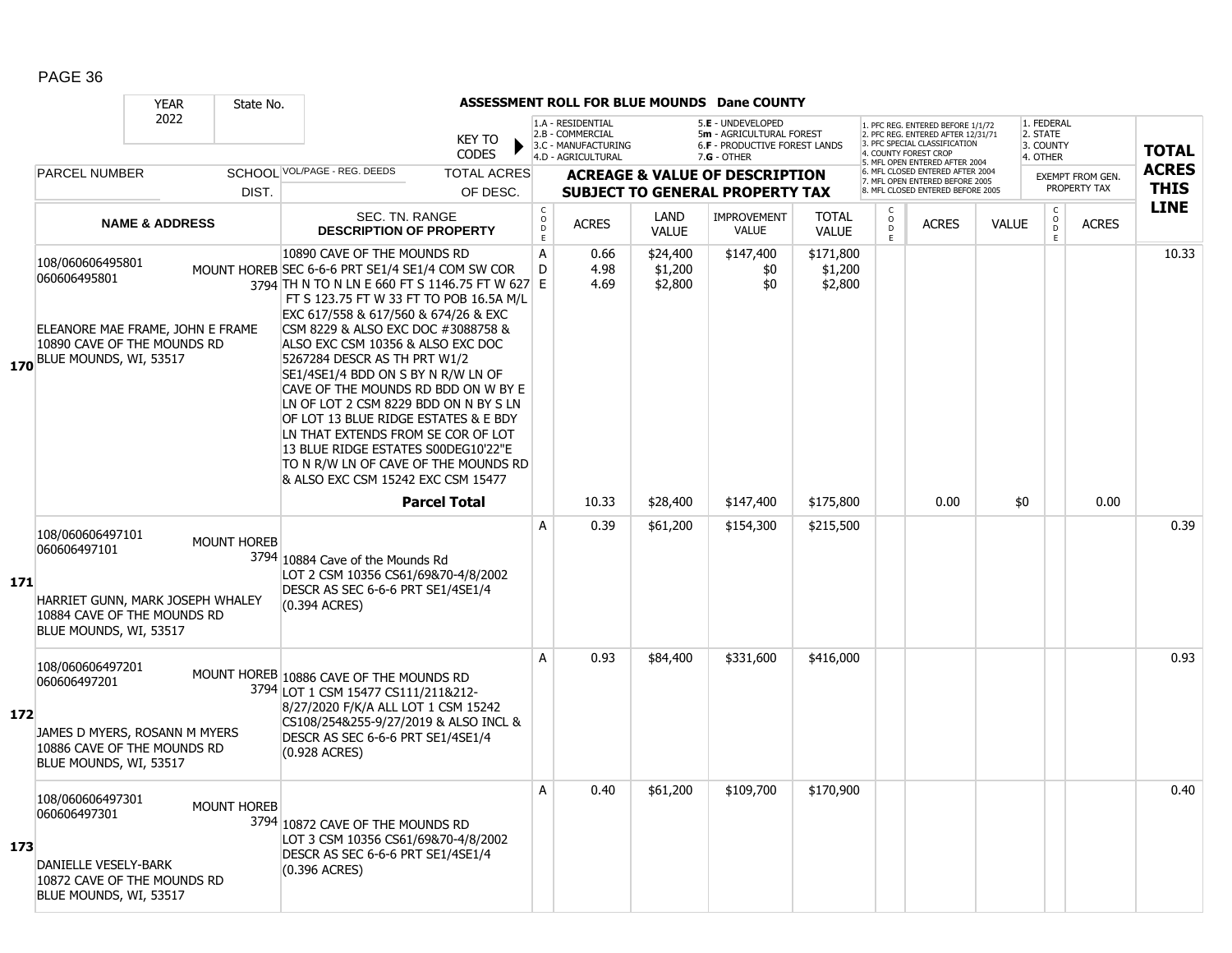|     |                                                                                                                                   | ASSESSMENT ROLL FOR BLUE MOUNDS Dane COUNTY<br><b>YEAR</b><br>State No. |                    |                                                                                                                                                                                                                                                                                                                                                                                                                                                                                                                                                                                                                                                           |                                                |                                                                                    |                                |                                                                                                        |                                 |                                                                                                                                            |                                                                                                                                   |              |                                                 |              |                             |
|-----|-----------------------------------------------------------------------------------------------------------------------------------|-------------------------------------------------------------------------|--------------------|-----------------------------------------------------------------------------------------------------------------------------------------------------------------------------------------------------------------------------------------------------------------------------------------------------------------------------------------------------------------------------------------------------------------------------------------------------------------------------------------------------------------------------------------------------------------------------------------------------------------------------------------------------------|------------------------------------------------|------------------------------------------------------------------------------------|--------------------------------|--------------------------------------------------------------------------------------------------------|---------------------------------|--------------------------------------------------------------------------------------------------------------------------------------------|-----------------------------------------------------------------------------------------------------------------------------------|--------------|-------------------------------------------------|--------------|-----------------------------|
|     |                                                                                                                                   | 2022                                                                    |                    | KEY TO<br><b>CODES</b>                                                                                                                                                                                                                                                                                                                                                                                                                                                                                                                                                                                                                                    |                                                | 1.A - RESIDENTIAL<br>2.B - COMMERCIAL<br>3.C - MANUFACTURING<br>4.D - AGRICULTURAL |                                | 5.E - UNDEVELOPED<br>5m - AGRICULTURAL FOREST<br><b>6.F - PRODUCTIVE FOREST LANDS</b><br>$7.G - OTHER$ |                                 |                                                                                                                                            | 1. PFC REG. ENTERED BEFORE 1/1/72<br>2. PFC REG. ENTERED AFTER 12/31/71<br>3. PFC SPECIAL CLASSIFICATION<br>4. COUNTY FOREST CROP |              | 1. FEDERAL<br>2. STATE<br>3. COUNTY<br>4. OTHER |              | <b>TOTAL</b>                |
|     | SCHOOL VOL/PAGE - REG. DEEDS<br><b>PARCEL NUMBER</b><br>DIST.                                                                     |                                                                         |                    | <b>TOTAL ACRES</b><br>OF DESC.                                                                                                                                                                                                                                                                                                                                                                                                                                                                                                                                                                                                                            |                                                |                                                                                    |                                | <b>ACREAGE &amp; VALUE OF DESCRIPTION</b><br><b>SUBJECT TO GENERAL PROPERTY TAX</b>                    |                                 | 5. MFL OPEN ENTERED AFTER 2004<br>6. MFL CLOSED ENTERED AFTER 2004<br>7. MFL OPEN ENTERED BEFORE 2005<br>8. MFL CLOSED ENTERED BEFORE 2005 |                                                                                                                                   |              | <b>EXEMPT FROM GEN.</b><br>PROPERTY TAX         |              | <b>ACRES</b><br><b>THIS</b> |
|     |                                                                                                                                   | <b>NAME &amp; ADDRESS</b>                                               |                    | SEC. TN. RANGE<br><b>DESCRIPTION OF PROPERTY</b>                                                                                                                                                                                                                                                                                                                                                                                                                                                                                                                                                                                                          | $\begin{matrix} 0 \\ 0 \\ D \end{matrix}$<br>E | <b>ACRES</b>                                                                       | LAND<br><b>VALUE</b>           | <b>IMPROVEMENT</b><br><b>VALUE</b>                                                                     | <b>TOTAL</b><br><b>VALUE</b>    | $\circ$<br>$\overline{D}$<br>E                                                                                                             | <b>ACRES</b>                                                                                                                      | <b>VALUE</b> | $\mathsf{C}$<br>$\overline{D}$<br>F.            | <b>ACRES</b> | <b>LINE</b>                 |
|     | 108/060606495801<br>060606495801<br>ELEANORE MAE FRAME, JOHN E FRAME<br>10890 CAVE OF THE MOUNDS RD<br>170 BLUE MOUNDS, WI, 53517 |                                                                         |                    | 10890 CAVE OF THE MOUNDS RD<br>MOUNT HOREB SEC 6-6-6 PRT SE1/4 SE1/4 COM SW COR<br>3794 TH N TO N LN E 660 FT S 1146.75 FT W 627 E<br>FT S 123.75 FT W 33 FT TO POB 16.5A M/L<br>EXC 617/558 & 617/560 & 674/26 & EXC<br>CSM 8229 & ALSO EXC DOC #3088758 &<br>ALSO EXC CSM 10356 & ALSO EXC DOC<br>5267284 DESCR AS TH PRT W1/2<br>SE1/4SE1/4 BDD ON S BY N R/W LN OF<br>CAVE OF THE MOUNDS RD BDD ON W BY E<br>LN OF LOT 2 CSM 8229 BDD ON N BY S LN<br>OF LOT 13 BLUE RIDGE ESTATES & E BDY<br>LN THAT EXTENDS FROM SE COR OF LOT<br>13 BLUE RIDGE ESTATES S00DEG10'22"E<br>TO N R/W LN OF CAVE OF THE MOUNDS RD<br>& ALSO EXC CSM 15242 EXC CSM 15477 | Α<br>D                                         | 0.66<br>4.98<br>4.69                                                               | \$24,400<br>\$1,200<br>\$2,800 | \$147,400<br>\$0<br>\$0                                                                                | \$171,800<br>\$1,200<br>\$2,800 |                                                                                                                                            |                                                                                                                                   |              |                                                 |              | 10.33                       |
|     |                                                                                                                                   |                                                                         |                    | <b>Parcel Total</b>                                                                                                                                                                                                                                                                                                                                                                                                                                                                                                                                                                                                                                       |                                                | 10.33                                                                              | \$28,400                       | \$147,400                                                                                              | \$175,800                       |                                                                                                                                            | 0.00                                                                                                                              | \$0          |                                                 | 0.00         |                             |
| 171 | 108/060606497101<br>060606497101<br>HARRIET GUNN, MARK JOSEPH WHALEY<br>10884 CAVE OF THE MOUNDS RD<br>BLUE MOUNDS, WI, 53517     |                                                                         | <b>MOUNT HOREB</b> | 3794 10884 Cave of the Mounds Rd<br>LOT 2 CSM 10356 CS61/69&70-4/8/2002<br>DESCR AS SEC 6-6-6 PRT SE1/4SE1/4<br>(0.394 ACRES)                                                                                                                                                                                                                                                                                                                                                                                                                                                                                                                             | A                                              | 0.39                                                                               | \$61,200                       | \$154,300                                                                                              | \$215,500                       |                                                                                                                                            |                                                                                                                                   |              |                                                 |              | 0.39                        |
| 172 | 108/060606497201<br>060606497201<br>JAMES D MYERS, ROSANN M MYERS<br>10886 CAVE OF THE MOUNDS RD<br>BLUE MOUNDS, WI, 53517        |                                                                         |                    | MOUNT HOREB 10886 CAVE OF THE MOUNDS RD<br>3794 LOT 1 CSM 15477 CS111/211&212-<br>8/27/2020 F/K/A ALL LOT 1 CSM 15242<br>CS108/254&255-9/27/2019 & ALSO INCL &<br>DESCR AS SEC 6-6-6 PRT SE1/4SE1/4<br>(0.928 ACRES)                                                                                                                                                                                                                                                                                                                                                                                                                                      | A                                              | 0.93                                                                               | \$84,400                       | \$331,600                                                                                              | \$416,000                       |                                                                                                                                            |                                                                                                                                   |              |                                                 |              | 0.93                        |
| 173 | 108/060606497301<br>060606497301<br><b>DANIELLE VESELY-BARK</b><br>10872 CAVE OF THE MOUNDS RD<br>BLUE MOUNDS, WI, 53517          |                                                                         | <b>MOUNT HOREB</b> | 3794 10872 CAVE OF THE MOUNDS RD<br>LOT 3 CSM 10356 CS61/69&70-4/8/2002<br>DESCR AS SEC 6-6-6 PRT SE1/4SE1/4<br>(0.396 ACRES)                                                                                                                                                                                                                                                                                                                                                                                                                                                                                                                             | $\overline{A}$                                 | 0.40                                                                               | \$61,200                       | \$109,700                                                                                              | \$170,900                       |                                                                                                                                            |                                                                                                                                   |              |                                                 |              | 0.40                        |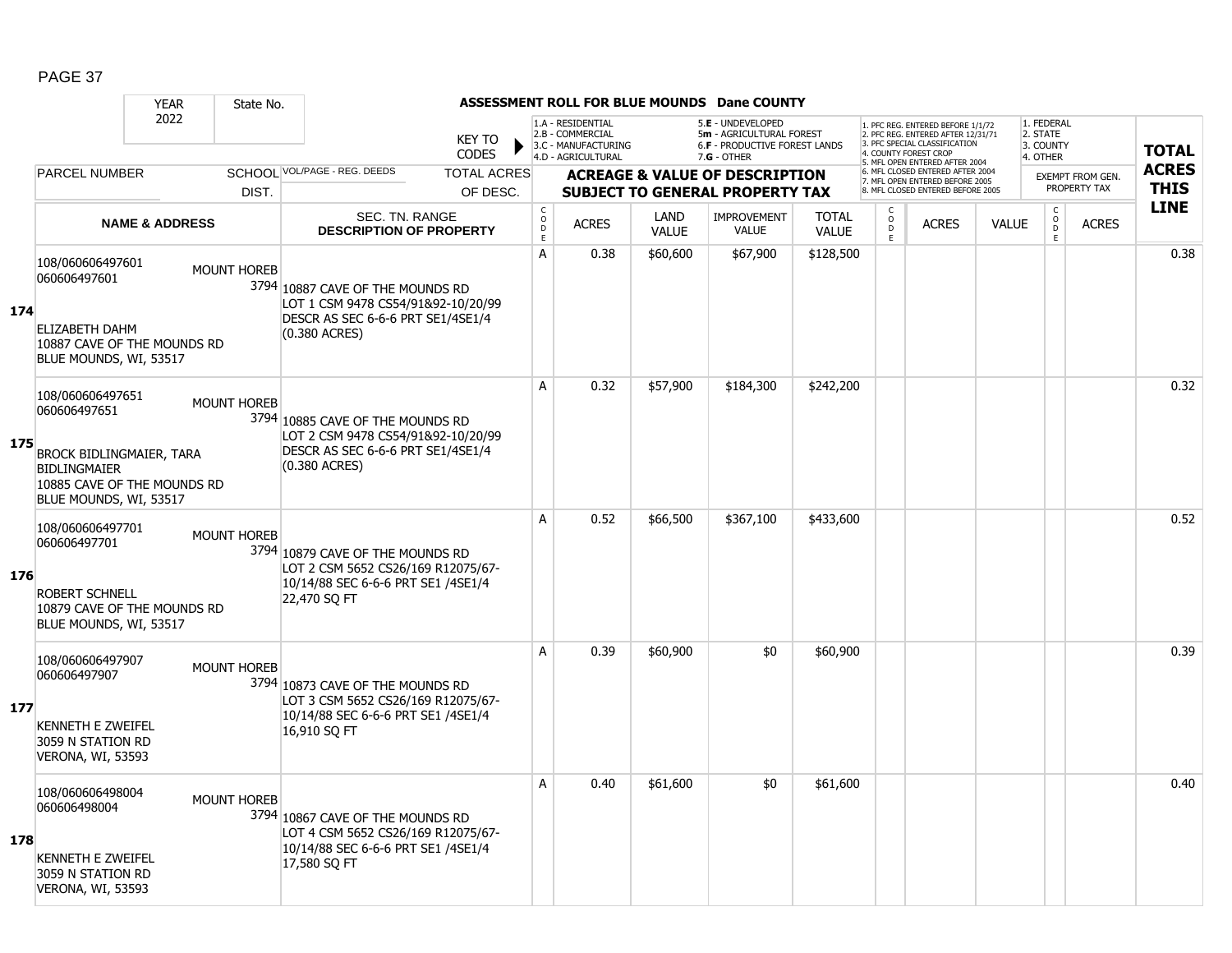|     |                                                                                                                                              | <b>YEAR</b>               | State No.          |                                                                                                                                                                |                                |                        |                                                                                    |                          | <b>ASSESSMENT ROLL FOR BLUE MOUNDS Dane COUNTY</b>                                                     |                           |                |                                                                                                                                                                     |              |                                                 |                                         |                             |
|-----|----------------------------------------------------------------------------------------------------------------------------------------------|---------------------------|--------------------|----------------------------------------------------------------------------------------------------------------------------------------------------------------|--------------------------------|------------------------|------------------------------------------------------------------------------------|--------------------------|--------------------------------------------------------------------------------------------------------|---------------------------|----------------|---------------------------------------------------------------------------------------------------------------------------------------------------------------------|--------------|-------------------------------------------------|-----------------------------------------|-----------------------------|
|     |                                                                                                                                              | 2022                      |                    |                                                                                                                                                                | <b>KEY TO</b><br><b>CODES</b>  |                        | 1.A - RESIDENTIAL<br>2.B - COMMERCIAL<br>3.C - MANUFACTURING<br>4.D - AGRICULTURAL |                          | 5.E - UNDEVELOPED<br>5m - AGRICULTURAL FOREST<br><b>6.F - PRODUCTIVE FOREST LANDS</b><br>$7.G - OTHER$ |                           |                | 1. PFC REG. ENTERED BEFORE 1/1/72<br>2. PFC REG. ENTERED AFTER 12/31/71<br>3. PFC SPECIAL CLASSIFICATION<br>4. COUNTY FOREST CROP<br>5. MFL OPEN ENTERED AFTER 2004 |              | 1. FEDERAL<br>2. STATE<br>3. COUNTY<br>4. OTHER |                                         | <b>TOTAL</b>                |
|     | PARCEL NUMBER                                                                                                                                |                           | DIST.              | SCHOOI VOL/PAGE - REG. DEEDS                                                                                                                                   | <b>TOTAL ACRES</b><br>OF DESC. |                        |                                                                                    |                          | <b>ACREAGE &amp; VALUE OF DESCRIPTION</b><br><b>SUBJECT TO GENERAL PROPERTY TAX</b>                    |                           |                | 6. MFL CLOSED ENTERED AFTER 2004<br>7. MFL OPEN ENTERED BEFORE 2005<br>8. MFL CLOSED ENTERED BEFORE 2005                                                            |              |                                                 | <b>EXEMPT FROM GEN.</b><br>PROPERTY TAX | <b>ACRES</b><br><b>THIS</b> |
|     |                                                                                                                                              | <b>NAME &amp; ADDRESS</b> |                    | <b>SEC. TN. RANGE</b>                                                                                                                                          |                                | $_{\rm o}^{\rm c}$     | <b>ACRES</b>                                                                       | LAND                     | <b>IMPROVEMENT</b>                                                                                     | <b>TOTAL</b>              | $\overline{D}$ | <b>ACRES</b>                                                                                                                                                        | <b>VALUE</b> | $_{\rm o}^{\rm c}$                              | <b>ACRES</b>                            | <b>LINE</b>                 |
| 174 | 108/060606497601<br>060606497601<br><b>ELIZABETH DAHM</b><br>10887 CAVE OF THE MOUNDS RD<br>BLUE MOUNDS, WI, 53517                           |                           | <b>MOUNT HOREB</b> | <b>DESCRIPTION OF PROPERTY</b><br>3794 10887 CAVE OF THE MOUNDS RD<br>LOT 1 CSM 9478 CS54/91&92-10/20/99<br>DESCR AS SEC 6-6-6 PRT SE1/4SE1/4<br>(0.380 ACRES) |                                | $\mathsf{D}$<br>E<br>A | 0.38                                                                               | <b>VALUE</b><br>\$60,600 | <b>VALUE</b><br>\$67,900                                                                               | <b>VALUE</b><br>\$128,500 | E              |                                                                                                                                                                     |              | $\overline{D}$<br>E                             |                                         | 0.38                        |
| 175 | 108/060606497651<br>060606497651<br>BROCK BIDLINGMAIER, TARA<br><b>BIDLINGMAIER</b><br>10885 CAVE OF THE MOUNDS RD<br>BLUE MOUNDS, WI, 53517 |                           | <b>MOUNT HOREB</b> | 3794 10885 CAVE OF THE MOUNDS RD<br>LOT 2 CSM 9478 CS54/91&92-10/20/99<br>DESCR AS SEC 6-6-6 PRT SE1/4SE1/4<br>(0.380 ACRES)                                   |                                | A                      | 0.32                                                                               | \$57,900                 | \$184,300                                                                                              | \$242,200                 |                |                                                                                                                                                                     |              |                                                 |                                         | 0.32                        |
| 176 | 108/060606497701<br>060606497701<br><b>ROBERT SCHNELL</b><br>10879 CAVE OF THE MOUNDS RD<br>BLUE MOUNDS, WI, 53517                           |                           | <b>MOUNT HOREB</b> | 3794 10879 CAVE OF THE MOUNDS RD<br>LOT 2 CSM 5652 CS26/169 R12075/67-<br>10/14/88 SEC 6-6-6 PRT SE1 /4SE1/4<br>22,470 SQ FT                                   |                                | A                      | 0.52                                                                               | \$66,500                 | \$367,100                                                                                              | \$433,600                 |                |                                                                                                                                                                     |              |                                                 |                                         | 0.52                        |
| 177 | 108/060606497907<br>060606497907<br><b>KENNETH E ZWEIFEL</b><br>3059 N STATION RD<br>VERONA, WI, 53593                                       |                           | <b>MOUNT HOREB</b> | 3794 10873 CAVE OF THE MOUNDS RD<br>LOT 3 CSM 5652 CS26/169 R12075/67-<br>10/14/88 SEC 6-6-6 PRT SE1 /4SE1/4<br>16,910 SQ FT                                   |                                | A                      | 0.39                                                                               | \$60,900                 | \$0                                                                                                    | \$60,900                  |                |                                                                                                                                                                     |              |                                                 |                                         | 0.39                        |
| 178 | 108/060606498004<br>060606498004<br><b>KENNETH E ZWEIFEL</b><br>3059 N STATION RD<br>VERONA, WI, 53593                                       |                           | <b>MOUNT HOREB</b> | 3794 10867 CAVE OF THE MOUNDS RD<br>LOT 4 CSM 5652 CS26/169 R12075/67-<br>10/14/88 SEC 6-6-6 PRT SE1 /4SE1/4<br>17,580 SQ FT                                   |                                | A                      | 0.40                                                                               | \$61,600                 | \$0                                                                                                    | \$61,600                  |                |                                                                                                                                                                     |              |                                                 |                                         | 0.40                        |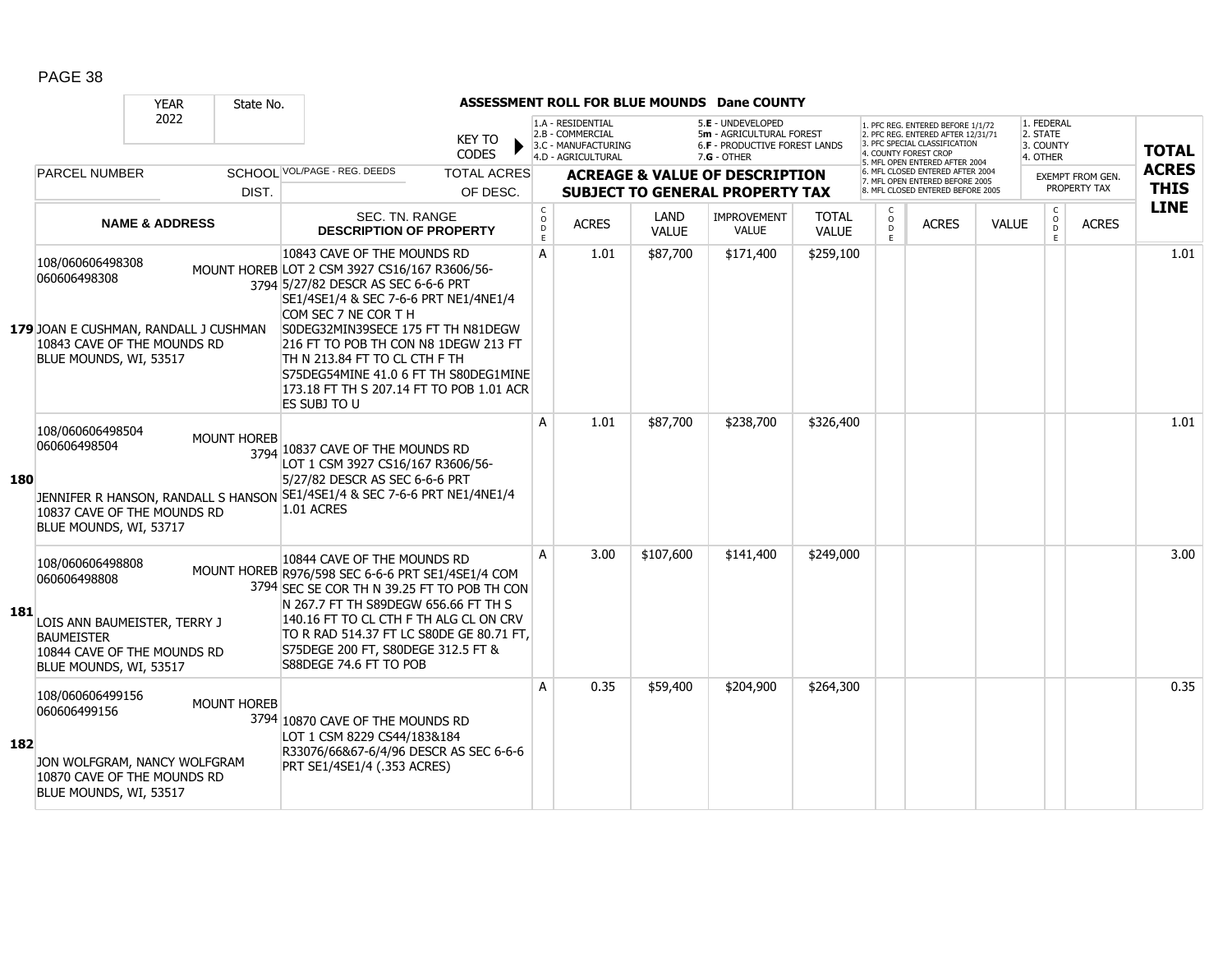|     |                                                                                                                                                | <b>YEAR</b>               | State No.          |                                                                                                                                                                                                                                                                                                                                                                                                          |                              |                                                                                    |                      | ASSESSMENT ROLL FOR BLUE MOUNDS Dane COUNTY                                                          |                              |                   |                                                                                                                                |              |                                                 |                                         |                             |
|-----|------------------------------------------------------------------------------------------------------------------------------------------------|---------------------------|--------------------|----------------------------------------------------------------------------------------------------------------------------------------------------------------------------------------------------------------------------------------------------------------------------------------------------------------------------------------------------------------------------------------------------------|------------------------------|------------------------------------------------------------------------------------|----------------------|------------------------------------------------------------------------------------------------------|------------------------------|-------------------|--------------------------------------------------------------------------------------------------------------------------------|--------------|-------------------------------------------------|-----------------------------------------|-----------------------------|
|     |                                                                                                                                                | 2022                      |                    | <b>KEY TO</b><br>CODES                                                                                                                                                                                                                                                                                                                                                                                   |                              | 1.A - RESIDENTIAL<br>2.B - COMMERCIAL<br>3.C - MANUFACTURING<br>4.D - AGRICULTURAL |                      | 5.E - UNDEVELOPED<br>5m - AGRICULTURAL FOREST<br><b>6.F - PRODUCTIVE FOREST LANDS</b><br>7.G - OTHER |                              |                   | 1. PFC REG. ENTERED BEFORE 1/1/72<br>2. PFC REG. ENTERED AFTER 12/31/71<br>3. PFC SPECIAL CLASSIFICATION<br>COUNTY FOREST CROP |              | 1. FEDERAL<br>2. STATE<br>3. COUNTY<br>4. OTHER |                                         | <b>TOTAL</b>                |
|     | <b>PARCEL NUMBER</b>                                                                                                                           |                           |                    | SCHOOL VOL/PAGE - REG. DEEDS<br><b>TOTAL ACRES</b>                                                                                                                                                                                                                                                                                                                                                       |                              |                                                                                    |                      | <b>ACREAGE &amp; VALUE OF DESCRIPTION</b>                                                            |                              |                   | 5. MFL OPEN ENTERED AFTER 2004<br>MFL CLOSED ENTERED AFTER 2004<br>7. MFL OPEN ENTERED BEFORE 2005                             |              |                                                 | <b>EXEMPT FROM GEN.</b><br>PROPERTY TAX | <b>ACRES</b><br><b>THIS</b> |
|     |                                                                                                                                                |                           | DIST.              | OF DESC.                                                                                                                                                                                                                                                                                                                                                                                                 |                              |                                                                                    |                      | <b>SUBJECT TO GENERAL PROPERTY TAX</b>                                                               |                              | C                 | 8. MFL CLOSED ENTERED BEFORE 2005                                                                                              |              |                                                 |                                         | <b>LINE</b>                 |
|     |                                                                                                                                                | <b>NAME &amp; ADDRESS</b> |                    | <b>SEC. TN. RANGE</b><br><b>DESCRIPTION OF PROPERTY</b>                                                                                                                                                                                                                                                                                                                                                  | $_{\rm o}^{\rm c}$<br>D<br>E | <b>ACRES</b>                                                                       | LAND<br><b>VALUE</b> | <b>IMPROVEMENT</b><br><b>VALUE</b>                                                                   | <b>TOTAL</b><br><b>VALUE</b> | $\circ$<br>D<br>E | <b>ACRES</b>                                                                                                                   | <b>VALUE</b> | $_{\rm o}^{\rm c}$<br>D<br>E                    | <b>ACRES</b>                            |                             |
|     | 108/060606498308<br>060606498308<br>179 JOAN E CUSHMAN, RANDALL J CUSHMAN<br>10843 CAVE OF THE MOUNDS RD<br>BLUE MOUNDS, WI, 53517             |                           |                    | 10843 CAVE OF THE MOUNDS RD<br>MOUNT HOREB LOT 2 CSM 3927 CS16/167 R3606/56-<br>3794 5/27/82 DESCR AS SEC 6-6-6 PRT<br>SE1/4SE1/4 & SEC 7-6-6 PRT NE1/4NE1/4<br>COM SEC 7 NE COR T H<br>S0DEG32MIN39SECE 175 FT TH N81DEGW<br>216 FT TO POB TH CON N8 1DEGW 213 FT<br>TH N 213.84 FT TO CL CTH F TH<br>S75DEG54MINE 41.0 6 FT TH S80DEG1MINE<br>173.18 FT TH S 207.14 FT TO POB 1.01 ACR<br>ES SUBJ TO U | A                            | 1.01                                                                               | \$87,700             | \$171,400                                                                                            | \$259,100                    |                   |                                                                                                                                |              |                                                 |                                         | 1.01                        |
| 180 | 108/060606498504<br>060606498504<br>JENNIFER R HANSON, RANDALL S HANSON<br>10837 CAVE OF THE MOUNDS RD<br>BLUE MOUNDS, WI, 53717               |                           | <b>MOUNT HOREB</b> | 3794 10837 CAVE OF THE MOUNDS RD<br>LOT 1 CSM 3927 CS16/167 R3606/56-<br>5/27/82 DESCR AS SEC 6-6-6 PRT<br>SE1/4SE1/4 & SEC 7-6-6 PRT NE1/4NE1/4<br>1.01 ACRES                                                                                                                                                                                                                                           | A                            | 1.01                                                                               | \$87,700             | \$238,700                                                                                            | \$326,400                    |                   |                                                                                                                                |              |                                                 |                                         | 1.01                        |
| 181 | 108/060606498808<br>060606498808<br>LOIS ANN BAUMEISTER, TERRY J<br><b>BAUMEISTER</b><br>10844 CAVE OF THE MOUNDS RD<br>BLUE MOUNDS, WI, 53517 |                           |                    | 10844 CAVE OF THE MOUNDS RD<br>MOUNT HOREB R976/598 SEC 6-6-6 PRT SE1/4SE1/4 COM<br>3794 SEC SE COR TH N 39.25 FT TO POB TH CON<br>N 267.7 FT TH S89DEGW 656.66 FT TH S<br>140.16 FT TO CL CTH F TH ALG CL ON CRV<br>TO R RAD 514.37 FT LC S80DE GE 80.71 FT,<br>S75DEGE 200 FT, S80DEGE 312.5 FT &<br>S88DEGE 74.6 FT TO POB                                                                            | A                            | 3.00                                                                               | \$107,600            | \$141,400                                                                                            | \$249,000                    |                   |                                                                                                                                |              |                                                 |                                         | 3.00                        |
| 182 | 108/060606499156<br>060606499156<br>JON WOLFGRAM, NANCY WOLFGRAM<br>10870 CAVE OF THE MOUNDS RD<br>BLUE MOUNDS, WI, 53517                      |                           | <b>MOUNT HOREB</b> | 3794 10870 CAVE OF THE MOUNDS RD<br>LOT 1 CSM 8229 CS44/183&184<br>R33076/66&67-6/4/96 DESCR AS SEC 6-6-6<br>PRT SE1/4SE1/4 (.353 ACRES)                                                                                                                                                                                                                                                                 | A                            | 0.35                                                                               | \$59,400             | \$204,900                                                                                            | \$264,300                    |                   |                                                                                                                                |              |                                                 |                                         | 0.35                        |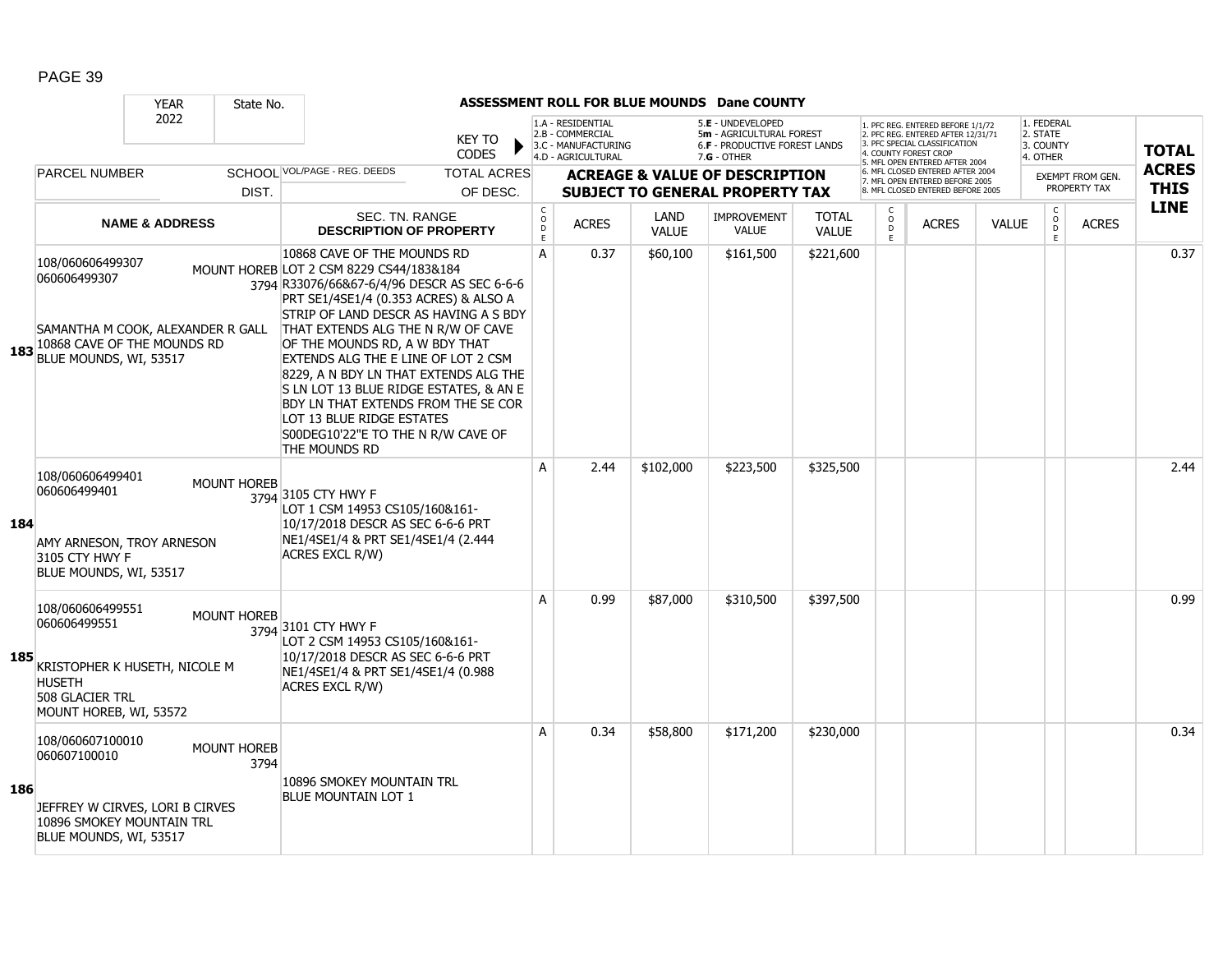|     |                                                                                                                                 | <b>YEAR</b>               | State No.                  |                                                                                                                                                                                                                                                                                                                                                                                                                                                                                                                                             |                               |                                      |                                                                                    |                      | ASSESSMENT ROLL FOR BLUE MOUNDS Dane COUNTY                                                     |                              |                                    |                                                                                                                                   |              |                                                 |                  |                            |
|-----|---------------------------------------------------------------------------------------------------------------------------------|---------------------------|----------------------------|---------------------------------------------------------------------------------------------------------------------------------------------------------------------------------------------------------------------------------------------------------------------------------------------------------------------------------------------------------------------------------------------------------------------------------------------------------------------------------------------------------------------------------------------|-------------------------------|--------------------------------------|------------------------------------------------------------------------------------|----------------------|-------------------------------------------------------------------------------------------------|------------------------------|------------------------------------|-----------------------------------------------------------------------------------------------------------------------------------|--------------|-------------------------------------------------|------------------|----------------------------|
|     |                                                                                                                                 | 2022                      |                            |                                                                                                                                                                                                                                                                                                                                                                                                                                                                                                                                             | <b>KEY TO</b><br><b>CODES</b> |                                      | 1.A - RESIDENTIAL<br>2.B - COMMERCIAL<br>3.C - MANUFACTURING<br>4.D - AGRICULTURAL |                      | 5.E - UNDEVELOPED<br>5m - AGRICULTURAL FOREST<br>6.F - PRODUCTIVE FOREST LANDS<br>$7.G - OTHER$ |                              |                                    | 1. PFC REG. ENTERED BEFORE 1/1/72<br>2. PFC REG. ENTERED AFTER 12/31/71<br>3. PFC SPECIAL CLASSIFICATION<br>4. COUNTY FOREST CROP |              | 1. FEDERAL<br>2. STATE<br>3. COUNTY<br>4. OTHER |                  | <b>TOTAL</b>               |
|     | <b>PARCEL NUMBER</b>                                                                                                            |                           |                            | SCHOOL VOL/PAGE - REG. DEEDS                                                                                                                                                                                                                                                                                                                                                                                                                                                                                                                | <b>TOTAL ACRES</b>            |                                      |                                                                                    |                      | <b>ACREAGE &amp; VALUE OF DESCRIPTION</b>                                                       |                              |                                    | 5. MFL OPEN ENTERED AFTER 2004<br>6. MFL CLOSED ENTERED AFTER 2004<br>7. MFL OPEN ENTERED BEFORE 2005                             |              |                                                 | EXEMPT FROM GEN. | <b>ACRES</b>               |
|     |                                                                                                                                 |                           | DIST.                      |                                                                                                                                                                                                                                                                                                                                                                                                                                                                                                                                             | OF DESC.                      |                                      |                                                                                    |                      | <b>SUBJECT TO GENERAL PROPERTY TAX</b>                                                          |                              |                                    | 8. MFL CLOSED ENTERED BEFORE 2005                                                                                                 |              |                                                 | PROPERTY TAX     | <b>THIS</b><br><b>LINE</b> |
|     |                                                                                                                                 | <b>NAME &amp; ADDRESS</b> |                            | <b>SEC. TN. RANGE</b><br><b>DESCRIPTION OF PROPERTY</b>                                                                                                                                                                                                                                                                                                                                                                                                                                                                                     |                               | $\mathsf C$<br>$\mathsf O$<br>D<br>E | <b>ACRES</b>                                                                       | LAND<br><b>VALUE</b> | <b>IMPROVEMENT</b><br><b>VALUE</b>                                                              | <b>TOTAL</b><br><b>VALUE</b> | $\mathsf{C}$<br>$\circ$<br>D<br>E. | <b>ACRES</b>                                                                                                                      | <b>VALUE</b> | $\mathsf{C}$<br>$\mathsf O$<br>D<br>E           | <b>ACRES</b>     |                            |
| 183 | 108/060606499307<br>060606499307<br>SAMANTHA M COOK, ALEXANDER R GALL<br>10868 CAVE OF THE MOUNDS RD<br>BLUE MOUNDS, WI, 53517  |                           |                            | 10868 CAVE OF THE MOUNDS RD<br>MOUNT HOREB LOT 2 CSM 8229 CS44/183&184<br>3794 R33076/66&67-6/4/96 DESCR AS SEC 6-6-6<br>PRT SE1/4SE1/4 (0.353 ACRES) & ALSO A<br>STRIP OF LAND DESCR AS HAVING A S BDY<br>THAT EXTENDS ALG THE N R/W OF CAVE<br>OF THE MOUNDS RD, A W BDY THAT<br>EXTENDS ALG THE E LINE OF LOT 2 CSM<br>8229, A N BDY LN THAT EXTENDS ALG THE<br>S LN LOT 13 BLUE RIDGE ESTATES, & AN E<br><b>BDY LN THAT EXTENDS FROM THE SE COR</b><br>LOT 13 BLUE RIDGE ESTATES<br>S00DEG10'22"E TO THE N R/W CAVE OF<br>THE MOUNDS RD |                               | A                                    | 0.37                                                                               | \$60,100             | \$161,500                                                                                       | \$221,600                    |                                    |                                                                                                                                   |              |                                                 |                  | 0.37                       |
| 184 | 108/060606499401<br>060606499401<br>AMY ARNESON, TROY ARNESON<br>3105 CTY HWY F<br>BLUE MOUNDS, WI, 53517                       |                           | <b>MOUNT HOREB</b>         | 3794 3105 CTY HWY F<br>LOT 1 CSM 14953 CS105/160&161-<br>10/17/2018 DESCR AS SEC 6-6-6 PRT<br>NE1/4SE1/4 & PRT SE1/4SE1/4 (2.444<br>ACRES EXCL R/W)                                                                                                                                                                                                                                                                                                                                                                                         |                               | A                                    | 2.44                                                                               | \$102,000            | \$223,500                                                                                       | \$325,500                    |                                    |                                                                                                                                   |              |                                                 |                  | 2.44                       |
| 185 | 108/060606499551<br>060606499551<br>KRISTOPHER K HUSETH, NICOLE M<br><b>HUSETH</b><br>508 GLACIER TRL<br>MOUNT HOREB, WI, 53572 |                           | <b>MOUNT HOREB</b>         | 3794 3101 CTY HWY F<br>LOT 2 CSM 14953 CS105/160&161-<br>10/17/2018 DESCR AS SEC 6-6-6 PRT<br>NE1/4SE1/4 & PRT SE1/4SE1/4 (0.988<br>ACRES EXCL R/W)                                                                                                                                                                                                                                                                                                                                                                                         |                               | A                                    | 0.99                                                                               | \$87,000             | \$310,500                                                                                       | \$397,500                    |                                    |                                                                                                                                   |              |                                                 |                  | 0.99                       |
| 186 | 108/060607100010<br>060607100010<br>JEFFREY W CIRVES, LORI B CIRVES<br>10896 SMOKEY MOUNTAIN TRL<br>BLUE MOUNDS, WI, 53517      |                           | <b>MOUNT HOREB</b><br>3794 | 10896 SMOKEY MOUNTAIN TRL<br>BLUE MOUNTAIN LOT 1                                                                                                                                                                                                                                                                                                                                                                                                                                                                                            |                               | A                                    | 0.34                                                                               | \$58,800             | \$171,200                                                                                       | \$230,000                    |                                    |                                                                                                                                   |              |                                                 |                  | 0.34                       |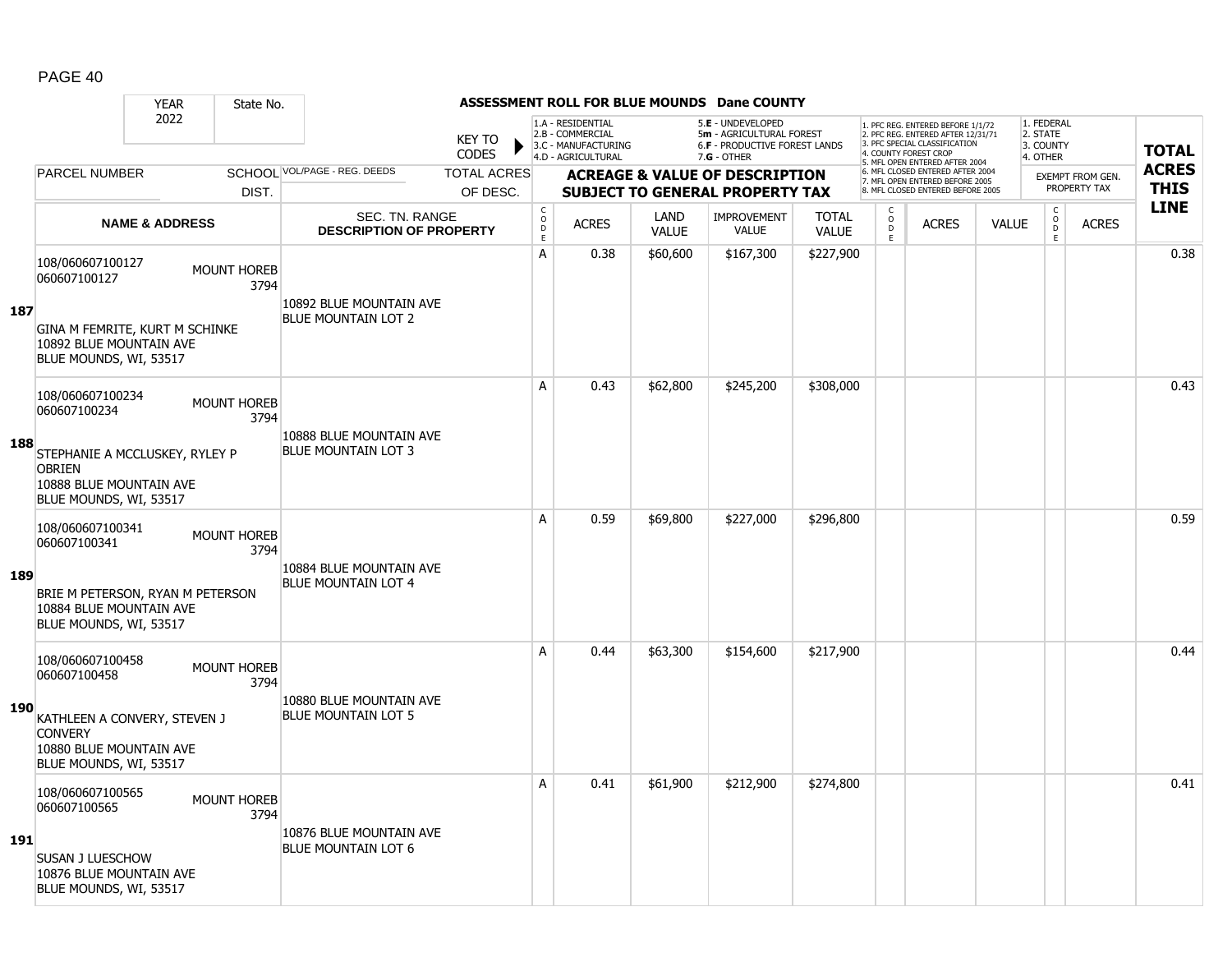|            |                                                                                                      | <b>YEAR</b>               | State No.                  |                                                         |                               |                                        |                                                                                    |                      | <b>ASSESSMENT ROLL FOR BLUE MOUNDS Dane COUNTY</b>                                                     |                              |                                                |                                                                                                                                   |              |                                                 |                         |              |
|------------|------------------------------------------------------------------------------------------------------|---------------------------|----------------------------|---------------------------------------------------------|-------------------------------|----------------------------------------|------------------------------------------------------------------------------------|----------------------|--------------------------------------------------------------------------------------------------------|------------------------------|------------------------------------------------|-----------------------------------------------------------------------------------------------------------------------------------|--------------|-------------------------------------------------|-------------------------|--------------|
|            |                                                                                                      | 2022                      |                            |                                                         | <b>KEY TO</b><br><b>CODES</b> |                                        | 1.A - RESIDENTIAL<br>2.B - COMMERCIAL<br>3.C - MANUFACTURING<br>4.D - AGRICULTURAL |                      | 5.E - UNDEVELOPED<br>5m - AGRICULTURAL FOREST<br><b>6.F - PRODUCTIVE FOREST LANDS</b><br>$7.G - OTHER$ |                              |                                                | 1. PFC REG. ENTERED BEFORE 1/1/72<br>2. PFC REG. ENTERED AFTER 12/31/71<br>3. PFC SPECIAL CLASSIFICATION<br>4. COUNTY FOREST CROP |              | 1. FEDERAL<br>2. STATE<br>3. COUNTY<br>4. OTHER |                         | <b>TOTAL</b> |
|            | <b>PARCEL NUMBER</b>                                                                                 |                           |                            | SCHOOL VOL/PAGE - REG. DEEDS                            | <b>TOTAL ACRES</b>            |                                        |                                                                                    |                      | <b>ACREAGE &amp; VALUE OF DESCRIPTION</b>                                                              |                              |                                                | 5. MFL OPEN ENTERED AFTER 2004<br>6. MFL CLOSED ENTERED AFTER 2004<br>7. MFL OPEN ENTERED BEFORE 2005                             |              |                                                 | <b>EXEMPT FROM GEN.</b> | <b>ACRES</b> |
|            |                                                                                                      |                           | DIST.                      |                                                         | OF DESC.                      |                                        |                                                                                    |                      | <b>SUBJECT TO GENERAL PROPERTY TAX</b>                                                                 |                              |                                                | 8. MFL CLOSED ENTERED BEFORE 2005                                                                                                 |              |                                                 | PROPERTY TAX            | <b>THIS</b>  |
|            |                                                                                                      | <b>NAME &amp; ADDRESS</b> |                            | <b>SEC. TN. RANGE</b><br><b>DESCRIPTION OF PROPERTY</b> |                               | $_{\rm o}^{\rm c}$<br>$\mathsf D$<br>E | <b>ACRES</b>                                                                       | LAND<br><b>VALUE</b> | <b>IMPROVEMENT</b><br>VALUE                                                                            | <b>TOTAL</b><br><b>VALUE</b> | $\begin{matrix} 0 \\ 0 \\ 0 \end{matrix}$<br>E | <b>ACRES</b>                                                                                                                      | <b>VALUE</b> | $\begin{matrix} 0 \\ 0 \\ D \end{matrix}$<br>E  | <b>ACRES</b>            | <b>LINE</b>  |
|            | 108/060607100127<br>060607100127                                                                     |                           | <b>MOUNT HOREB</b><br>3794 | 10892 BLUE MOUNTAIN AVE                                 |                               | A                                      | 0.38                                                                               | \$60,600             | \$167,300                                                                                              | \$227,900                    |                                                |                                                                                                                                   |              |                                                 |                         | 0.38         |
| 187        | GINA M FEMRITE, KURT M SCHINKE<br>10892 BLUE MOUNTAIN AVE<br>BLUE MOUNDS, WI, 53517                  |                           |                            | <b>BLUE MOUNTAIN LOT 2</b>                              |                               |                                        |                                                                                    |                      |                                                                                                        |                              |                                                |                                                                                                                                   |              |                                                 |                         |              |
|            | 108/060607100234<br>060607100234                                                                     |                           | <b>MOUNT HOREB</b><br>3794 |                                                         |                               | A                                      | 0.43                                                                               | \$62,800             | \$245,200                                                                                              | \$308,000                    |                                                |                                                                                                                                   |              |                                                 |                         | 0.43         |
| 188        | STEPHANIE A MCCLUSKEY, RYLEY P<br><b>OBRIEN</b><br>10888 BLUE MOUNTAIN AVE<br>BLUE MOUNDS, WI, 53517 |                           |                            | 10888 BLUE MOUNTAIN AVE<br><b>BLUE MOUNTAIN LOT 3</b>   |                               |                                        |                                                                                    |                      |                                                                                                        |                              |                                                |                                                                                                                                   |              |                                                 |                         |              |
|            | 108/060607100341<br>060607100341                                                                     |                           | <b>MOUNT HOREB</b><br>3794 |                                                         |                               | A                                      | 0.59                                                                               | \$69,800             | \$227,000                                                                                              | \$296,800                    |                                                |                                                                                                                                   |              |                                                 |                         | 0.59         |
| 189        | BRIE M PETERSON, RYAN M PETERSON<br>10884 BLUE MOUNTAIN AVE<br>BLUE MOUNDS, WI, 53517                |                           |                            | 10884 BLUE MOUNTAIN AVE<br><b>BLUE MOUNTAIN LOT 4</b>   |                               |                                        |                                                                                    |                      |                                                                                                        |                              |                                                |                                                                                                                                   |              |                                                 |                         |              |
|            | 108/060607100458<br>060607100458                                                                     |                           | <b>MOUNT HOREB</b><br>3794 |                                                         |                               | A                                      | 0.44                                                                               | \$63,300             | \$154,600                                                                                              | \$217,900                    |                                                |                                                                                                                                   |              |                                                 |                         | 0.44         |
| 190        | KATHLEEN A CONVERY, STEVEN J<br><b>CONVERY</b><br>10880 BLUE MOUNTAIN AVE<br>BLUE MOUNDS, WI, 53517  |                           |                            | 10880 BLUE MOUNTAIN AVE<br><b>BLUE MOUNTAIN LOT 5</b>   |                               |                                        |                                                                                    |                      |                                                                                                        |                              |                                                |                                                                                                                                   |              |                                                 |                         |              |
|            | 108/060607100565<br>060607100565                                                                     |                           | <b>MOUNT HOREB</b><br>3794 |                                                         |                               | A                                      | 0.41                                                                               | \$61,900             | \$212,900                                                                                              | \$274,800                    |                                                |                                                                                                                                   |              |                                                 |                         | 0.41         |
| <b>191</b> | SUSAN J LUESCHOW<br>10876 BLUE MOUNTAIN AVE<br>BLUE MOUNDS, WI, 53517                                |                           |                            | 10876 BLUE MOUNTAIN AVE<br><b>BLUE MOUNTAIN LOT 6</b>   |                               |                                        |                                                                                    |                      |                                                                                                        |                              |                                                |                                                                                                                                   |              |                                                 |                         |              |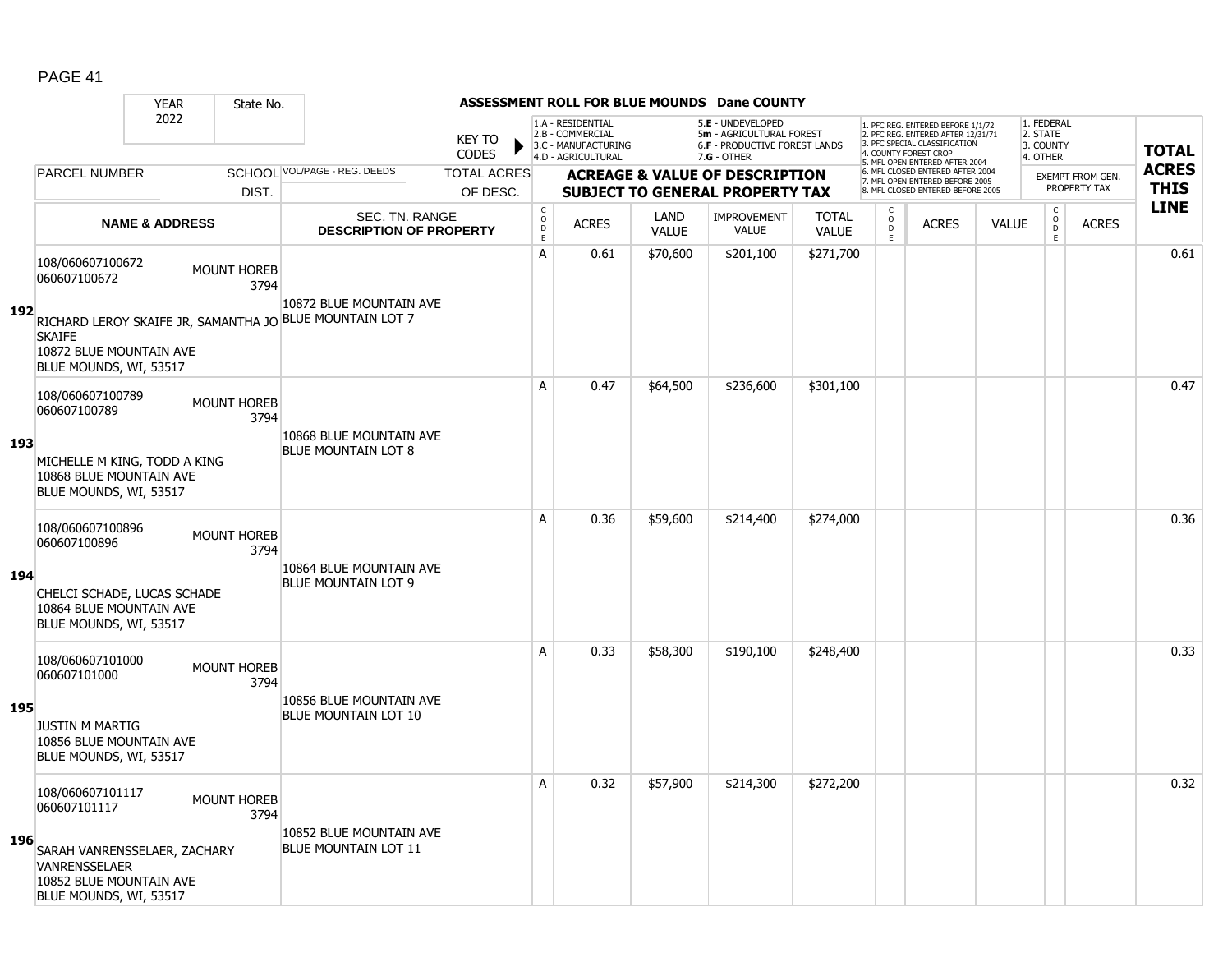|     |                                                                                                                                               | <b>YEAR</b>               | State No.                  |                                                                                     |                                |                                       |                                                                                    |                             | <b>ASSESSMENT ROLL FOR BLUE MOUNDS Dane COUNTY</b>                                              |                              |                              |                                                                                                                                                                     |              |                                                 |                                         |                             |
|-----|-----------------------------------------------------------------------------------------------------------------------------------------------|---------------------------|----------------------------|-------------------------------------------------------------------------------------|--------------------------------|---------------------------------------|------------------------------------------------------------------------------------|-----------------------------|-------------------------------------------------------------------------------------------------|------------------------------|------------------------------|---------------------------------------------------------------------------------------------------------------------------------------------------------------------|--------------|-------------------------------------------------|-----------------------------------------|-----------------------------|
|     |                                                                                                                                               | 2022                      |                            |                                                                                     | <b>KEY TO</b><br><b>CODES</b>  |                                       | 1.A - RESIDENTIAL<br>2.B - COMMERCIAL<br>3.C - MANUFACTURING<br>4.D - AGRICULTURAL |                             | 5.E - UNDEVELOPED<br>5m - AGRICULTURAL FOREST<br>6.F - PRODUCTIVE FOREST LANDS<br>$7.G - OTHER$ |                              |                              | 1. PFC REG. ENTERED BEFORE 1/1/72<br>2. PFC REG. ENTERED AFTER 12/31/71<br>3. PFC SPECIAL CLASSIFICATION<br>4. COUNTY FOREST CROP<br>5. MFL OPEN ENTERED AFTER 2004 |              | 1. FEDERAL<br>2. STATE<br>3. COUNTY<br>4. OTHER |                                         | <b>TOTAL</b>                |
|     | <b>PARCEL NUMBER</b>                                                                                                                          |                           | DIST.                      | SCHOOL VOL/PAGE - REG. DEEDS                                                        | <b>TOTAL ACRES</b><br>OF DESC. |                                       |                                                                                    |                             | <b>ACREAGE &amp; VALUE OF DESCRIPTION</b><br><b>SUBJECT TO GENERAL PROPERTY TAX</b>             |                              |                              | 6. MFL CLOSED ENTERED AFTER 2004<br>7. MFL OPEN ENTERED BEFORE 2005<br>8. MFL CLOSED ENTERED BEFORE 2005                                                            |              |                                                 | <b>EXEMPT FROM GEN.</b><br>PROPERTY TAX | <b>ACRES</b><br><b>THIS</b> |
|     |                                                                                                                                               | <b>NAME &amp; ADDRESS</b> |                            | SEC. TN. RANGE<br><b>DESCRIPTION OF PROPERTY</b>                                    |                                | C<br>$\mathsf{O}$<br>$\mathsf D$<br>E | <b>ACRES</b>                                                                       | <b>LAND</b><br><b>VALUE</b> | <b>IMPROVEMENT</b><br><b>VALUE</b>                                                              | <b>TOTAL</b><br><b>VALUE</b> | C<br>$_{\rm D}^{\rm O}$<br>E | <b>ACRES</b>                                                                                                                                                        | <b>VALUE</b> | $\begin{matrix} 0 \\ 0 \\ D \end{matrix}$<br>E  | <b>ACRES</b>                            | <b>LINE</b>                 |
| 192 | 108/060607100672<br>060607100672<br><b>SKAIFE</b><br>10872 BLUE MOUNTAIN AVE<br>BLUE MOUNDS, WI, 53517                                        |                           | <b>MOUNT HOREB</b><br>3794 | 10872 BLUE MOUNTAIN AVE<br>RICHARD LEROY SKAIFE JR, SAMANTHA JO BLUE MOUNTAIN LOT 7 |                                | A                                     | 0.61                                                                               | \$70,600                    | \$201,100                                                                                       | \$271,700                    |                              |                                                                                                                                                                     |              |                                                 |                                         | 0.61                        |
| 193 | 108/060607100789<br>060607100789<br>MICHELLE M KING, TODD A KING<br>10868 BLUE MOUNTAIN AVE<br>BLUE MOUNDS, WI, 53517                         |                           | <b>MOUNT HOREB</b><br>3794 | 10868 BLUE MOUNTAIN AVE<br><b>BLUE MOUNTAIN LOT 8</b>                               |                                | A                                     | 0.47                                                                               | \$64,500                    | \$236,600                                                                                       | \$301,100                    |                              |                                                                                                                                                                     |              |                                                 |                                         | 0.47                        |
| 194 | 108/060607100896<br>060607100896<br>CHELCI SCHADE, LUCAS SCHADE<br>10864 BLUE MOUNTAIN AVE<br>BLUE MOUNDS, WI, 53517                          |                           | <b>MOUNT HOREB</b><br>3794 | 10864 BLUE MOUNTAIN AVE<br><b>BLUE MOUNTAIN LOT 9</b>                               |                                | A                                     | 0.36                                                                               | \$59,600                    | \$214,400                                                                                       | \$274,000                    |                              |                                                                                                                                                                     |              |                                                 |                                         | 0.36                        |
| 195 | 108/060607101000<br>060607101000<br><b>JUSTIN M MARTIG</b><br>10856 BLUE MOUNTAIN AVE<br>BLUE MOUNDS, WI, 53517                               |                           | <b>MOUNT HOREB</b><br>3794 | 10856 BLUE MOUNTAIN AVE<br><b>BLUE MOUNTAIN LOT 10</b>                              |                                | А                                     | 0.33                                                                               | \$58,300                    | \$190,100                                                                                       | \$248,400                    |                              |                                                                                                                                                                     |              |                                                 |                                         | 0.33                        |
| 196 | 108/060607101117<br>060607101117<br>SARAH VANRENSSELAER, ZACHARY<br><b>VANRENSSELAER</b><br>10852 BLUE MOUNTAIN AVE<br>BLUE MOUNDS, WI, 53517 |                           | <b>MOUNT HOREB</b><br>3794 | 10852 BLUE MOUNTAIN AVE<br><b>BLUE MOUNTAIN LOT 11</b>                              |                                | A                                     | 0.32                                                                               | \$57,900                    | \$214,300                                                                                       | \$272,200                    |                              |                                                                                                                                                                     |              |                                                 |                                         | 0.32                        |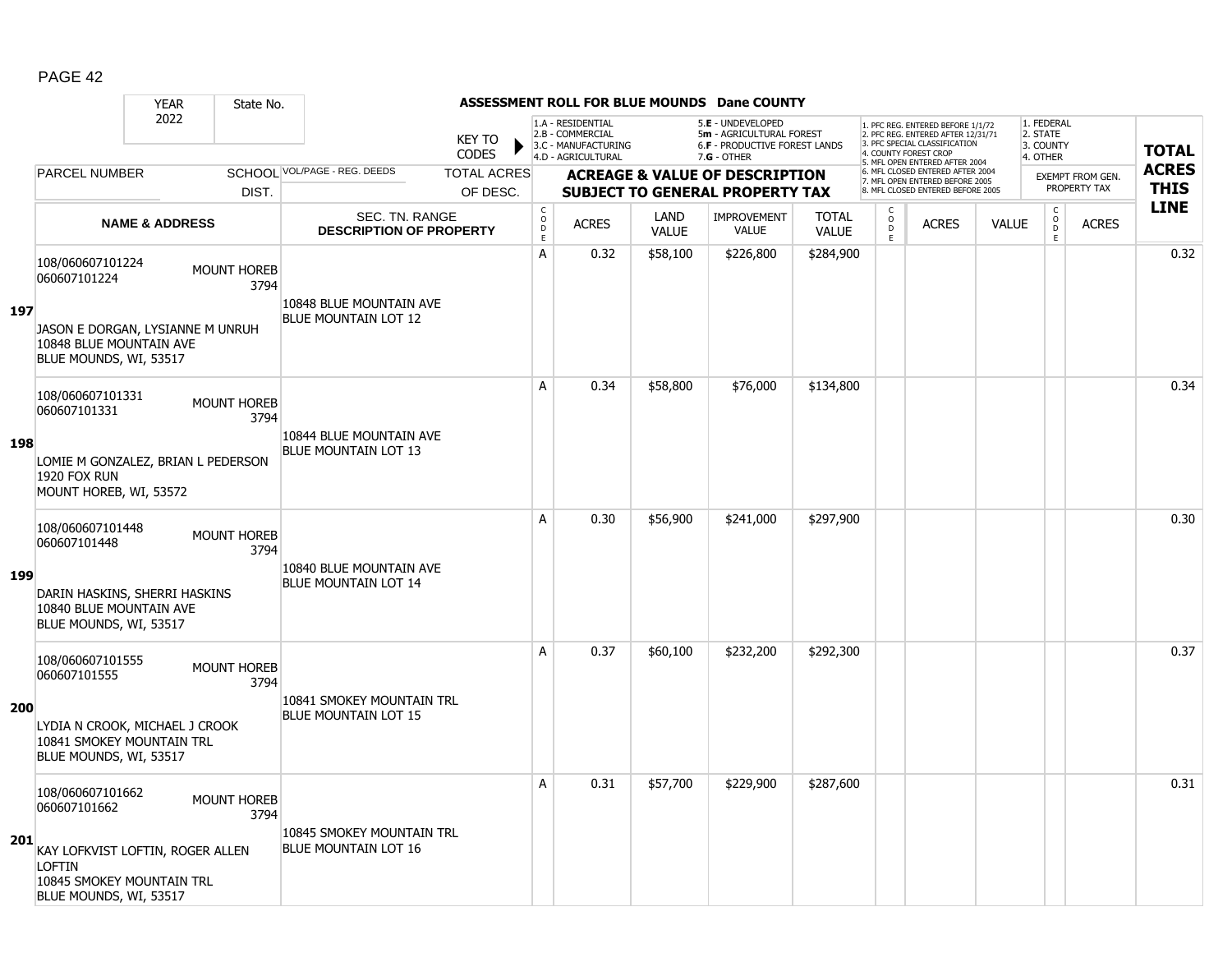|            |                                                                                                   | <b>YEAR</b>               | State No.                  |                                                          |                               |                                       |                                                                                    |                             | <b>ASSESSMENT ROLL FOR BLUE MOUNDS Dane COUNTY</b>                                                     |                              |                                                 |                                                                                                                                                                     |              |                                                 |                         |              |
|------------|---------------------------------------------------------------------------------------------------|---------------------------|----------------------------|----------------------------------------------------------|-------------------------------|---------------------------------------|------------------------------------------------------------------------------------|-----------------------------|--------------------------------------------------------------------------------------------------------|------------------------------|-------------------------------------------------|---------------------------------------------------------------------------------------------------------------------------------------------------------------------|--------------|-------------------------------------------------|-------------------------|--------------|
|            |                                                                                                   | 2022                      |                            |                                                          | <b>KEY TO</b><br><b>CODES</b> |                                       | 1.A - RESIDENTIAL<br>2.B - COMMERCIAL<br>3.C - MANUFACTURING<br>4.D - AGRICULTURAL |                             | 5.E - UNDEVELOPED<br>5m - AGRICULTURAL FOREST<br><b>6.F - PRODUCTIVE FOREST LANDS</b><br>$7.G - OTHER$ |                              |                                                 | 1. PFC REG. ENTERED BEFORE 1/1/72<br>2. PFC REG. ENTERED AFTER 12/31/71<br>3. PFC SPECIAL CLASSIFICATION<br>4. COUNTY FOREST CROP<br>5. MFL OPEN ENTERED AFTER 2004 |              | 1. FEDERAL<br>2. STATE<br>3. COUNTY<br>4. OTHER |                         | <b>TOTAL</b> |
|            | <b>PARCEL NUMBER</b>                                                                              |                           |                            | SCHOOL VOL/PAGE - REG. DEEDS                             | <b>TOTAL ACRES</b>            |                                       |                                                                                    |                             | <b>ACREAGE &amp; VALUE OF DESCRIPTION</b>                                                              |                              |                                                 | 6. MFL CLOSED ENTERED AFTER 2004<br>7. MFL OPEN ENTERED BEFORE 2005                                                                                                 |              |                                                 | <b>EXEMPT FROM GEN.</b> | <b>ACRES</b> |
|            |                                                                                                   |                           | DIST.                      |                                                          | OF DESC.                      |                                       |                                                                                    |                             | <b>SUBJECT TO GENERAL PROPERTY TAX</b>                                                                 |                              |                                                 | 8. MFL CLOSED ENTERED BEFORE 2005                                                                                                                                   |              |                                                 | PROPERTY TAX            | <b>THIS</b>  |
|            |                                                                                                   | <b>NAME &amp; ADDRESS</b> |                            | <b>SEC. TN. RANGE</b><br><b>DESCRIPTION OF PROPERTY</b>  |                               | C<br>$\mathsf{O}$<br>$\mathsf D$<br>E | <b>ACRES</b>                                                                       | <b>LAND</b><br><b>VALUE</b> | <b>IMPROVEMENT</b><br>VALUE                                                                            | <b>TOTAL</b><br><b>VALUE</b> | $\begin{matrix} 0 \\ 0 \\ D \end{matrix}$<br>E. | <b>ACRES</b>                                                                                                                                                        | <b>VALUE</b> | $\begin{matrix} 0 \\ 0 \\ 0 \end{matrix}$<br>E  | <b>ACRES</b>            | <b>LINE</b>  |
| 197        | 108/060607101224<br>060607101224<br>JASON E DORGAN, LYSIANNE M UNRUH                              |                           | MOUNT HOREB<br>3794        | 10848 BLUE MOUNTAIN AVE<br><b>BLUE MOUNTAIN LOT 12</b>   |                               | A                                     | 0.32                                                                               | \$58,100                    | \$226,800                                                                                              | \$284,900                    |                                                 |                                                                                                                                                                     |              |                                                 |                         | 0.32         |
|            | 10848 BLUE MOUNTAIN AVE<br>BLUE MOUNDS, WI, 53517                                                 |                           |                            |                                                          |                               |                                       |                                                                                    |                             |                                                                                                        |                              |                                                 |                                                                                                                                                                     |              |                                                 |                         |              |
|            | 108/060607101331<br>060607101331                                                                  |                           | <b>MOUNT HOREB</b><br>3794 |                                                          |                               | A                                     | 0.34                                                                               | \$58,800                    | \$76,000                                                                                               | \$134,800                    |                                                 |                                                                                                                                                                     |              |                                                 |                         | 0.34         |
| 198        | LOMIE M GONZALEZ, BRIAN L PEDERSON<br>1920 FOX RUN<br>MOUNT HOREB, WI, 53572                      |                           |                            | 10844 BLUE MOUNTAIN AVE<br><b>BLUE MOUNTAIN LOT 13</b>   |                               |                                       |                                                                                    |                             |                                                                                                        |                              |                                                 |                                                                                                                                                                     |              |                                                 |                         |              |
|            | 108/060607101448<br>060607101448                                                                  |                           | MOUNT HOREB<br>3794        | 10840 BLUE MOUNTAIN AVE                                  |                               | A                                     | 0.30                                                                               | \$56,900                    | \$241,000                                                                                              | \$297,900                    |                                                 |                                                                                                                                                                     |              |                                                 |                         | 0.30         |
| 199        | DARIN HASKINS, SHERRI HASKINS<br>10840 BLUE MOUNTAIN AVE<br>BLUE MOUNDS, WI, 53517                |                           |                            | <b>BLUE MOUNTAIN LOT 14</b>                              |                               |                                       |                                                                                    |                             |                                                                                                        |                              |                                                 |                                                                                                                                                                     |              |                                                 |                         |              |
|            | 108/060607101555<br>060607101555                                                                  |                           | <b>MOUNT HOREB</b><br>3794 |                                                          |                               | A                                     | 0.37                                                                               | \$60,100                    | \$232,200                                                                                              | \$292,300                    |                                                 |                                                                                                                                                                     |              |                                                 |                         | 0.37         |
| <b>200</b> | LYDIA N CROOK, MICHAEL J CROOK<br>10841 SMOKEY MOUNTAIN TRL<br>BLUE MOUNDS, WI, 53517             |                           |                            | 10841 SMOKEY MOUNTAIN TRL<br><b>BLUE MOUNTAIN LOT 15</b> |                               |                                       |                                                                                    |                             |                                                                                                        |                              |                                                 |                                                                                                                                                                     |              |                                                 |                         |              |
|            | 108/060607101662<br>060607101662                                                                  |                           | <b>MOUNT HOREB</b><br>3794 |                                                          |                               | A                                     | 0.31                                                                               | \$57,700                    | \$229,900                                                                                              | \$287,600                    |                                                 |                                                                                                                                                                     |              |                                                 |                         | 0.31         |
| 201        | KAY LOFKVIST LOFTIN, ROGER ALLEN<br>LOFTIN<br>10845 SMOKEY MOUNTAIN TRL<br>BLUE MOUNDS, WI, 53517 |                           |                            | 10845 SMOKEY MOUNTAIN TRL<br><b>BLUE MOUNTAIN LOT 16</b> |                               |                                       |                                                                                    |                             |                                                                                                        |                              |                                                 |                                                                                                                                                                     |              |                                                 |                         |              |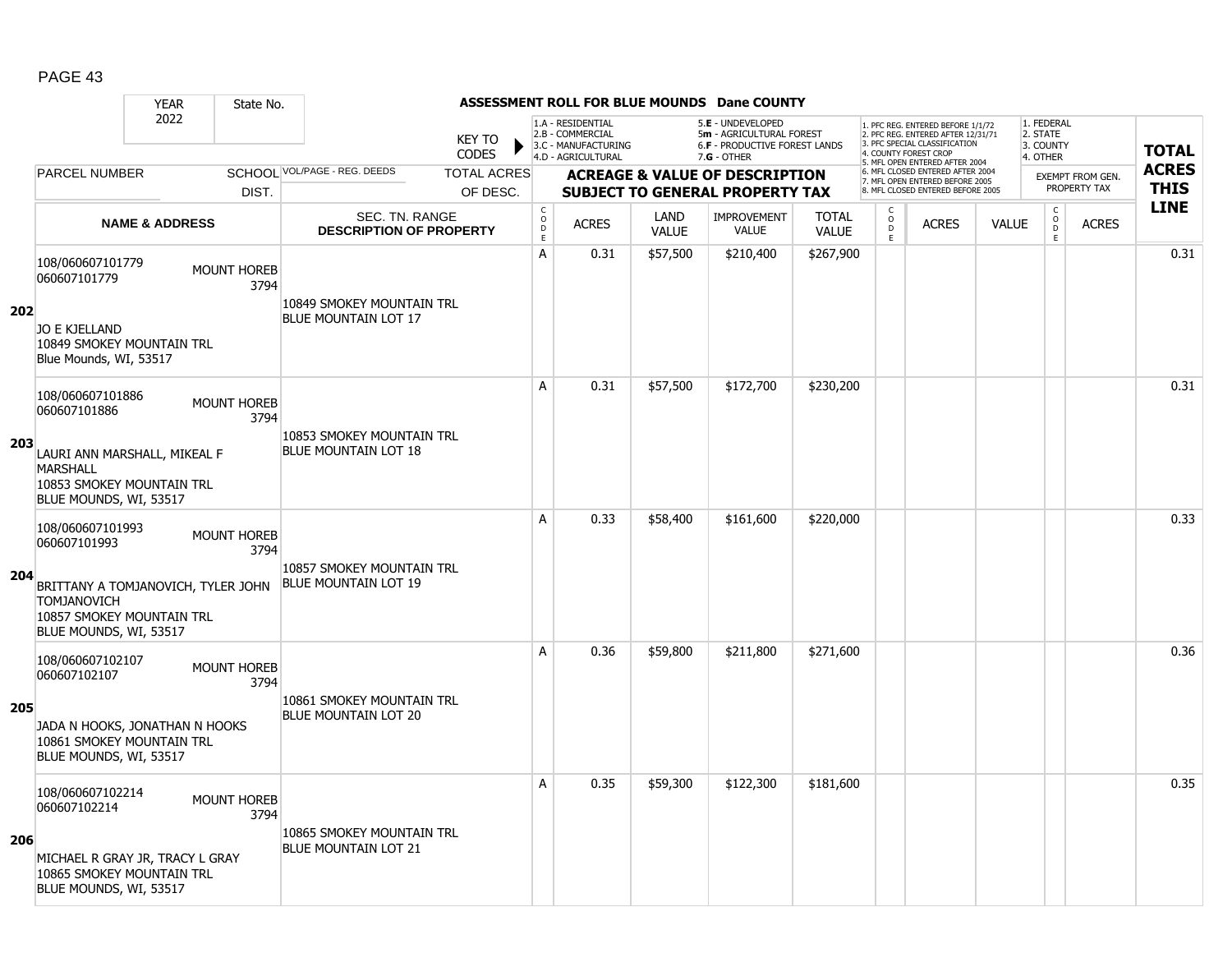|     |                                                                                                                                                                      | <b>YEAR</b>               | State No.                  |                                                          |                               |                                |                                                                                    |                             | ASSESSMENT ROLL FOR BLUE MOUNDS Dane COUNTY                                         |                              |                                                 |                                                                                                                                   |              |                                                          |                                  |              |
|-----|----------------------------------------------------------------------------------------------------------------------------------------------------------------------|---------------------------|----------------------------|----------------------------------------------------------|-------------------------------|--------------------------------|------------------------------------------------------------------------------------|-----------------------------|-------------------------------------------------------------------------------------|------------------------------|-------------------------------------------------|-----------------------------------------------------------------------------------------------------------------------------------|--------------|----------------------------------------------------------|----------------------------------|--------------|
|     |                                                                                                                                                                      | 2022                      |                            |                                                          | <b>KEY TO</b><br><b>CODES</b> |                                | 1.A - RESIDENTIAL<br>2.B - COMMERCIAL<br>3.C - MANUFACTURING<br>4.D - AGRICULTURAL |                             | 5.E - UNDEVELOPED<br>5m - AGRICULTURAL FOREST<br>6.F - PRODUCTIVE FOREST LANDS      |                              |                                                 | 1. PFC REG. ENTERED BEFORE 1/1/72<br>2. PFC REG. ENTERED AFTER 12/31/71<br>3. PFC SPECIAL CLASSIFICATION<br>4. COUNTY FOREST CROP |              | 1. FEDERAL<br>2. STATE<br>3. COUNTY                      |                                  | <b>TOTAL</b> |
|     | <b>PARCEL NUMBER</b>                                                                                                                                                 |                           |                            | SCHOOL VOL/PAGE - REG. DEEDS                             | <b>TOTAL ACRES</b>            |                                |                                                                                    |                             | $7.G - OTHER$                                                                       |                              |                                                 | 5. MFL OPEN ENTERED AFTER 2004<br>6. MFL CLOSED ENTERED AFTER 2004                                                                |              | 4. OTHER                                                 |                                  | <b>ACRES</b> |
|     |                                                                                                                                                                      |                           | DIST.                      |                                                          | OF DESC.                      |                                |                                                                                    |                             | <b>ACREAGE &amp; VALUE OF DESCRIPTION</b><br><b>SUBJECT TO GENERAL PROPERTY TAX</b> |                              |                                                 | 7. MFL OPEN ENTERED BEFORE 2005<br>8. MFL CLOSED ENTERED BEFORE 2005                                                              |              |                                                          | EXEMPT FROM GEN.<br>PROPERTY TAX | <b>THIS</b>  |
|     |                                                                                                                                                                      | <b>NAME &amp; ADDRESS</b> |                            | SEC. TN. RANGE<br><b>DESCRIPTION OF PROPERTY</b>         |                               | $\frac{c}{0}$<br>$\frac{D}{E}$ | <b>ACRES</b>                                                                       | <b>LAND</b><br><b>VALUE</b> | <b>IMPROVEMENT</b><br><b>VALUE</b>                                                  | <b>TOTAL</b><br><b>VALUE</b> | $\begin{matrix} 0 \\ 0 \\ D \end{matrix}$<br>E. | <b>ACRES</b>                                                                                                                      | <b>VALUE</b> | $\begin{matrix} 0 \\ 0 \\ 0 \end{matrix}$<br>$\mathsf E$ | <b>ACRES</b>                     | <b>LINE</b>  |
| 202 | 108/060607101779<br>060607101779<br><b>JO E KJELLAND</b><br>10849 SMOKEY MOUNTAIN TRL                                                                                |                           | <b>MOUNT HOREB</b><br>3794 | 10849 SMOKEY MOUNTAIN TRL<br><b>BLUE MOUNTAIN LOT 17</b> |                               | A                              | 0.31                                                                               | \$57,500                    | \$210,400                                                                           | \$267,900                    |                                                 |                                                                                                                                   |              |                                                          |                                  | 0.31         |
| 203 | Blue Mounds, WI, 53517<br>108/060607101886<br>060607101886<br>LAURI ANN MARSHALL, MIKEAL F<br><b>MARSHALL</b><br>10853 SMOKEY MOUNTAIN TRL<br>BLUE MOUNDS, WI, 53517 |                           | <b>MOUNT HOREB</b><br>3794 | 10853 SMOKEY MOUNTAIN TRL<br><b>BLUE MOUNTAIN LOT 18</b> |                               | A                              | 0.31                                                                               | \$57,500                    | \$172,700                                                                           | \$230,200                    |                                                 |                                                                                                                                   |              |                                                          |                                  | 0.31         |
| 204 | 108/060607101993<br>060607101993<br>BRITTANY A TOMJANOVICH, TYLER JOHN<br><b>TOMJANOVICH</b><br>10857 SMOKEY MOUNTAIN TRL<br>BLUE MOUNDS, WI, 53517                  |                           | <b>MOUNT HOREB</b><br>3794 | 10857 SMOKEY MOUNTAIN TRL<br><b>BLUE MOUNTAIN LOT 19</b> |                               | A                              | 0.33                                                                               | \$58,400                    | \$161,600                                                                           | \$220,000                    |                                                 |                                                                                                                                   |              |                                                          |                                  | 0.33         |
| 205 | 108/060607102107<br>060607102107<br>JADA N HOOKS, JONATHAN N HOOKS<br>10861 SMOKEY MOUNTAIN TRL<br>BLUE MOUNDS, WI, 53517                                            |                           | <b>MOUNT HOREB</b><br>3794 | 10861 SMOKEY MOUNTAIN TRL<br>BLUE MOUNTAIN LOT 20        |                               | A                              | 0.36                                                                               | \$59,800                    | \$211,800                                                                           | \$271,600                    |                                                 |                                                                                                                                   |              |                                                          |                                  | 0.36         |
| 206 | 108/060607102214<br>060607102214<br>MICHAEL R GRAY JR, TRACY L GRAY<br>10865 SMOKEY MOUNTAIN TRL<br>BLUE MOUNDS, WI, 53517                                           |                           | <b>MOUNT HOREB</b><br>3794 | 10865 SMOKEY MOUNTAIN TRL<br><b>BLUE MOUNTAIN LOT 21</b> |                               | Α                              | 0.35                                                                               | \$59,300                    | \$122,300                                                                           | \$181,600                    |                                                 |                                                                                                                                   |              |                                                          |                                  | 0.35         |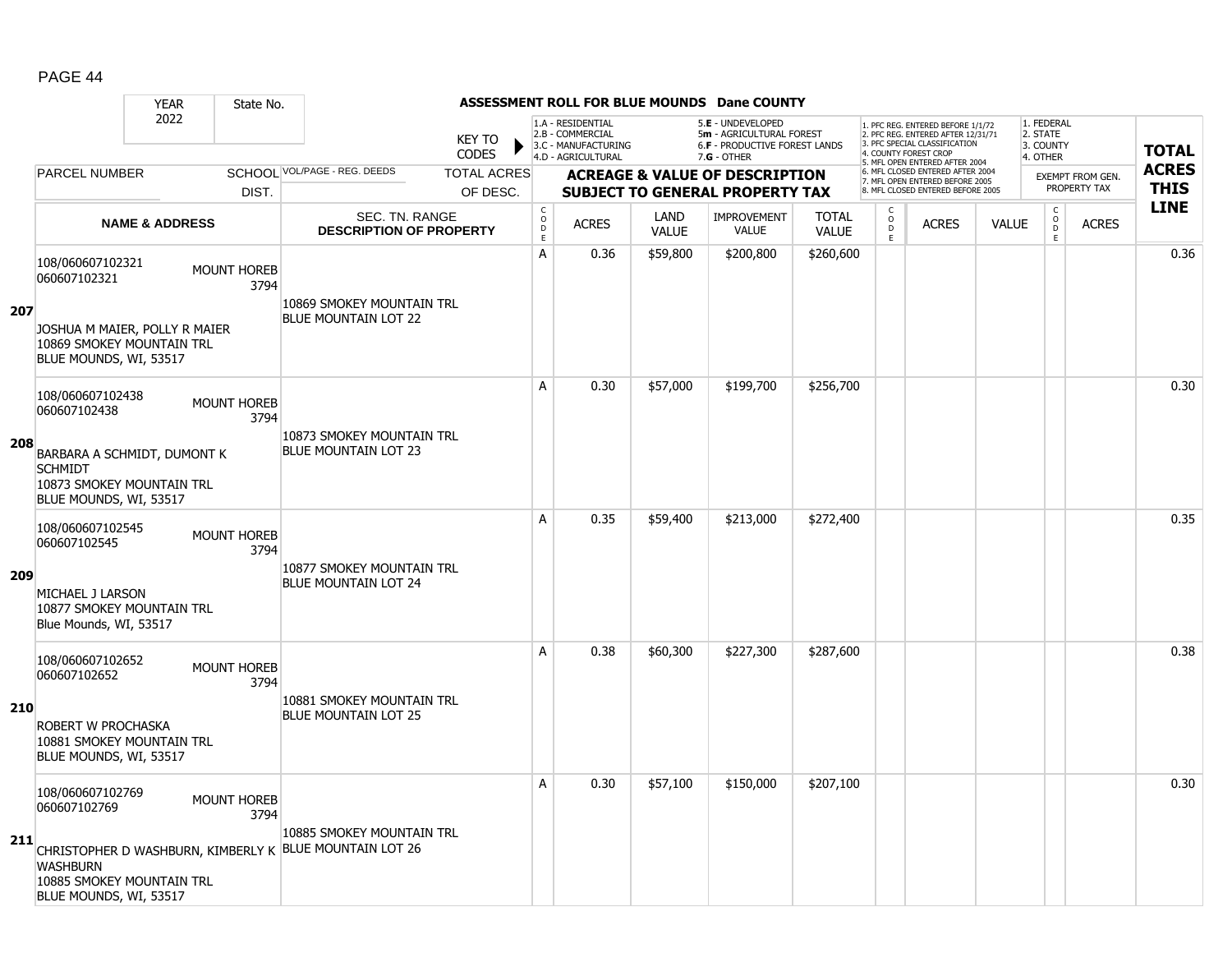|     |                                                                                                      | <b>YEAR</b>               | State No.                  |                                                          |                               |                                        |                                                                                    |                      | ASSESSMENT ROLL FOR BLUE MOUNDS Dane COUNTY                                                            |                              |                                                          |                                                                                                                                   |              |                                                 |                         |              |
|-----|------------------------------------------------------------------------------------------------------|---------------------------|----------------------------|----------------------------------------------------------|-------------------------------|----------------------------------------|------------------------------------------------------------------------------------|----------------------|--------------------------------------------------------------------------------------------------------|------------------------------|----------------------------------------------------------|-----------------------------------------------------------------------------------------------------------------------------------|--------------|-------------------------------------------------|-------------------------|--------------|
|     |                                                                                                      | 2022                      |                            |                                                          | <b>KEY TO</b><br><b>CODES</b> |                                        | 1.A - RESIDENTIAL<br>2.B - COMMERCIAL<br>3.C - MANUFACTURING<br>4.D - AGRICULTURAL |                      | 5.E - UNDEVELOPED<br>5m - AGRICULTURAL FOREST<br><b>6.F - PRODUCTIVE FOREST LANDS</b><br>$7.G - OTHER$ |                              |                                                          | 1. PFC REG. ENTERED BEFORE 1/1/72<br>2. PFC REG. ENTERED AFTER 12/31/71<br>3. PFC SPECIAL CLASSIFICATION<br>4. COUNTY FOREST CROP |              | 1. FEDERAL<br>2. STATE<br>3. COUNTY<br>4. OTHER |                         | <b>TOTAL</b> |
|     | <b>PARCEL NUMBER</b>                                                                                 |                           |                            | SCHOOL VOL/PAGE - REG. DEEDS                             | <b>TOTAL ACRES</b>            |                                        |                                                                                    |                      | <b>ACREAGE &amp; VALUE OF DESCRIPTION</b>                                                              |                              |                                                          | 5. MFL OPEN ENTERED AFTER 2004<br>6. MFL CLOSED ENTERED AFTER 2004                                                                |              |                                                 | <b>EXEMPT FROM GEN.</b> | <b>ACRES</b> |
|     |                                                                                                      |                           | DIST.                      |                                                          | OF DESC.                      |                                        |                                                                                    |                      | <b>SUBJECT TO GENERAL PROPERTY TAX</b>                                                                 |                              |                                                          | 7. MFL OPEN ENTERED BEFORE 2005<br>8. MFL CLOSED ENTERED BEFORE 2005                                                              |              |                                                 | PROPERTY TAX            | <b>THIS</b>  |
|     |                                                                                                      | <b>NAME &amp; ADDRESS</b> |                            | <b>SEC. TN. RANGE</b><br><b>DESCRIPTION OF PROPERTY</b>  |                               | $_{\rm o}^{\rm c}$<br>$\mathsf D$<br>E | <b>ACRES</b>                                                                       | LAND<br><b>VALUE</b> | <b>IMPROVEMENT</b><br><b>VALUE</b>                                                                     | <b>TOTAL</b><br><b>VALUE</b> | $\begin{matrix} 0 \\ 0 \\ 0 \end{matrix}$<br>$\mathsf E$ | <b>ACRES</b>                                                                                                                      | <b>VALUE</b> | $\begin{matrix} 0 \\ 0 \\ D \end{matrix}$<br>E. | <b>ACRES</b>            | <b>LINE</b>  |
| 207 | 108/060607102321<br>060607102321                                                                     |                           | <b>MOUNT HOREB</b><br>3794 | 10869 SMOKEY MOUNTAIN TRL<br><b>BLUE MOUNTAIN LOT 22</b> |                               | A                                      | 0.36                                                                               | \$59,800             | \$200,800                                                                                              | \$260,600                    |                                                          |                                                                                                                                   |              |                                                 |                         | 0.36         |
|     | JOSHUA M MAIER, POLLY R MAIER<br>10869 SMOKEY MOUNTAIN TRL<br>BLUE MOUNDS, WI, 53517                 |                           |                            |                                                          |                               |                                        |                                                                                    |                      |                                                                                                        |                              |                                                          |                                                                                                                                   |              |                                                 |                         |              |
|     | 108/060607102438<br>060607102438                                                                     |                           | <b>MOUNT HOREB</b><br>3794 |                                                          |                               | A                                      | 0.30                                                                               | \$57,000             | \$199,700                                                                                              | \$256,700                    |                                                          |                                                                                                                                   |              |                                                 |                         | 0.30         |
| 208 | BARBARA A SCHMIDT, DUMONT K<br><b>SCHMIDT</b><br>10873 SMOKEY MOUNTAIN TRL<br>BLUE MOUNDS, WI, 53517 |                           |                            | 10873 SMOKEY MOUNTAIN TRL<br><b>BLUE MOUNTAIN LOT 23</b> |                               |                                        |                                                                                    |                      |                                                                                                        |                              |                                                          |                                                                                                                                   |              |                                                 |                         |              |
|     | 108/060607102545<br>060607102545                                                                     |                           | <b>MOUNT HOREB</b><br>3794 | 10877 SMOKEY MOUNTAIN TRL                                |                               | A                                      | 0.35                                                                               | \$59,400             | \$213,000                                                                                              | \$272,400                    |                                                          |                                                                                                                                   |              |                                                 |                         | 0.35         |
| 209 | MICHAEL J LARSON<br>10877 SMOKEY MOUNTAIN TRL<br>Blue Mounds, WI, 53517                              |                           |                            | BLUE MOUNTAIN LOT 24                                     |                               |                                        |                                                                                    |                      |                                                                                                        |                              |                                                          |                                                                                                                                   |              |                                                 |                         |              |
|     | 108/060607102652<br>060607102652                                                                     |                           | <b>MOUNT HOREB</b><br>3794 |                                                          |                               | A                                      | 0.38                                                                               | \$60,300             | \$227,300                                                                                              | \$287,600                    |                                                          |                                                                                                                                   |              |                                                 |                         | 0.38         |
| 210 | ROBERT W PROCHASKA<br>10881 SMOKEY MOUNTAIN TRL<br>BLUE MOUNDS, WI, 53517                            |                           |                            | 10881 SMOKEY MOUNTAIN TRL<br><b>BLUE MOUNTAIN LOT 25</b> |                               |                                        |                                                                                    |                      |                                                                                                        |                              |                                                          |                                                                                                                                   |              |                                                 |                         |              |
|     | 108/060607102769<br>060607102769                                                                     |                           | <b>MOUNT HOREB</b><br>3794 | 10885 SMOKEY MOUNTAIN TRL                                |                               | A                                      | 0.30                                                                               | \$57,100             | \$150,000                                                                                              | \$207,100                    |                                                          |                                                                                                                                   |              |                                                 |                         | 0.30         |
| 211 | <b>WASHBURN</b><br>10885 SMOKEY MOUNTAIN TRL<br>BLUE MOUNDS, WI, 53517                               |                           |                            | CHRISTOPHER D WASHBURN, KIMBERLY K BLUE MOUNTAIN LOT 26  |                               |                                        |                                                                                    |                      |                                                                                                        |                              |                                                          |                                                                                                                                   |              |                                                 |                         |              |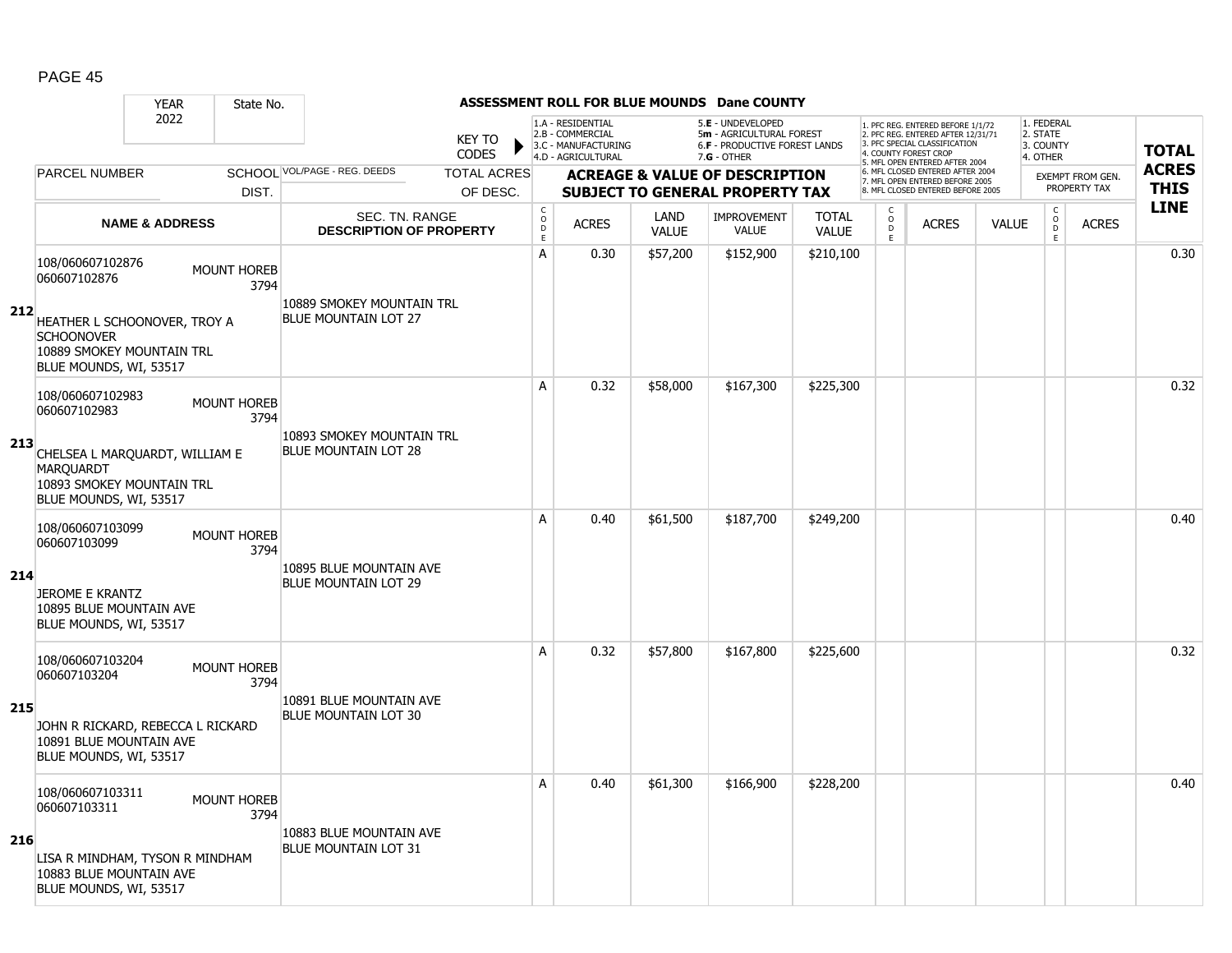|     | <b>YEAR</b>                                                                                               | State No.                  |                                                          |                                                          |                                                                                    |                      | ASSESSMENT ROLL FOR BLUE MOUNDS Dane COUNTY                                                            |                              |                          |                                                                                                                                   |              |                                                        |                  |              |
|-----|-----------------------------------------------------------------------------------------------------------|----------------------------|----------------------------------------------------------|----------------------------------------------------------|------------------------------------------------------------------------------------|----------------------|--------------------------------------------------------------------------------------------------------|------------------------------|--------------------------|-----------------------------------------------------------------------------------------------------------------------------------|--------------|--------------------------------------------------------|------------------|--------------|
|     | 2022                                                                                                      |                            | <b>KEY TO</b><br><b>CODES</b>                            |                                                          | 1.A - RESIDENTIAL<br>2.B - COMMERCIAL<br>3.C - MANUFACTURING<br>4.D - AGRICULTURAL |                      | 5.E - UNDEVELOPED<br>5m - AGRICULTURAL FOREST<br><b>6.F - PRODUCTIVE FOREST LANDS</b><br>$7.G - OTHER$ |                              |                          | 1. PFC REG. ENTERED BEFORE 1/1/72<br>2. PFC REG. ENTERED AFTER 12/31/71<br>3. PFC SPECIAL CLASSIFICATION<br>4. COUNTY FOREST CROP |              | 1. FEDERAL<br>2. STATE<br>3. COUNTY<br>4. OTHER        |                  | <b>TOTAL</b> |
|     | <b>PARCEL NUMBER</b>                                                                                      |                            | SCHOOL VOL/PAGE - REG. DEEDS<br><b>TOTAL ACRES</b>       |                                                          |                                                                                    |                      | <b>ACREAGE &amp; VALUE OF DESCRIPTION</b>                                                              |                              |                          | 5. MFL OPEN ENTERED AFTER 2004<br>6. MFL CLOSED ENTERED AFTER 2004<br>7. MFL OPEN ENTERED BEFORE 2005                             |              |                                                        | EXEMPT FROM GEN. | <b>ACRES</b> |
|     |                                                                                                           | DIST.                      | OF DESC.                                                 |                                                          |                                                                                    |                      | <b>SUBJECT TO GENERAL PROPERTY TAX</b>                                                                 |                              |                          | 8. MFL CLOSED ENTERED BEFORE 2005                                                                                                 |              |                                                        | PROPERTY TAX     | <b>THIS</b>  |
|     | <b>NAME &amp; ADDRESS</b>                                                                                 |                            | SEC. TN. RANGE<br><b>DESCRIPTION OF PROPERTY</b>         | $\begin{matrix} 0 \\ 0 \\ 0 \end{matrix}$<br>$\mathsf E$ | <b>ACRES</b>                                                                       | LAND<br><b>VALUE</b> | <b>IMPROVEMENT</b><br><b>VALUE</b>                                                                     | <b>TOTAL</b><br><b>VALUE</b> | C<br>$\overline{0}$<br>E | <b>ACRES</b>                                                                                                                      | <b>VALUE</b> | $\mathsf C$<br>$\overset{\mathsf{O}}{\mathsf{D}}$<br>E | <b>ACRES</b>     | <b>LINE</b>  |
|     | 108/060607102876<br>060607102876                                                                          | <b>MOUNT HOREB</b><br>3794 | 10889 SMOKEY MOUNTAIN TRL                                | A                                                        | 0.30                                                                               | \$57,200             | \$152,900                                                                                              | \$210,100                    |                          |                                                                                                                                   |              |                                                        |                  | 0.30         |
| 212 | HEATHER L SCHOONOVER, TROY A<br><b>SCHOONOVER</b><br>10889 SMOKEY MOUNTAIN TRL<br>BLUE MOUNDS, WI, 53517  |                            | <b>BLUE MOUNTAIN LOT 27</b>                              |                                                          |                                                                                    |                      |                                                                                                        |                              |                          |                                                                                                                                   |              |                                                        |                  |              |
|     | 108/060607102983<br>060607102983                                                                          | <b>MOUNT HOREB</b><br>3794 |                                                          | A                                                        | 0.32                                                                               | \$58,000             | \$167,300                                                                                              | \$225,300                    |                          |                                                                                                                                   |              |                                                        |                  | 0.32         |
| 213 | CHELSEA L MARQUARDT, WILLIAM E<br><b>MARQUARDT</b><br>10893 SMOKEY MOUNTAIN TRL<br>BLUE MOUNDS, WI, 53517 |                            | 10893 SMOKEY MOUNTAIN TRL<br><b>BLUE MOUNTAIN LOT 28</b> |                                                          |                                                                                    |                      |                                                                                                        |                              |                          |                                                                                                                                   |              |                                                        |                  |              |
|     | 108/060607103099<br>060607103099                                                                          | <b>MOUNT HOREB</b><br>3794 |                                                          | A                                                        | 0.40                                                                               | \$61,500             | \$187,700                                                                                              | \$249,200                    |                          |                                                                                                                                   |              |                                                        |                  | 0.40         |
| 214 | <b>JEROME E KRANTZ</b><br>10895 BLUE MOUNTAIN AVE<br>BLUE MOUNDS, WI, 53517                               |                            | 10895 BLUE MOUNTAIN AVE<br><b>BLUE MOUNTAIN LOT 29</b>   |                                                          |                                                                                    |                      |                                                                                                        |                              |                          |                                                                                                                                   |              |                                                        |                  |              |
|     | 108/060607103204<br>060607103204                                                                          | <b>MOUNT HOREB</b><br>3794 |                                                          | A                                                        | 0.32                                                                               | \$57,800             | \$167,800                                                                                              | \$225,600                    |                          |                                                                                                                                   |              |                                                        |                  | 0.32         |
| 215 | JOHN R RICKARD, REBECCA L RICKARD<br>10891 BLUE MOUNTAIN AVE<br>BLUE MOUNDS, WI, 53517                    |                            | 10891 BLUE MOUNTAIN AVE<br><b>BLUE MOUNTAIN LOT 30</b>   |                                                          |                                                                                    |                      |                                                                                                        |                              |                          |                                                                                                                                   |              |                                                        |                  |              |
|     | 108/060607103311<br>060607103311                                                                          | <b>MOUNT HOREB</b><br>3794 |                                                          | A                                                        | 0.40                                                                               | \$61,300             | \$166,900                                                                                              | \$228,200                    |                          |                                                                                                                                   |              |                                                        |                  | 0.40         |
| 216 | LISA R MINDHAM, TYSON R MINDHAM<br>10883 BLUE MOUNTAIN AVE<br>BLUE MOUNDS, WI, 53517                      |                            | 10883 BLUE MOUNTAIN AVE<br><b>BLUE MOUNTAIN LOT 31</b>   |                                                          |                                                                                    |                      |                                                                                                        |                              |                          |                                                                                                                                   |              |                                                        |                  |              |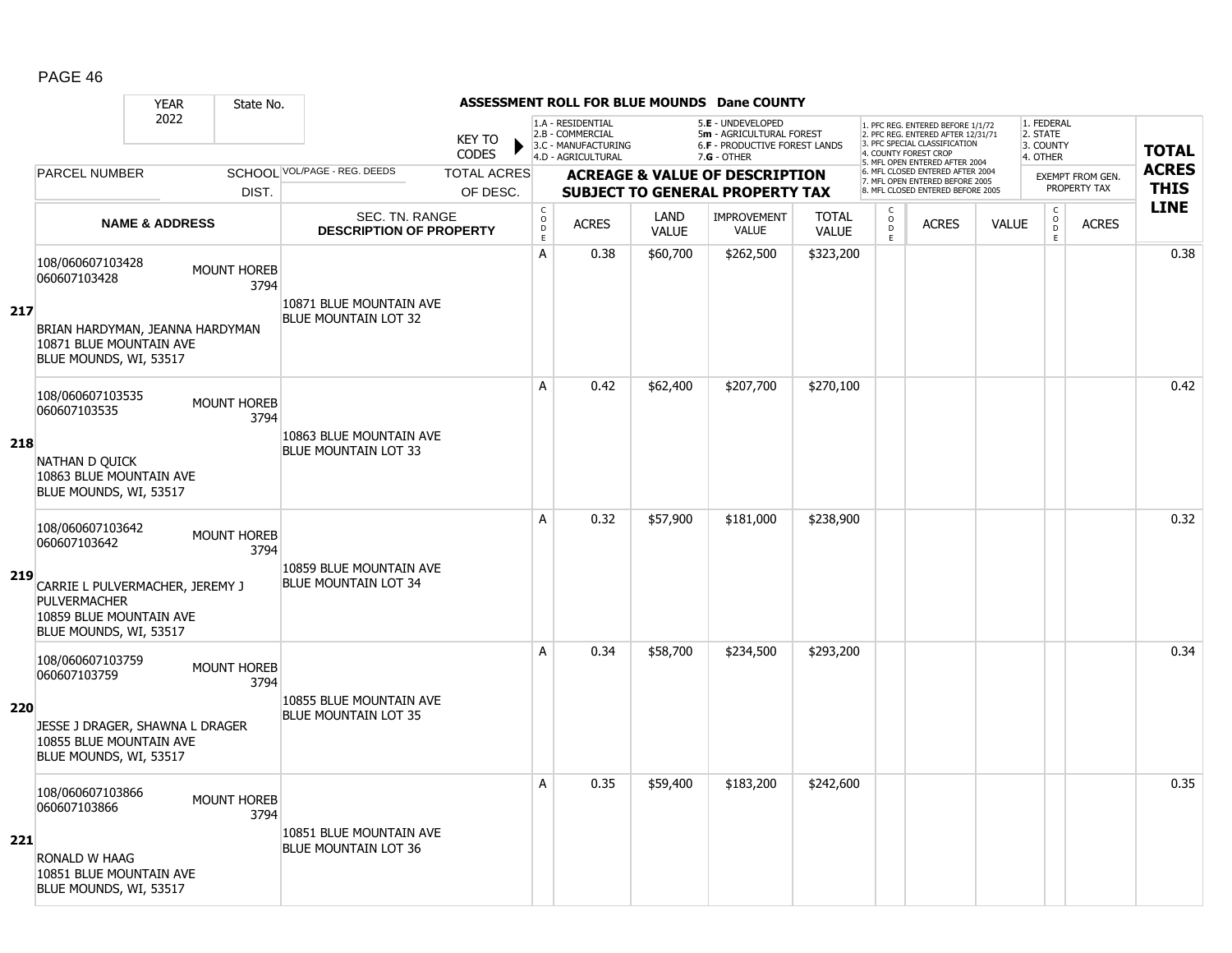|     |                                                                                                                       | <b>YEAR</b>               | State No.                  |                                                        |                               |                                                   |                                                                                    |                      | <b>ASSESSMENT ROLL FOR BLUE MOUNDS Dane COUNTY</b>                                                     |                              |                                                          |                                                                                                                                   |              |                                                 |                                         |              |
|-----|-----------------------------------------------------------------------------------------------------------------------|---------------------------|----------------------------|--------------------------------------------------------|-------------------------------|---------------------------------------------------|------------------------------------------------------------------------------------|----------------------|--------------------------------------------------------------------------------------------------------|------------------------------|----------------------------------------------------------|-----------------------------------------------------------------------------------------------------------------------------------|--------------|-------------------------------------------------|-----------------------------------------|--------------|
|     |                                                                                                                       | 2022                      |                            |                                                        | <b>KEY TO</b><br><b>CODES</b> |                                                   | 1.A - RESIDENTIAL<br>2.B - COMMERCIAL<br>3.C - MANUFACTURING<br>4.D - AGRICULTURAL |                      | 5.E - UNDEVELOPED<br>5m - AGRICULTURAL FOREST<br><b>6.F - PRODUCTIVE FOREST LANDS</b><br>$7.G - OTHER$ |                              |                                                          | 1. PFC REG. ENTERED BEFORE 1/1/72<br>2. PFC REG. ENTERED AFTER 12/31/71<br>3. PFC SPECIAL CLASSIFICATION<br>4. COUNTY FOREST CROP |              | 1. FEDERAL<br>2. STATE<br>3. COUNTY<br>4. OTHER |                                         | <b>TOTAL</b> |
|     | <b>PARCEL NUMBER</b>                                                                                                  |                           |                            | SCHOOL VOL/PAGE - REG. DEEDS                           | <b>TOTAL ACRES</b>            |                                                   |                                                                                    |                      | <b>ACREAGE &amp; VALUE OF DESCRIPTION</b>                                                              |                              |                                                          | 5. MFL OPEN ENTERED AFTER 2004<br>6. MFL CLOSED ENTERED AFTER 2004                                                                |              |                                                 |                                         | <b>ACRES</b> |
|     |                                                                                                                       |                           | DIST.                      |                                                        | OF DESC.                      |                                                   |                                                                                    |                      | <b>SUBJECT TO GENERAL PROPERTY TAX</b>                                                                 |                              |                                                          | 7. MFL OPEN ENTERED BEFORE 2005<br>8. MFL CLOSED ENTERED BEFORE 2005                                                              |              |                                                 | <b>EXEMPT FROM GEN.</b><br>PROPERTY TAX | <b>THIS</b>  |
|     |                                                                                                                       | <b>NAME &amp; ADDRESS</b> |                            | SEC. TN. RANGE<br><b>DESCRIPTION OF PROPERTY</b>       |                               | $\rm _o^C$<br>$\mathrel{\mathsf{D}}_{\mathsf{E}}$ | <b>ACRES</b>                                                                       | LAND<br><b>VALUE</b> | <b>IMPROVEMENT</b><br>VALUE                                                                            | <b>TOTAL</b><br><b>VALUE</b> | $\begin{matrix} 0 \\ 0 \\ D \end{matrix}$<br>$\mathsf E$ | <b>ACRES</b>                                                                                                                      | <b>VALUE</b> | $\begin{matrix} C \\ O \\ D \end{matrix}$<br>E  | <b>ACRES</b>                            | <b>LINE</b>  |
|     | 108/060607103428<br>060607103428                                                                                      |                           | <b>MOUNT HOREB</b><br>3794 | 10871 BLUE MOUNTAIN AVE                                |                               | Α                                                 | 0.38                                                                               | \$60,700             | \$262,500                                                                                              | \$323,200                    |                                                          |                                                                                                                                   |              |                                                 |                                         | 0.38         |
| 217 | BRIAN HARDYMAN, JEANNA HARDYMAN<br>10871 BLUE MOUNTAIN AVE<br>BLUE MOUNDS, WI, 53517                                  |                           |                            | <b>BLUE MOUNTAIN LOT 32</b>                            |                               |                                                   |                                                                                    |                      |                                                                                                        |                              |                                                          |                                                                                                                                   |              |                                                 |                                         |              |
|     | 108/060607103535<br>060607103535                                                                                      |                           | <b>MOUNT HOREB</b><br>3794 |                                                        |                               | A                                                 | 0.42                                                                               | \$62,400             | \$207,700                                                                                              | \$270,100                    |                                                          |                                                                                                                                   |              |                                                 |                                         | 0.42         |
| 218 | NATHAN D QUICK<br>10863 BLUE MOUNTAIN AVE<br>BLUE MOUNDS, WI, 53517                                                   |                           |                            | 10863 BLUE MOUNTAIN AVE<br><b>BLUE MOUNTAIN LOT 33</b> |                               |                                                   |                                                                                    |                      |                                                                                                        |                              |                                                          |                                                                                                                                   |              |                                                 |                                         |              |
| 219 | 108/060607103642<br>060607103642<br>CARRIE L PULVERMACHER, JEREMY J<br><b>PULVERMACHER</b><br>10859 BLUE MOUNTAIN AVE |                           | <b>MOUNT HOREB</b><br>3794 | 10859 BLUE MOUNTAIN AVE<br><b>BLUE MOUNTAIN LOT 34</b> |                               | A                                                 | 0.32                                                                               | \$57,900             | \$181,000                                                                                              | \$238,900                    |                                                          |                                                                                                                                   |              |                                                 |                                         | 0.32         |
|     | BLUE MOUNDS, WI, 53517                                                                                                |                           |                            |                                                        |                               |                                                   |                                                                                    |                      |                                                                                                        |                              |                                                          |                                                                                                                                   |              |                                                 |                                         |              |
|     | 108/060607103759<br>060607103759                                                                                      |                           | <b>MOUNT HOREB</b><br>3794 | 10855 BLUE MOUNTAIN AVE                                |                               | A                                                 | 0.34                                                                               | \$58,700             | \$234,500                                                                                              | \$293,200                    |                                                          |                                                                                                                                   |              |                                                 |                                         | 0.34         |
| 220 | JESSE J DRAGER, SHAWNA L DRAGER<br>10855 BLUE MOUNTAIN AVE<br>BLUE MOUNDS, WI, 53517                                  |                           |                            | <b>BLUE MOUNTAIN LOT 35</b>                            |                               |                                                   |                                                                                    |                      |                                                                                                        |                              |                                                          |                                                                                                                                   |              |                                                 |                                         |              |
|     | 108/060607103866<br>060607103866                                                                                      |                           | <b>MOUNT HOREB</b><br>3794 |                                                        |                               | A                                                 | 0.35                                                                               | \$59,400             | \$183,200                                                                                              | \$242,600                    |                                                          |                                                                                                                                   |              |                                                 |                                         | 0.35         |
| 221 | RONALD W HAAG<br>10851 BLUE MOUNTAIN AVE<br>BLUE MOUNDS, WI, 53517                                                    |                           |                            | 10851 BLUE MOUNTAIN AVE<br><b>BLUE MOUNTAIN LOT 36</b> |                               |                                                   |                                                                                    |                      |                                                                                                        |                              |                                                          |                                                                                                                                   |              |                                                 |                                         |              |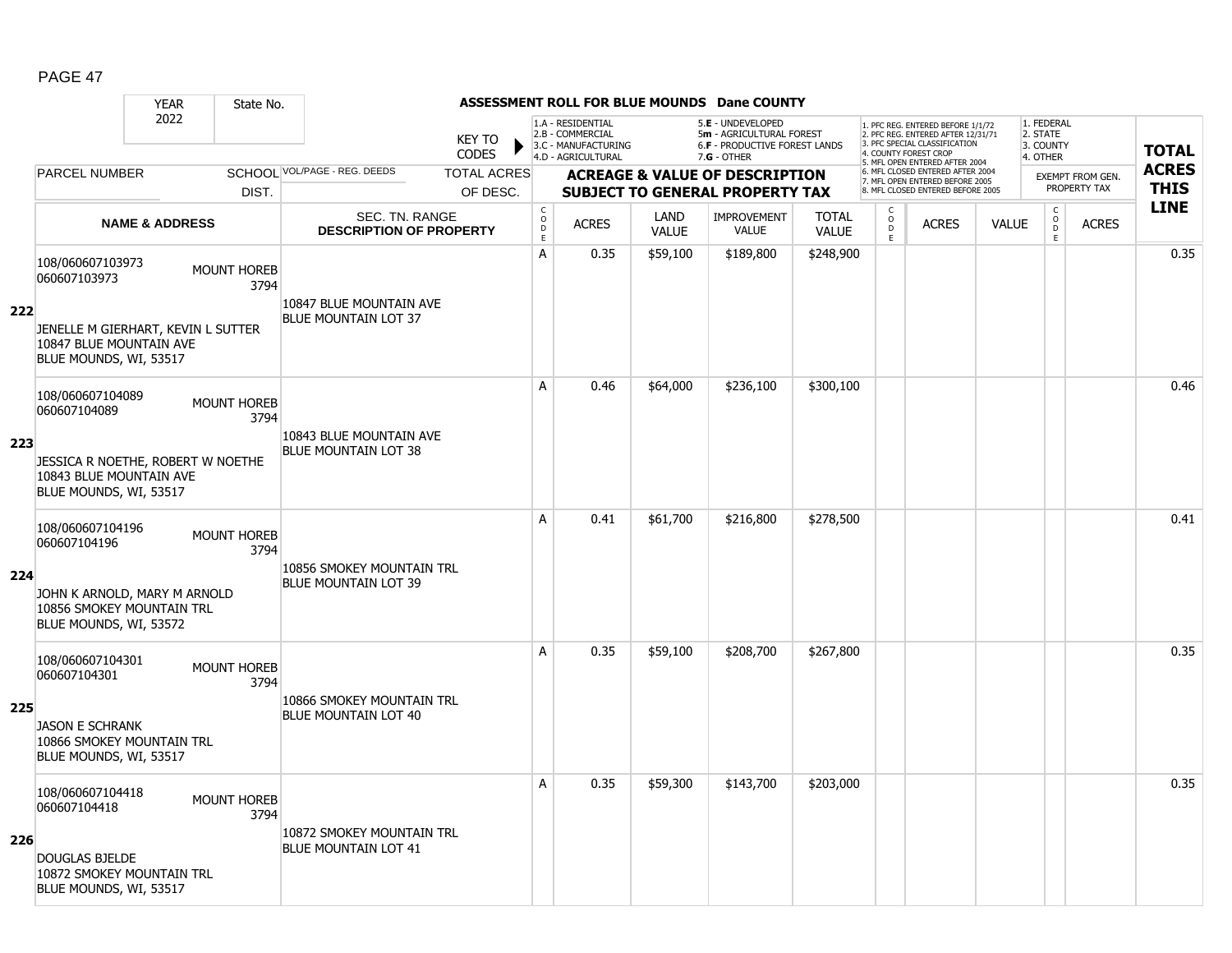|     |                                                                                         | <b>YEAR</b>               | State No.                  |                                                        |                               |                                                   |                                                              |                      | <b>ASSESSMENT ROLL FOR BLUE MOUNDS Dane COUNTY</b>                                    |                              |                                                |                                                                                                                                   |              |                                                |                                         |              |
|-----|-----------------------------------------------------------------------------------------|---------------------------|----------------------------|--------------------------------------------------------|-------------------------------|---------------------------------------------------|--------------------------------------------------------------|----------------------|---------------------------------------------------------------------------------------|------------------------------|------------------------------------------------|-----------------------------------------------------------------------------------------------------------------------------------|--------------|------------------------------------------------|-----------------------------------------|--------------|
|     |                                                                                         | 2022                      |                            |                                                        | <b>KEY TO</b><br><b>CODES</b> |                                                   | 1.A - RESIDENTIAL<br>2.B - COMMERCIAL<br>3.C - MANUFACTURING |                      | 5.E - UNDEVELOPED<br>5m - AGRICULTURAL FOREST<br><b>6.F - PRODUCTIVE FOREST LANDS</b> |                              |                                                | 1. PFC REG. ENTERED BEFORE 1/1/72<br>2. PFC REG. ENTERED AFTER 12/31/71<br>3. PFC SPECIAL CLASSIFICATION<br>4. COUNTY FOREST CROP |              | 1. FEDERAL<br>2. STATE<br>3. COUNTY            |                                         | <b>TOTAL</b> |
|     | <b>PARCEL NUMBER</b>                                                                    |                           |                            | SCHOOL VOL/PAGE - REG. DEEDS                           | <b>TOTAL ACRES</b>            |                                                   | 4.D - AGRICULTURAL                                           |                      | $7.G - OTHER$                                                                         |                              |                                                | 5. MFL OPEN ENTERED AFTER 2004<br>6. MFL CLOSED ENTERED AFTER 2004                                                                |              | 4. OTHER                                       |                                         | <b>ACRES</b> |
|     |                                                                                         |                           | DIST.                      |                                                        | OF DESC.                      |                                                   |                                                              |                      | <b>ACREAGE &amp; VALUE OF DESCRIPTION</b><br><b>SUBJECT TO GENERAL PROPERTY TAX</b>   |                              |                                                | 7. MFL OPEN ENTERED BEFORE 2005<br>8. MFL CLOSED ENTERED BEFORE 2005                                                              |              |                                                | <b>EXEMPT FROM GEN.</b><br>PROPERTY TAX | <b>THIS</b>  |
|     |                                                                                         | <b>NAME &amp; ADDRESS</b> |                            | SEC. TN. RANGE<br><b>DESCRIPTION OF PROPERTY</b>       |                               | $\rm _o^C$<br>$\mathrel{\mathsf{D}}_{\mathsf{E}}$ | <b>ACRES</b>                                                 | LAND<br><b>VALUE</b> | <b>IMPROVEMENT</b><br>VALUE                                                           | <b>TOTAL</b><br><b>VALUE</b> | $\begin{matrix} 0 \\ 0 \\ D \end{matrix}$<br>E | <b>ACRES</b>                                                                                                                      | <b>VALUE</b> | $\begin{matrix} C \\ O \\ D \end{matrix}$<br>E | <b>ACRES</b>                            | <b>LINE</b>  |
| 222 | 108/060607103973<br>060607103973                                                        |                           | <b>MOUNT HOREB</b><br>3794 | 10847 BLUE MOUNTAIN AVE<br><b>BLUE MOUNTAIN LOT 37</b> |                               | Α                                                 | 0.35                                                         | \$59,100             | \$189,800                                                                             | \$248,900                    |                                                |                                                                                                                                   |              |                                                |                                         | 0.35         |
|     | JENELLE M GIERHART, KEVIN L SUTTER<br>10847 BLUE MOUNTAIN AVE<br>BLUE MOUNDS, WI, 53517 |                           |                            |                                                        |                               |                                                   |                                                              |                      |                                                                                       |                              |                                                |                                                                                                                                   |              |                                                |                                         |              |
|     | 108/060607104089<br>060607104089                                                        |                           | <b>MOUNT HOREB</b><br>3794 | 10843 BLUE MOUNTAIN AVE                                |                               | A                                                 | 0.46                                                         | \$64,000             | \$236,100                                                                             | \$300,100                    |                                                |                                                                                                                                   |              |                                                |                                         | 0.46         |
| 223 | JESSICA R NOETHE, ROBERT W NOETHE<br>10843 BLUE MOUNTAIN AVE<br>BLUE MOUNDS, WI, 53517  |                           |                            | <b>BLUE MOUNTAIN LOT 38</b>                            |                               |                                                   |                                                              |                      |                                                                                       |                              |                                                |                                                                                                                                   |              |                                                |                                         |              |
|     | 108/060607104196<br>060607104196                                                        |                           | <b>MOUNT HOREB</b><br>3794 | 10856 SMOKEY MOUNTAIN TRL                              |                               | A                                                 | 0.41                                                         | \$61,700             | \$216,800                                                                             | \$278,500                    |                                                |                                                                                                                                   |              |                                                |                                         | 0.41         |
| 224 | JOHN K ARNOLD, MARY M ARNOLD<br>10856 SMOKEY MOUNTAIN TRL<br>BLUE MOUNDS, WI, 53572     |                           |                            | <b>BLUE MOUNTAIN LOT 39</b>                            |                               |                                                   |                                                              |                      |                                                                                       |                              |                                                |                                                                                                                                   |              |                                                |                                         |              |
|     | 108/060607104301<br>060607104301                                                        |                           | <b>MOUNT HOREB</b><br>3794 | 10866 SMOKEY MOUNTAIN TRL                              |                               | A                                                 | 0.35                                                         | \$59,100             | \$208,700                                                                             | \$267,800                    |                                                |                                                                                                                                   |              |                                                |                                         | 0.35         |
| 225 | <b>JASON E SCHRANK</b><br>10866 SMOKEY MOUNTAIN TRL<br>BLUE MOUNDS, WI, 53517           |                           |                            | BLUE MOUNTAIN LOT 40                                   |                               |                                                   |                                                              |                      |                                                                                       |                              |                                                |                                                                                                                                   |              |                                                |                                         |              |
|     | 108/060607104418<br>060607104418                                                        |                           | <b>MOUNT HOREB</b><br>3794 | 10872 SMOKEY MOUNTAIN TRL                              |                               | A                                                 | 0.35                                                         | \$59,300             | \$143,700                                                                             | \$203,000                    |                                                |                                                                                                                                   |              |                                                |                                         | 0.35         |
| 226 | <b>DOUGLAS BJELDE</b><br>10872 SMOKEY MOUNTAIN TRL<br>BLUE MOUNDS, WI, 53517            |                           |                            | <b>BLUE MOUNTAIN LOT 41</b>                            |                               |                                                   |                                                              |                      |                                                                                       |                              |                                                |                                                                                                                                   |              |                                                |                                         |              |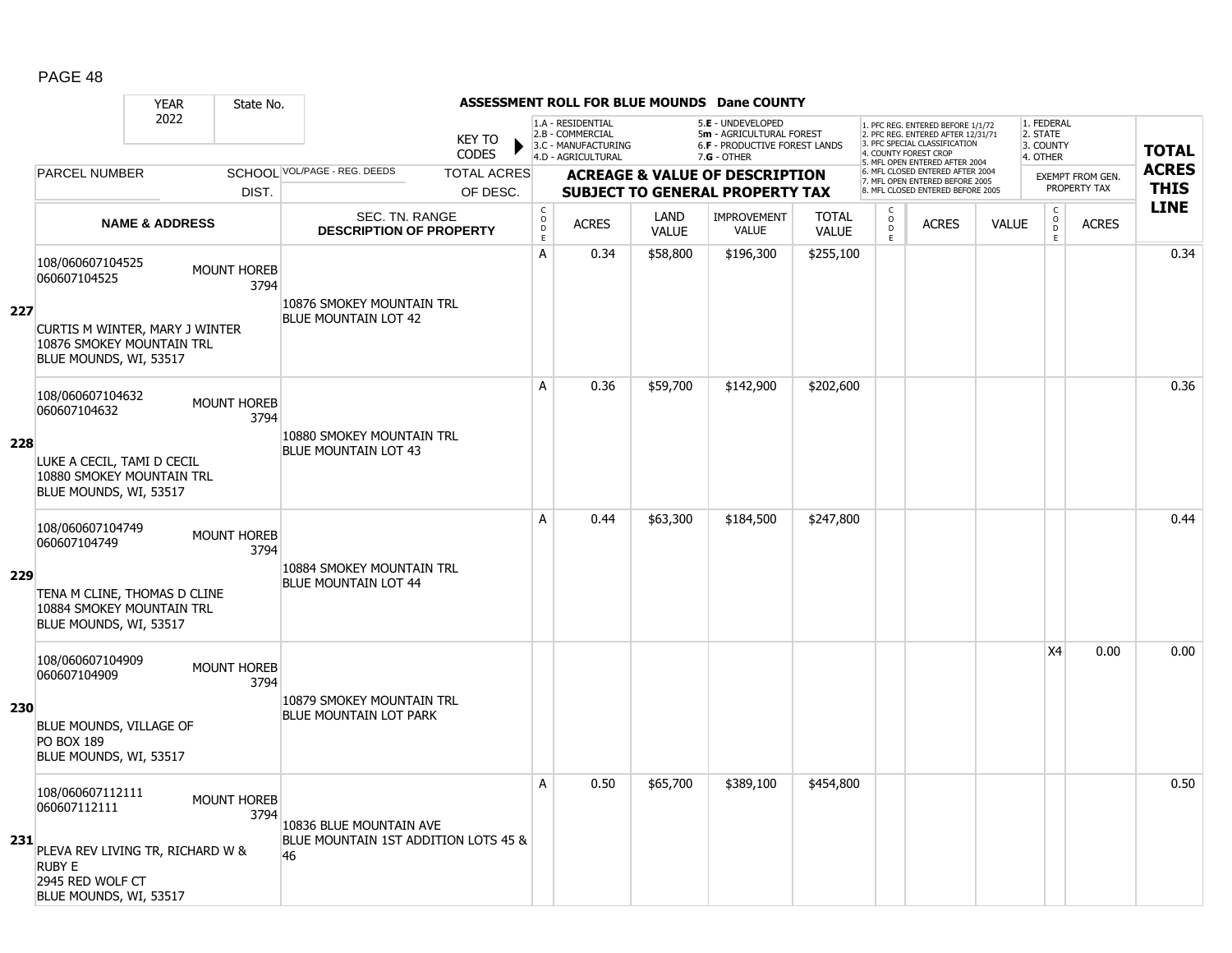|            |                                                                                                 | <b>YEAR</b>               | State No.                  |                                                    |                                            |                                                                                    |                             | ASSESSMENT ROLL FOR BLUE MOUNDS Dane COUNTY                                                   |                              |                                    |                                                                                                                                   |              |                                                          |                         |              |
|------------|-------------------------------------------------------------------------------------------------|---------------------------|----------------------------|----------------------------------------------------|--------------------------------------------|------------------------------------------------------------------------------------|-----------------------------|-----------------------------------------------------------------------------------------------|------------------------------|------------------------------------|-----------------------------------------------------------------------------------------------------------------------------------|--------------|----------------------------------------------------------|-------------------------|--------------|
|            |                                                                                                 | 2022                      |                            | <b>KEY TO</b><br><b>CODES</b>                      |                                            | 1.A - RESIDENTIAL<br>2.B - COMMERCIAL<br>3.C - MANUFACTURING<br>4.D - AGRICULTURAL |                             | 5.E - UNDEVELOPED<br>5m - AGRICULTURAL FOREST<br>6.F - PRODUCTIVE FOREST LANDS<br>7.G - OTHER |                              |                                    | 1. PFC REG. ENTERED BEFORE 1/1/72<br>2. PFC REG. ENTERED AFTER 12/31/71<br>3. PFC SPECIAL CLASSIFICATION<br>4. COUNTY FOREST CROP |              | 1. FEDERAL<br>2. STATE<br>3. COUNTY<br>4. OTHER          |                         | <b>TOTAL</b> |
|            | <b>PARCEL NUMBER</b>                                                                            |                           |                            | SCHOOL VOL/PAGE - REG. DEEDS<br><b>TOTAL ACRES</b> |                                            |                                                                                    |                             | <b>ACREAGE &amp; VALUE OF DESCRIPTION</b>                                                     |                              |                                    | 5. MFL OPEN ENTERED AFTER 2004<br>6. MFL CLOSED ENTERED AFTER 2004                                                                |              |                                                          | <b>EXEMPT FROM GEN.</b> | <b>ACRES</b> |
|            |                                                                                                 |                           | DIST.                      | OF DESC.                                           |                                            |                                                                                    |                             | <b>SUBJECT TO GENERAL PROPERTY TAX</b>                                                        |                              |                                    | 7. MFL OPEN ENTERED BEFORE 2005<br>8. MFL CLOSED ENTERED BEFORE 2005                                                              |              |                                                          | PROPERTY TAX            | <b>THIS</b>  |
|            |                                                                                                 | <b>NAME &amp; ADDRESS</b> |                            | SEC. TN. RANGE<br><b>DESCRIPTION OF PROPERTY</b>   | $\frac{c}{0}$<br>$\mathsf{D}_{\mathsf{E}}$ | <b>ACRES</b>                                                                       | <b>LAND</b><br><b>VALUE</b> | <b>IMPROVEMENT</b><br><b>VALUE</b>                                                            | <b>TOTAL</b><br><b>VALUE</b> | $\int_{0}^{c}$<br>$\ddot{D}$<br>E. | <b>ACRES</b>                                                                                                                      | <b>VALUE</b> | $\begin{matrix} 0 \\ 0 \\ 0 \end{matrix}$<br>$\mathsf E$ | <b>ACRES</b>            | <b>LINE</b>  |
| 227        | 108/060607104525<br>060607104525                                                                |                           | <b>MOUNT HOREB</b><br>3794 | 10876 SMOKEY MOUNTAIN TRL                          | А                                          | 0.34                                                                               | \$58,800                    | \$196,300                                                                                     | \$255,100                    |                                    |                                                                                                                                   |              |                                                          |                         | 0.34         |
|            | CURTIS M WINTER, MARY J WINTER<br>10876 SMOKEY MOUNTAIN TRL<br>BLUE MOUNDS, WI, 53517           |                           |                            | <b>BLUE MOUNTAIN LOT 42</b>                        |                                            |                                                                                    |                             |                                                                                               |                              |                                    |                                                                                                                                   |              |                                                          |                         |              |
|            | 108/060607104632<br>060607104632                                                                |                           | MOUNT HOREB<br>3794        | 10880 SMOKEY MOUNTAIN TRL                          | A                                          | 0.36                                                                               | \$59,700                    | \$142,900                                                                                     | \$202,600                    |                                    |                                                                                                                                   |              |                                                          |                         | 0.36         |
| 228        | LUKE A CECIL, TAMI D CECIL<br>10880 SMOKEY MOUNTAIN TRL<br>BLUE MOUNDS, WI, 53517               |                           |                            | <b>BLUE MOUNTAIN LOT 43</b>                        |                                            |                                                                                    |                             |                                                                                               |                              |                                    |                                                                                                                                   |              |                                                          |                         |              |
|            | 108/060607104749<br>060607104749                                                                |                           | <b>MOUNT HOREB</b><br>3794 | 10884 SMOKEY MOUNTAIN TRL                          | A                                          | 0.44                                                                               | \$63,300                    | \$184,500                                                                                     | \$247,800                    |                                    |                                                                                                                                   |              |                                                          |                         | 0.44         |
| 229        | TENA M CLINE, THOMAS D CLINE<br>10884 SMOKEY MOUNTAIN TRL<br>BLUE MOUNDS, WI, 53517             |                           |                            | <b>BLUE MOUNTAIN LOT 44</b>                        |                                            |                                                                                    |                             |                                                                                               |                              |                                    |                                                                                                                                   |              |                                                          |                         |              |
|            | 108/060607104909<br>060607104909                                                                |                           | <b>MOUNT HOREB</b><br>3794 | 10879 SMOKEY MOUNTAIN TRL                          |                                            |                                                                                    |                             |                                                                                               |                              |                                    |                                                                                                                                   |              | X4                                                       | 0.00                    | 0.00         |
| <b>230</b> | BLUE MOUNDS, VILLAGE OF<br><b>PO BOX 189</b><br>BLUE MOUNDS, WI, 53517                          |                           |                            | BLUE MOUNTAIN LOT PARK                             |                                            |                                                                                    |                             |                                                                                               |                              |                                    |                                                                                                                                   |              |                                                          |                         |              |
|            | 108/060607112111<br>060607112111                                                                |                           | <b>MOUNT HOREB</b><br>3794 | 10836 BLUE MOUNTAIN AVE                            | A                                          | 0.50                                                                               | \$65,700                    | \$389,100                                                                                     | \$454,800                    |                                    |                                                                                                                                   |              |                                                          |                         | 0.50         |
| 231        | PLEVA REV LIVING TR, RICHARD W &<br><b>RUBY E</b><br>2945 RED WOLF CT<br>BLUE MOUNDS, WI, 53517 |                           |                            | BLUE MOUNTAIN 1ST ADDITION LOTS 45 &<br>46         |                                            |                                                                                    |                             |                                                                                               |                              |                                    |                                                                                                                                   |              |                                                          |                         |              |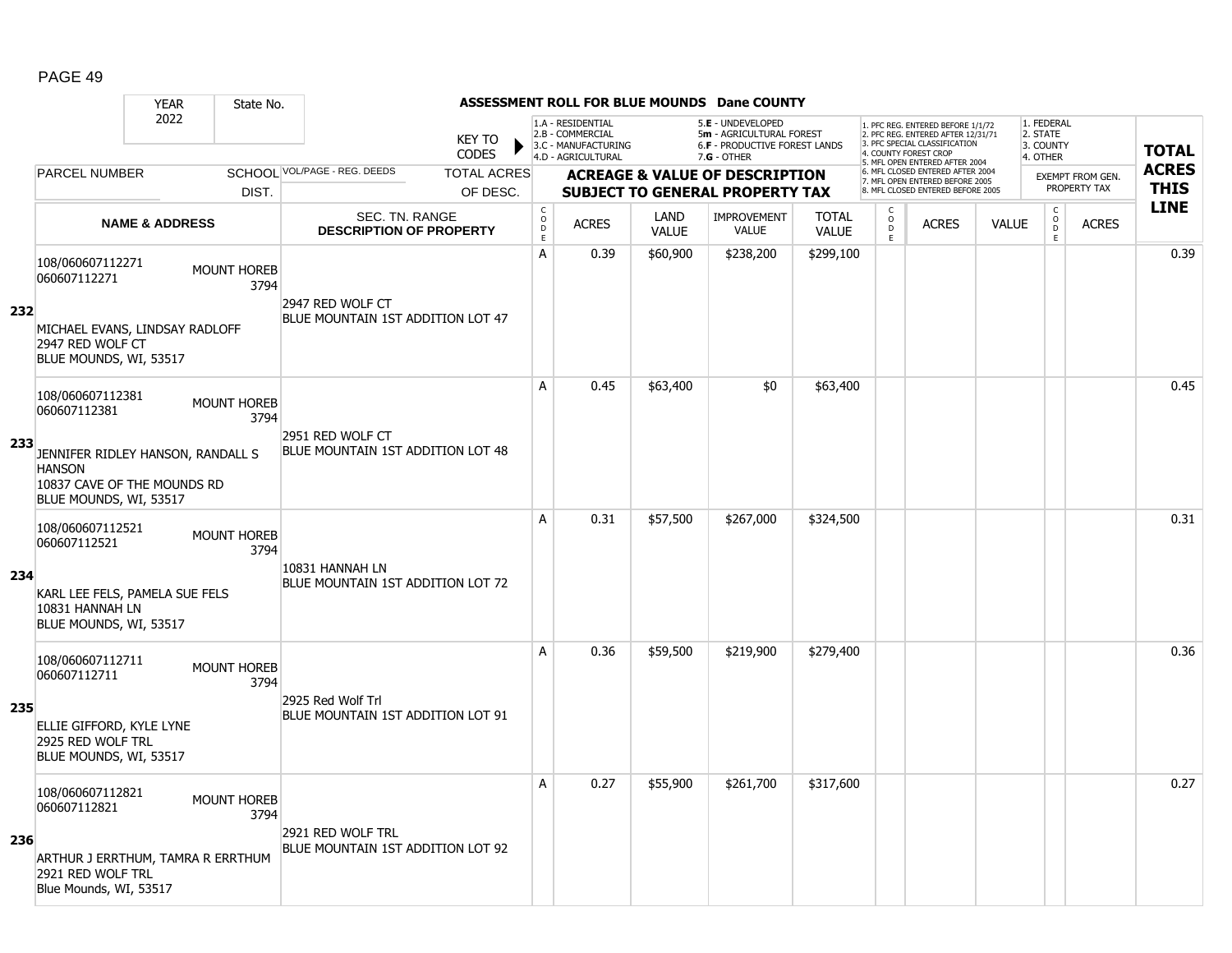|     |                                                                                                             | <b>YEAR</b>               | State No.                  |                                                        |                               |                                        |                                                              |                      | <b>ASSESSMENT ROLL FOR BLUE MOUNDS Dane COUNTY</b>                                  |                              |                                                |                                                                                                                                   |              |                                                |                                         |              |
|-----|-------------------------------------------------------------------------------------------------------------|---------------------------|----------------------------|--------------------------------------------------------|-------------------------------|----------------------------------------|--------------------------------------------------------------|----------------------|-------------------------------------------------------------------------------------|------------------------------|------------------------------------------------|-----------------------------------------------------------------------------------------------------------------------------------|--------------|------------------------------------------------|-----------------------------------------|--------------|
|     |                                                                                                             | 2022                      |                            |                                                        | <b>KEY TO</b><br><b>CODES</b> |                                        | 1.A - RESIDENTIAL<br>2.B - COMMERCIAL<br>3.C - MANUFACTURING |                      | 5.E - UNDEVELOPED<br>5m - AGRICULTURAL FOREST<br>6.F - PRODUCTIVE FOREST LANDS      |                              |                                                | 1. PFC REG. ENTERED BEFORE 1/1/72<br>2. PFC REG. ENTERED AFTER 12/31/71<br>3. PFC SPECIAL CLASSIFICATION<br>4. COUNTY FOREST CROP |              | 1. FEDERAL<br>2. STATE<br>3. COUNTY            |                                         | <b>TOTAL</b> |
|     | <b>PARCEL NUMBER</b>                                                                                        |                           |                            | SCHOOL VOL/PAGE - REG. DEEDS                           | <b>TOTAL ACRES</b>            |                                        | 4.D - AGRICULTURAL                                           |                      | $7.G - OTHER$                                                                       |                              |                                                | 5. MFL OPEN ENTERED AFTER 2004<br>6. MFL CLOSED ENTERED AFTER 2004                                                                |              | 4. OTHER                                       |                                         | <b>ACRES</b> |
|     |                                                                                                             |                           | DIST.                      |                                                        | OF DESC.                      |                                        |                                                              |                      | <b>ACREAGE &amp; VALUE OF DESCRIPTION</b><br><b>SUBJECT TO GENERAL PROPERTY TAX</b> |                              |                                                | 7. MFL OPEN ENTERED BEFORE 2005<br>8. MFL CLOSED ENTERED BEFORE 2005                                                              |              |                                                | <b>EXEMPT FROM GEN.</b><br>PROPERTY TAX | <b>THIS</b>  |
|     |                                                                                                             | <b>NAME &amp; ADDRESS</b> |                            | SEC. TN. RANGE<br><b>DESCRIPTION OF PROPERTY</b>       |                               | $_{\rm o}^{\rm c}$<br>$\mathsf D$<br>E | <b>ACRES</b>                                                 | LAND<br><b>VALUE</b> | <b>IMPROVEMENT</b><br>VALUE                                                         | <b>TOTAL</b><br><b>VALUE</b> | $\begin{matrix} 0 \\ 0 \\ 0 \end{matrix}$<br>E | <b>ACRES</b>                                                                                                                      | <b>VALUE</b> | $\begin{matrix} 0 \\ 0 \\ D \end{matrix}$<br>E | <b>ACRES</b>                            | <b>LINE</b>  |
| 232 | 108/060607112271<br>060607112271<br>MICHAEL EVANS, LINDSAY RADLOFF                                          |                           | MOUNT HOREB<br>3794        | 2947 RED WOLF CT<br>BLUE MOUNTAIN 1ST ADDITION LOT 47  |                               | A                                      | 0.39                                                         | \$60,900             | \$238,200                                                                           | \$299,100                    |                                                |                                                                                                                                   |              |                                                |                                         | 0.39         |
|     | 2947 RED WOLF CT<br>BLUE MOUNDS, WI, 53517                                                                  |                           |                            |                                                        |                               |                                        |                                                              |                      |                                                                                     |                              |                                                |                                                                                                                                   |              |                                                |                                         |              |
|     | 108/060607112381<br>060607112381                                                                            |                           | <b>MOUNT HOREB</b><br>3794 |                                                        |                               | A                                      | 0.45                                                         | \$63,400             | \$0                                                                                 | \$63,400                     |                                                |                                                                                                                                   |              |                                                |                                         | 0.45         |
| 233 | JENNIFER RIDLEY HANSON, RANDALL S<br><b>HANSON</b><br>10837 CAVE OF THE MOUNDS RD<br>BLUE MOUNDS, WI, 53517 |                           |                            | 2951 RED WOLF CT<br>BLUE MOUNTAIN 1ST ADDITION LOT 48  |                               |                                        |                                                              |                      |                                                                                     |                              |                                                |                                                                                                                                   |              |                                                |                                         |              |
|     | 108/060607112521<br>060607112521                                                                            |                           | MOUNT HOREB<br>3794        | 10831 HANNAH LN                                        |                               | A                                      | 0.31                                                         | \$57,500             | \$267,000                                                                           | \$324,500                    |                                                |                                                                                                                                   |              |                                                |                                         | 0.31         |
| 234 | KARL LEE FELS, PAMELA SUE FELS<br>10831 HANNAH LN<br>BLUE MOUNDS, WI, 53517                                 |                           |                            | BLUE MOUNTAIN 1ST ADDITION LOT 72                      |                               |                                        |                                                              |                      |                                                                                     |                              |                                                |                                                                                                                                   |              |                                                |                                         |              |
|     | 108/060607112711<br>060607112711                                                                            |                           | <b>MOUNT HOREB</b><br>3794 |                                                        |                               | $\mathsf{A}$                           | 0.36                                                         | \$59,500             | \$219,900                                                                           | \$279,400                    |                                                |                                                                                                                                   |              |                                                |                                         | 0.36         |
| 235 | ELLIE GIFFORD, KYLE LYNE<br>2925 RED WOLF TRL<br>BLUE MOUNDS, WI, 53517                                     |                           |                            | 2925 Red Wolf Trl<br>BLUE MOUNTAIN 1ST ADDITION LOT 91 |                               |                                        |                                                              |                      |                                                                                     |                              |                                                |                                                                                                                                   |              |                                                |                                         |              |
|     | 108/060607112821<br>060607112821                                                                            |                           | <b>MOUNT HOREB</b><br>3794 |                                                        |                               | A                                      | 0.27                                                         | \$55,900             | \$261,700                                                                           | \$317,600                    |                                                |                                                                                                                                   |              |                                                |                                         | 0.27         |
| 236 | ARTHUR J ERRTHUM, TAMRA R ERRTHUM<br>2921 RED WOLF TRL<br>Blue Mounds, WI, 53517                            |                           |                            | 2921 RED WOLF TRL<br>BLUE MOUNTAIN 1ST ADDITION LOT 92 |                               |                                        |                                                              |                      |                                                                                     |                              |                                                |                                                                                                                                   |              |                                                |                                         |              |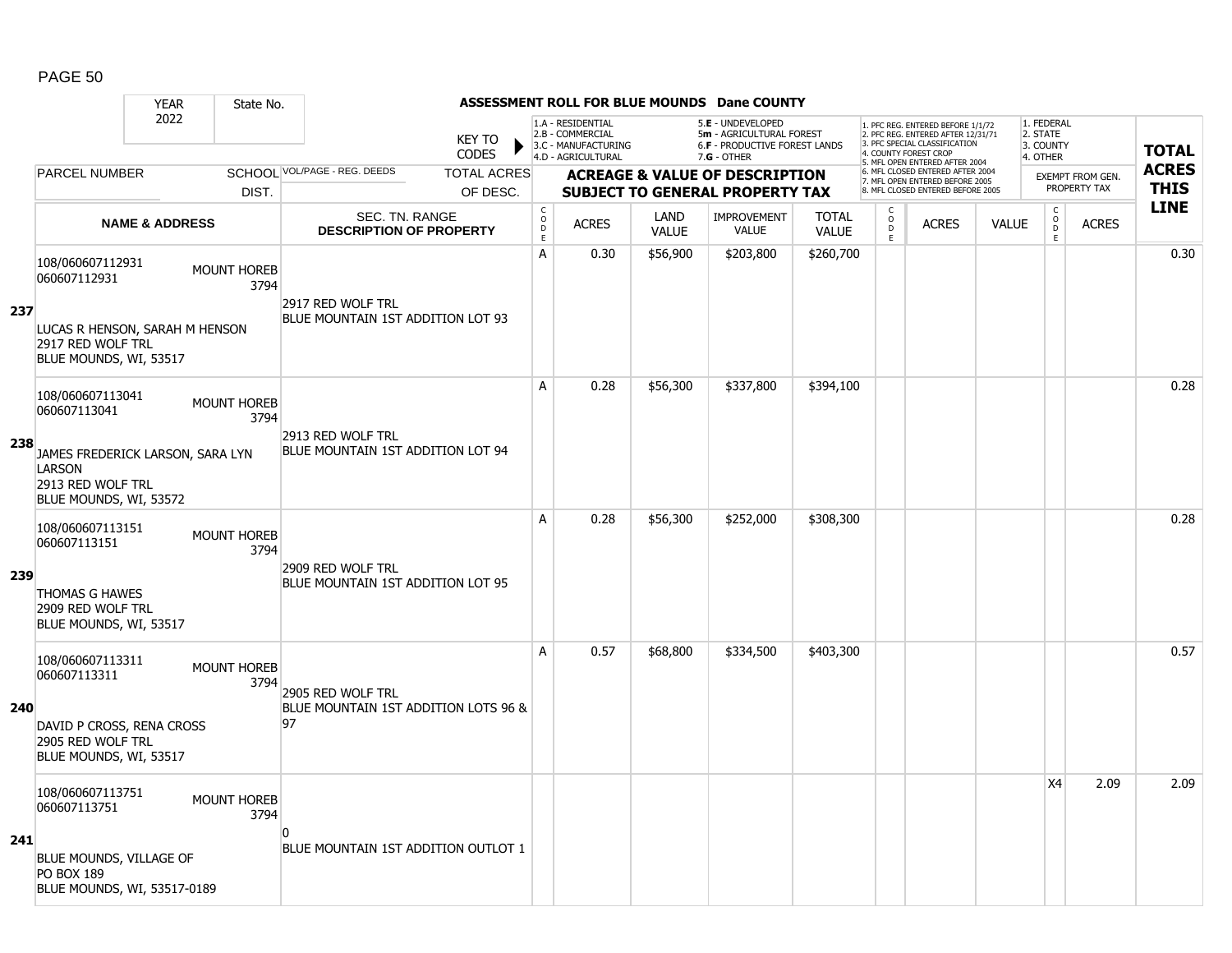|            |                                                                                                  | <b>YEAR</b>        | State No. |                                                  |                                |                                     |                                                              |                      | <b>ASSESSMENT ROLL FOR BLUE MOUNDS Dane COUNTY</b>                                    |                              |                                           |                                                                                                                                   |              |                                                          |                                         |              |
|------------|--------------------------------------------------------------------------------------------------|--------------------|-----------|--------------------------------------------------|--------------------------------|-------------------------------------|--------------------------------------------------------------|----------------------|---------------------------------------------------------------------------------------|------------------------------|-------------------------------------------|-----------------------------------------------------------------------------------------------------------------------------------|--------------|----------------------------------------------------------|-----------------------------------------|--------------|
|            |                                                                                                  | 2022               |           |                                                  | <b>KEY TO</b><br><b>CODES</b>  |                                     | 1.A - RESIDENTIAL<br>2.B - COMMERCIAL<br>3.C - MANUFACTURING |                      | 5.E - UNDEVELOPED<br>5m - AGRICULTURAL FOREST<br><b>6.F - PRODUCTIVE FOREST LANDS</b> |                              |                                           | 1. PFC REG. ENTERED BEFORE 1/1/72<br>2. PFC REG. ENTERED AFTER 12/31/71<br>3. PFC SPECIAL CLASSIFICATION<br>4. COUNTY FOREST CROP |              | 1. FEDERAL<br>2. STATE<br>3. COUNTY                      |                                         | <b>TOTAL</b> |
|            | <b>PARCEL NUMBER</b>                                                                             |                    |           | SCHOOL VOL/PAGE - REG. DEEDS                     |                                |                                     | 4.D - AGRICULTURAL                                           |                      | $7.G - OTHER$                                                                         |                              |                                           | 5. MFL OPEN ENTERED AFTER 2004<br>6. MFL CLOSED ENTERED AFTER 2004                                                                |              | 4. OTHER                                                 |                                         | <b>ACRES</b> |
|            |                                                                                                  |                    | DIST.     |                                                  | <b>TOTAL ACRES</b><br>OF DESC. |                                     |                                                              |                      | <b>ACREAGE &amp; VALUE OF DESCRIPTION</b><br><b>SUBJECT TO GENERAL PROPERTY TAX</b>   |                              |                                           | 7. MFL OPEN ENTERED BEFORE 2005<br>8. MFL CLOSED ENTERED BEFORE 2005                                                              |              |                                                          | <b>EXEMPT FROM GEN.</b><br>PROPERTY TAX | <b>THIS</b>  |
|            | <b>NAME &amp; ADDRESS</b>                                                                        |                    |           | SEC. TN. RANGE<br><b>DESCRIPTION OF PROPERTY</b> |                                | $_{\rm o}^{\rm c}$<br>$\frac{D}{E}$ | <b>ACRES</b>                                                 | LAND<br><b>VALUE</b> | <b>IMPROVEMENT</b><br><b>VALUE</b>                                                    | <b>TOTAL</b><br><b>VALUE</b> | $\begin{matrix} 0 \\ 0 \\ D \end{matrix}$ | <b>ACRES</b>                                                                                                                      | <b>VALUE</b> | $\begin{matrix} 0 \\ 0 \\ D \end{matrix}$<br>$\mathsf E$ | <b>ACRES</b>                            | <b>LINE</b>  |
|            | 108/060607112931<br>060607112931                                                                 | <b>MOUNT HOREB</b> | 3794      | 2917 RED WOLF TRL                                |                                | A                                   | 0.30                                                         | \$56,900             | \$203,800                                                                             | \$260,700                    | E                                         |                                                                                                                                   |              |                                                          |                                         | 0.30         |
| 237        | LUCAS R HENSON, SARAH M HENSON<br>2917 RED WOLF TRL<br>BLUE MOUNDS, WI, 53517                    |                    |           | BLUE MOUNTAIN 1ST ADDITION LOT 93                |                                |                                     |                                                              |                      |                                                                                       |                              |                                           |                                                                                                                                   |              |                                                          |                                         |              |
|            | 108/060607113041<br>060607113041                                                                 | <b>MOUNT HOREB</b> | 3794      | 2913 RED WOLF TRL                                |                                | A                                   | 0.28                                                         | \$56,300             | \$337,800                                                                             | \$394,100                    |                                           |                                                                                                                                   |              |                                                          |                                         | 0.28         |
| 238        | JAMES FREDERICK LARSON, SARA LYN<br><b>LARSON</b><br>2913 RED WOLF TRL<br>BLUE MOUNDS, WI, 53572 |                    |           | BLUE MOUNTAIN 1ST ADDITION LOT 94                |                                |                                     |                                                              |                      |                                                                                       |                              |                                           |                                                                                                                                   |              |                                                          |                                         |              |
|            | 108/060607113151<br>060607113151                                                                 | <b>MOUNT HOREB</b> | 3794      | 2909 RED WOLF TRL                                |                                | A                                   | 0.28                                                         | \$56,300             | \$252,000                                                                             | \$308,300                    |                                           |                                                                                                                                   |              |                                                          |                                         | 0.28         |
| 239        | <b>THOMAS G HAWES</b><br>2909 RED WOLF TRL<br>BLUE MOUNDS, WI, 53517                             |                    |           | BLUE MOUNTAIN 1ST ADDITION LOT 95                |                                |                                     |                                                              |                      |                                                                                       |                              |                                           |                                                                                                                                   |              |                                                          |                                         |              |
|            | 108/060607113311<br>060607113311                                                                 | <b>MOUNT HOREB</b> | 3794      | 2905 RED WOLF TRL                                |                                | A                                   | 0.57                                                         | \$68,800             | \$334,500                                                                             | \$403,300                    |                                           |                                                                                                                                   |              |                                                          |                                         | 0.57         |
| <b>240</b> | DAVID P CROSS, RENA CROSS<br>2905 RED WOLF TRL<br>BLUE MOUNDS, WI, 53517                         |                    |           | BLUE MOUNTAIN 1ST ADDITION LOTS 96 &<br>97       |                                |                                     |                                                              |                      |                                                                                       |                              |                                           |                                                                                                                                   |              |                                                          |                                         |              |
|            | 108/060607113751<br>060607113751                                                                 | <b>MOUNT HOREB</b> | 3794      |                                                  |                                |                                     |                                                              |                      |                                                                                       |                              |                                           |                                                                                                                                   |              | <b>X4</b>                                                | 2.09                                    | 2.09         |
| 241        | BLUE MOUNDS, VILLAGE OF<br><b>PO BOX 189</b><br>BLUE MOUNDS, WI, 53517-0189                      |                    |           | n<br>BLUE MOUNTAIN 1ST ADDITION OUTLOT 1         |                                |                                     |                                                              |                      |                                                                                       |                              |                                           |                                                                                                                                   |              |                                                          |                                         |              |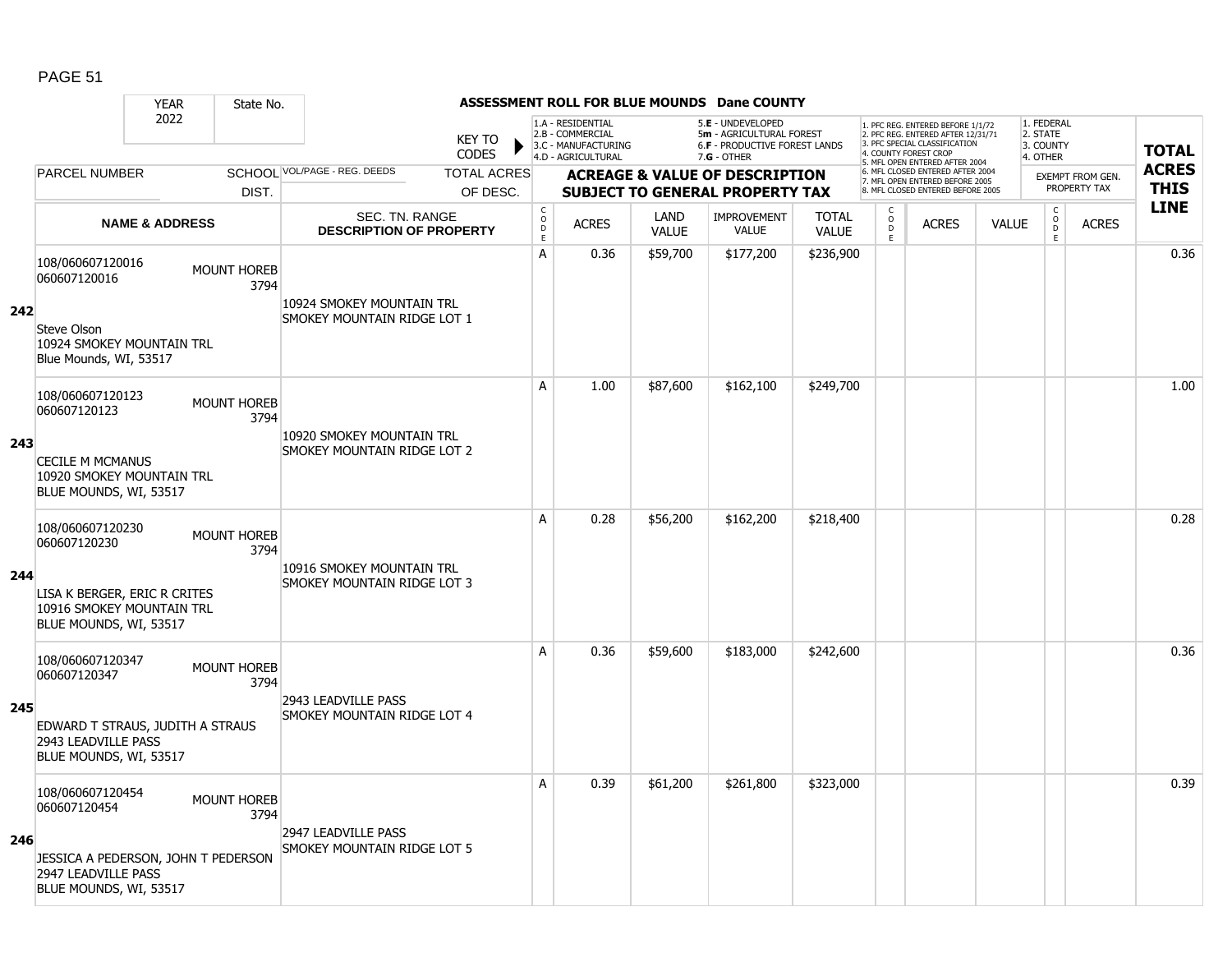|     |                                                                                                                          | <b>YEAR</b>               | State No.                  |                                                          |                               |                                                 |                                                                                    |                             | ASSESSMENT ROLL FOR BLUE MOUNDS Dane COUNTY                                                     |                              |                      |                                                                                                                                  |              |                                                 |                         |              |
|-----|--------------------------------------------------------------------------------------------------------------------------|---------------------------|----------------------------|----------------------------------------------------------|-------------------------------|-------------------------------------------------|------------------------------------------------------------------------------------|-----------------------------|-------------------------------------------------------------------------------------------------|------------------------------|----------------------|----------------------------------------------------------------------------------------------------------------------------------|--------------|-------------------------------------------------|-------------------------|--------------|
|     |                                                                                                                          | 2022                      |                            |                                                          | <b>KEY TO</b><br><b>CODES</b> |                                                 | 1.A - RESIDENTIAL<br>2.B - COMMERCIAL<br>3.C - MANUFACTURING<br>4.D - AGRICULTURAL |                             | 5.E - UNDEVELOPED<br>5m - AGRICULTURAL FOREST<br>6.F - PRODUCTIVE FOREST LANDS<br>$7.G - OTHER$ |                              |                      | 1. PFC REG. ENTERED BEFORE 1/1/72<br>2. PFC REG. ENTERED AFTER 12/31/71<br>3 PEC SPECIAL CLASSIFICATION<br>4. COUNTY FOREST CROP |              | 1. FEDERAL<br>2. STATE<br>3. COUNTY<br>4. OTHER |                         | <b>TOTAL</b> |
|     | PARCEL NUMBER                                                                                                            |                           |                            | SCHOOL VOL/PAGE - REG. DEEDS                             | <b>TOTAL ACRES</b>            |                                                 |                                                                                    |                             | <b>ACREAGE &amp; VALUE OF DESCRIPTION</b>                                                       |                              |                      | 5. MFL OPEN ENTERED AFTER 2004<br>6. MFL CLOSED ENTERED AFTER 2004<br>7. MFL OPEN ENTERED BEFORE 2005                            |              |                                                 | <b>EXEMPT FROM GEN.</b> | <b>ACRES</b> |
|     |                                                                                                                          |                           | DIST.                      |                                                          | OF DESC.                      |                                                 |                                                                                    |                             | <b>SUBJECT TO GENERAL PROPERTY TAX</b>                                                          |                              |                      | 8. MFL CLOSED ENTERED BEFORE 2005                                                                                                |              |                                                 | PROPERTY TAX            | <b>THIS</b>  |
|     |                                                                                                                          | <b>NAME &amp; ADDRESS</b> |                            | SEC. TN. RANGE<br><b>DESCRIPTION OF PROPERTY</b>         |                               | C<br>$\mathsf{o}$<br>$\mathsf D$<br>$\mathsf E$ | <b>ACRES</b>                                                                       | <b>LAND</b><br><b>VALUE</b> | IMPROVEMENT<br><b>VALUE</b>                                                                     | <b>TOTAL</b><br><b>VALUE</b> | $\overline{D}$<br>E. | <b>ACRES</b>                                                                                                                     | <b>VALUE</b> | $\begin{matrix} 0 \\ 0 \\ 0 \end{matrix}$<br>E  | <b>ACRES</b>            | <b>LINE</b>  |
| 242 | 108/060607120016<br>060607120016<br>Steve Olson<br>10924 SMOKEY MOUNTAIN TRL<br>Blue Mounds, WI, 53517                   |                           | <b>MOUNT HOREB</b><br>3794 | 10924 SMOKEY MOUNTAIN TRL<br>SMOKEY MOUNTAIN RIDGE LOT 1 |                               | Α                                               | 0.36                                                                               | \$59,700                    | \$177,200                                                                                       | \$236,900                    |                      |                                                                                                                                  |              |                                                 |                         | 0.36         |
| 243 | 108/060607120123<br>060607120123<br><b>CECILE M MCMANUS</b><br>10920 SMOKEY MOUNTAIN TRL<br>BLUE MOUNDS, WI, 53517       |                           | <b>MOUNT HOREB</b><br>3794 | 10920 SMOKEY MOUNTAIN TRL<br>SMOKEY MOUNTAIN RIDGE LOT 2 |                               | A                                               | 1.00                                                                               | \$87,600                    | \$162,100                                                                                       | \$249,700                    |                      |                                                                                                                                  |              |                                                 |                         | 1.00         |
| 244 | 108/060607120230<br>060607120230<br>LISA K BERGER, ERIC R CRITES<br>10916 SMOKEY MOUNTAIN TRL<br>BLUE MOUNDS, WI, 53517  |                           | <b>MOUNT HOREB</b><br>3794 | 10916 SMOKEY MOUNTAIN TRL<br>SMOKEY MOUNTAIN RIDGE LOT 3 |                               | A                                               | 0.28                                                                               | \$56,200                    | \$162,200                                                                                       | \$218,400                    |                      |                                                                                                                                  |              |                                                 |                         | 0.28         |
| 245 | 108/060607120347<br>060607120347<br>EDWARD T STRAUS, JUDITH A STRAUS<br>2943 LEADVILLE PASS<br>BLUE MOUNDS, WI, 53517    |                           | <b>MOUNT HOREB</b><br>3794 | 2943 LEADVILLE PASS<br>SMOKEY MOUNTAIN RIDGE LOT 4       |                               | A                                               | 0.36                                                                               | \$59,600                    | \$183,000                                                                                       | \$242,600                    |                      |                                                                                                                                  |              |                                                 |                         | 0.36         |
| 246 | 108/060607120454<br>060607120454<br>JESSICA A PEDERSON, JOHN T PEDERSON<br>2947 LEADVILLE PASS<br>BLUE MOUNDS, WI, 53517 |                           | <b>MOUNT HOREB</b><br>3794 | 2947 LEADVILLE PASS<br>SMOKEY MOUNTAIN RIDGE LOT 5       |                               | A                                               | 0.39                                                                               | \$61,200                    | \$261,800                                                                                       | \$323,000                    |                      |                                                                                                                                  |              |                                                 |                         | 0.39         |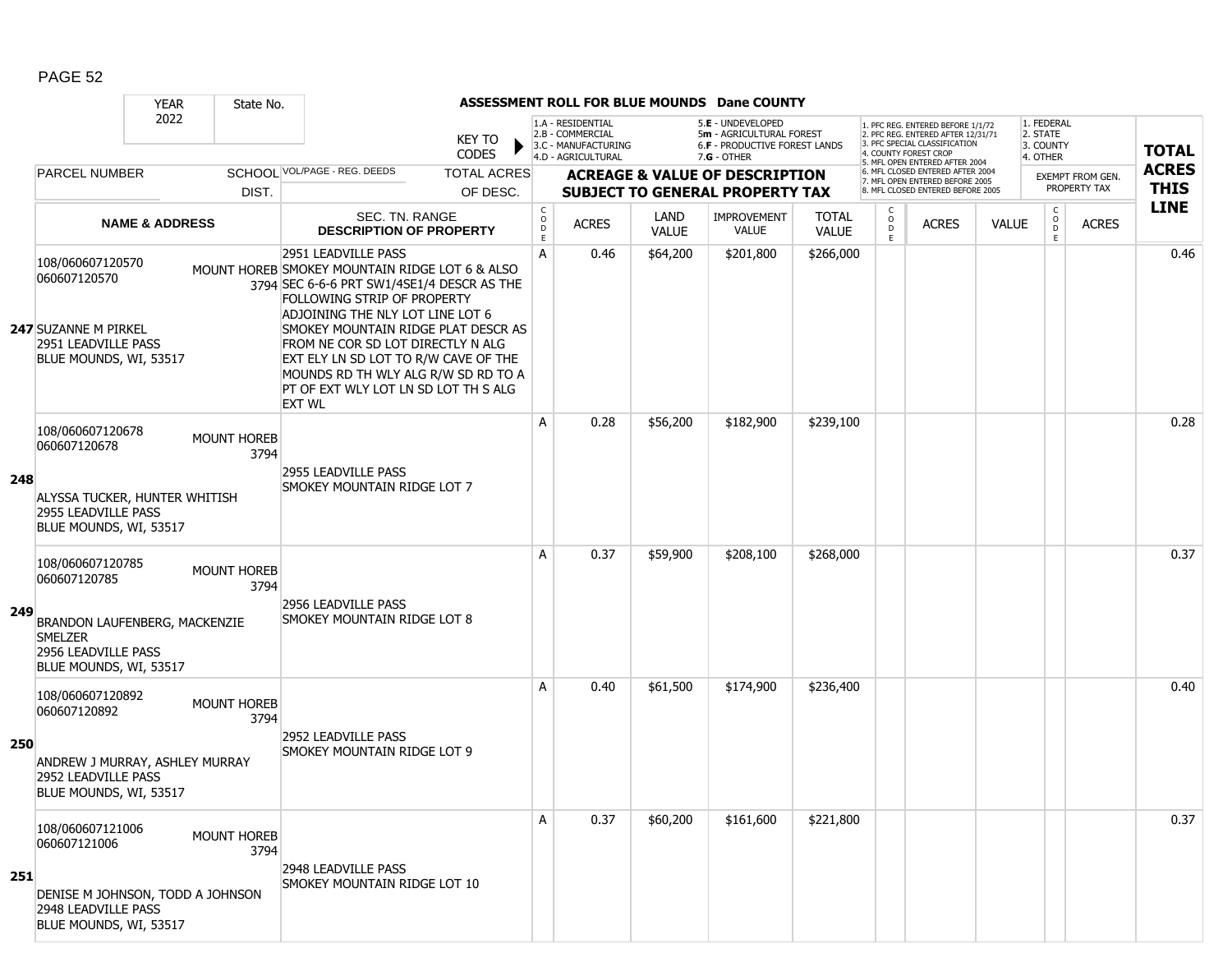|     |                                                                                                                                      | <b>YEAR</b>               | State No.                  |                                                                                                                                                                                                                                                                                                                                                                                                            |                               |                          |                                                              |                      | ASSESSMENT ROLL FOR BLUE MOUNDS Dane COUNTY                                           |                              |                                         |                                                                                                                                   |              |                                         |                                         |              |
|-----|--------------------------------------------------------------------------------------------------------------------------------------|---------------------------|----------------------------|------------------------------------------------------------------------------------------------------------------------------------------------------------------------------------------------------------------------------------------------------------------------------------------------------------------------------------------------------------------------------------------------------------|-------------------------------|--------------------------|--------------------------------------------------------------|----------------------|---------------------------------------------------------------------------------------|------------------------------|-----------------------------------------|-----------------------------------------------------------------------------------------------------------------------------------|--------------|-----------------------------------------|-----------------------------------------|--------------|
|     |                                                                                                                                      | 2022                      |                            |                                                                                                                                                                                                                                                                                                                                                                                                            | <b>KEY TO</b><br><b>CODES</b> |                          | 1.A - RESIDENTIAL<br>2.B - COMMERCIAL<br>3.C - MANUFACTURING |                      | 5.E - UNDEVELOPED<br>5m - AGRICULTURAL FOREST<br><b>6.F - PRODUCTIVE FOREST LANDS</b> |                              |                                         | 1. PFC REG. ENTERED BEFORE 1/1/72<br>2. PFC REG. ENTERED AFTER 12/31/71<br>3. PFC SPECIAL CLASSIFICATION<br>4. COUNTY FOREST CROP |              | 1. FEDERAL<br>2. STATE<br>3. COUNTY     |                                         | <b>TOTAL</b> |
|     | <b>PARCEL NUMBER</b>                                                                                                                 |                           |                            | SCHOOL VOL/PAGE - REG. DEEDS                                                                                                                                                                                                                                                                                                                                                                               | <b>TOTAL ACRES</b>            |                          | 4.D - AGRICULTURAL                                           |                      | $7.G - OTHER$<br><b>ACREAGE &amp; VALUE OF DESCRIPTION</b>                            |                              |                                         | 5. MFL OPEN ENTERED AFTER 2004<br>6. MFL CLOSED ENTERED AFTER 2004                                                                |              | 4. OTHER                                |                                         | <b>ACRES</b> |
|     |                                                                                                                                      |                           | DIST.                      |                                                                                                                                                                                                                                                                                                                                                                                                            | OF DESC.                      |                          |                                                              |                      | <b>SUBJECT TO GENERAL PROPERTY TAX</b>                                                |                              |                                         | 7. MFL OPEN ENTERED BEFORE 2005<br>8. MFL CLOSED ENTERED BEFORE 2005                                                              |              |                                         | <b>EXEMPT FROM GEN.</b><br>PROPERTY TAX | <b>THIS</b>  |
|     |                                                                                                                                      | <b>NAME &amp; ADDRESS</b> |                            | SEC. TN. RANGE<br><b>DESCRIPTION OF PROPERTY</b>                                                                                                                                                                                                                                                                                                                                                           |                               | $\int_{0}^{c}$<br>D<br>E | <b>ACRES</b>                                                 | LAND<br><b>VALUE</b> | <b>IMPROVEMENT</b><br><b>VALUE</b>                                                    | <b>TOTAL</b><br><b>VALUE</b> | $\mathsf{C}$<br>$_{\rm D}^{\rm O}$<br>E | <b>ACRES</b>                                                                                                                      | <b>VALUE</b> | $\mathsf{C}$<br>$_{\rm D}^{\rm O}$<br>E | <b>ACRES</b>                            | <b>LINE</b>  |
|     | 108/060607120570<br>060607120570<br><b>247 SUZANNE M PIRKEL</b><br>2951 LEADVILLE PASS<br>BLUE MOUNDS, WI, 53517                     |                           |                            | 2951 LEADVILLE PASS<br>MOUNT HOREB SMOKEY MOUNTAIN RIDGE LOT 6 & ALSO<br>3794 SEC 6-6-6 PRT SW1/4SE1/4 DESCR AS THE<br>FOLLOWING STRIP OF PROPERTY<br>ADJOINING THE NLY LOT LINE LOT 6<br>SMOKEY MOUNTAIN RIDGE PLAT DESCR AS<br>FROM NE COR SD LOT DIRECTLY N ALG<br>EXT ELY LN SD LOT TO R/W CAVE OF THE<br>MOUNDS RD TH WLY ALG R/W SD RD TO A<br>PT OF EXT WLY LOT LN SD LOT TH S ALG<br><b>EXT WL</b> |                               | Α                        | 0.46                                                         | \$64,200             | \$201,800                                                                             | \$266,000                    |                                         |                                                                                                                                   |              |                                         |                                         | 0.46         |
| 248 | 108/060607120678<br>060607120678<br>ALYSSA TUCKER, HUNTER WHITISH<br><b>2955 LEADVILLE PASS</b><br>BLUE MOUNDS, WI, 53517            |                           | <b>MOUNT HOREB</b><br>3794 | 2955 LEADVILLE PASS<br>SMOKEY MOUNTAIN RIDGE LOT 7                                                                                                                                                                                                                                                                                                                                                         |                               | A                        | 0.28                                                         | \$56,200             | \$182,900                                                                             | \$239,100                    |                                         |                                                                                                                                   |              |                                         |                                         | 0.28         |
| 249 | 108/060607120785<br>060607120785<br>BRANDON LAUFENBERG, MACKENZIE<br><b>SMELZER</b><br>2956 LEADVILLE PASS<br>BLUE MOUNDS, WI, 53517 |                           | <b>MOUNT HOREB</b><br>3794 | 2956 LEADVILLE PASS<br>SMOKEY MOUNTAIN RIDGE LOT 8                                                                                                                                                                                                                                                                                                                                                         |                               | A                        | 0.37                                                         | \$59,900             | \$208,100                                                                             | \$268,000                    |                                         |                                                                                                                                   |              |                                         |                                         | 0.37         |
| 250 | 108/060607120892<br>060607120892<br>ANDREW J MURRAY, ASHLEY MURRAY<br>2952 LEADVILLE PASS<br>BLUE MOUNDS, WI, 53517                  |                           | <b>MOUNT HOREB</b><br>3794 | 2952 LEADVILLE PASS<br>SMOKEY MOUNTAIN RIDGE LOT 9                                                                                                                                                                                                                                                                                                                                                         |                               | A                        | 0.40                                                         | \$61,500             | \$174,900                                                                             | \$236,400                    |                                         |                                                                                                                                   |              |                                         |                                         | 0.40         |
| 251 | 108/060607121006<br>060607121006<br>DENISE M JOHNSON, TODD A JOHNSON<br>2948 LEADVILLE PASS<br>BLUE MOUNDS, WI, 53517                |                           | MOUNT HOREB<br>3794        | 2948 LEADVILLE PASS<br>SMOKEY MOUNTAIN RIDGE LOT 10                                                                                                                                                                                                                                                                                                                                                        |                               | Α                        | 0.37                                                         | \$60,200             | \$161,600                                                                             | \$221,800                    |                                         |                                                                                                                                   |              |                                         |                                         | 0.37         |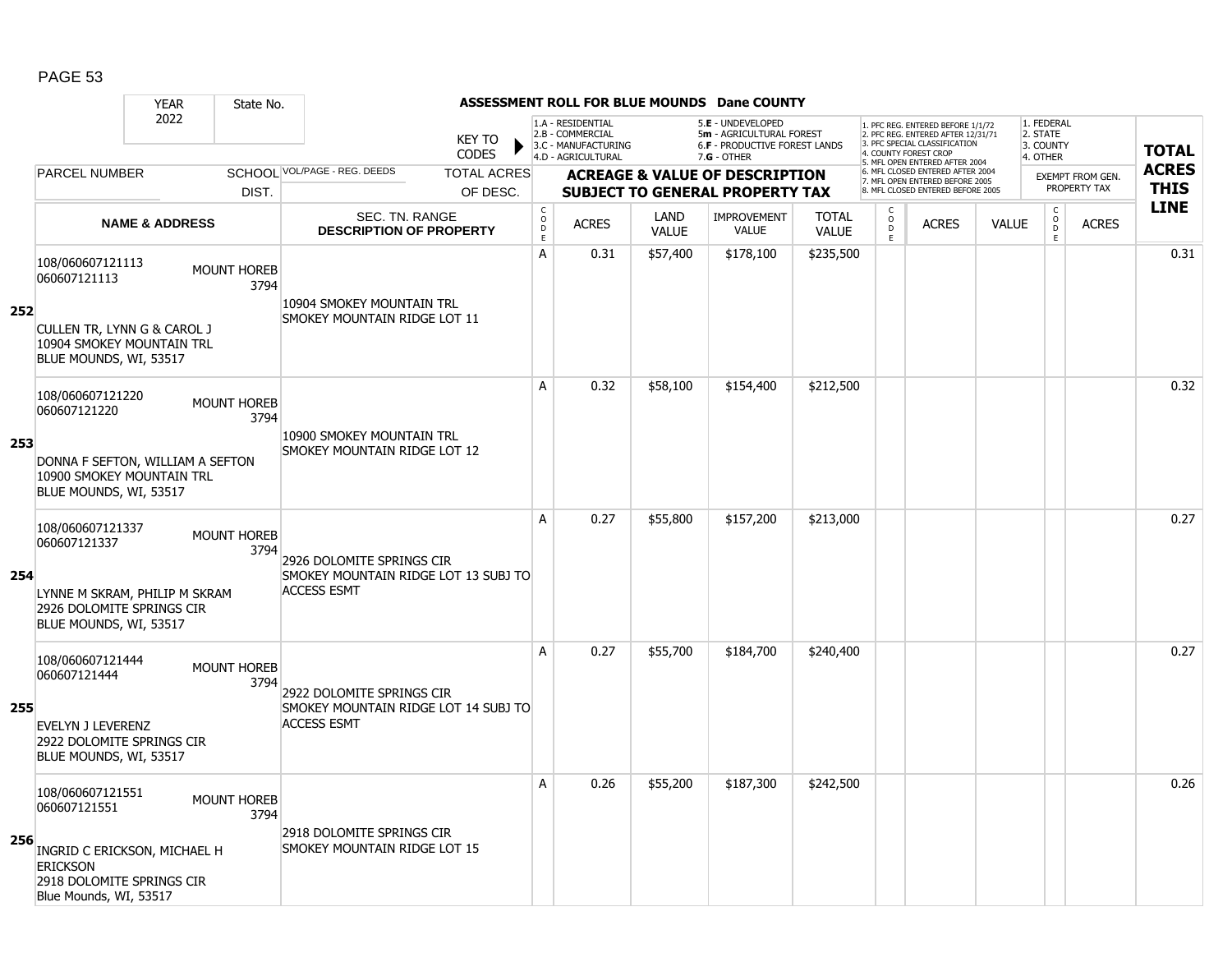|     |                                                                                                        | <b>YEAR</b>               | State No.                  |                                                                   |                                       |                                                                                    |                             | <b>ASSESSMENT ROLL FOR BLUE MOUNDS Dane COUNTY</b>                                              |                              |                                               |                                                                                                                                                                     |              |                                                 |                  |                            |
|-----|--------------------------------------------------------------------------------------------------------|---------------------------|----------------------------|-------------------------------------------------------------------|---------------------------------------|------------------------------------------------------------------------------------|-----------------------------|-------------------------------------------------------------------------------------------------|------------------------------|-----------------------------------------------|---------------------------------------------------------------------------------------------------------------------------------------------------------------------|--------------|-------------------------------------------------|------------------|----------------------------|
|     |                                                                                                        | 2022                      |                            | <b>KEY TO</b><br><b>CODES</b>                                     |                                       | 1.A - RESIDENTIAL<br>2.B - COMMERCIAL<br>3.C - MANUFACTURING<br>4.D - AGRICULTURAL |                             | 5.E - UNDEVELOPED<br>5m - AGRICULTURAL FOREST<br>6.F - PRODUCTIVE FOREST LANDS<br>$7.G - OTHER$ |                              |                                               | 1. PFC REG. ENTERED BEFORE 1/1/72<br>2. PFC REG. ENTERED AFTER 12/31/71<br>3. PFC SPECIAL CLASSIFICATION<br>4. COUNTY FOREST CROP<br>5. MFL OPEN ENTERED AFTER 2004 |              | 1. FEDERAL<br>2. STATE<br>3. COUNTY<br>4. OTHER |                  | <b>TOTAL</b>               |
|     | <b>PARCEL NUMBER</b>                                                                                   |                           |                            | SCHOOL VOL/PAGE - REG. DEEDS<br><b>TOTAL ACRES</b>                |                                       |                                                                                    |                             | <b>ACREAGE &amp; VALUE OF DESCRIPTION</b>                                                       |                              |                                               | 6. MFL CLOSED ENTERED AFTER 2004<br>7. MFL OPEN ENTERED BEFORE 2005                                                                                                 |              |                                                 | EXEMPT FROM GEN. | <b>ACRES</b>               |
|     |                                                                                                        |                           | DIST.                      | OF DESC.                                                          |                                       |                                                                                    |                             | <b>SUBJECT TO GENERAL PROPERTY TAX</b>                                                          |                              |                                               | 8. MFL CLOSED ENTERED BEFORE 2005                                                                                                                                   |              |                                                 | PROPERTY TAX     | <b>THIS</b><br><b>LINE</b> |
|     |                                                                                                        | <b>NAME &amp; ADDRESS</b> |                            | SEC. TN. RANGE<br><b>DESCRIPTION OF PROPERTY</b>                  | C<br>$\mathsf{o}$<br>$\mathsf D$<br>E | <b>ACRES</b>                                                                       | <b>LAND</b><br><b>VALUE</b> | <b>IMPROVEMENT</b><br><b>VALUE</b>                                                              | <b>TOTAL</b><br><b>VALUE</b> | C<br>$\overset{\circ}{\phantom{\circ}}$<br>E. | <b>ACRES</b>                                                                                                                                                        | <b>VALUE</b> | $\begin{matrix} 0 \\ 0 \\ 0 \end{matrix}$<br>E  | <b>ACRES</b>     |                            |
| 252 | 108/060607121113<br>060607121113                                                                       |                           | MOUNT HOREB<br>3794        | 10904 SMOKEY MOUNTAIN TRL                                         | A                                     | 0.31                                                                               | \$57,400                    | \$178,100                                                                                       | \$235,500                    |                                               |                                                                                                                                                                     |              |                                                 |                  | 0.31                       |
|     | CULLEN TR, LYNN G & CAROL J<br>10904 SMOKEY MOUNTAIN TRL<br>BLUE MOUNDS, WI, 53517                     |                           |                            | SMOKEY MOUNTAIN RIDGE LOT 11                                      |                                       |                                                                                    |                             |                                                                                                 |                              |                                               |                                                                                                                                                                     |              |                                                 |                  |                            |
|     | 108/060607121220<br>060607121220                                                                       |                           | MOUNT HOREB<br>3794        | 10900 SMOKEY MOUNTAIN TRL                                         | A                                     | 0.32                                                                               | \$58,100                    | \$154,400                                                                                       | \$212,500                    |                                               |                                                                                                                                                                     |              |                                                 |                  | 0.32                       |
| 253 | DONNA F SEFTON, WILLIAM A SEFTON<br>10900 SMOKEY MOUNTAIN TRL<br>BLUE MOUNDS, WI, 53517                |                           |                            | SMOKEY MOUNTAIN RIDGE LOT 12                                      |                                       |                                                                                    |                             |                                                                                                 |                              |                                               |                                                                                                                                                                     |              |                                                 |                  |                            |
| 254 | 108/060607121337<br>060607121337                                                                       |                           | <b>MOUNT HOREB</b><br>3794 | 2926 DOLOMITE SPRINGS CIR<br>SMOKEY MOUNTAIN RIDGE LOT 13 SUBJ TO | A                                     | 0.27                                                                               | \$55,800                    | \$157,200                                                                                       | \$213,000                    |                                               |                                                                                                                                                                     |              |                                                 |                  | 0.27                       |
|     | LYNNE M SKRAM, PHILIP M SKRAM<br>2926 DOLOMITE SPRINGS CIR<br>BLUE MOUNDS, WI, 53517                   |                           |                            | <b>ACCESS ESMT</b>                                                |                                       |                                                                                    |                             |                                                                                                 |                              |                                               |                                                                                                                                                                     |              |                                                 |                  |                            |
| 255 | 108/060607121444<br>060607121444                                                                       |                           | <b>MOUNT HOREB</b><br>3794 | 2922 DOLOMITE SPRINGS CIR<br>SMOKEY MOUNTAIN RIDGE LOT 14 SUBJ TO | A                                     | 0.27                                                                               | \$55,700                    | \$184,700                                                                                       | \$240,400                    |                                               |                                                                                                                                                                     |              |                                                 |                  | 0.27                       |
|     | <b>EVELYN J LEVERENZ</b><br>2922 DOLOMITE SPRINGS CIR<br>BLUE MOUNDS, WI, 53517                        |                           |                            | <b>ACCESS ESMT</b>                                                |                                       |                                                                                    |                             |                                                                                                 |                              |                                               |                                                                                                                                                                     |              |                                                 |                  |                            |
|     | 108/060607121551<br>060607121551                                                                       |                           | <b>MOUNT HOREB</b><br>3794 |                                                                   | A                                     | 0.26                                                                               | \$55,200                    | \$187,300                                                                                       | \$242,500                    |                                               |                                                                                                                                                                     |              |                                                 |                  | 0.26                       |
| 256 | INGRID C ERICKSON, MICHAEL H<br><b>ERICKSON</b><br>2918 DOLOMITE SPRINGS CIR<br>Blue Mounds, WI, 53517 |                           |                            | 2918 DOLOMITE SPRINGS CIR<br>SMOKEY MOUNTAIN RIDGE LOT 15         |                                       |                                                                                    |                             |                                                                                                 |                              |                                               |                                                                                                                                                                     |              |                                                 |                  |                            |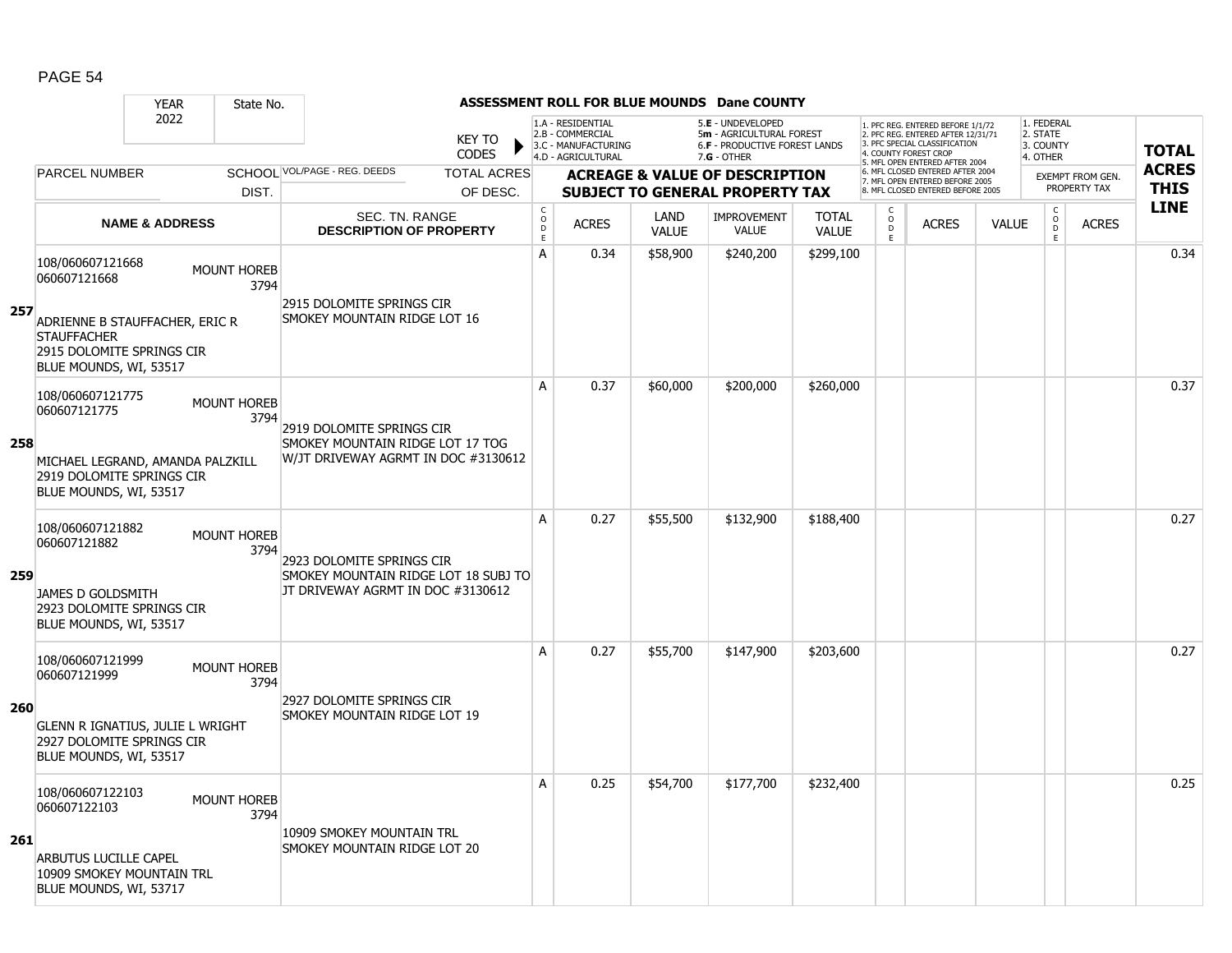|     | <b>YEAR</b>                                                                                                                        | State No.                  |                                                                                                        |                                     |                                                                                    |                      | ASSESSMENT ROLL FOR BLUE MOUNDS Dane COUNTY                                                            |                              |                                        |                                                                                                                                   |              |                                                 |                         |              |
|-----|------------------------------------------------------------------------------------------------------------------------------------|----------------------------|--------------------------------------------------------------------------------------------------------|-------------------------------------|------------------------------------------------------------------------------------|----------------------|--------------------------------------------------------------------------------------------------------|------------------------------|----------------------------------------|-----------------------------------------------------------------------------------------------------------------------------------|--------------|-------------------------------------------------|-------------------------|--------------|
|     | 2022                                                                                                                               |                            | <b>KEY TO</b><br><b>CODES</b>                                                                          |                                     | 1.A - RESIDENTIAL<br>2.B - COMMERCIAL<br>3.C - MANUFACTURING<br>4.D - AGRICULTURAL |                      | 5.E - UNDEVELOPED<br>5m - AGRICULTURAL FOREST<br><b>6.F - PRODUCTIVE FOREST LANDS</b><br>$7.G - OTHER$ |                              |                                        | 1. PFC REG. ENTERED BEFORE 1/1/72<br>2. PFC REG. ENTERED AFTER 12/31/71<br>3. PFC SPECIAL CLASSIFICATION<br>4. COUNTY FOREST CROP |              | 1. FEDERAL<br>2. STATE<br>3. COUNTY<br>4. OTHER |                         | <b>TOTAL</b> |
|     | <b>PARCEL NUMBER</b>                                                                                                               |                            | SCHOOL VOL/PAGE - REG. DEEDS<br><b>TOTAL ACRES</b>                                                     |                                     |                                                                                    |                      | <b>ACREAGE &amp; VALUE OF DESCRIPTION</b>                                                              |                              |                                        | 5. MFL OPEN ENTERED AFTER 2004<br>6. MFL CLOSED ENTERED AFTER 2004                                                                |              |                                                 | <b>EXEMPT FROM GEN.</b> | <b>ACRES</b> |
|     |                                                                                                                                    | DIST.                      | OF DESC.                                                                                               |                                     |                                                                                    |                      | <b>SUBJECT TO GENERAL PROPERTY TAX</b>                                                                 |                              |                                        | 7. MFL OPEN ENTERED BEFORE 2005<br>8. MFL CLOSED ENTERED BEFORE 2005                                                              |              |                                                 | PROPERTY TAX            | <b>THIS</b>  |
|     | <b>NAME &amp; ADDRESS</b>                                                                                                          |                            | <b>SEC. TN. RANGE</b><br><b>DESCRIPTION OF PROPERTY</b>                                                | $_{\rm o}^{\rm c}$<br>$\frac{D}{E}$ | <b>ACRES</b>                                                                       | LAND<br><b>VALUE</b> | <b>IMPROVEMENT</b><br><b>VALUE</b>                                                                     | <b>TOTAL</b><br><b>VALUE</b> | C<br>$_{\rm D}^{\rm O}$<br>$\mathsf E$ | <b>ACRES</b>                                                                                                                      | <b>VALUE</b> | $\begin{matrix} C \\ O \\ D \end{matrix}$<br>E  | <b>ACRES</b>            | <b>LINE</b>  |
| 257 | 108/060607121668<br>060607121668<br>ADRIENNE B STAUFFACHER, ERIC R<br><b>STAUFFACHER</b><br>2915 DOLOMITE SPRINGS CIR              | <b>MOUNT HOREB</b><br>3794 | 2915 DOLOMITE SPRINGS CIR<br>SMOKEY MOUNTAIN RIDGE LOT 16                                              | $\mathsf{A}$                        | 0.34                                                                               | \$58,900             | \$240,200                                                                                              | \$299,100                    |                                        |                                                                                                                                   |              |                                                 |                         | 0.34         |
|     | BLUE MOUNDS, WI, 53517<br>108/060607121775<br>060607121775                                                                         | <b>MOUNT HOREB</b><br>3794 |                                                                                                        | A                                   | 0.37                                                                               | \$60,000             | \$200,000                                                                                              | \$260,000                    |                                        |                                                                                                                                   |              |                                                 |                         | 0.37         |
| 258 | MICHAEL LEGRAND, AMANDA PALZKILL<br>2919 DOLOMITE SPRINGS CIR<br>BLUE MOUNDS, WI, 53517                                            |                            | 2919 DOLOMITE SPRINGS CIR<br>SMOKEY MOUNTAIN RIDGE LOT 17 TOG<br>W/JT DRIVEWAY AGRMT IN DOC #3130612   |                                     |                                                                                    |                      |                                                                                                        |                              |                                        |                                                                                                                                   |              |                                                 |                         |              |
| 259 | 108/060607121882<br>060607121882<br>JAMES D GOLDSMITH<br>2923 DOLOMITE SPRINGS CIR<br>BLUE MOUNDS, WI, 53517                       | <b>MOUNT HOREB</b><br>3794 | 2923 DOLOMITE SPRINGS CIR<br>SMOKEY MOUNTAIN RIDGE LOT 18 SUBJ TO<br>JT DRIVEWAY AGRMT IN DOC #3130612 | A                                   | 0.27                                                                               | \$55,500             | \$132,900                                                                                              | \$188,400                    |                                        |                                                                                                                                   |              |                                                 |                         | 0.27         |
| 260 | 108/060607121999<br>060607121999<br><b>GLENN R IGNATIUS, JULIE L WRIGHT</b><br>2927 DOLOMITE SPRINGS CIR<br>BLUE MOUNDS, WI, 53517 | <b>MOUNT HOREB</b><br>3794 | 2927 DOLOMITE SPRINGS CIR<br>SMOKEY MOUNTAIN RIDGE LOT 19                                              | $\mathsf{A}$                        | 0.27                                                                               | \$55,700             | \$147,900                                                                                              | \$203,600                    |                                        |                                                                                                                                   |              |                                                 |                         | 0.27         |
| 261 | 108/060607122103<br>060607122103<br><b>ARBUTUS LUCILLE CAPEL</b><br>10909 SMOKEY MOUNTAIN TRL<br>BLUE MOUNDS, WI, 53717            | <b>MOUNT HOREB</b><br>3794 | 10909 SMOKEY MOUNTAIN TRL<br>SMOKEY MOUNTAIN RIDGE LOT 20                                              | A                                   | 0.25                                                                               | \$54,700             | \$177,700                                                                                              | \$232,400                    |                                        |                                                                                                                                   |              |                                                 |                         | 0.25         |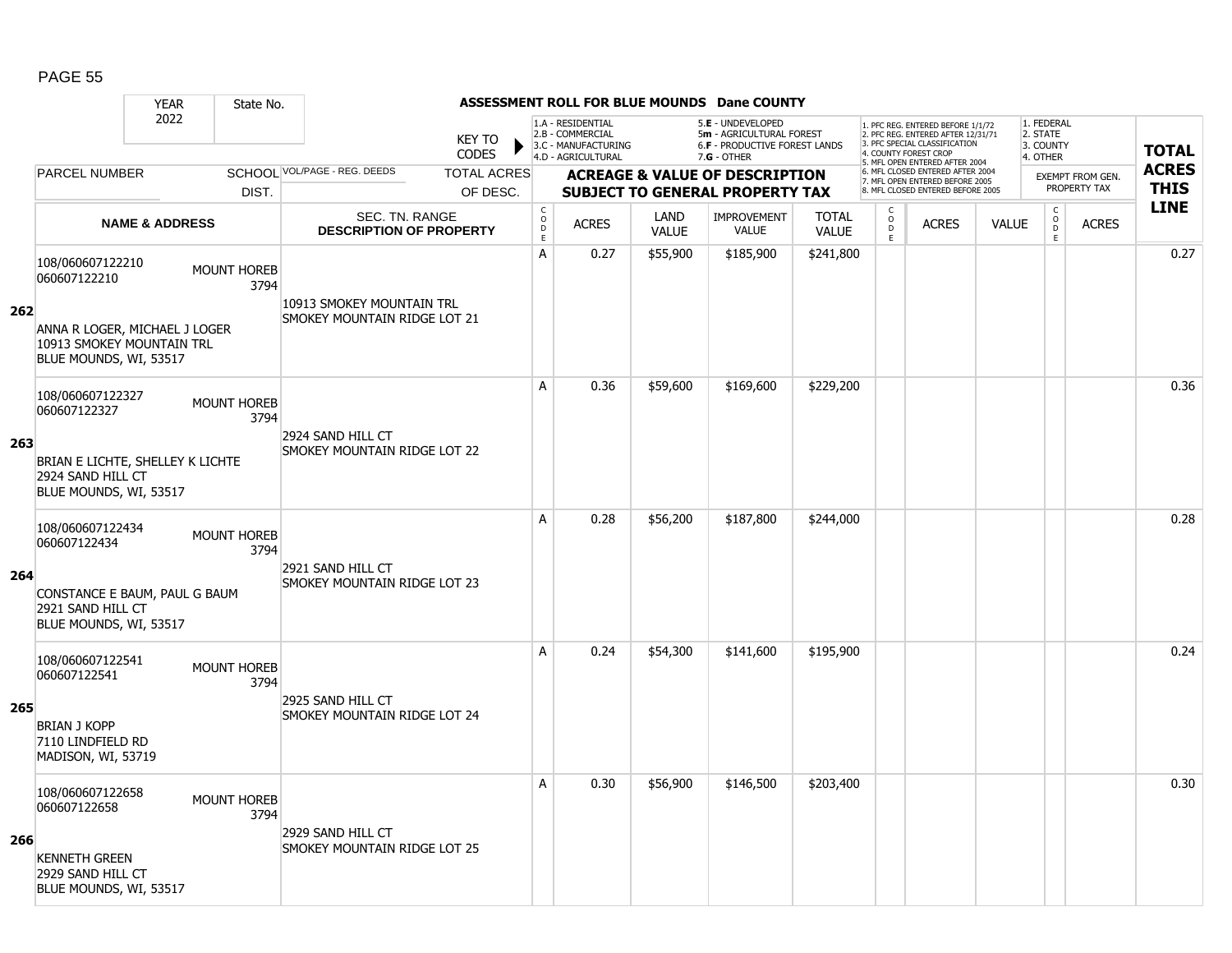|     |                                                                                 | <b>YEAR</b>               | State No.                  |                                                           |                               |                                                  |                                                                                    |                             | <b>ASSESSMENT ROLL FOR BLUE MOUNDS Dane COUNTY</b>                                              |                              |                                                 |                                                                                                                                   |              |                                                 |                  |              |
|-----|---------------------------------------------------------------------------------|---------------------------|----------------------------|-----------------------------------------------------------|-------------------------------|--------------------------------------------------|------------------------------------------------------------------------------------|-----------------------------|-------------------------------------------------------------------------------------------------|------------------------------|-------------------------------------------------|-----------------------------------------------------------------------------------------------------------------------------------|--------------|-------------------------------------------------|------------------|--------------|
|     |                                                                                 | 2022                      |                            |                                                           | <b>KEY TO</b><br><b>CODES</b> |                                                  | 1.A - RESIDENTIAL<br>2.B - COMMERCIAL<br>3.C - MANUFACTURING<br>4.D - AGRICULTURAL |                             | 5.E - UNDEVELOPED<br>5m - AGRICULTURAL FOREST<br>6.F - PRODUCTIVE FOREST LANDS<br>$7.G - OTHER$ |                              |                                                 | 1. PFC REG. ENTERED BEFORE 1/1/72<br>2. PFC REG. ENTERED AFTER 12/31/71<br>3. PFC SPECIAL CLASSIFICATION<br>4. COUNTY FOREST CROP |              | 1. FEDERAL<br>2. STATE<br>3. COUNTY<br>4. OTHER |                  | <b>TOTAL</b> |
|     | <b>PARCEL NUMBER</b>                                                            |                           |                            | SCHOOL VOL/PAGE - REG. DEEDS                              | <b>TOTAL ACRES</b>            |                                                  |                                                                                    |                             | <b>ACREAGE &amp; VALUE OF DESCRIPTION</b>                                                       |                              |                                                 | 5. MFL OPEN ENTERED AFTER 2004<br>6. MFL CLOSED ENTERED AFTER 2004                                                                |              |                                                 | EXEMPT FROM GEN. | <b>ACRES</b> |
|     |                                                                                 |                           | DIST.                      |                                                           | OF DESC.                      |                                                  |                                                                                    |                             | <b>SUBJECT TO GENERAL PROPERTY TAX</b>                                                          |                              |                                                 | 7. MFL OPEN ENTERED BEFORE 2005<br>8. MFL CLOSED ENTERED BEFORE 2005                                                              |              |                                                 | PROPERTY TAX     | <b>THIS</b>  |
|     |                                                                                 | <b>NAME &amp; ADDRESS</b> |                            | <b>SEC. TN. RANGE</b><br><b>DESCRIPTION OF PROPERTY</b>   |                               | $\mathsf{C}$<br>$\mathsf{O}$<br>$\mathsf D$<br>E | <b>ACRES</b>                                                                       | <b>LAND</b><br><b>VALUE</b> | <b>IMPROVEMENT</b><br>VALUE                                                                     | <b>TOTAL</b><br><b>VALUE</b> | $\begin{matrix} 0 \\ 0 \\ D \end{matrix}$<br>E. | <b>ACRES</b>                                                                                                                      | <b>VALUE</b> | $\begin{matrix} 0 \\ 0 \end{matrix}$<br>E       | <b>ACRES</b>     | <b>LINE</b>  |
| 262 | 108/060607122210<br>060607122210<br>ANNA R LOGER, MICHAEL J LOGER               |                           | MOUNT HOREB<br>3794        | 10913 SMOKEY MOUNTAIN TRL<br>SMOKEY MOUNTAIN RIDGE LOT 21 |                               | A                                                | 0.27                                                                               | \$55,900                    | \$185,900                                                                                       | \$241,800                    |                                                 |                                                                                                                                   |              |                                                 |                  | 0.27         |
|     | 10913 SMOKEY MOUNTAIN TRL<br>BLUE MOUNDS, WI, 53517                             |                           |                            |                                                           |                               |                                                  |                                                                                    |                             |                                                                                                 |                              |                                                 |                                                                                                                                   |              |                                                 |                  |              |
| 263 | 108/060607122327<br>060607122327                                                |                           | <b>MOUNT HOREB</b><br>3794 | 2924 SAND HILL CT                                         |                               | A                                                | 0.36                                                                               | \$59,600                    | \$169,600                                                                                       | \$229,200                    |                                                 |                                                                                                                                   |              |                                                 |                  | 0.36         |
|     | BRIAN E LICHTE, SHELLEY K LICHTE<br>2924 SAND HILL CT<br>BLUE MOUNDS, WI, 53517 |                           |                            | SMOKEY MOUNTAIN RIDGE LOT 22                              |                               |                                                  |                                                                                    |                             |                                                                                                 |                              |                                                 |                                                                                                                                   |              |                                                 |                  |              |
|     | 108/060607122434<br>060607122434                                                |                           | <b>MOUNT HOREB</b><br>3794 | 2921 SAND HILL CT                                         |                               | A                                                | 0.28                                                                               | \$56,200                    | \$187,800                                                                                       | \$244,000                    |                                                 |                                                                                                                                   |              |                                                 |                  | 0.28         |
| 264 | CONSTANCE E BAUM, PAUL G BAUM<br>2921 SAND HILL CT<br>BLUE MOUNDS, WI, 53517    |                           |                            | SMOKEY MOUNTAIN RIDGE LOT 23                              |                               |                                                  |                                                                                    |                             |                                                                                                 |                              |                                                 |                                                                                                                                   |              |                                                 |                  |              |
|     | 108/060607122541<br>060607122541                                                |                           | <b>MOUNT HOREB</b><br>3794 |                                                           |                               | A                                                | 0.24                                                                               | \$54,300                    | \$141,600                                                                                       | \$195,900                    |                                                 |                                                                                                                                   |              |                                                 |                  | 0.24         |
| 265 | <b>BRIAN J KOPP</b><br>7110 LINDFIELD RD<br>MADISON, WI, 53719                  |                           |                            | 2925 SAND HILL CT<br>SMOKEY MOUNTAIN RIDGE LOT 24         |                               |                                                  |                                                                                    |                             |                                                                                                 |                              |                                                 |                                                                                                                                   |              |                                                 |                  |              |
|     | 108/060607122658<br>060607122658                                                |                           | <b>MOUNT HOREB</b><br>3794 | 2929 SAND HILL CT                                         |                               | A                                                | 0.30                                                                               | \$56,900                    | \$146,500                                                                                       | \$203,400                    |                                                 |                                                                                                                                   |              |                                                 |                  | 0.30         |
| 266 | <b>KENNETH GREEN</b><br>2929 SAND HILL CT<br>BLUE MOUNDS, WI, 53517             |                           |                            | SMOKEY MOUNTAIN RIDGE LOT 25                              |                               |                                                  |                                                                                    |                             |                                                                                                 |                              |                                                 |                                                                                                                                   |              |                                                 |                  |              |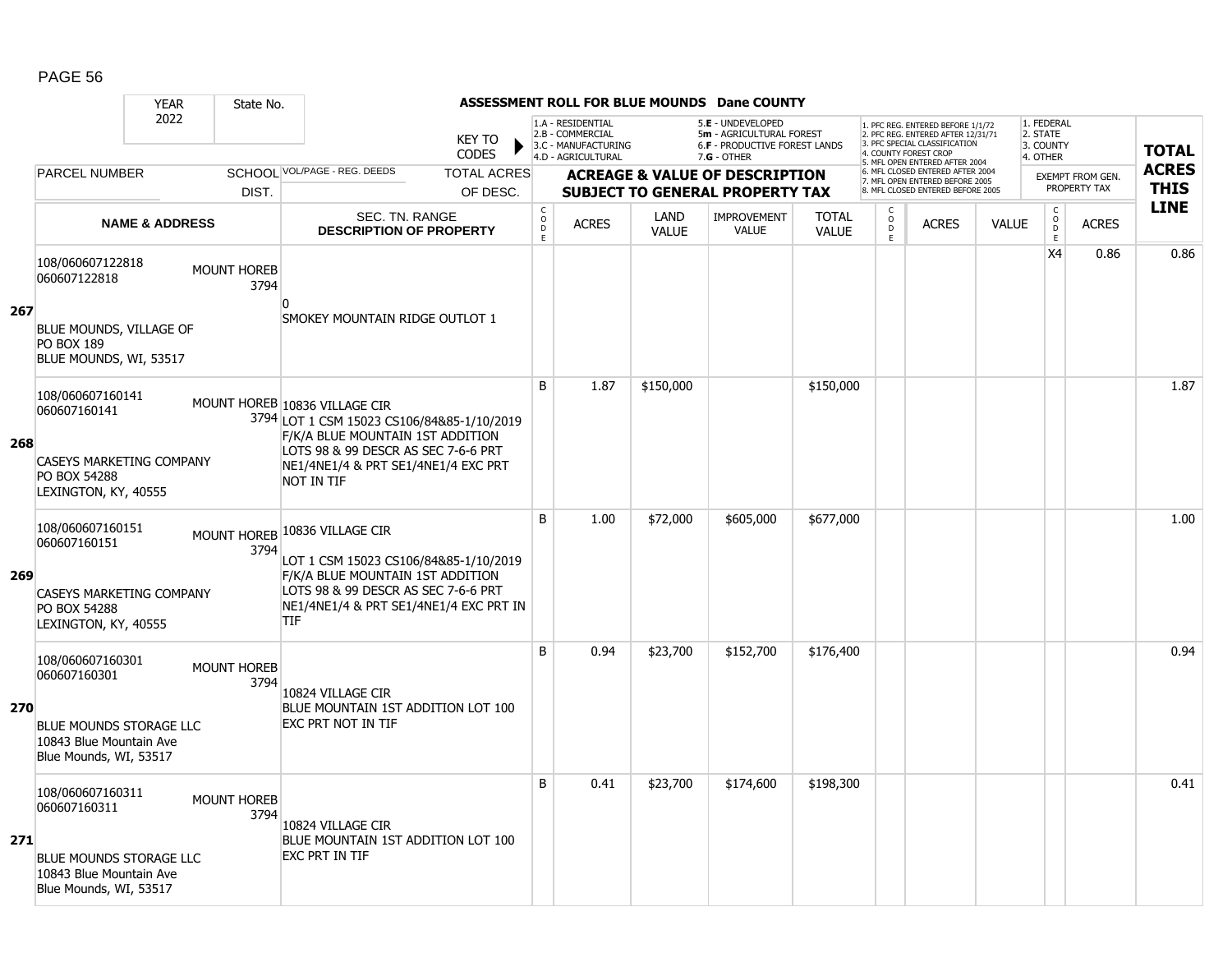|     |                                                                                     | <b>YEAR</b><br>State No.   |                                                                                                                          |                                         |                                                                                    |                             | <b>ASSESSMENT ROLL FOR BLUE MOUNDS Dane COUNTY</b>                                            |                              |                              |                                                                                                          |              |                                                 |                                  |                             |
|-----|-------------------------------------------------------------------------------------|----------------------------|--------------------------------------------------------------------------------------------------------------------------|-----------------------------------------|------------------------------------------------------------------------------------|-----------------------------|-----------------------------------------------------------------------------------------------|------------------------------|------------------------------|----------------------------------------------------------------------------------------------------------|--------------|-------------------------------------------------|----------------------------------|-----------------------------|
|     |                                                                                     | 2022                       | <b>KEY TO</b><br><b>CODES</b>                                                                                            |                                         | 1.A - RESIDENTIAL<br>2.B - COMMERCIAL<br>3.C - MANUFACTURING<br>4.D - AGRICULTURAL |                             | 5.E - UNDEVELOPED<br>5m - AGRICULTURAL FOREST<br>6.F - PRODUCTIVE FOREST LANDS<br>7.G - OTHER |                              | 4. COUNTY FOREST CROP        | 1. PFC REG. ENTERED BEFORE 1/1/72<br>2. PFC REG. ENTERED AFTER 12/31/71<br>3. PFC SPECIAL CLASSIFICATION |              | 1. FEDERAL<br>2. STATE<br>3. COUNTY<br>4. OTHER |                                  | <b>TOTAL</b>                |
|     | <b>PARCEL NUMBER</b>                                                                |                            | SCHOOL VOL/PAGE - REG. DEEDS<br><b>TOTAL ACRES</b>                                                                       |                                         |                                                                                    |                             | <b>ACREAGE &amp; VALUE OF DESCRIPTION</b>                                                     |                              |                              | 5. MFL OPEN ENTERED AFTER 2004<br>6. MFL CLOSED ENTERED AFTER 2004<br>7. MFL OPEN ENTERED BEFORE 2005    |              |                                                 | EXEMPT FROM GEN.<br>PROPERTY TAX | <b>ACRES</b><br><b>THIS</b> |
|     |                                                                                     | DIST.                      | OF DESC.                                                                                                                 |                                         |                                                                                    |                             | <b>SUBJECT TO GENERAL PROPERTY TAX</b>                                                        |                              |                              | 8. MFL CLOSED ENTERED BEFORE 2005                                                                        |              |                                                 |                                  | <b>LINE</b>                 |
|     | <b>NAME &amp; ADDRESS</b>                                                           |                            | SEC. TN. RANGE<br><b>DESCRIPTION OF PROPERTY</b>                                                                         | $_{\rm o}^{\rm c}$<br>$\mathsf{D}$<br>E | <b>ACRES</b>                                                                       | <b>LAND</b><br><b>VALUE</b> | <b>IMPROVEMENT</b><br><b>VALUE</b>                                                            | <b>TOTAL</b><br><b>VALUE</b> | C<br>$_{\rm D}^{\rm O}$<br>E | <b>ACRES</b>                                                                                             | <b>VALUE</b> | $\mathsf C$<br>$_{\rm D}^{\rm O}$<br>E          | <b>ACRES</b>                     |                             |
|     | 108/060607122818<br>060607122818                                                    | <b>MOUNT HOREB</b><br>3794 | n                                                                                                                        |                                         |                                                                                    |                             |                                                                                               |                              |                              |                                                                                                          |              | X <sub>4</sub>                                  | 0.86                             | 0.86                        |
| 267 | BLUE MOUNDS, VILLAGE OF<br><b>PO BOX 189</b><br>BLUE MOUNDS, WI, 53517              |                            | SMOKEY MOUNTAIN RIDGE OUTLOT 1                                                                                           |                                         |                                                                                    |                             |                                                                                               |                              |                              |                                                                                                          |              |                                                 |                                  |                             |
|     | 108/060607160141<br>060607160141                                                    |                            | MOUNT HOREB 10836 VILLAGE CIR<br>3794 LOT 1 CSM 15023 CS106/84&85-1/10/2019<br>F/K/A BLUE MOUNTAIN 1ST ADDITION          | B                                       | 1.87                                                                               | \$150,000                   |                                                                                               | \$150,000                    |                              |                                                                                                          |              |                                                 |                                  | 1.87                        |
| 268 | <b>CASEYS MARKETING COMPANY</b><br>PO BOX 54288<br>LEXINGTON, KY, 40555             |                            | LOTS 98 & 99 DESCR AS SEC 7-6-6 PRT<br>NE1/4NE1/4 & PRT SE1/4NE1/4 EXC PRT<br>NOT IN TIF                                 |                                         |                                                                                    |                             |                                                                                               |                              |                              |                                                                                                          |              |                                                 |                                  |                             |
|     | 108/060607160151<br>060607160151                                                    | MOUNT HOREB<br>3794        | 10836 VILLAGE CIR<br>LOT 1 CSM 15023 CS106/84&85-1/10/2019                                                               | B                                       | 1.00                                                                               | \$72,000                    | \$605,000                                                                                     | \$677,000                    |                              |                                                                                                          |              |                                                 |                                  | 1.00                        |
| 269 | <b>CASEYS MARKETING COMPANY</b><br>PO BOX 54288<br>LEXINGTON, KY, 40555             |                            | F/K/A BLUE MOUNTAIN 1ST ADDITION<br>LOTS 98 & 99 DESCR AS SEC 7-6-6 PRT<br>NE1/4NE1/4 & PRT SE1/4NE1/4 EXC PRT IN<br>TIF |                                         |                                                                                    |                             |                                                                                               |                              |                              |                                                                                                          |              |                                                 |                                  |                             |
|     | 108/060607160301<br>060607160301                                                    | <b>MOUNT HOREB</b><br>3794 | 10824 VILLAGE CIR                                                                                                        | B                                       | 0.94                                                                               | \$23,700                    | \$152,700                                                                                     | \$176,400                    |                              |                                                                                                          |              |                                                 |                                  | 0.94                        |
| 270 | <b>BLUE MOUNDS STORAGE LLC</b><br>10843 Blue Mountain Ave<br>Blue Mounds, WI, 53517 |                            | BLUE MOUNTAIN 1ST ADDITION LOT 100<br>EXC PRT NOT IN TIF                                                                 |                                         |                                                                                    |                             |                                                                                               |                              |                              |                                                                                                          |              |                                                 |                                  |                             |
|     | 108/060607160311<br>060607160311                                                    | <b>MOUNT HOREB</b><br>3794 | 10824 VILLAGE CIR                                                                                                        | B                                       | 0.41                                                                               | \$23,700                    | \$174,600                                                                                     | \$198,300                    |                              |                                                                                                          |              |                                                 |                                  | 0.41                        |
| 271 | BLUE MOUNDS STORAGE LLC<br>10843 Blue Mountain Ave<br>Blue Mounds, WI, 53517        |                            | BLUE MOUNTAIN 1ST ADDITION LOT 100<br>EXC PRT IN TIF                                                                     |                                         |                                                                                    |                             |                                                                                               |                              |                              |                                                                                                          |              |                                                 |                                  |                             |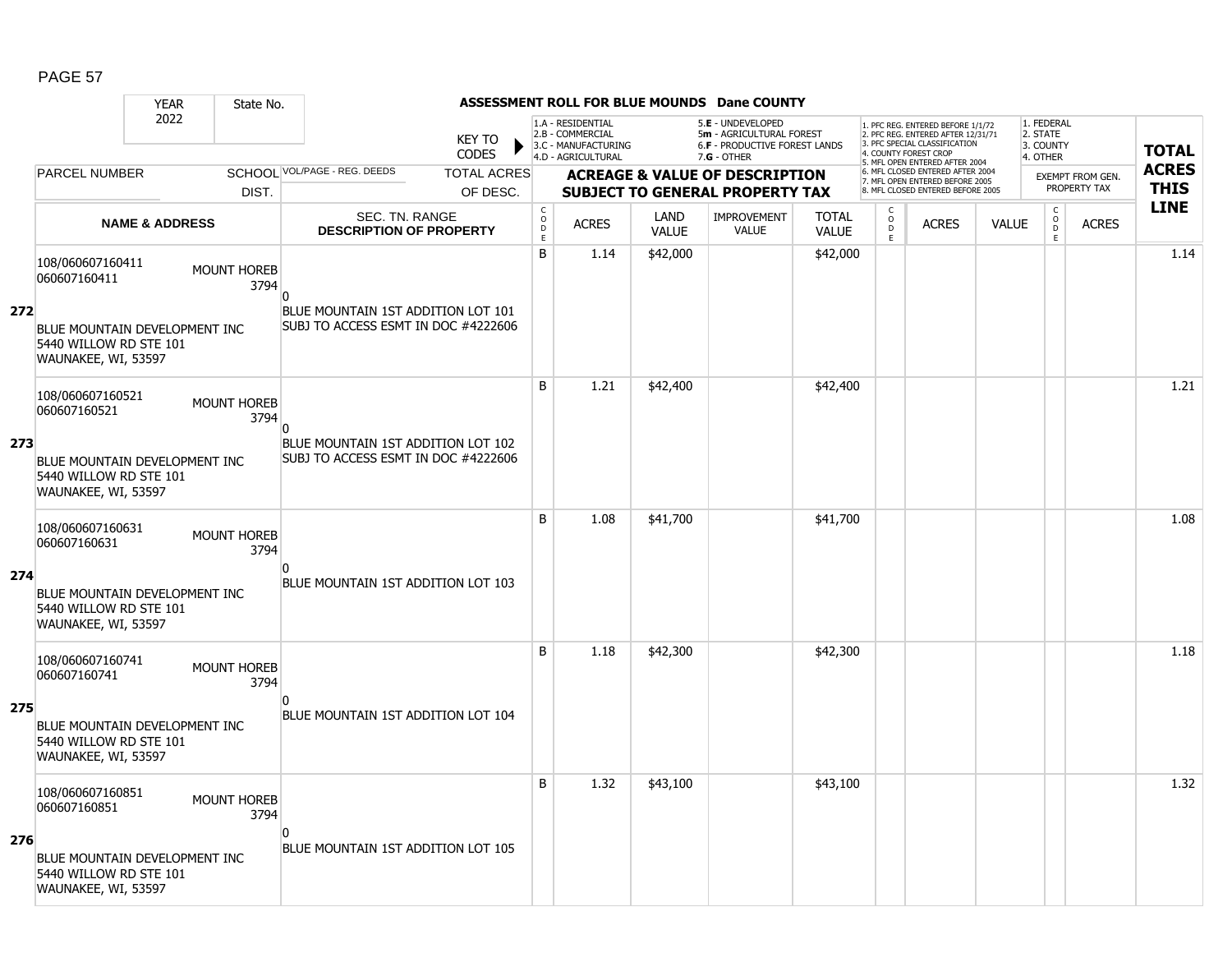|     |                                                                                       | <b>YEAR</b>               | State No.                  |                                                                           |                               |                             |                                                                                    |                             | <b>ASSESSMENT ROLL FOR BLUE MOUNDS Dane COUNTY</b>                                            |                              |                                                 |                                                                                                                                   |              |                                                          |                         |              |
|-----|---------------------------------------------------------------------------------------|---------------------------|----------------------------|---------------------------------------------------------------------------|-------------------------------|-----------------------------|------------------------------------------------------------------------------------|-----------------------------|-----------------------------------------------------------------------------------------------|------------------------------|-------------------------------------------------|-----------------------------------------------------------------------------------------------------------------------------------|--------------|----------------------------------------------------------|-------------------------|--------------|
|     |                                                                                       | 2022                      |                            |                                                                           | <b>KEY TO</b><br><b>CODES</b> |                             | 1.A - RESIDENTIAL<br>2.B - COMMERCIAL<br>3.C - MANUFACTURING<br>4.D - AGRICULTURAL |                             | 5.E - UNDEVELOPED<br>5m - AGRICULTURAL FOREST<br>6.F - PRODUCTIVE FOREST LANDS<br>7.G - OTHER |                              |                                                 | 1. PFC REG. ENTERED BEFORE 1/1/72<br>2. PFC REG. ENTERED AFTER 12/31/71<br>3. PFC SPECIAL CLASSIFICATION<br>4. COUNTY FOREST CROP |              | 1. FEDERAL<br>2. STATE<br>3. COUNTY<br>4. OTHER          |                         | <b>TOTAL</b> |
|     | <b>PARCEL NUMBER</b>                                                                  |                           |                            | SCHOOL VOL/PAGE - REG. DEEDS                                              | <b>TOTAL ACRES</b>            |                             |                                                                                    |                             | <b>ACREAGE &amp; VALUE OF DESCRIPTION</b>                                                     |                              |                                                 | 5. MFL OPEN ENTERED AFTER 2004<br>6. MFL CLOSED ENTERED AFTER 2004                                                                |              |                                                          | <b>EXEMPT FROM GEN.</b> | <b>ACRES</b> |
|     |                                                                                       |                           | DIST.                      |                                                                           | OF DESC.                      |                             |                                                                                    |                             | <b>SUBJECT TO GENERAL PROPERTY TAX</b>                                                        |                              |                                                 | 7. MFL OPEN ENTERED BEFORE 2005<br>8. MFL CLOSED ENTERED BEFORE 2005                                                              |              |                                                          | PROPERTY TAX            | <b>THIS</b>  |
|     |                                                                                       | <b>NAME &amp; ADDRESS</b> |                            | SEC. TN. RANGE<br><b>DESCRIPTION OF PROPERTY</b>                          |                               | $\rm _c^C$<br>$\frac{D}{E}$ | <b>ACRES</b>                                                                       | <b>LAND</b><br><b>VALUE</b> | <b>IMPROVEMENT</b><br><b>VALUE</b>                                                            | <b>TOTAL</b><br><b>VALUE</b> | $\begin{matrix} 0 \\ 0 \\ D \end{matrix}$<br>E. | <b>ACRES</b>                                                                                                                      | <b>VALUE</b> | $\begin{matrix} 0 \\ 0 \\ 0 \end{matrix}$<br>$\mathsf E$ | <b>ACRES</b>            | <b>LINE</b>  |
|     | 108/060607160411<br>060607160411                                                      |                           | <b>MOUNT HOREB</b><br>3794 | n                                                                         |                               | B                           | 1.14                                                                               | \$42,000                    |                                                                                               | \$42,000                     |                                                 |                                                                                                                                   |              |                                                          |                         | 1.14         |
| 272 | <b>BLUE MOUNTAIN DEVELOPMENT INC</b><br>5440 WILLOW RD STE 101<br>WAUNAKEE, WI, 53597 |                           |                            | BLUE MOUNTAIN 1ST ADDITION LOT 101<br>SUBJ TO ACCESS ESMT IN DOC #4222606 |                               |                             |                                                                                    |                             |                                                                                               |                              |                                                 |                                                                                                                                   |              |                                                          |                         |              |
|     | 108/060607160521<br>060607160521                                                      |                           | <b>MOUNT HOREB</b><br>3794 | $\overline{0}$                                                            |                               | B                           | 1.21                                                                               | \$42,400                    |                                                                                               | \$42,400                     |                                                 |                                                                                                                                   |              |                                                          |                         | 1.21         |
| 273 | BLUE MOUNTAIN DEVELOPMENT INC<br>5440 WILLOW RD STE 101<br>WAUNAKEE, WI, 53597        |                           |                            | BLUE MOUNTAIN 1ST ADDITION LOT 102<br>SUBJ TO ACCESS ESMT IN DOC #4222606 |                               |                             |                                                                                    |                             |                                                                                               |                              |                                                 |                                                                                                                                   |              |                                                          |                         |              |
|     | 108/060607160631<br>060607160631                                                      |                           | <b>MOUNT HOREB</b><br>3794 | n                                                                         |                               | B                           | 1.08                                                                               | \$41,700                    |                                                                                               | \$41,700                     |                                                 |                                                                                                                                   |              |                                                          |                         | 1.08         |
| 274 | BLUE MOUNTAIN DEVELOPMENT INC<br>5440 WILLOW RD STE 101<br>WAUNAKEE, WI, 53597        |                           |                            | BLUE MOUNTAIN 1ST ADDITION LOT 103                                        |                               |                             |                                                                                    |                             |                                                                                               |                              |                                                 |                                                                                                                                   |              |                                                          |                         |              |
|     | 108/060607160741<br>060607160741                                                      |                           | <b>MOUNT HOREB</b><br>3794 | n                                                                         |                               | B                           | 1.18                                                                               | \$42,300                    |                                                                                               | \$42,300                     |                                                 |                                                                                                                                   |              |                                                          |                         | 1.18         |
| 275 | BLUE MOUNTAIN DEVELOPMENT INC<br>5440 WILLOW RD STE 101<br>WAUNAKEE, WI, 53597        |                           |                            | BLUE MOUNTAIN 1ST ADDITION LOT 104                                        |                               |                             |                                                                                    |                             |                                                                                               |                              |                                                 |                                                                                                                                   |              |                                                          |                         |              |
|     | 108/060607160851<br>060607160851                                                      |                           | <b>MOUNT HOREB</b><br>3794 |                                                                           |                               | B                           | 1.32                                                                               | \$43,100                    |                                                                                               | \$43,100                     |                                                 |                                                                                                                                   |              |                                                          |                         | 1.32         |
| 276 | BLUE MOUNTAIN DEVELOPMENT INC<br>5440 WILLOW RD STE 101<br>WAUNAKEE, WI, 53597        |                           |                            | n<br>BLUE MOUNTAIN 1ST ADDITION LOT 105                                   |                               |                             |                                                                                    |                             |                                                                                               |                              |                                                 |                                                                                                                                   |              |                                                          |                         |              |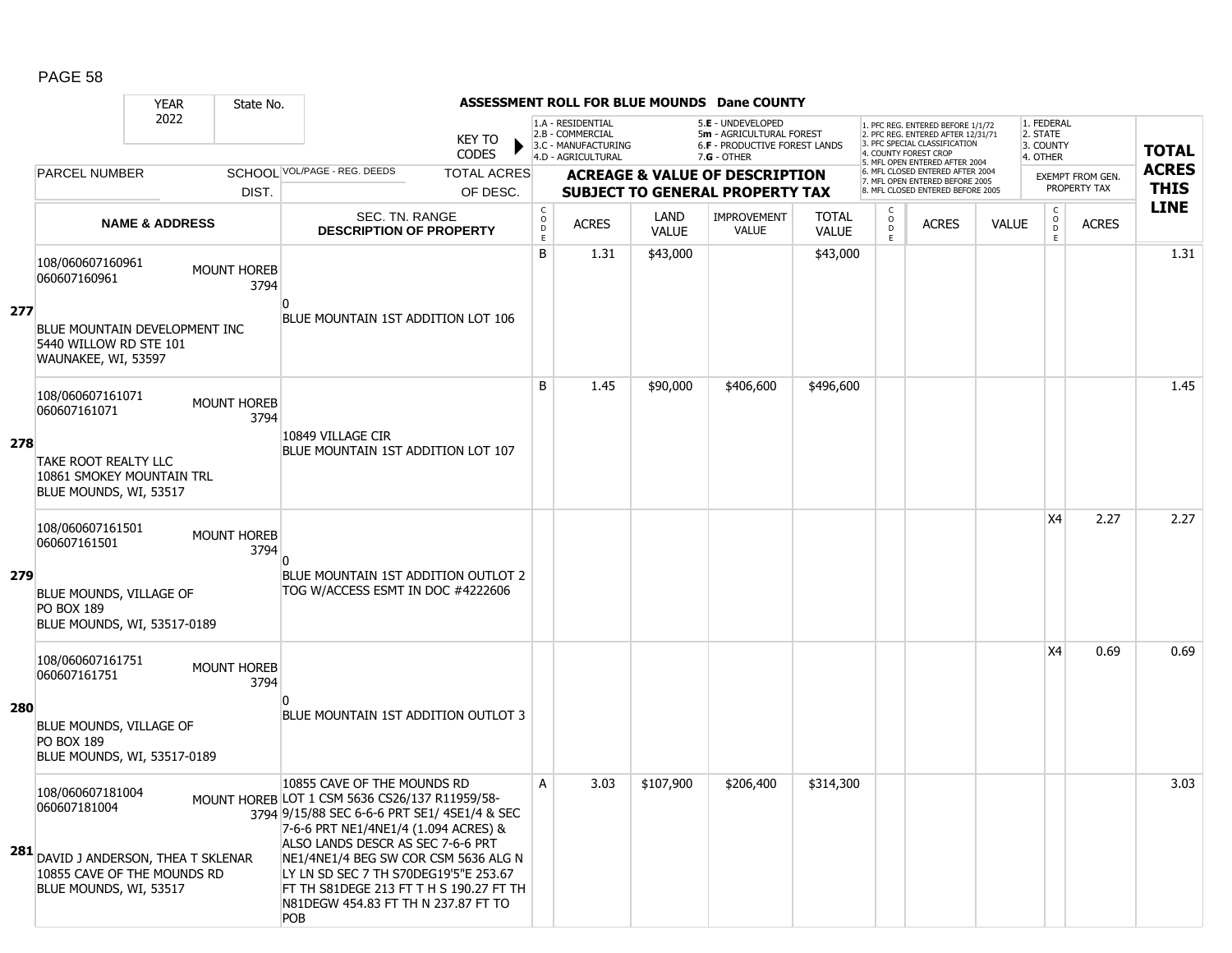|     |                                                                                                                                   | <b>YEAR</b>               | State No.                  |                                                                                                                                                                                                                                                                                                                                                                                             |                               |                        |                                                                                    |                             | <b>ASSESSMENT ROLL FOR BLUE MOUNDS Dane COUNTY</b>                                                     |                              |                                    |                                                                                                                                   |              |                                                 |                         |              |
|-----|-----------------------------------------------------------------------------------------------------------------------------------|---------------------------|----------------------------|---------------------------------------------------------------------------------------------------------------------------------------------------------------------------------------------------------------------------------------------------------------------------------------------------------------------------------------------------------------------------------------------|-------------------------------|------------------------|------------------------------------------------------------------------------------|-----------------------------|--------------------------------------------------------------------------------------------------------|------------------------------|------------------------------------|-----------------------------------------------------------------------------------------------------------------------------------|--------------|-------------------------------------------------|-------------------------|--------------|
|     |                                                                                                                                   | 2022                      |                            |                                                                                                                                                                                                                                                                                                                                                                                             | <b>KEY TO</b><br><b>CODES</b> |                        | 1.A - RESIDENTIAL<br>2.B - COMMERCIAL<br>3.C - MANUFACTURING<br>4.D - AGRICULTURAL |                             | 5.E - UNDEVELOPED<br>5m - AGRICULTURAL FOREST<br><b>6.F - PRODUCTIVE FOREST LANDS</b><br>$7.G - OTHER$ |                              |                                    | 1. PFC REG. ENTERED BEFORE 1/1/72<br>2. PFC REG. ENTERED AFTER 12/31/71<br>3. PFC SPECIAL CLASSIFICATION<br>4. COUNTY FOREST CROP |              | 1. FEDERAL<br>2. STATE<br>3. COUNTY<br>4. OTHER |                         | <b>TOTAL</b> |
|     | <b>PARCEL NUMBER</b>                                                                                                              |                           |                            | SCHOOL VOL/PAGE - REG. DEEDS                                                                                                                                                                                                                                                                                                                                                                | <b>TOTAL ACRES</b>            |                        |                                                                                    |                             | <b>ACREAGE &amp; VALUE OF DESCRIPTION</b>                                                              |                              |                                    | 5. MFL OPEN ENTERED AFTER 2004<br>6. MFL CLOSED ENTERED AFTER 2004<br>7. MFL OPEN ENTERED BEFORE 2005                             |              |                                                 | <b>EXEMPT FROM GEN.</b> | <b>ACRES</b> |
|     |                                                                                                                                   |                           | DIST.                      |                                                                                                                                                                                                                                                                                                                                                                                             | OF DESC.                      |                        |                                                                                    |                             | <b>SUBJECT TO GENERAL PROPERTY TAX</b>                                                                 |                              |                                    | 8. MFL CLOSED ENTERED BEFORE 2005                                                                                                 |              |                                                 | PROPERTY TAX            | <b>THIS</b>  |
|     |                                                                                                                                   | <b>NAME &amp; ADDRESS</b> |                            | SEC. TN. RANGE<br><b>DESCRIPTION OF PROPERTY</b>                                                                                                                                                                                                                                                                                                                                            |                               | C<br>$\circ$<br>D<br>E | <b>ACRES</b>                                                                       | <b>LAND</b><br><b>VALUE</b> | <b>IMPROVEMENT</b><br><b>VALUE</b>                                                                     | <b>TOTAL</b><br><b>VALUE</b> | $\mathsf{C}$<br>$\circ$<br>D<br>E. | <b>ACRES</b>                                                                                                                      | <b>VALUE</b> | $\mathsf{C}$<br>$_{\rm D}^{\rm O}$<br>Ε         | <b>ACRES</b>            | <b>LINE</b>  |
| 277 | 108/060607160961<br>060607160961<br>BLUE MOUNTAIN DEVELOPMENT INC                                                                 |                           | <b>MOUNT HOREB</b><br>3794 | BLUE MOUNTAIN 1ST ADDITION LOT 106                                                                                                                                                                                                                                                                                                                                                          |                               | B                      | 1.31                                                                               | \$43,000                    |                                                                                                        | \$43,000                     |                                    |                                                                                                                                   |              |                                                 |                         | 1.31         |
|     | 5440 WILLOW RD STE 101<br>WAUNAKEE, WI, 53597                                                                                     |                           |                            |                                                                                                                                                                                                                                                                                                                                                                                             |                               |                        |                                                                                    |                             |                                                                                                        |                              |                                    |                                                                                                                                   |              |                                                 |                         |              |
| 278 | 108/060607161071<br>060607161071<br><b>TAKE ROOT REALTY LLC</b><br>10861 SMOKEY MOUNTAIN TRL<br>BLUE MOUNDS, WI, 53517            |                           | <b>MOUNT HOREB</b><br>3794 | 10849 VILLAGE CIR<br>BLUE MOUNTAIN 1ST ADDITION LOT 107                                                                                                                                                                                                                                                                                                                                     |                               | B                      | 1.45                                                                               | \$90,000                    | \$406,600                                                                                              | \$496,600                    |                                    |                                                                                                                                   |              |                                                 |                         | 1.45         |
|     | 108/060607161501<br>060607161501                                                                                                  |                           | MOUNT HOREB<br>3794        |                                                                                                                                                                                                                                                                                                                                                                                             |                               |                        |                                                                                    |                             |                                                                                                        |                              |                                    |                                                                                                                                   |              | X4                                              | 2.27                    | 2.27         |
| 279 | BLUE MOUNDS, VILLAGE OF<br><b>PO BOX 189</b><br>BLUE MOUNDS, WI, 53517-0189                                                       |                           |                            | BLUE MOUNTAIN 1ST ADDITION OUTLOT 2<br>TOG W/ACCESS ESMT IN DOC #4222606                                                                                                                                                                                                                                                                                                                    |                               |                        |                                                                                    |                             |                                                                                                        |                              |                                    |                                                                                                                                   |              |                                                 |                         |              |
| 280 | 108/060607161751<br>060607161751                                                                                                  |                           | MOUNT HOREB<br>3794        |                                                                                                                                                                                                                                                                                                                                                                                             |                               |                        |                                                                                    |                             |                                                                                                        |                              |                                    |                                                                                                                                   |              | X4                                              | 0.69                    | 0.69         |
|     | BLUE MOUNDS, VILLAGE OF<br><b>PO BOX 189</b><br>BLUE MOUNDS, WI, 53517-0189                                                       |                           |                            | BLUE MOUNTAIN 1ST ADDITION OUTLOT 3                                                                                                                                                                                                                                                                                                                                                         |                               |                        |                                                                                    |                             |                                                                                                        |                              |                                    |                                                                                                                                   |              |                                                 |                         |              |
|     | 108/060607181004<br>060607181004<br>281 DAVID J ANDERSON, THEA T SKLENAR<br>10855 CAVE OF THE MOUNDS RD<br>BLUE MOUNDS, WI, 53517 |                           |                            | 10855 CAVE OF THE MOUNDS RD<br>MOUNT HOREB LOT 1 CSM 5636 CS26/137 R11959/58-<br>3794 9/15/88 SEC 6-6-6 PRT SE1/ 4SE1/4 & SEC<br>7-6-6 PRT NE1/4NE1/4 (1.094 ACRES) &<br>ALSO LANDS DESCR AS SEC 7-6-6 PRT<br>NE1/4NE1/4 BEG SW COR CSM 5636 ALG N<br>LY LN SD SEC 7 TH S70DEG19'5"E 253.67<br>FT TH S81DEGE 213 FT T H S 190.27 FT TH<br>N81DEGW 454.83 FT TH N 237.87 FT TO<br><b>POB</b> |                               | А                      | 3.03                                                                               | \$107,900                   | \$206,400                                                                                              | \$314,300                    |                                    |                                                                                                                                   |              |                                                 |                         | 3.03         |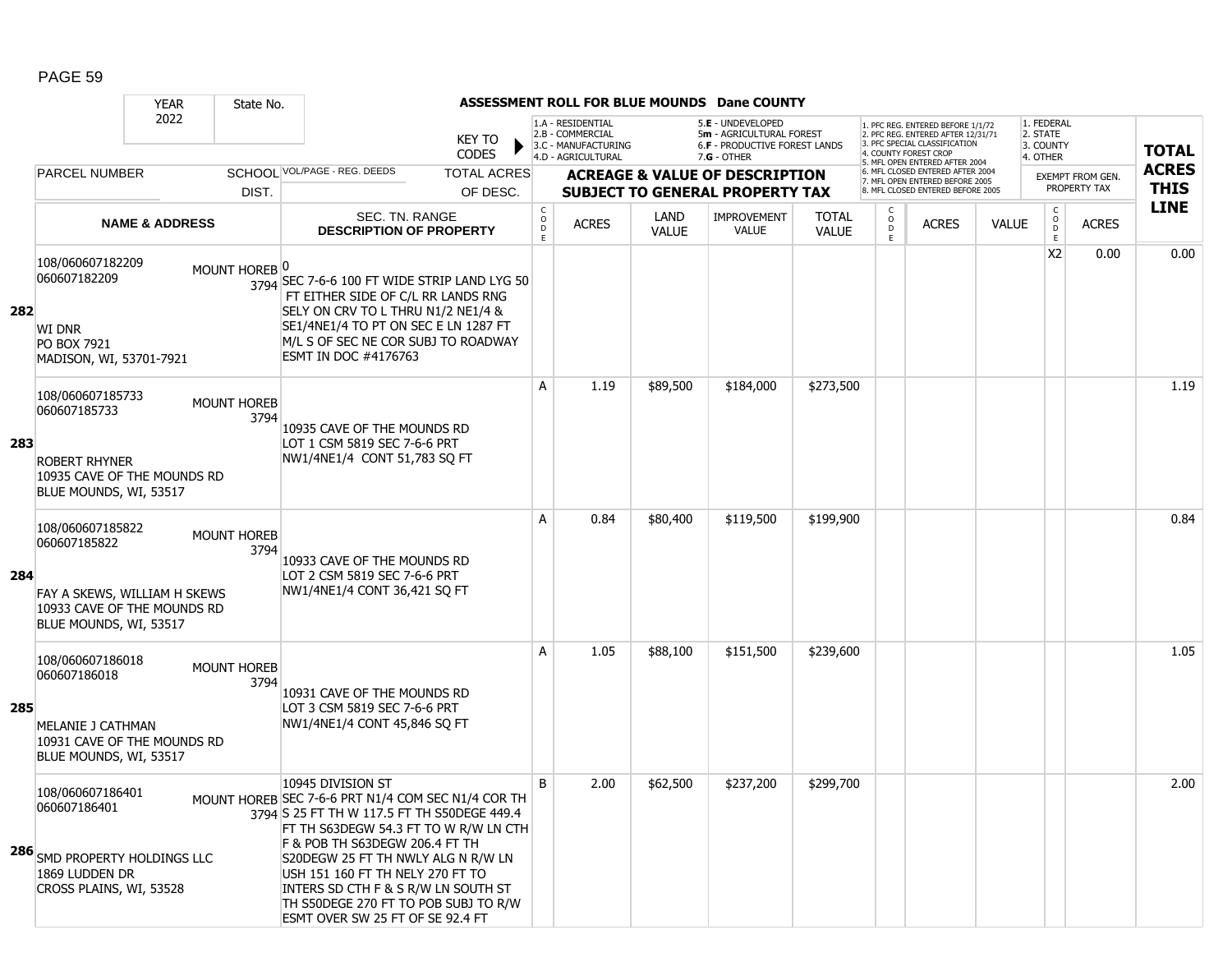|     |                                                                                                                           | <b>YEAR</b>               | State No.                  |                                                                                                                                                                                                                                                                                                                                                                                                |                        |                                                 |                                                                                    |                      | ASSESSMENT ROLL FOR BLUE MOUNDS Dane COUNTY                                                     |                              |                               |                                                                                                                                   |              |                                                         |                         |              |
|-----|---------------------------------------------------------------------------------------------------------------------------|---------------------------|----------------------------|------------------------------------------------------------------------------------------------------------------------------------------------------------------------------------------------------------------------------------------------------------------------------------------------------------------------------------------------------------------------------------------------|------------------------|-------------------------------------------------|------------------------------------------------------------------------------------|----------------------|-------------------------------------------------------------------------------------------------|------------------------------|-------------------------------|-----------------------------------------------------------------------------------------------------------------------------------|--------------|---------------------------------------------------------|-------------------------|--------------|
|     |                                                                                                                           | 2022                      |                            |                                                                                                                                                                                                                                                                                                                                                                                                | KEY TO<br><b>CODES</b> |                                                 | 1.A - RESIDENTIAL<br>2.B - COMMERCIAL<br>3.C - MANUFACTURING<br>4.D - AGRICULTURAL |                      | 5.E - UNDEVELOPED<br>5m - AGRICULTURAL FOREST<br>6.F - PRODUCTIVE FOREST LANDS<br>$7.G - OTHER$ |                              |                               | 1. PFC REG. ENTERED BEFORE 1/1/72<br>2. PFC REG. ENTERED AFTER 12/31/71<br>3. PFC SPECIAL CLASSIFICATION<br>4. COUNTY FOREST CROP |              | 1. FEDERAL<br>2. STATE<br>3. COUNTY<br>4. OTHER         |                         | <b>TOTAL</b> |
|     | <b>PARCEL NUMBER</b>                                                                                                      |                           |                            | SCHOOL VOL/PAGE - REG. DEEDS                                                                                                                                                                                                                                                                                                                                                                   | <b>TOTAL ACRES</b>     |                                                 |                                                                                    |                      | <b>ACREAGE &amp; VALUE OF DESCRIPTION</b>                                                       |                              |                               | 5. MFL OPEN ENTERED AFTER 2004<br>6. MFL CLOSED ENTERED AFTER 2004                                                                |              |                                                         | <b>EXEMPT FROM GEN.</b> | <b>ACRES</b> |
|     |                                                                                                                           |                           | DIST.                      |                                                                                                                                                                                                                                                                                                                                                                                                | OF DESC.               |                                                 |                                                                                    |                      | <b>SUBJECT TO GENERAL PROPERTY TAX</b>                                                          |                              |                               | 7. MFL OPEN ENTERED BEFORE 2005<br>8. MFL CLOSED ENTERED BEFORE 2005                                                              |              |                                                         | PROPERTY TAX            | <b>THIS</b>  |
|     |                                                                                                                           | <b>NAME &amp; ADDRESS</b> |                            | SEC. TN. RANGE<br><b>DESCRIPTION OF PROPERTY</b>                                                                                                                                                                                                                                                                                                                                               |                        | $\begin{matrix} 0 \\ 0 \\ 0 \end{matrix}$<br>E. | <b>ACRES</b>                                                                       | LAND<br><b>VALUE</b> | <b>IMPROVEMENT</b><br><b>VALUE</b>                                                              | <b>TOTAL</b><br><b>VALUE</b> | C<br>$_{\rm D}^{\rm O}$<br>E. | <b>ACRES</b>                                                                                                                      | <b>VALUE</b> | $\begin{smallmatrix} C\\O\\O\\D \end{smallmatrix}$<br>E | <b>ACRES</b>            | <b>LINE</b>  |
| 282 | 108/060607182209<br>060607182209<br><b>WI DNR</b><br>PO BOX 7921<br>MADISON, WI, 53701-7921                               |                           | MOUNT HOREB <sup>0</sup>   | 3794 SEC 7-6-6 100 FT WIDE STRIP LAND LYG 50<br>FT EITHER SIDE OF C/L RR LANDS RNG<br>SELY ON CRV TO L THRU N1/2 NE1/4 &<br>SE1/4NE1/4 TO PT ON SEC E LN 1287 FT<br>M/L S OF SEC NE COR SUBJ TO ROADWAY<br>ESMT IN DOC #4176763                                                                                                                                                                |                        |                                                 |                                                                                    |                      |                                                                                                 |                              |                               |                                                                                                                                   |              | X <sub>2</sub>                                          | 0.00                    | 0.00         |
| 283 | 108/060607185733<br>060607185733<br><b>ROBERT RHYNER</b><br>10935 CAVE OF THE MOUNDS RD<br>BLUE MOUNDS, WI, 53517         |                           | <b>MOUNT HOREB</b><br>3794 | 10935 CAVE OF THE MOUNDS RD<br>LOT 1 CSM 5819 SEC 7-6-6 PRT<br>NW1/4NE1/4 CONT 51,783 SQ FT                                                                                                                                                                                                                                                                                                    |                        | A                                               | 1.19                                                                               | \$89,500             | \$184,000                                                                                       | \$273,500                    |                               |                                                                                                                                   |              |                                                         |                         | 1.19         |
| 284 | 108/060607185822<br>060607185822<br>FAY A SKEWS, WILLIAM H SKEWS<br>10933 CAVE OF THE MOUNDS RD<br>BLUE MOUNDS, WI, 53517 |                           | <b>MOUNT HOREB</b><br>3794 | 10933 CAVE OF THE MOUNDS RD<br>LOT 2 CSM 5819 SEC 7-6-6 PRT<br>NW1/4NE1/4 CONT 36,421 SQ FT                                                                                                                                                                                                                                                                                                    |                        | A                                               | 0.84                                                                               | \$80,400             | \$119,500                                                                                       | \$199,900                    |                               |                                                                                                                                   |              |                                                         |                         | 0.84         |
| 285 | 108/060607186018<br>060607186018<br>MELANIE J CATHMAN<br>10931 CAVE OF THE MOUNDS RD<br>BLUE MOUNDS, WI, 53517            |                           | MOUNT HOREB<br>3794        | 10931 CAVE OF THE MOUNDS RD<br>LOT 3 CSM 5819 SEC 7-6-6 PRT<br>NW1/4NE1/4 CONT 45,846 SQ FT                                                                                                                                                                                                                                                                                                    |                        | A                                               | 1.05                                                                               | \$88,100             | \$151,500                                                                                       | \$239,600                    |                               |                                                                                                                                   |              |                                                         |                         | 1.05         |
|     | 108/060607186401<br>060607186401<br>286 SMD PROPERTY HOLDINGS LLC<br>1869 LUDDEN DR<br>CROSS PLAINS, WI, 53528            |                           |                            | 10945 division St<br>MOUNT HOREB SEC 7-6-6 PRT N1/4 COM SEC N1/4 COR TH<br>3794 S 25 FT TH W 117.5 FT TH S50DEGE 449.4<br>FT TH S63DEGW 54.3 FT TO W R/W LN CTH<br>F & POB TH S63DEGW 206.4 FT TH<br>S20DEGW 25 FT TH NWLY ALG N R/W LN<br>USH 151 160 FT TH NELY 270 FT TO<br>INTERS SD CTH F & S R/W LN SOUTH ST<br>TH S50DEGE 270 FT TO POB SUBJ TO R/W<br>ESMT OVER SW 25 FT OF SE 92.4 FT |                        | B                                               | 2.00                                                                               | \$62,500             | \$237,200                                                                                       | \$299,700                    |                               |                                                                                                                                   |              |                                                         |                         | 2.00         |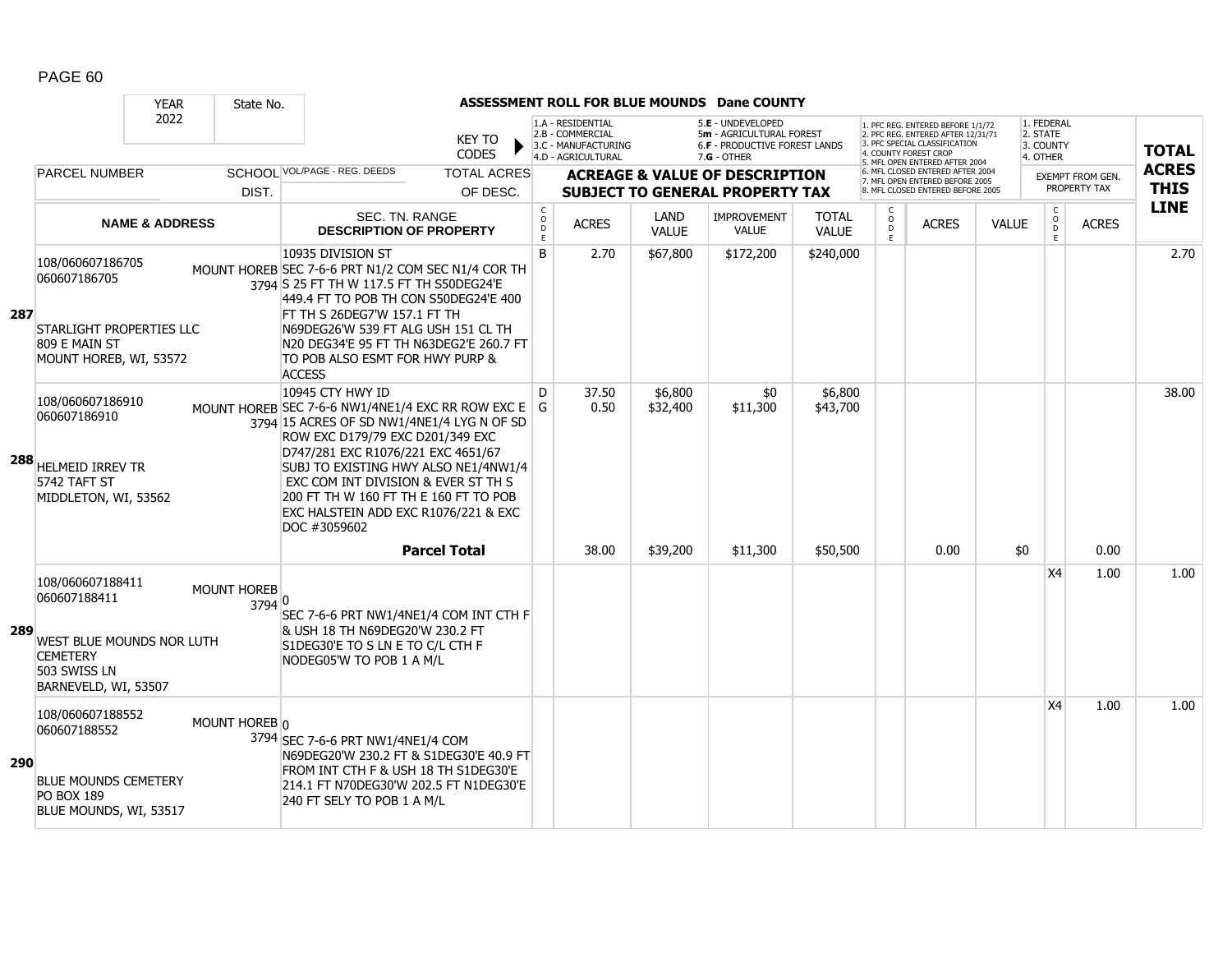|            |                                                                                                                          | <b>YEAR</b>               | State No.                    |                                                                                                                                                                                                                                                                                                                                                                                 |                                |                                             |                                                                                    |                      | <b>ASSESSMENT ROLL FOR BLUE MOUNDS Dane COUNTY</b>                                                     |                              |                    |                                                                                                                                                                     |              |                                                 |                                         |                             |
|------------|--------------------------------------------------------------------------------------------------------------------------|---------------------------|------------------------------|---------------------------------------------------------------------------------------------------------------------------------------------------------------------------------------------------------------------------------------------------------------------------------------------------------------------------------------------------------------------------------|--------------------------------|---------------------------------------------|------------------------------------------------------------------------------------|----------------------|--------------------------------------------------------------------------------------------------------|------------------------------|--------------------|---------------------------------------------------------------------------------------------------------------------------------------------------------------------|--------------|-------------------------------------------------|-----------------------------------------|-----------------------------|
|            |                                                                                                                          | 2022                      |                              |                                                                                                                                                                                                                                                                                                                                                                                 | <b>KEY TO</b><br><b>CODES</b>  |                                             | 1.A - RESIDENTIAL<br>2.B - COMMERCIAL<br>3.C - MANUFACTURING<br>4.D - AGRICULTURAL |                      | 5.E - UNDEVELOPED<br>5m - AGRICULTURAL FOREST<br><b>6.F - PRODUCTIVE FOREST LANDS</b><br>$7.G - OTHER$ |                              |                    | 1. PFC REG. ENTERED BEFORE 1/1/72<br>2. PFC REG. ENTERED AFTER 12/31/71<br>3. PFC SPECIAL CLASSIFICATION<br>4. COUNTY FOREST CROP<br>5. MFL OPEN ENTERED AFTER 2004 |              | 1. FEDERAL<br>2. STATE<br>3. COUNTY<br>4. OTHER |                                         | <b>TOTAL</b>                |
|            | <b>PARCEL NUMBER</b>                                                                                                     |                           | DIST.                        | SCHOOL VOL/PAGE - REG. DEEDS                                                                                                                                                                                                                                                                                                                                                    | <b>TOTAL ACRES</b><br>OF DESC. |                                             |                                                                                    |                      | <b>ACREAGE &amp; VALUE OF DESCRIPTION</b><br><b>SUBJECT TO GENERAL PROPERTY TAX</b>                    |                              |                    | 6. MFL CLOSED ENTERED AFTER 2004<br>7. MFL OPEN ENTERED BEFORE 2005<br>8. MFL CLOSED ENTERED BEFORE 2005                                                            |              |                                                 | <b>EXEMPT FROM GEN.</b><br>PROPERTY TAX | <b>ACRES</b><br><b>THIS</b> |
|            |                                                                                                                          | <b>NAME &amp; ADDRESS</b> |                              | <b>SEC. TN. RANGE</b><br><b>DESCRIPTION OF PROPERTY</b>                                                                                                                                                                                                                                                                                                                         |                                | $\mathsf{C}$<br>$\circ$<br>$\mathsf D$<br>E | <b>ACRES</b>                                                                       | LAND<br><b>VALUE</b> | <b>IMPROVEMENT</b><br><b>VALUE</b>                                                                     | <b>TOTAL</b><br><b>VALUE</b> | $\circ$<br>D<br>F. | <b>ACRES</b>                                                                                                                                                        | <b>VALUE</b> | C<br>$\mathsf{O}$<br>D<br>E                     | <b>ACRES</b>                            | <b>LINE</b>                 |
| 287        | 108/060607186705<br>060607186705<br>STARLIGHT PROPERTIES LLC<br>809 E MAIN ST<br>MOUNT HOREB, WI, 53572                  |                           |                              | 10935 DIVISION ST<br>MOUNT HOREB SEC 7-6-6 PRT N1/2 COM SEC N1/4 COR TH<br>3794 S 25 FT TH W 117.5 FT TH S50DEG24'E<br>449.4 FT TO POB TH CON S50DEG24'E 400<br>FT TH S 26DEG7'W 157.1 FT TH<br>N69DEG26'W 539 FT ALG USH 151 CL TH<br>N20 DEG34'E 95 FT TH N63DEG2'E 260.7 FT<br>TO POB ALSO ESMT FOR HWY PURP &<br><b>ACCESS</b>                                              |                                | B                                           | 2.70                                                                               | \$67,800             | \$172,200                                                                                              | \$240,000                    |                    |                                                                                                                                                                     |              |                                                 |                                         | 2.70                        |
|            | 108/060607186910<br>060607186910<br>288 HELMEID IRREV TR<br>5742 TAFT ST<br>MIDDLETON, WI, 53562                         |                           |                              | 10945 CTY HWY ID<br>MOUNT HOREB SEC 7-6-6 NW1/4NE1/4 EXC RR ROW EXC E G<br>3794 15 ACRES OF SD NW1/4NE1/4 LYG N OF SD<br>ROW EXC D179/79 EXC D201/349 EXC<br>D747/281 EXC R1076/221 EXC 4651/67<br>SUBJ TO EXISTING HWY ALSO NE1/4NW1/4<br>EXC COM INT DIVISION & EVER ST TH S<br>200 FT TH W 160 FT TH E 160 FT TO POB<br>EXC HALSTEIN ADD EXC R1076/221 & EXC<br>DOC #3059602 |                                | D                                           | 37.50<br>0.50                                                                      | \$6,800<br>\$32,400  | \$0<br>\$11,300                                                                                        | \$6,800<br>\$43,700          |                    |                                                                                                                                                                     |              |                                                 |                                         | 38.00                       |
|            |                                                                                                                          |                           |                              |                                                                                                                                                                                                                                                                                                                                                                                 | <b>Parcel Total</b>            |                                             | 38.00                                                                              | \$39,200             | \$11,300                                                                                               | \$50,500                     |                    | 0.00                                                                                                                                                                | \$0          | X4                                              | 0.00<br>1.00                            |                             |
| 289        | 108/060607188411<br>060607188411<br>WEST BLUE MOUNDS NOR LUTH<br><b>CEMETERY</b><br>503 SWISS LN<br>BARNEVELD, WI, 53507 |                           | <b>MOUNT HOREB</b><br>3794 0 | SEC 7-6-6 PRT NW1/4NE1/4 COM INT CTH F<br>& USH 18 TH N69DEG20'W 230.2 FT<br>S1DEG30'E TO S LN E TO C/L CTH F<br>NODEG05'W TO POB 1 A M/L                                                                                                                                                                                                                                       |                                |                                             |                                                                                    |                      |                                                                                                        |                              |                    |                                                                                                                                                                     |              |                                                 |                                         | 1.00                        |
| <b>290</b> | 108/060607188552<br>060607188552<br><b>BLUE MOUNDS CEMETERY</b><br><b>PO BOX 189</b><br>BLUE MOUNDS, WI, 53517           |                           | MOUNT HOREB 0                | 3794 SEC 7-6-6 PRT NW1/4NE1/4 COM<br>N69DEG20'W 230.2 FT & S1DEG30'E 40.9 FT<br>FROM INT CTH F & USH 18 TH S1DEG30'E<br>214.1 FT N70DEG30'W 202.5 FT N1DEG30'E<br>240 FT SELY TO POB 1 A M/L                                                                                                                                                                                    |                                |                                             |                                                                                    |                      |                                                                                                        |                              |                    |                                                                                                                                                                     |              | X <sub>4</sub>                                  | 1.00                                    | 1.00                        |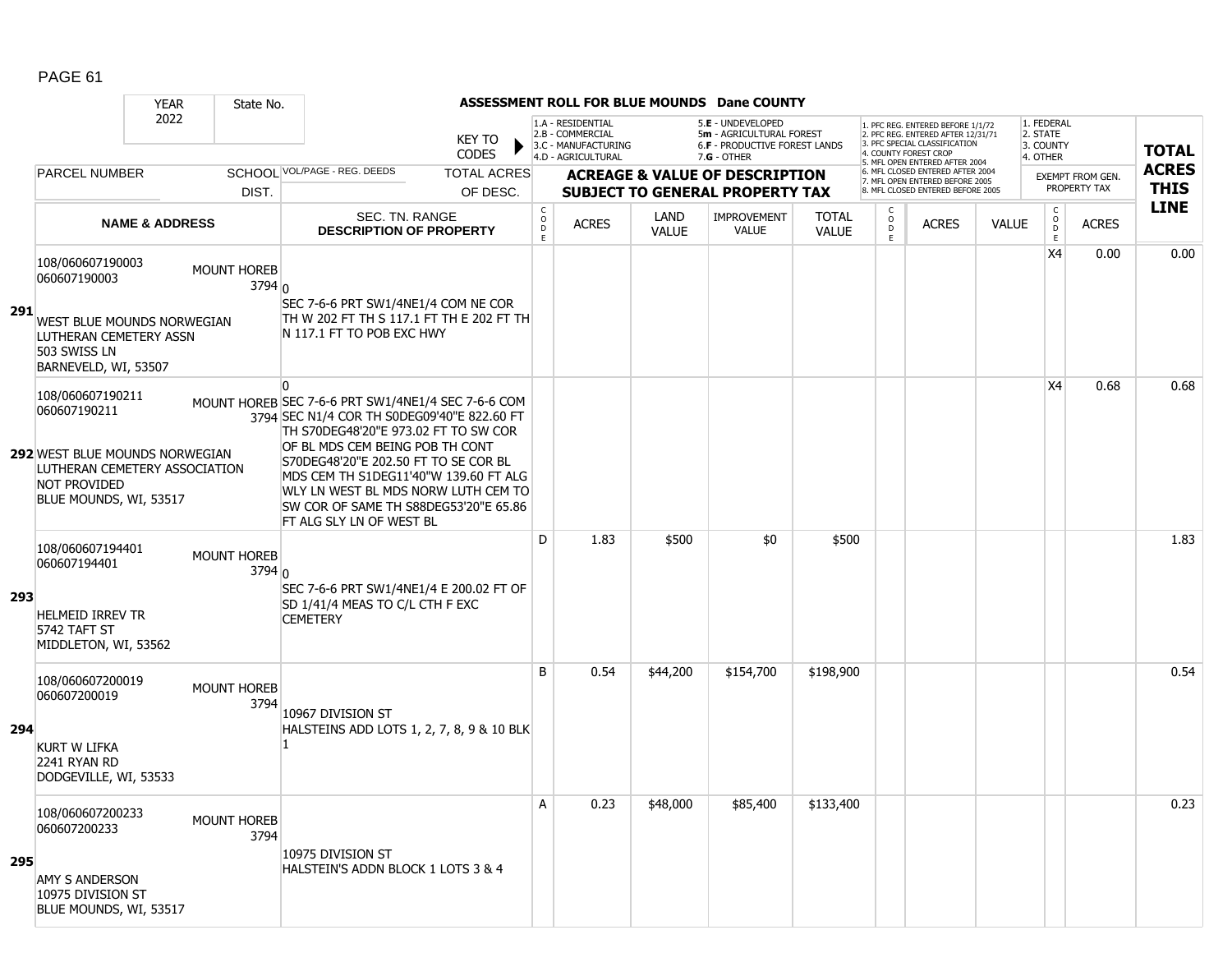|      |                                                                                                                                                      | <b>YEAR</b>               | State No.                               |                                                                                                                                                                                                                                                                                                                                                                                           |                                        |                                                                                    |                             | ASSESSMENT ROLL FOR BLUE MOUNDS Dane COUNTY                                                            |                              |                                         |                                                                                                                                   |              |                                                          |                  |              |
|------|------------------------------------------------------------------------------------------------------------------------------------------------------|---------------------------|-----------------------------------------|-------------------------------------------------------------------------------------------------------------------------------------------------------------------------------------------------------------------------------------------------------------------------------------------------------------------------------------------------------------------------------------------|----------------------------------------|------------------------------------------------------------------------------------|-----------------------------|--------------------------------------------------------------------------------------------------------|------------------------------|-----------------------------------------|-----------------------------------------------------------------------------------------------------------------------------------|--------------|----------------------------------------------------------|------------------|--------------|
|      |                                                                                                                                                      | 2022                      |                                         | <b>KEY TO</b><br><b>CODES</b>                                                                                                                                                                                                                                                                                                                                                             |                                        | 1.A - RESIDENTIAL<br>2.B - COMMERCIAL<br>3.C - MANUFACTURING<br>4.D - AGRICULTURAL |                             | 5.E - UNDEVELOPED<br>5m - AGRICULTURAL FOREST<br><b>6.F - PRODUCTIVE FOREST LANDS</b><br>$7.G - OTHER$ |                              |                                         | 1. PFC REG. ENTERED BEFORE 1/1/72<br>2. PFC REG. ENTERED AFTER 12/31/71<br>3. PFC SPECIAL CLASSIFICATION<br>4. COUNTY FOREST CROP |              | 1. FEDERAL<br>2. STATE<br>3. COUNTY<br>4. OTHER          |                  | <b>TOTAL</b> |
|      | <b>PARCEL NUMBER</b>                                                                                                                                 |                           |                                         | SCHOOL VOL/PAGE - REG. DEEDS<br><b>TOTAL ACRES</b>                                                                                                                                                                                                                                                                                                                                        |                                        |                                                                                    |                             | <b>ACREAGE &amp; VALUE OF DESCRIPTION</b>                                                              |                              |                                         | 5. MFL OPEN ENTERED AFTER 2004<br>6. MFL CLOSED ENTERED AFTER 2004<br>7. MFL OPEN ENTERED BEFORE 2005                             |              |                                                          | EXEMPT FROM GEN. | <b>ACRES</b> |
|      |                                                                                                                                                      |                           | DIST.                                   | OF DESC.                                                                                                                                                                                                                                                                                                                                                                                  |                                        |                                                                                    |                             | <b>SUBJECT TO GENERAL PROPERTY TAX</b>                                                                 |                              |                                         | 8. MFL CLOSED ENTERED BEFORE 2005                                                                                                 |              |                                                          | PROPERTY TAX     | <b>THIS</b>  |
|      |                                                                                                                                                      | <b>NAME &amp; ADDRESS</b> |                                         | SEC. TN. RANGE<br><b>DESCRIPTION OF PROPERTY</b>                                                                                                                                                                                                                                                                                                                                          | $\mathsf{C}$<br>$\mathsf O$<br>D<br>E. | <b>ACRES</b>                                                                       | <b>LAND</b><br><b>VALUE</b> | <b>IMPROVEMENT</b><br><b>VALUE</b>                                                                     | <b>TOTAL</b><br><b>VALUE</b> | $\mathsf{C}$<br>$_{\rm D}^{\rm O}$<br>F | <b>ACRES</b>                                                                                                                      | <b>VALUE</b> | $\begin{smallmatrix} C \\ O \\ D \end{smallmatrix}$<br>E | <b>ACRES</b>     | <b>LINE</b>  |
| -291 | 108/060607190003<br>060607190003<br>WEST BLUE MOUNDS NORWEGIAN<br>LUTHERAN CEMETERY ASSN<br>503 SWISS LN<br>BARNEVELD, WI, 53507                     |                           | <b>MOUNT HOREB</b><br>3794 <sub>0</sub> | SEC 7-6-6 PRT SW1/4NE1/4 COM NE COR<br>TH W 202 FT TH S 117.1 FT TH E 202 FT TH<br>N 117.1 FT TO POB EXC HWY                                                                                                                                                                                                                                                                              |                                        |                                                                                    |                             |                                                                                                        |                              |                                         |                                                                                                                                   |              | X4                                                       | 0.00             | 0.00         |
|      | 108/060607190211<br>060607190211<br>292 WEST BLUE MOUNDS NORWEGIAN<br>LUTHERAN CEMETERY ASSOCIATION<br><b>NOT PROVIDED</b><br>BLUE MOUNDS, WI, 53517 |                           |                                         | <sup>0</sup><br>MOUNT HOREB SEC 7-6-6 PRT SW1/4NE1/4 SEC 7-6-6 COM<br>3794 SEC N1/4 COR TH S0DEG09'40"E 822.60 FT<br>TH S70DEG48'20"E 973.02 FT TO SW COR<br>OF BL MDS CEM BEING POB TH CONT<br>S70DEG48'20"E 202.50 FT TO SE COR BL<br>MDS CEM TH S1DEG11'40"W 139.60 FT ALG<br>WLY LN WEST BL MDS NORW LUTH CEM TO<br>SW COR OF SAME TH S88DEG53'20"E 65.86<br>FT ALG SLY LN OF WEST BL |                                        |                                                                                    |                             |                                                                                                        |                              |                                         |                                                                                                                                   |              | X4                                                       | 0.68             | 0.68         |
| 293  | 108/060607194401<br>060607194401<br><b>HELMEID IRREV TR</b><br>5742 TAFT ST<br>MIDDLETON, WI, 53562                                                  |                           | <b>MOUNT HOREB</b><br>3794 <sub>0</sub> | SEC 7-6-6 PRT SW1/4NE1/4 E 200.02 FT OF<br>SD 1/41/4 MEAS TO C/L CTH F EXC<br><b>CEMETERY</b>                                                                                                                                                                                                                                                                                             | D                                      | 1.83                                                                               | \$500                       | \$0                                                                                                    | \$500                        |                                         |                                                                                                                                   |              |                                                          |                  | 1.83         |
| 294  | 108/060607200019<br>060607200019<br><b>KURT W LIFKA</b><br>2241 RYAN RD<br>DODGEVILLE, WI, 53533                                                     |                           | <b>MOUNT HOREB</b><br>3794              | 10967 DIVISION ST<br>HALSTEINS ADD LOTS 1, 2, 7, 8, 9 & 10 BLK                                                                                                                                                                                                                                                                                                                            | B                                      | 0.54                                                                               | \$44,200                    | \$154,700                                                                                              | \$198,900                    |                                         |                                                                                                                                   |              |                                                          |                  | 0.54         |
| 295  | 108/060607200233<br>060607200233<br><b>AMY S ANDERSON</b><br>10975 DIVISION ST<br>BLUE MOUNDS, WI, 53517                                             |                           | MOUNT HOREB<br>3794                     | 10975 division St<br>HALSTEIN'S ADDN BLOCK 1 LOTS 3 & 4                                                                                                                                                                                                                                                                                                                                   | A                                      | 0.23                                                                               | \$48,000                    | \$85,400                                                                                               | \$133,400                    |                                         |                                                                                                                                   |              |                                                          |                  | 0.23         |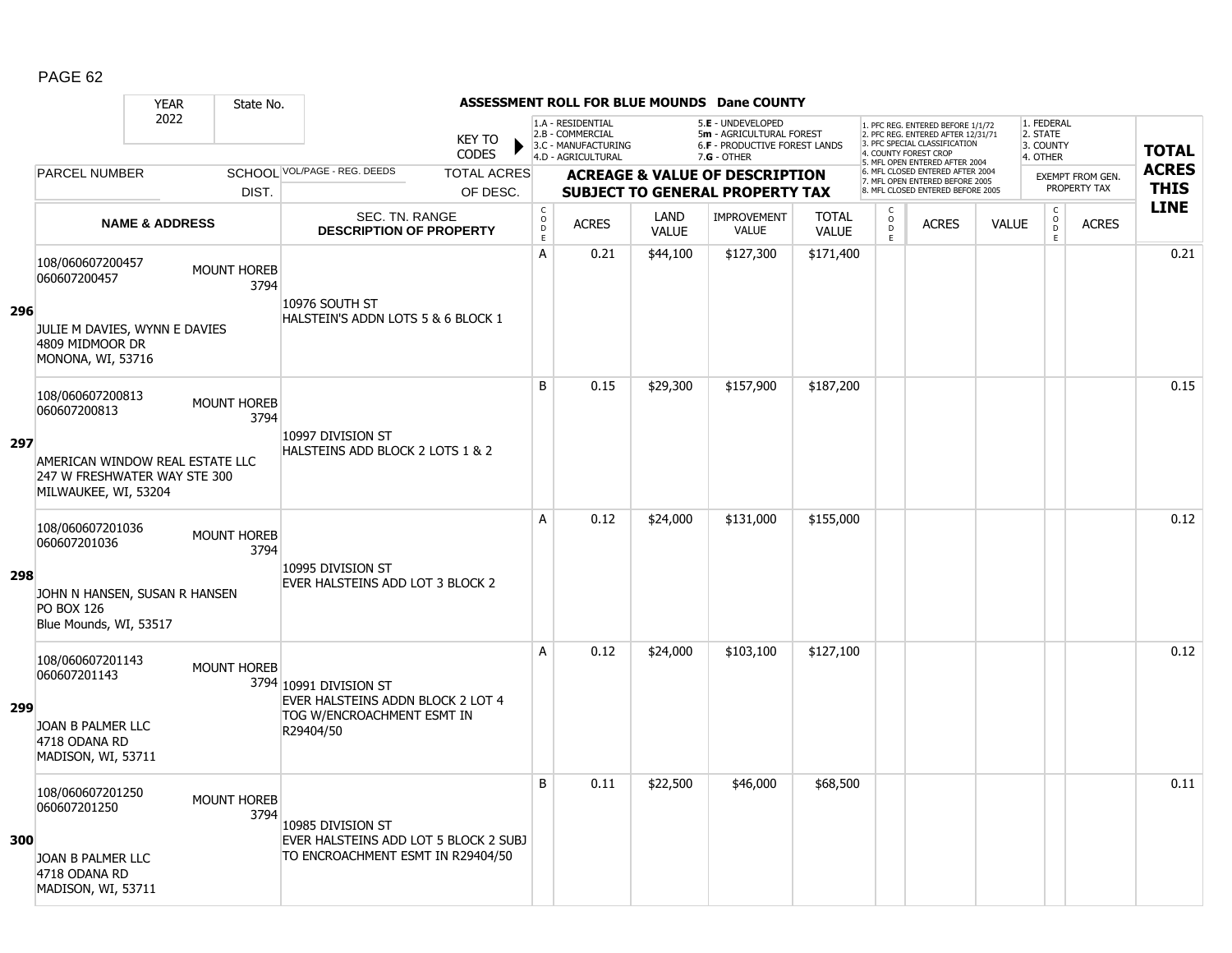|     |                                                                                         | <b>YEAR</b>               | State No.                  |                                                             |                               |                                     |                                                                                    |                      | <b>ASSESSMENT ROLL FOR BLUE MOUNDS Dane COUNTY</b>                                            |                              |                         |                                                                                                          |              |                                                 |                                  |              |
|-----|-----------------------------------------------------------------------------------------|---------------------------|----------------------------|-------------------------------------------------------------|-------------------------------|-------------------------------------|------------------------------------------------------------------------------------|----------------------|-----------------------------------------------------------------------------------------------|------------------------------|-------------------------|----------------------------------------------------------------------------------------------------------|--------------|-------------------------------------------------|----------------------------------|--------------|
|     |                                                                                         | 2022                      |                            |                                                             | <b>KEY TO</b><br><b>CODES</b> |                                     | 1.A - RESIDENTIAL<br>2.B - COMMERCIAL<br>3.C - MANUFACTURING<br>4.D - AGRICULTURAL |                      | 5.E - UNDEVELOPED<br>5m - AGRICULTURAL FOREST<br>6.F - PRODUCTIVE FOREST LANDS<br>7.G - OTHER |                              | 4. COUNTY FOREST CROP   | 1. PFC REG. ENTERED BEFORE 1/1/72<br>2. PFC REG. ENTERED AFTER 12/31/71<br>3. PFC SPECIAL CLASSIFICATION |              | 1. FEDERAL<br>2. STATE<br>3. COUNTY<br>4. OTHER |                                  | <b>TOTAL</b> |
|     | <b>PARCEL NUMBER</b>                                                                    |                           |                            | SCHOOL VOL/PAGE - REG. DEEDS                                | <b>TOTAL ACRES</b>            |                                     |                                                                                    |                      | <b>ACREAGE &amp; VALUE OF DESCRIPTION</b>                                                     |                              |                         | 5. MFL OPEN ENTERED AFTER 2004<br>6. MFL CLOSED ENTERED AFTER 2004                                       |              |                                                 |                                  | <b>ACRES</b> |
|     |                                                                                         |                           | DIST.                      |                                                             | OF DESC.                      |                                     |                                                                                    |                      | <b>SUBJECT TO GENERAL PROPERTY TAX</b>                                                        |                              |                         | 7. MFL OPEN ENTERED BEFORE 2005<br>8. MFL CLOSED ENTERED BEFORE 2005                                     |              |                                                 | EXEMPT FROM GEN.<br>PROPERTY TAX | <b>THIS</b>  |
|     |                                                                                         | <b>NAME &amp; ADDRESS</b> |                            | SEC. TN. RANGE<br><b>DESCRIPTION OF PROPERTY</b>            |                               | $_{\rm o}^{\rm c}$<br>$\frac{D}{E}$ | <b>ACRES</b>                                                                       | LAND<br><b>VALUE</b> | <b>IMPROVEMENT</b><br><b>VALUE</b>                                                            | <b>TOTAL</b><br><b>VALUE</b> | $\frac{c}{0}$<br>D<br>E | <b>ACRES</b>                                                                                             | <b>VALUE</b> | $_{\rm o}^{\rm c}$<br>D<br>E.                   | <b>ACRES</b>                     | <b>LINE</b>  |
| 296 | 108/060607200457<br>060607200457                                                        |                           | <b>MOUNT HOREB</b><br>3794 | 10976 SOUTH ST                                              |                               | A                                   | 0.21                                                                               | \$44,100             | \$127,300                                                                                     | \$171,400                    |                         |                                                                                                          |              |                                                 |                                  | 0.21         |
|     | JULIE M DAVIES, WYNN E DAVIES<br>4809 MIDMOOR DR<br>MONONA, WI, 53716                   |                           |                            | HALSTEIN'S ADDN LOTS 5 & 6 BLOCK 1                          |                               |                                     |                                                                                    |                      |                                                                                               |                              |                         |                                                                                                          |              |                                                 |                                  |              |
|     | 108/060607200813<br>060607200813                                                        |                           | <b>MOUNT HOREB</b><br>3794 | 10997 DIVISION ST                                           |                               | B                                   | 0.15                                                                               | \$29,300             | \$157,900                                                                                     | \$187,200                    |                         |                                                                                                          |              |                                                 |                                  | 0.15         |
| 297 | AMERICAN WINDOW REAL ESTATE LLC<br>247 W FRESHWATER WAY STE 300<br>MILWAUKEE, WI, 53204 |                           |                            | HALSTEINS ADD BLOCK 2 LOTS 1 & 2                            |                               |                                     |                                                                                    |                      |                                                                                               |                              |                         |                                                                                                          |              |                                                 |                                  |              |
|     | 108/060607201036<br>060607201036                                                        |                           | <b>MOUNT HOREB</b><br>3794 | 10995 DIVISION ST                                           |                               | A                                   | 0.12                                                                               | \$24,000             | \$131,000                                                                                     | \$155,000                    |                         |                                                                                                          |              |                                                 |                                  | 0.12         |
| 298 | JOHN N HANSEN, SUSAN R HANSEN<br><b>PO BOX 126</b><br>Blue Mounds, WI, 53517            |                           |                            | EVER HALSTEINS ADD LOT 3 BLOCK 2                            |                               |                                     |                                                                                    |                      |                                                                                               |                              |                         |                                                                                                          |              |                                                 |                                  |              |
| 299 | 108/060607201143<br>060607201143                                                        |                           | <b>MOUNT HOREB</b>         | 3794 10991 DIVISION ST<br>EVER HALSTEINS ADDN BLOCK 2 LOT 4 |                               | Α                                   | 0.12                                                                               | \$24,000             | \$103,100                                                                                     | \$127,100                    |                         |                                                                                                          |              |                                                 |                                  | 0.12         |
|     | JOAN B PALMER LLC<br>4718 ODANA RD<br>MADISON, WI, 53711                                |                           |                            | TOG W/ENCROACHMENT ESMT IN<br>R29404/50                     |                               |                                     |                                                                                    |                      |                                                                                               |                              |                         |                                                                                                          |              |                                                 |                                  |              |
| 300 | 108/060607201250<br>060607201250                                                        |                           | <b>MOUNT HOREB</b><br>3794 | 10985 DIVISION ST<br>EVER HALSTEINS ADD LOT 5 BLOCK 2 SUBJ  |                               | B                                   | 0.11                                                                               | \$22,500             | \$46,000                                                                                      | \$68,500                     |                         |                                                                                                          |              |                                                 |                                  | 0.11         |
|     | JOAN B PALMER LLC<br>4718 ODANA RD<br>MADISON, WI, 53711                                |                           |                            | TO ENCROACHMENT ESMT IN R29404/50                           |                               |                                     |                                                                                    |                      |                                                                                               |                              |                         |                                                                                                          |              |                                                 |                                  |              |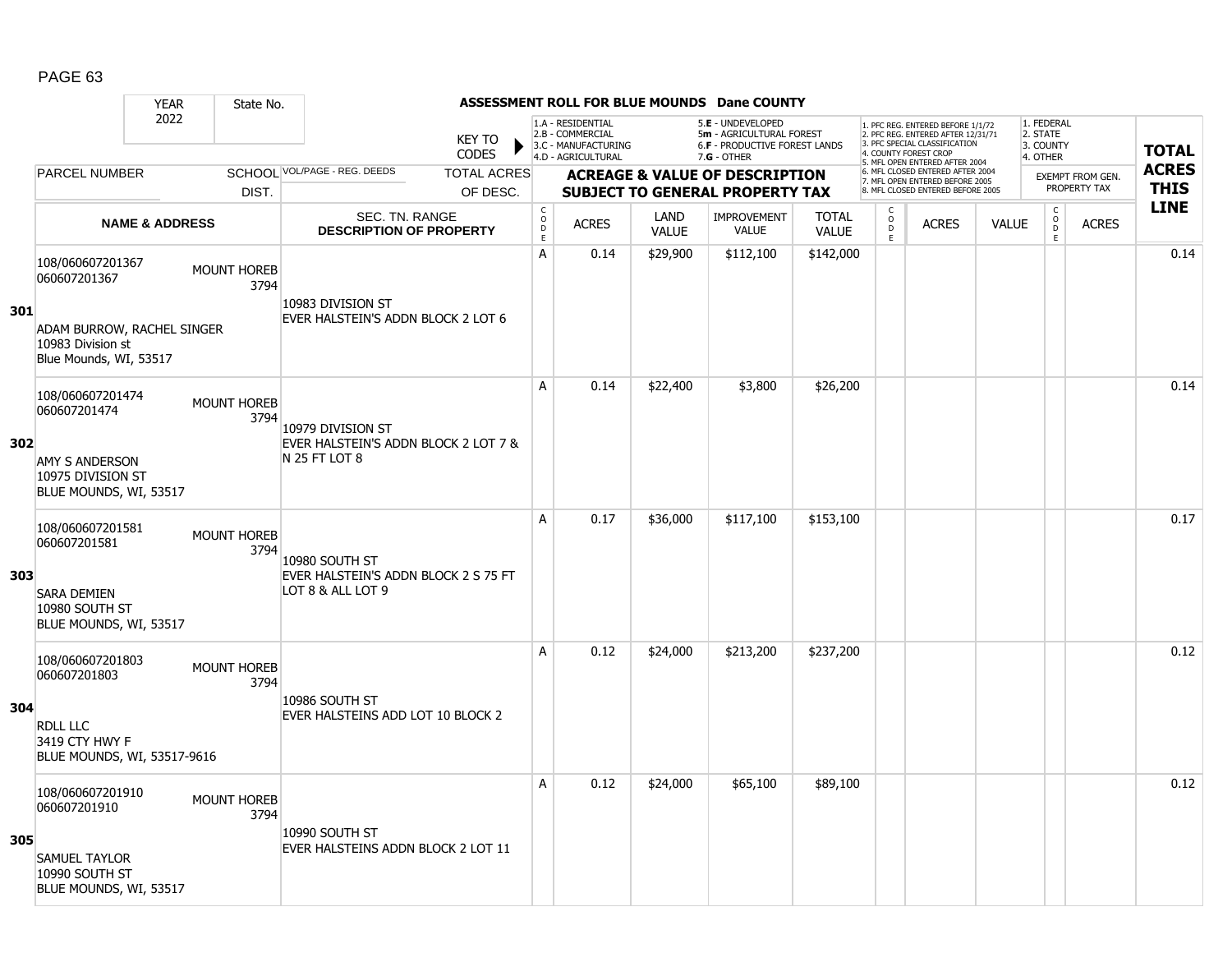|     |                                                                           | <b>YEAR</b>               | State No.                  |                                                           |                               |                                       |                                                                                    |                             | <b>ASSESSMENT ROLL FOR BLUE MOUNDS Dane COUNTY</b>                                                     |                              |                              |                                                                                                                                   |              |                                                 |                         |                             |
|-----|---------------------------------------------------------------------------|---------------------------|----------------------------|-----------------------------------------------------------|-------------------------------|---------------------------------------|------------------------------------------------------------------------------------|-----------------------------|--------------------------------------------------------------------------------------------------------|------------------------------|------------------------------|-----------------------------------------------------------------------------------------------------------------------------------|--------------|-------------------------------------------------|-------------------------|-----------------------------|
|     |                                                                           | 2022                      |                            |                                                           | <b>KEY TO</b><br><b>CODES</b> |                                       | 1.A - RESIDENTIAL<br>2.B - COMMERCIAL<br>3.C - MANUFACTURING<br>4.D - AGRICULTURAL |                             | 5.E - UNDEVELOPED<br>5m - AGRICULTURAL FOREST<br><b>6.F - PRODUCTIVE FOREST LANDS</b><br>$7.G - OTHER$ |                              |                              | 1. PFC REG. ENTERED BEFORE 1/1/72<br>2. PFC REG. ENTERED AFTER 12/31/71<br>3. PFC SPECIAL CLASSIFICATION<br>4. COUNTY FOREST CROP |              | 1. FEDERAL<br>2. STATE<br>3. COUNTY<br>4. OTHER |                         | <b>TOTAL</b>                |
|     | <b>PARCEL NUMBER</b>                                                      |                           |                            | SCHOOL VOL/PAGE - REG. DEEDS                              | <b>TOTAL ACRES</b>            |                                       |                                                                                    |                             | <b>ACREAGE &amp; VALUE OF DESCRIPTION</b>                                                              |                              |                              | 5. MFL OPEN ENTERED AFTER 2004<br>6. MFL CLOSED ENTERED AFTER 2004<br>7. MFL OPEN ENTERED BEFORE 2005                             |              |                                                 | <b>EXEMPT FROM GEN.</b> | <b>ACRES</b><br><b>THIS</b> |
|     |                                                                           |                           | DIST.                      |                                                           | OF DESC.                      |                                       |                                                                                    |                             | <b>SUBJECT TO GENERAL PROPERTY TAX</b>                                                                 |                              |                              | 8. MFL CLOSED ENTERED BEFORE 2005                                                                                                 |              |                                                 | PROPERTY TAX            | <b>LINE</b>                 |
|     |                                                                           | <b>NAME &amp; ADDRESS</b> |                            | SEC. TN. RANGE<br><b>DESCRIPTION OF PROPERTY</b>          |                               | C<br>$\mathsf{O}$<br>$\mathsf D$<br>E | <b>ACRES</b>                                                                       | <b>LAND</b><br><b>VALUE</b> | <b>IMPROVEMENT</b><br>VALUE                                                                            | <b>TOTAL</b><br><b>VALUE</b> | C<br>$_{\rm D}^{\rm O}$<br>E | <b>ACRES</b>                                                                                                                      | <b>VALUE</b> | $\mathsf{C}$<br>$_{\rm D}^{\rm O}$<br>E         | <b>ACRES</b>            |                             |
|     | 108/060607201367<br>060607201367                                          |                           | <b>MOUNT HOREB</b><br>3794 | 10983 division St                                         |                               | A                                     | 0.14                                                                               | \$29,900                    | \$112,100                                                                                              | \$142,000                    |                              |                                                                                                                                   |              |                                                 |                         | 0.14                        |
| 301 | ADAM BURROW, RACHEL SINGER<br>10983 Division st<br>Blue Mounds, WI, 53517 |                           |                            | EVER HALSTEIN'S ADDN BLOCK 2 LOT 6                        |                               |                                       |                                                                                    |                             |                                                                                                        |                              |                              |                                                                                                                                   |              |                                                 |                         |                             |
|     | 108/060607201474<br>060607201474                                          |                           | <b>MOUNT HOREB</b><br>3794 | 10979 DIVISION ST                                         |                               | A                                     | 0.14                                                                               | \$22,400                    | \$3,800                                                                                                | \$26,200                     |                              |                                                                                                                                   |              |                                                 |                         | 0.14                        |
| 302 | <b>AMY S ANDERSON</b><br>10975 DIVISION ST<br>BLUE MOUNDS, WI, 53517      |                           |                            | EVER HALSTEIN'S ADDN BLOCK 2 LOT 7 &<br>N 25 FT LOT 8     |                               |                                       |                                                                                    |                             |                                                                                                        |                              |                              |                                                                                                                                   |              |                                                 |                         |                             |
|     | 108/060607201581<br>060607201581                                          |                           | <b>MOUNT HOREB</b><br>3794 | 10980 SOUTH ST                                            |                               | A                                     | 0.17                                                                               | \$36,000                    | \$117,100                                                                                              | \$153,100                    |                              |                                                                                                                                   |              |                                                 |                         | 0.17                        |
| 303 | <b>SARA DEMIEN</b><br>10980 SOUTH ST<br>BLUE MOUNDS, WI, 53517            |                           |                            | EVER HALSTEIN'S ADDN BLOCK 2 S 75 FT<br>LOT 8 & ALL LOT 9 |                               |                                       |                                                                                    |                             |                                                                                                        |                              |                              |                                                                                                                                   |              |                                                 |                         |                             |
|     | 108/060607201803<br>060607201803                                          |                           | <b>MOUNT HOREB</b><br>3794 |                                                           |                               | Α                                     | 0.12                                                                               | \$24,000                    | \$213,200                                                                                              | \$237,200                    |                              |                                                                                                                                   |              |                                                 |                         | 0.12                        |
| 304 | <b>RDLL LLC</b><br>3419 CTY HWY F<br>BLUE MOUNDS, WI, 53517-9616          |                           |                            | 10986 SOUTH ST<br>EVER HALSTEINS ADD LOT 10 BLOCK 2       |                               |                                       |                                                                                    |                             |                                                                                                        |                              |                              |                                                                                                                                   |              |                                                 |                         |                             |
|     | 108/060607201910<br>060607201910                                          |                           | <b>MOUNT HOREB</b><br>3794 |                                                           |                               | A                                     | 0.12                                                                               | \$24,000                    | \$65,100                                                                                               | \$89,100                     |                              |                                                                                                                                   |              |                                                 |                         | 0.12                        |
| 305 | SAMUEL TAYLOR<br>10990 SOUTH ST<br>BLUE MOUNDS, WI, 53517                 |                           |                            | 10990 SOUTH ST<br>EVER HALSTEINS ADDN BLOCK 2 LOT 11      |                               |                                       |                                                                                    |                             |                                                                                                        |                              |                              |                                                                                                                                   |              |                                                 |                         |                             |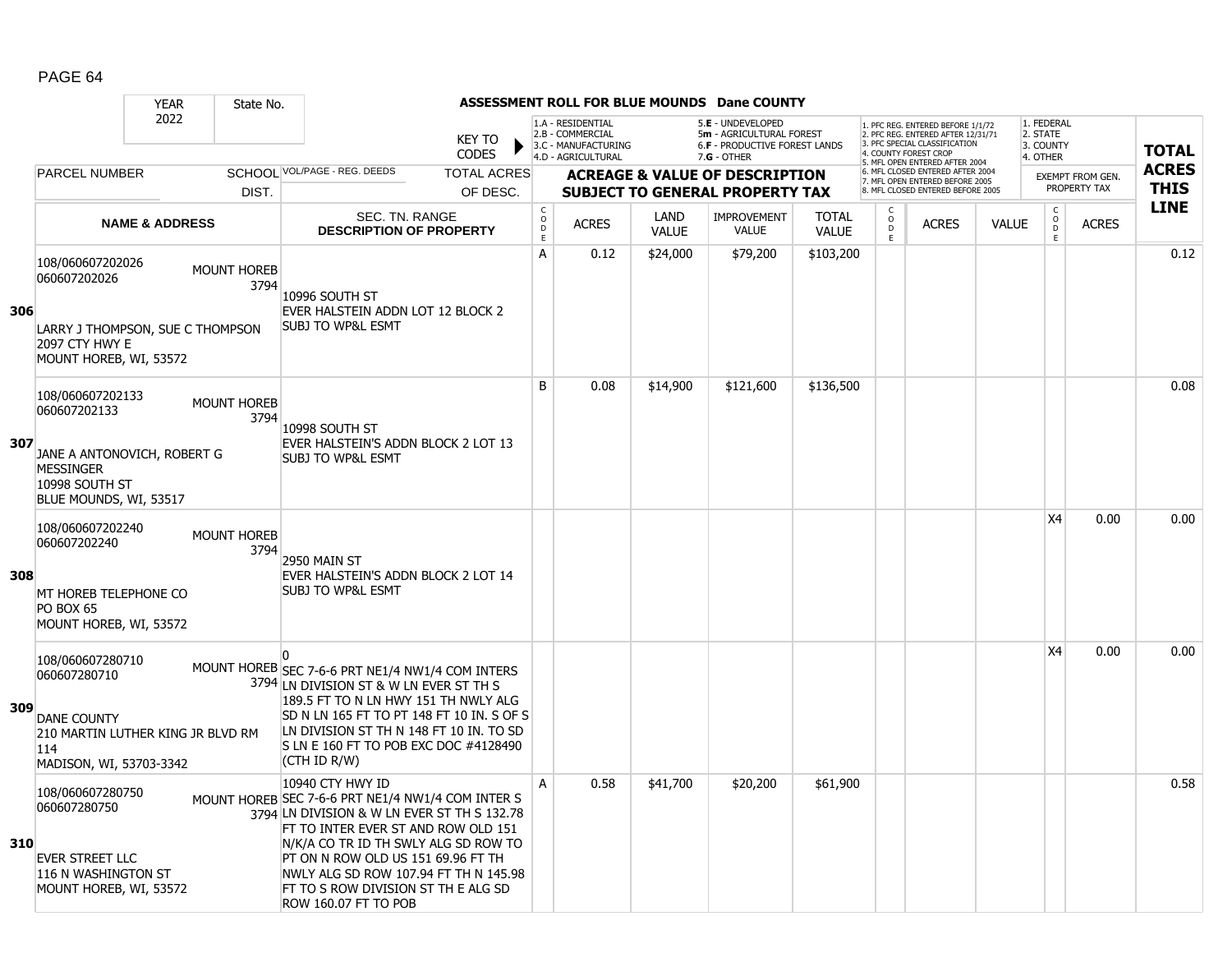|     |                                                                                                                        | <b>YEAR</b>               | State No.                  |                                                                                                                                                                                                                                                                                                                                                   |                                                      |                                                                                    |                      | ASSESSMENT ROLL FOR BLUE MOUNDS Dane COUNTY                                                     |                              |                                                   |                                                                                                                                  |              |                                                          |                         |              |
|-----|------------------------------------------------------------------------------------------------------------------------|---------------------------|----------------------------|---------------------------------------------------------------------------------------------------------------------------------------------------------------------------------------------------------------------------------------------------------------------------------------------------------------------------------------------------|------------------------------------------------------|------------------------------------------------------------------------------------|----------------------|-------------------------------------------------------------------------------------------------|------------------------------|---------------------------------------------------|----------------------------------------------------------------------------------------------------------------------------------|--------------|----------------------------------------------------------|-------------------------|--------------|
|     |                                                                                                                        | 2022                      |                            | <b>KEY TO</b><br><b>CODES</b>                                                                                                                                                                                                                                                                                                                     |                                                      | 1.A - RESIDENTIAL<br>2.B - COMMERCIAL<br>3.C - MANUFACTURING<br>4.D - AGRICULTURAL |                      | 5.E - UNDEVELOPED<br>5m - AGRICULTURAL FOREST<br>6.F - PRODUCTIVE FOREST LANDS<br>$7.G - OTHER$ |                              |                                                   | 1. PFC REG. ENTERED BEFORE 1/1/72<br>2. PFC REG. ENTERED AFTER 12/31/71<br>3. PFC SPECIAL CLASSIFICATION<br>4 COUNTY FOREST CROP |              | 1. FEDERAL<br>2. STATE<br>3. COUNTY<br>4. OTHER          |                         | <b>TOTAL</b> |
|     | <b>PARCEL NUMBER</b>                                                                                                   |                           |                            | SCHOOL VOL/PAGE - REG. DEEDS<br><b>TOTAL ACRES</b>                                                                                                                                                                                                                                                                                                |                                                      |                                                                                    |                      | <b>ACREAGE &amp; VALUE OF DESCRIPTION</b>                                                       |                              |                                                   | MFL OPEN ENTERED AFTER 2004<br>6. MFL CLOSED ENTERED AFTER 2004                                                                  |              |                                                          | <b>EXEMPT FROM GEN.</b> | <b>ACRES</b> |
|     |                                                                                                                        |                           | DIST.                      | OF DESC.                                                                                                                                                                                                                                                                                                                                          |                                                      |                                                                                    |                      | <b>SUBJECT TO GENERAL PROPERTY TAX</b>                                                          |                              |                                                   | 7. MFL OPEN ENTERED BEFORE 2005<br>8. MFL CLOSED ENTERED BEFORE 2005                                                             |              |                                                          | PROPERTY TAX            | <b>THIS</b>  |
|     |                                                                                                                        | <b>NAME &amp; ADDRESS</b> |                            | <b>SEC. TN. RANGE</b><br><b>DESCRIPTION OF PROPERTY</b>                                                                                                                                                                                                                                                                                           | $\mathsf{C}$<br>$\circ$<br>$\mathsf{D}_{\mathsf{E}}$ | <b>ACRES</b>                                                                       | LAND<br><b>VALUE</b> | <b>IMPROVEMENT</b><br><b>VALUE</b>                                                              | <b>TOTAL</b><br><b>VALUE</b> | C<br>$\overline{O}$<br>$\mathsf D$<br>$\mathsf E$ | <b>ACRES</b>                                                                                                                     | <b>VALUE</b> | $\begin{matrix} 0 \\ 0 \\ D \end{matrix}$<br>$\mathsf E$ | <b>ACRES</b>            | <b>LINE</b>  |
| 306 | 108/060607202026<br>060607202026                                                                                       |                           | <b>MOUNT HOREB</b><br>3794 | 10996 SOUTH ST<br>EVER HALSTEIN ADDN LOT 12 BLOCK 2<br><b>SUBJ TO WP&amp;L ESMT</b>                                                                                                                                                                                                                                                               | A                                                    | 0.12                                                                               | \$24,000             | \$79,200                                                                                        | \$103,200                    |                                                   |                                                                                                                                  |              |                                                          |                         | 0.12         |
|     | LARRY J THOMPSON, SUE C THOMPSON<br>2097 CTY HWY E<br>MOUNT HOREB, WI, 53572                                           |                           |                            |                                                                                                                                                                                                                                                                                                                                                   |                                                      |                                                                                    |                      |                                                                                                 |                              |                                                   |                                                                                                                                  |              |                                                          |                         |              |
|     | 108/060607202133<br>060607202133                                                                                       |                           | <b>MOUNT HOREB</b><br>3794 | 10998 SOUTH ST                                                                                                                                                                                                                                                                                                                                    | B                                                    | 0.08                                                                               | \$14,900             | \$121,600                                                                                       | \$136,500                    |                                                   |                                                                                                                                  |              |                                                          |                         | 0.08         |
| 307 | JANE A ANTONOVICH, ROBERT G<br><b>MESSINGER</b><br>10998 SOUTH ST<br>BLUE MOUNDS, WI, 53517                            |                           |                            | EVER HALSTEIN'S ADDN BLOCK 2 LOT 13<br><b>SUBJ TO WP&amp;L ESMT</b>                                                                                                                                                                                                                                                                               |                                                      |                                                                                    |                      |                                                                                                 |                              |                                                   |                                                                                                                                  |              |                                                          |                         |              |
| 308 | 108/060607202240<br>060607202240<br>MT HOREB TELEPHONE CO<br>PO BOX 65<br>MOUNT HOREB, WI, 53572                       |                           | <b>MOUNT HOREB</b><br>3794 | 2950 MAIN ST<br>EVER HALSTEIN'S ADDN BLOCK 2 LOT 14<br><b>SUBJ TO WP&amp;L ESMT</b>                                                                                                                                                                                                                                                               |                                                      |                                                                                    |                      |                                                                                                 |                              |                                                   |                                                                                                                                  |              | <b>X4</b>                                                | 0.00                    | 0.00         |
| 309 | 108/060607280710<br>060607280710<br>DANE COUNTY<br>210 MARTIN LUTHER KING JR BLVD RM<br>114<br>MADISON, WI, 53703-3342 |                           |                            | MOUNT HOREB SEC 7-6-6 PRT NE1/4 NW1/4 COM INTERS<br>3794 LN DIVISION ST & W LN EVER ST TH S<br>189.5 FT TO N LN HWY 151 TH NWLY ALG<br>SD N LN 165 FT TO PT 148 FT 10 IN. S OF S<br>LN DIVISION ST TH N 148 FT 10 IN. TO SD<br>S LN E 160 FT TO POB EXC DOC #4128490<br>(CTH ID R/W)                                                              |                                                      |                                                                                    |                      |                                                                                                 |                              |                                                   |                                                                                                                                  |              | X <sub>4</sub>                                           | 0.00                    | 0.00         |
| 310 | 108/060607280750<br>060607280750<br>EVER STREET LLC<br>116 N WASHINGTON ST<br>MOUNT HOREB, WI, 53572                   |                           |                            | 10940 CTY HWY ID<br>MOUNT HOREB SEC 7-6-6 PRT NE1/4 NW1/4 COM INTER S<br>3794 LN DIVISION & W LN EVER ST TH S 132.78<br>FT TO INTER EVER ST AND ROW OLD 151<br>N/K/A CO TR ID TH SWLY ALG SD ROW TO<br>PT ON N ROW OLD US 151 69.96 FT TH<br>NWLY ALG SD ROW 107.94 FT TH N 145.98<br>FT TO S ROW DIVISION ST TH E ALG SD<br>ROW 160.07 FT TO POB | Α                                                    | 0.58                                                                               | \$41,700             | \$20,200                                                                                        | \$61,900                     |                                                   |                                                                                                                                  |              |                                                          |                         | 0.58         |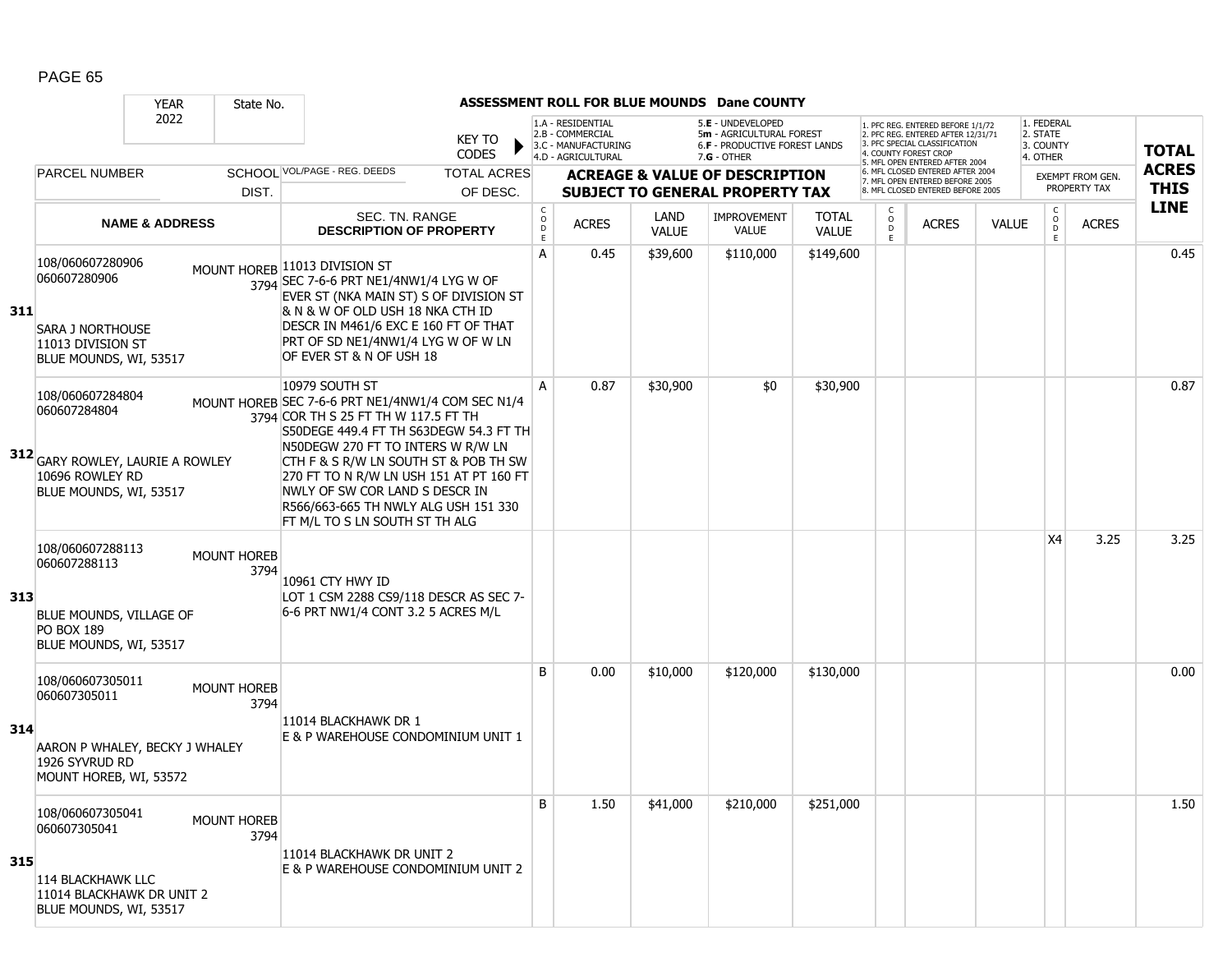|     |                                                                                                                   | <b>YEAR</b>               | State No.                  |                                                                                                                                                                                                                                                                                                                                                                                            |                        |                                                |                                                                                    |                             | ASSESSMENT ROLL FOR BLUE MOUNDS Dane COUNTY                                                     |                              |                              |                                                                                                                                   |              |                                                 |                                  |              |
|-----|-------------------------------------------------------------------------------------------------------------------|---------------------------|----------------------------|--------------------------------------------------------------------------------------------------------------------------------------------------------------------------------------------------------------------------------------------------------------------------------------------------------------------------------------------------------------------------------------------|------------------------|------------------------------------------------|------------------------------------------------------------------------------------|-----------------------------|-------------------------------------------------------------------------------------------------|------------------------------|------------------------------|-----------------------------------------------------------------------------------------------------------------------------------|--------------|-------------------------------------------------|----------------------------------|--------------|
|     |                                                                                                                   | 2022                      |                            |                                                                                                                                                                                                                                                                                                                                                                                            | KEY TO<br><b>CODES</b> |                                                | 1.A - RESIDENTIAL<br>2.B - COMMERCIAL<br>3.C - MANUFACTURING<br>4.D - AGRICULTURAL |                             | 5.E - UNDEVELOPED<br>5m - AGRICULTURAL FOREST<br>6.F - PRODUCTIVE FOREST LANDS<br>$7.G - OTHER$ |                              |                              | 1. PFC REG. ENTERED BEFORE 1/1/72<br>2. PFC REG. ENTERED AFTER 12/31/71<br>3. PFC SPECIAL CLASSIFICATION<br>4. COUNTY FOREST CROP |              | 1. FEDERAL<br>2. STATE<br>3. COUNTY<br>4. OTHER |                                  | <b>TOTAL</b> |
|     | <b>PARCEL NUMBER</b>                                                                                              |                           |                            | SCHOOL VOL/PAGE - REG. DEEDS                                                                                                                                                                                                                                                                                                                                                               | <b>TOTAL ACRES</b>     |                                                |                                                                                    |                             | <b>ACREAGE &amp; VALUE OF DESCRIPTION</b>                                                       |                              |                              | 5. MFL OPEN ENTERED AFTER 2004<br>6. MFL CLOSED ENTERED AFTER 2004                                                                |              |                                                 |                                  | <b>ACRES</b> |
|     |                                                                                                                   |                           | DIST.                      |                                                                                                                                                                                                                                                                                                                                                                                            | OF DESC.               |                                                |                                                                                    |                             | <b>SUBJECT TO GENERAL PROPERTY TAX</b>                                                          |                              |                              | 7. MFL OPEN ENTERED BEFORE 2005<br>8. MFL CLOSED ENTERED BEFORE 2005                                                              |              |                                                 | EXEMPT FROM GEN.<br>PROPERTY TAX | <b>THIS</b>  |
|     |                                                                                                                   | <b>NAME &amp; ADDRESS</b> |                            | SEC. TN. RANGE<br><b>DESCRIPTION OF PROPERTY</b>                                                                                                                                                                                                                                                                                                                                           |                        | $\begin{matrix} 0 \\ 0 \\ 0 \end{matrix}$<br>E | <b>ACRES</b>                                                                       | <b>LAND</b><br><b>VALUE</b> | <b>IMPROVEMENT</b><br><b>VALUE</b>                                                              | <b>TOTAL</b><br><b>VALUE</b> | C<br>$_{\rm D}^{\rm O}$<br>E | <b>ACRES</b>                                                                                                                      | <b>VALUE</b> | $\rm _o^C$<br>E                                 | <b>ACRES</b>                     | <b>LINE</b>  |
| 311 | 108/060607280906<br>060607280906<br><b>SARA J NORTHOUSE</b><br>11013 DIVISION ST<br>BLUE MOUNDS, WI, 53517        |                           |                            | MOUNT HOREB 11013 DIVISION ST<br>3794 SEC 7-6-6 PRT NE1/4NW1/4 LYG W OF<br>EVER ST (NKA MAIN ST) S OF DIVISION ST<br>& N & W OF OLD USH 18 NKA CTH ID<br>DESCR IN M461/6 EXC E 160 FT OF THAT<br>PRT OF SD NE1/4NW1/4 LYG W OF W LN<br>OF EVER ST & N OF USH 18                                                                                                                            |                        | A                                              | 0.45                                                                               | \$39,600                    | \$110,000                                                                                       | \$149,600                    |                              |                                                                                                                                   |              |                                                 |                                  | 0.45         |
|     | 108/060607284804<br>060607284804<br>312 GARY ROWLEY, LAURIE A ROWLEY<br>10696 ROWLEY RD<br>BLUE MOUNDS, WI, 53517 |                           |                            | 10979 SOUTH ST<br>MOUNT HOREB SEC 7-6-6 PRT NE1/4NW1/4 COM SEC N1/4<br>3794 COR TH S 25 FT TH W 117.5 FT TH<br>S50DEGE 449.4 FT TH S63DEGW 54.3 FT TH<br>N50DEGW 270 FT TO INTERS W R/W LN<br>CTH F & S R/W LN SOUTH ST & POB TH SW<br>270 FT TO N R/W LN USH 151 AT PT 160 FT<br>NWLY OF SW COR LAND S DESCR IN<br>R566/663-665 TH NWLY ALG USH 151 330<br>FT M/L TO S LN SOUTH ST TH ALG |                        | A                                              | 0.87                                                                               | \$30,900                    | \$0                                                                                             | \$30,900                     |                              |                                                                                                                                   |              |                                                 |                                  | 0.87         |
| 313 | 108/060607288113<br>060607288113<br>BLUE MOUNDS, VILLAGE OF<br><b>PO BOX 189</b><br>BLUE MOUNDS, WI, 53517        |                           | <b>MOUNT HOREB</b><br>3794 | 10961 CTY HWY ID<br>LOT 1 CSM 2288 CS9/118 DESCR AS SEC 7-<br>6-6 PRT NW1/4 CONT 3.2 5 ACRES M/L                                                                                                                                                                                                                                                                                           |                        |                                                |                                                                                    |                             |                                                                                                 |                              |                              |                                                                                                                                   |              | X4                                              | 3.25                             | 3.25         |
| 314 | 108/060607305011<br>060607305011<br>AARON P WHALEY, BECKY J WHALEY<br>1926 SYVRUD RD<br>MOUNT HOREB, WI, 53572    |                           | <b>MOUNT HOREB</b><br>3794 | 11014 BLACKHAWK DR 1<br>E & P WAREHOUSE CONDOMINIUM UNIT 1                                                                                                                                                                                                                                                                                                                                 |                        | B                                              | 0.00                                                                               | \$10,000                    | \$120,000                                                                                       | \$130,000                    |                              |                                                                                                                                   |              |                                                 |                                  | 0.00         |
| 315 | 108/060607305041<br>060607305041<br>114 BLACKHAWK LLC<br>11014 BLACKHAWK DR UNIT 2<br>BLUE MOUNDS, WI, 53517      |                           | <b>MOUNT HOREB</b><br>3794 | 11014 BLACKHAWK DR UNIT 2<br>E & P WAREHOUSE CONDOMINIUM UNIT 2                                                                                                                                                                                                                                                                                                                            |                        | B                                              | 1.50                                                                               | \$41,000                    | \$210,000                                                                                       | \$251,000                    |                              |                                                                                                                                   |              |                                                 |                                  | 1.50         |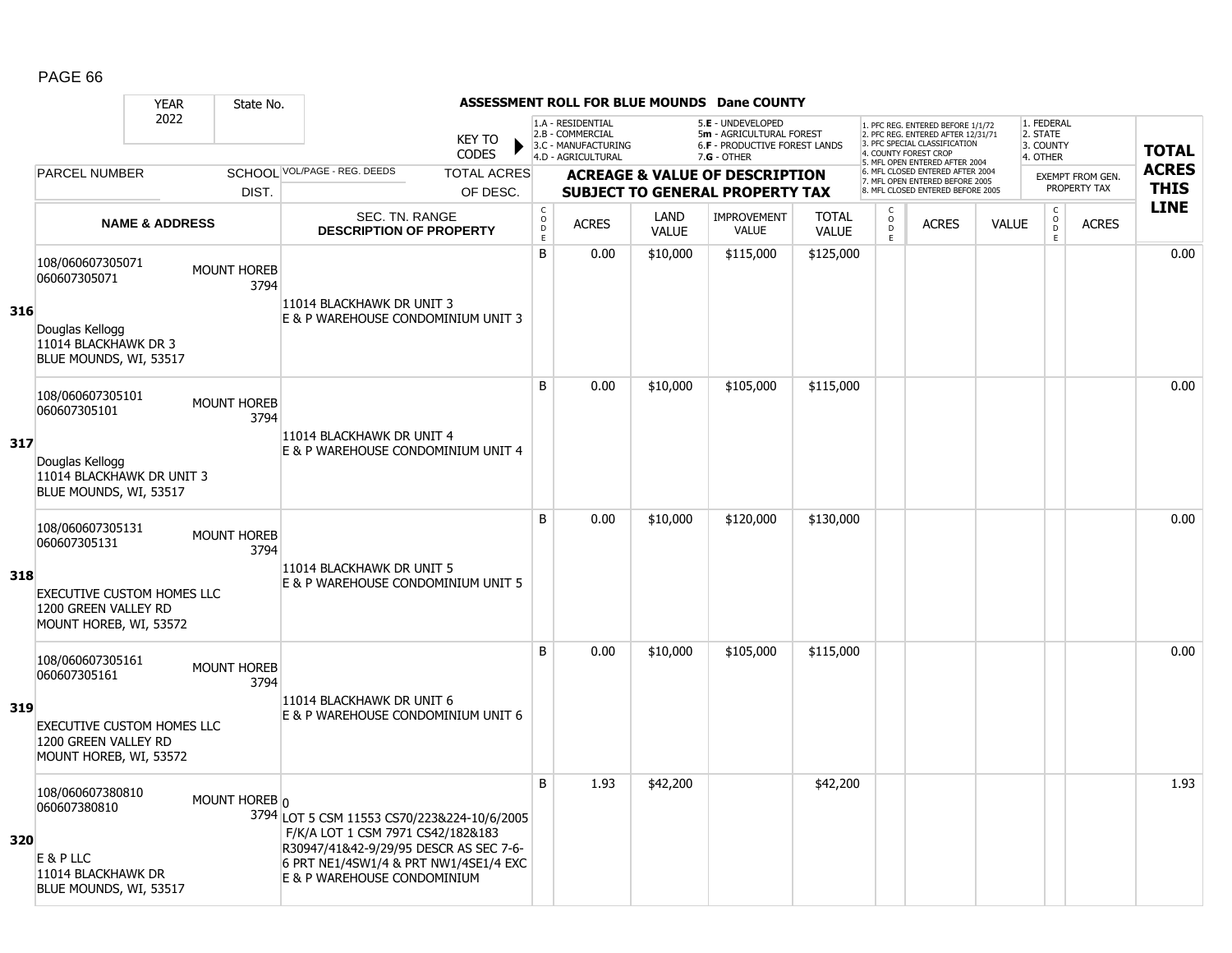|     |                                                                                                                         | <b>YEAR</b>               | State No.                  |                                                                                                                                                                                                    |                                |                                               |                                                                                    |                      | <b>ASSESSMENT ROLL FOR BLUE MOUNDS Dane COUNTY</b>                                            |                              |                              |                                                                                                                                                                     |              |                                                 |                                         |                             |
|-----|-------------------------------------------------------------------------------------------------------------------------|---------------------------|----------------------------|----------------------------------------------------------------------------------------------------------------------------------------------------------------------------------------------------|--------------------------------|-----------------------------------------------|------------------------------------------------------------------------------------|----------------------|-----------------------------------------------------------------------------------------------|------------------------------|------------------------------|---------------------------------------------------------------------------------------------------------------------------------------------------------------------|--------------|-------------------------------------------------|-----------------------------------------|-----------------------------|
|     |                                                                                                                         | 2022                      |                            |                                                                                                                                                                                                    | <b>KEY TO</b><br>CODES         |                                               | 1.A - RESIDENTIAL<br>2.B - COMMERCIAL<br>3.C - MANUFACTURING<br>4.D - AGRICULTURAL |                      | 5.E - UNDEVELOPED<br>5m - AGRICULTURAL FOREST<br>6.F - PRODUCTIVE FOREST LANDS<br>7.G - OTHER |                              |                              | 1. PFC REG. ENTERED BEFORE 1/1/72<br>2. PFC REG. ENTERED AFTER 12/31/71<br>3. PFC SPECIAL CLASSIFICATION<br>4. COUNTY FOREST CROP<br>5. MFL OPEN ENTERED AFTER 2004 |              | 1. FEDERAL<br>2. STATE<br>3. COUNTY<br>4. OTHER |                                         | <b>TOTAL</b>                |
|     | <b>PARCEL NUMBER</b>                                                                                                    |                           | DIST.                      | SCHOOL VOL/PAGE - REG. DEEDS                                                                                                                                                                       | <b>TOTAL ACRES</b><br>OF DESC. |                                               |                                                                                    |                      | <b>ACREAGE &amp; VALUE OF DESCRIPTION</b><br><b>SUBJECT TO GENERAL PROPERTY TAX</b>           |                              |                              | 6. MFL CLOSED ENTERED AFTER 2004<br>7. MFL OPEN ENTERED BEFORE 2005<br>8. MFL CLOSED ENTERED BEFORE 2005                                                            |              |                                                 | <b>EXEMPT FROM GEN.</b><br>PROPERTY TAX | <b>ACRES</b><br><b>THIS</b> |
|     |                                                                                                                         | <b>NAME &amp; ADDRESS</b> |                            | <b>SEC. TN. RANGE</b><br><b>DESCRIPTION OF PROPERTY</b>                                                                                                                                            |                                | $_{\rm o}^{\rm c}$<br>$\bar{\mathsf{D}}$<br>E | <b>ACRES</b>                                                                       | LAND<br><b>VALUE</b> | <b>IMPROVEMENT</b><br><b>VALUE</b>                                                            | <b>TOTAL</b><br><b>VALUE</b> | C<br>$_{\rm D}^{\rm O}$<br>E | <b>ACRES</b>                                                                                                                                                        | <b>VALUE</b> | $\begin{matrix} 0 \\ 0 \\ D \end{matrix}$<br>E. | <b>ACRES</b>                            | <b>LINE</b>                 |
| 316 | 108/060607305071<br>060607305071<br>Douglas Kellogg<br>11014 BLACKHAWK DR 3<br>BLUE MOUNDS, WI, 53517                   |                           | <b>MOUNT HOREB</b><br>3794 | 11014 BLACKHAWK DR UNIT 3<br>E & P WAREHOUSE CONDOMINIUM UNIT 3                                                                                                                                    |                                | B                                             | 0.00                                                                               | \$10,000             | \$115,000                                                                                     | \$125,000                    |                              |                                                                                                                                                                     |              |                                                 |                                         | 0.00                        |
| 317 | 108/060607305101<br>060607305101<br>Douglas Kellogg<br>11014 BLACKHAWK DR UNIT 3<br>BLUE MOUNDS, WI, 53517              |                           | <b>MOUNT HOREB</b><br>3794 | 11014 BLACKHAWK DR UNIT 4<br>E & P WAREHOUSE CONDOMINIUM UNIT 4                                                                                                                                    |                                | B                                             | 0.00                                                                               | \$10,000             | \$105,000                                                                                     | \$115,000                    |                              |                                                                                                                                                                     |              |                                                 |                                         | 0.00                        |
| 318 | 108/060607305131<br>060607305131<br><b>EXECUTIVE CUSTOM HOMES LLC</b><br>1200 GREEN VALLEY RD<br>MOUNT HOREB, WI, 53572 |                           | <b>MOUNT HOREB</b><br>3794 | 11014 BLACKHAWK DR UNIT 5<br>E & P WAREHOUSE CONDOMINIUM UNIT 5                                                                                                                                    |                                | B                                             | 0.00                                                                               | \$10,000             | \$120,000                                                                                     | \$130,000                    |                              |                                                                                                                                                                     |              |                                                 |                                         | 0.00                        |
| 319 | 108/060607305161<br>060607305161<br><b>EXECUTIVE CUSTOM HOMES LLC</b><br>1200 GREEN VALLEY RD<br>MOUNT HOREB, WI, 53572 |                           | <b>MOUNT HOREB</b><br>3794 | 11014 BLACKHAWK DR UNIT 6<br>E & P WAREHOUSE CONDOMINIUM UNIT 6                                                                                                                                    |                                | B                                             | 0.00                                                                               | \$10,000             | \$105,000                                                                                     | \$115,000                    |                              |                                                                                                                                                                     |              |                                                 |                                         | 0.00                        |
| 320 | 108/060607380810<br>060607380810<br>E & P LLC<br>11014 BLACKHAWK DR<br>BLUE MOUNDS, WI, 53517                           |                           | MOUNT HOREB 0              | 3794 LOT 5 CSM 11553 CS70/223&224-10/6/2005<br>F/K/A LOT 1 CSM 7971 CS42/182&183<br>R30947/41&42-9/29/95 DESCR AS SEC 7-6-<br>6 PRT NE1/4SW1/4 & PRT NW1/4SE1/4 EXC<br>E & P WAREHOUSE CONDOMINIUM |                                | B                                             | 1.93                                                                               | \$42,200             |                                                                                               | \$42,200                     |                              |                                                                                                                                                                     |              |                                                 |                                         | 1.93                        |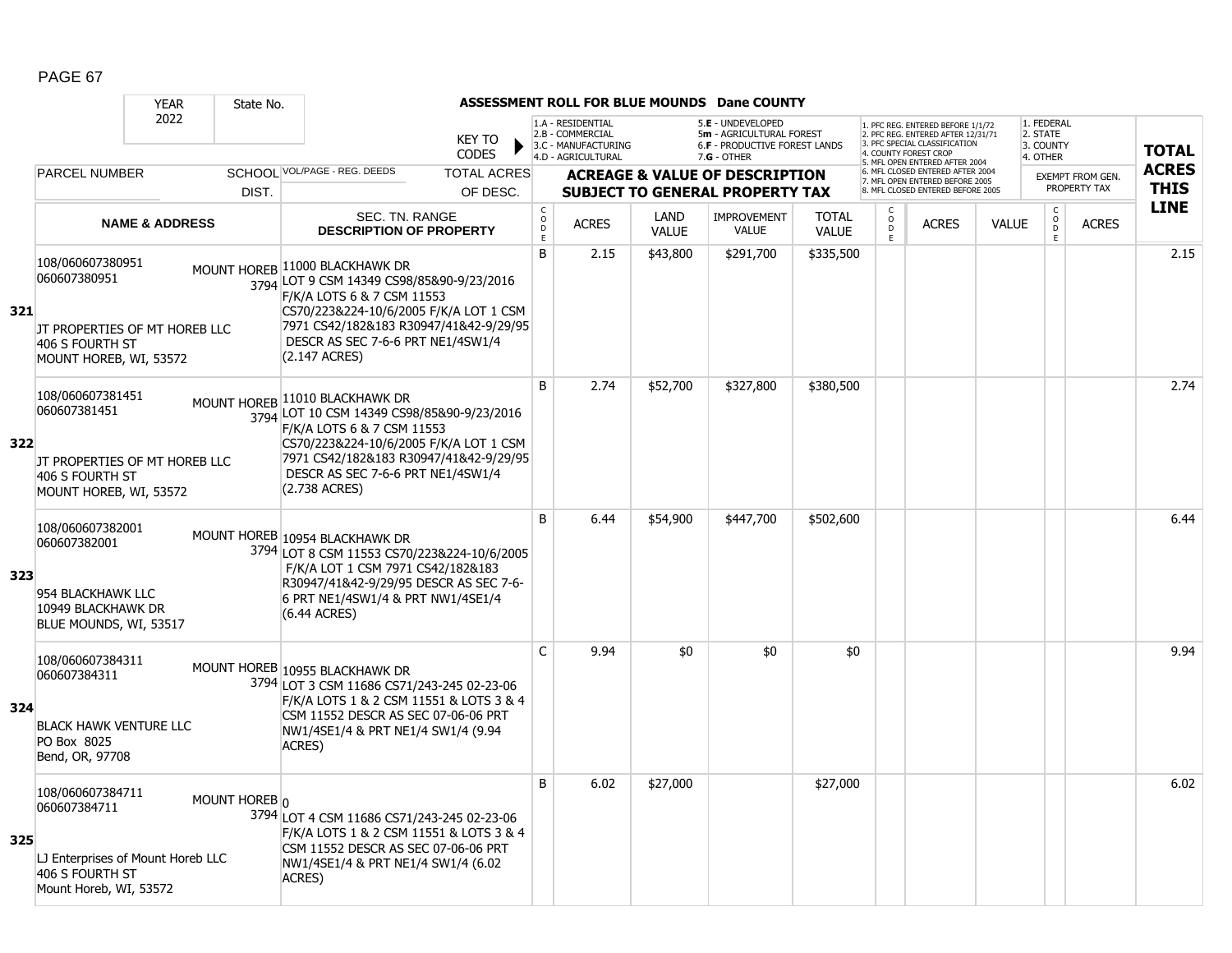|     |                                                                                                                    | <b>YEAR</b>               | State No.     |                                                                                                                                                                                                                                                      |                                |                                   |                                                                                    |                      | ASSESSMENT ROLL FOR BLUE MOUNDS Dane COUNTY                                                            |                              |                     |                                                                                                                                            |              |                                                   |                                         |                             |
|-----|--------------------------------------------------------------------------------------------------------------------|---------------------------|---------------|------------------------------------------------------------------------------------------------------------------------------------------------------------------------------------------------------------------------------------------------------|--------------------------------|-----------------------------------|------------------------------------------------------------------------------------|----------------------|--------------------------------------------------------------------------------------------------------|------------------------------|---------------------|--------------------------------------------------------------------------------------------------------------------------------------------|--------------|---------------------------------------------------|-----------------------------------------|-----------------------------|
|     |                                                                                                                    | 2022                      |               |                                                                                                                                                                                                                                                      | <b>KEY TO</b><br><b>CODES</b>  |                                   | 1.A - RESIDENTIAL<br>2.B - COMMERCIAL<br>3.C - MANUFACTURING<br>4.D - AGRICULTURAL |                      | 5.E - UNDEVELOPED<br>5m - AGRICULTURAL FOREST<br><b>6.F - PRODUCTIVE FOREST LANDS</b><br>$7.G - OTHER$ |                              |                     | PFC REG. ENTERED BEFORE 1/1/72<br>2. PFC REG. ENTERED AFTER 12/31/71<br>3 PEC SPECIAL CLASSIFICATION<br>. COUNTY FOREST CROP               |              | 1. FEDERAL<br>2. STATE<br>3. COUNTY<br>4. OTHER   |                                         | <b>TOTAL</b>                |
|     | <b>PARCEL NUMBER</b>                                                                                               |                           | DIST.         | SCHOOL VOL/PAGE - REG. DEEDS                                                                                                                                                                                                                         | <b>TOTAL ACRES</b><br>OF DESC. |                                   |                                                                                    |                      | <b>ACREAGE &amp; VALUE OF DESCRIPTION</b><br><b>SUBJECT TO GENERAL PROPERTY TAX</b>                    |                              |                     | 5. MFL OPEN ENTERED AFTER 2004<br>6. MFL CLOSED ENTERED AFTER 2004<br>7. MFL OPEN ENTERED BEFORE 2005<br>8. MFL CLOSED ENTERED BEFORE 2005 |              |                                                   | <b>EXEMPT FROM GEN.</b><br>PROPERTY TAX | <b>ACRES</b><br><b>THIS</b> |
|     |                                                                                                                    | <b>NAME &amp; ADDRESS</b> |               | <b>SEC. TN. RANGE</b><br><b>DESCRIPTION OF PROPERTY</b>                                                                                                                                                                                              |                                | $_{\rm o}^{\rm c}$<br>$\mathsf D$ | <b>ACRES</b>                                                                       | LAND<br><b>VALUE</b> | <b>IMPROVEMENT</b><br>VALUE                                                                            | <b>TOTAL</b><br><b>VALUE</b> | $\overline{0}$<br>E | <b>ACRES</b>                                                                                                                               | <b>VALUE</b> | $\mathsf C$<br>$\overset{\circ}{\phantom{\circ}}$ | <b>ACRES</b>                            | <b>LINE</b>                 |
| 321 | 108/060607380951<br>060607380951<br>JT PROPERTIES OF MT HOREB LLC<br>406 S FOURTH ST<br>MOUNT HOREB, WI, 53572     |                           |               | MOUNT HOREB 11000 BLACKHAWK DR<br>3794 LOT 9 CSM 14349 CS98/85&90-9/23/2016<br>F/K/A LOTS 6 & 7 CSM 11553<br>CS70/223&224-10/6/2005 F/K/A LOT 1 CSM<br>7971 CS42/182&183 R30947/41&42-9/29/95<br>DESCR AS SEC 7-6-6 PRT NE1/4SW1/4<br>(2.147 ACRES)  |                                | E<br>B                            | 2.15                                                                               | \$43,800             | \$291,700                                                                                              | \$335,500                    |                     |                                                                                                                                            |              | E                                                 |                                         | 2.15                        |
| 322 | 108/060607381451<br>060607381451<br>JT PROPERTIES OF MT HOREB LLC<br>406 S FOURTH ST<br>MOUNT HOREB, WI, 53572     |                           |               | MOUNT HOREB 11010 BLACKHAWK DR<br>3794 LOT 10 CSM 14349 CS98/85&90-9/23/2016<br>F/K/A LOTS 6 & 7 CSM 11553<br>CS70/223&224-10/6/2005 F/K/A LOT 1 CSM<br>7971 CS42/182&183 R30947/41&42-9/29/95<br>DESCR AS SEC 7-6-6 PRT NE1/4SW1/4<br>(2.738 ACRES) |                                | B                                 | 2.74                                                                               | \$52,700             | \$327,800                                                                                              | \$380,500                    |                     |                                                                                                                                            |              |                                                   |                                         | 2.74                        |
| 323 | 108/060607382001<br>060607382001<br>954 BLACKHAWK LLC<br>10949 BLACKHAWK DR<br>BLUE MOUNDS, WI, 53517              |                           |               | MOUNT HOREB 10954 BLACKHAWK DR<br>3794 LOT 8 CSM 11553 CS70/223&224-10/6/2005<br>F/K/A LOT 1 CSM 7971 CS42/182&183<br>R30947/41&42-9/29/95 DESCR AS SEC 7-6-<br>6 PRT NE1/4SW1/4 & PRT NW1/4SE1/4<br>(6.44 ACRES)                                    |                                | B                                 | 6.44                                                                               | \$54,900             | \$447,700                                                                                              | \$502,600                    |                     |                                                                                                                                            |              |                                                   |                                         | 6.44                        |
| 324 | 108/060607384311<br>060607384311<br><b>BLACK HAWK VENTURE LLC</b><br>PO Box 8025<br>Bend, OR, 97708                |                           |               | MOUNT HOREB 10955 BLACKHAWK DR<br>3794 LOT 3 CSM 11686 CS71/243-245 02-23-06<br>F/K/A LOTS 1 & 2 CSM 11551 & LOTS 3 & 4<br>CSM 11552 DESCR AS SEC 07-06-06 PRT<br>NW1/4SE1/4 & PRT NE1/4 SW1/4 (9.94<br>ACRES)                                       |                                | $\mathsf{C}$                      | 9.94                                                                               | \$0                  | \$0                                                                                                    | \$0                          |                     |                                                                                                                                            |              |                                                   |                                         | 9.94                        |
| 325 | 108/060607384711<br>060607384711<br>LJ Enterprises of Mount Horeb LLC<br>406 S FOURTH ST<br>Mount Horeb, WI, 53572 |                           | MOUNT HOREB 0 | 3794 LOT 4 CSM 11686 CS71/243-245 02-23-06<br>F/K/A LOTS 1 & 2 CSM 11551 & LOTS 3 & 4<br>CSM 11552 DESCR AS SEC 07-06-06 PRT<br>NW1/4SE1/4 & PRT NE1/4 SW1/4 (6.02<br>ACRES)                                                                         |                                | <sub>B</sub>                      | 6.02                                                                               | \$27,000             |                                                                                                        | \$27,000                     |                     |                                                                                                                                            |              |                                                   |                                         | 6.02                        |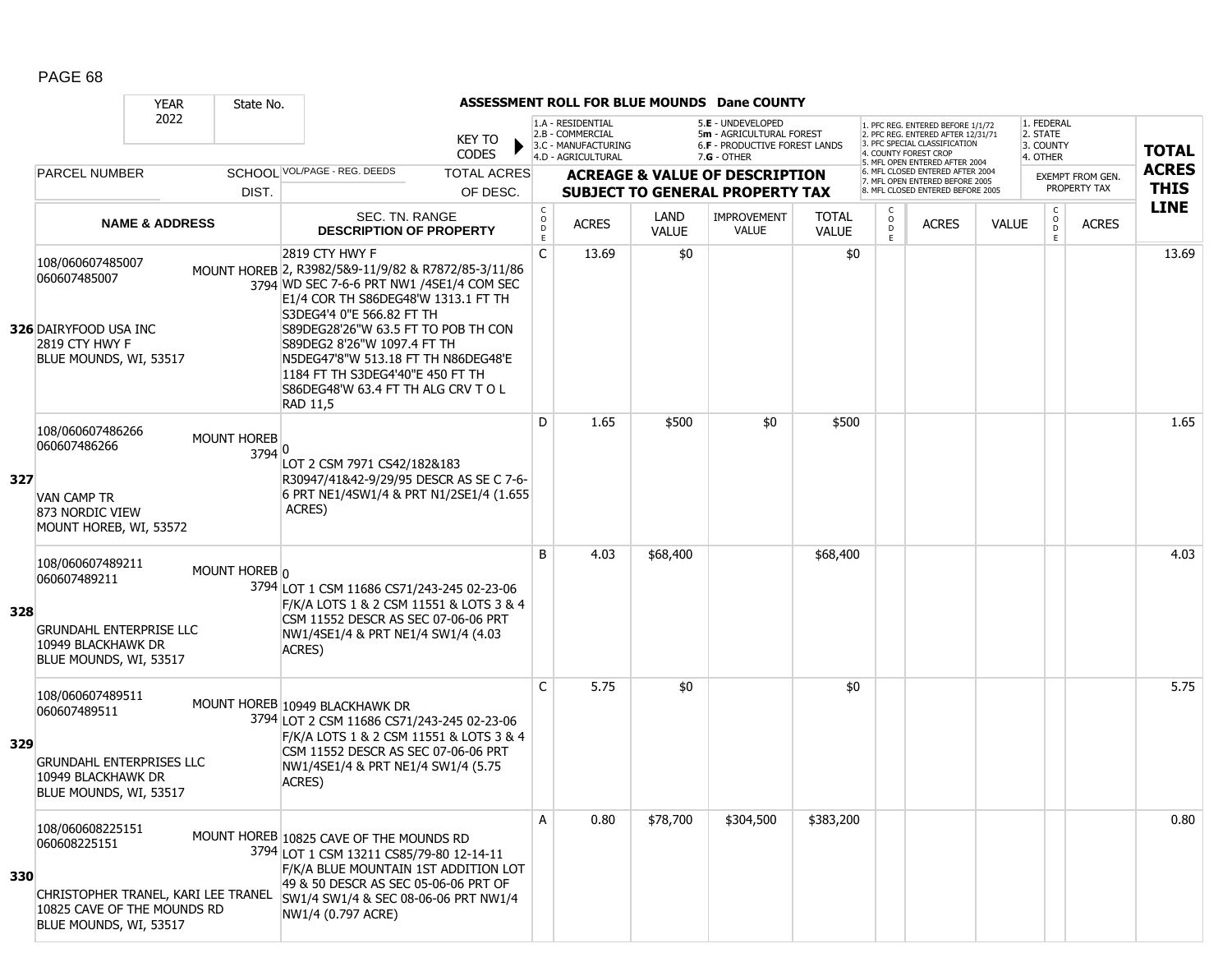|     |                                                                                                                                  | <b>YEAR</b>               | State No.                    |                                                                                                                                                                                                                                                                                                                                                                                           |                               |                               |                                                              |                             | <b>ASSESSMENT ROLL FOR BLUE MOUNDS Dane COUNTY</b>                             |                              |                         |                                                                                                                                   |              |                                                |                         |              |
|-----|----------------------------------------------------------------------------------------------------------------------------------|---------------------------|------------------------------|-------------------------------------------------------------------------------------------------------------------------------------------------------------------------------------------------------------------------------------------------------------------------------------------------------------------------------------------------------------------------------------------|-------------------------------|-------------------------------|--------------------------------------------------------------|-----------------------------|--------------------------------------------------------------------------------|------------------------------|-------------------------|-----------------------------------------------------------------------------------------------------------------------------------|--------------|------------------------------------------------|-------------------------|--------------|
|     |                                                                                                                                  | 2022                      |                              |                                                                                                                                                                                                                                                                                                                                                                                           | <b>KEY TO</b><br><b>CODES</b> |                               | 1.A - RESIDENTIAL<br>2.B - COMMERCIAL<br>3.C - MANUFACTURING |                             | 5.E - UNDEVELOPED<br>5m - AGRICULTURAL FOREST<br>6.F - PRODUCTIVE FOREST LANDS |                              |                         | 1. PFC REG. ENTERED BEFORE 1/1/72<br>2. PFC REG. ENTERED AFTER 12/31/71<br>3. PFC SPECIAL CLASSIFICATION<br>4. COUNTY FOREST CROP |              | 1. FEDERAL<br>2. STATE<br>3. COUNTY            |                         | <b>TOTAL</b> |
|     | <b>PARCEL NUMBER</b>                                                                                                             |                           |                              | SCHOOL VOL/PAGE - REG. DEEDS                                                                                                                                                                                                                                                                                                                                                              | <b>TOTAL ACRES</b>            |                               | 4.D - AGRICULTURAL                                           |                             | $7.G - OTHER$<br><b>ACREAGE &amp; VALUE OF DESCRIPTION</b>                     |                              |                         | 5. MFL OPEN ENTERED AFTER 2004<br>6. MFL CLOSED ENTERED AFTER 2004                                                                |              | 4. OTHER                                       | <b>EXEMPT FROM GEN.</b> | <b>ACRES</b> |
|     |                                                                                                                                  |                           | DIST.                        |                                                                                                                                                                                                                                                                                                                                                                                           | OF DESC.                      |                               |                                                              |                             | <b>SUBJECT TO GENERAL PROPERTY TAX</b>                                         |                              |                         | 7. MFL OPEN ENTERED BEFORE 2005<br>8. MFL CLOSED ENTERED BEFORE 2005                                                              |              |                                                | PROPERTY TAX            | <b>THIS</b>  |
|     |                                                                                                                                  | <b>NAME &amp; ADDRESS</b> |                              | SEC. TN. RANGE<br><b>DESCRIPTION OF PROPERTY</b>                                                                                                                                                                                                                                                                                                                                          |                               | $_{\rm o}^{\rm c}$<br>D<br>E. | <b>ACRES</b>                                                 | <b>LAND</b><br><b>VALUE</b> | <b>IMPROVEMENT</b><br><b>VALUE</b>                                             | <b>TOTAL</b><br><b>VALUE</b> | C<br>$_{\rm D}^{\rm O}$ | <b>ACRES</b>                                                                                                                      | <b>VALUE</b> | $\begin{matrix} 0 \\ 0 \\ D \end{matrix}$<br>E | <b>ACRES</b>            | <b>LINE</b>  |
|     | 108/060607485007<br>060607485007<br>326 DAIRYFOOD USA INC<br>2819 CTY HWY F<br>BLUE MOUNDS, WI, 53517                            |                           |                              | 2819 CTY HWY F<br>MOUNT HOREB 2, R3982/5&9-11/9/82 & R7872/85-3/11/86<br>3794 WD SEC 7-6-6 PRT NW1 /4SE1/4 COM SEC<br>E1/4 COR TH S86DEG48'W 1313.1 FT TH<br>S3DEG4'4 0"E 566.82 FT TH<br>S89DEG28'26"W 63.5 FT TO POB TH CON<br>S89DEG2 8'26"W 1097.4 FT TH<br>N5DEG47'8"W 513.18 FT TH N86DEG48'E<br>1184 FT TH S3DEG4'40"E 450 FT TH<br>S86DEG48'W 63.4 FT TH ALG CRV TO L<br>RAD 11,5 |                               | $\mathsf{C}$                  | 13.69                                                        | \$0                         |                                                                                | \$0                          |                         |                                                                                                                                   |              |                                                |                         | 13.69        |
| 327 | 108/060607486266<br>060607486266<br><b>VAN CAMP TR</b><br>873 NORDIC VIEW<br>MOUNT HOREB, WI, 53572                              |                           | <b>MOUNT HOREB</b><br>3794 0 | LOT 2 CSM 7971 CS42/182&183<br>R30947/41&42-9/29/95 DESCR AS SE C 7-6-<br>6 PRT NE1/4SW1/4 & PRT N1/2SE1/4 (1.655)<br>ACRES)                                                                                                                                                                                                                                                              |                               | D                             | 1.65                                                         | \$500                       | \$0                                                                            | \$500                        |                         |                                                                                                                                   |              |                                                |                         | 1.65         |
| 328 | 108/060607489211<br>060607489211<br><b>GRUNDAHL ENTERPRISE LLC</b><br>10949 BLACKHAWK DR<br>BLUE MOUNDS, WI, 53517               |                           | MOUNT HOREB 0                | 3794 LOT 1 CSM 11686 CS71/243-245 02-23-06<br>F/K/A LOTS 1 & 2 CSM 11551 & LOTS 3 & 4<br>CSM 11552 DESCR AS SEC 07-06-06 PRT<br>NW1/4SE1/4 & PRT NE1/4 SW1/4 (4.03<br>ACRES)                                                                                                                                                                                                              |                               | B                             | 4.03                                                         | \$68,400                    |                                                                                | \$68,400                     |                         |                                                                                                                                   |              |                                                |                         | 4.03         |
| 329 | 108/060607489511<br>060607489511<br><b>GRUNDAHL ENTERPRISES LLC</b><br>10949 BLACKHAWK DR<br>BLUE MOUNDS, WI, 53517              |                           |                              | MOUNT HOREB 10949 BLACKHAWK DR<br>3794 LOT 2 CSM 11686 CS71/243-245 02-23-06<br>F/K/A LOTS 1 & 2 CSM 11551 & LOTS 3 & 4<br>CSM 11552 DESCR AS SEC 07-06-06 PRT<br>NW1/4SE1/4 & PRT NE1/4 SW1/4 (5.75<br>ACRES)                                                                                                                                                                            |                               | C                             | 5.75                                                         | \$0                         |                                                                                | \$0                          |                         |                                                                                                                                   |              |                                                |                         | 5.75         |
| 330 | 108/060608225151<br>060608225151<br>CHRISTOPHER TRANEL, KARI LEE TRANEL<br>10825 CAVE OF THE MOUNDS RD<br>BLUE MOUNDS, WI, 53517 |                           |                              | MOUNT HOREB 10825 CAVE OF THE MOUNDS RD<br>3794 LOT 1 CSM 13211 CS85/79-80 12-14-11<br>F/K/A BLUE MOUNTAIN 1ST ADDITION LOT<br>49 & 50 DESCR AS SEC 05-06-06 PRT OF<br>SW1/4 SW1/4 & SEC 08-06-06 PRT NW1/4<br>NW1/4 (0.797 ACRE)                                                                                                                                                         |                               | A                             | 0.80                                                         | \$78,700                    | \$304,500                                                                      | \$383,200                    |                         |                                                                                                                                   |              |                                                |                         | 0.80         |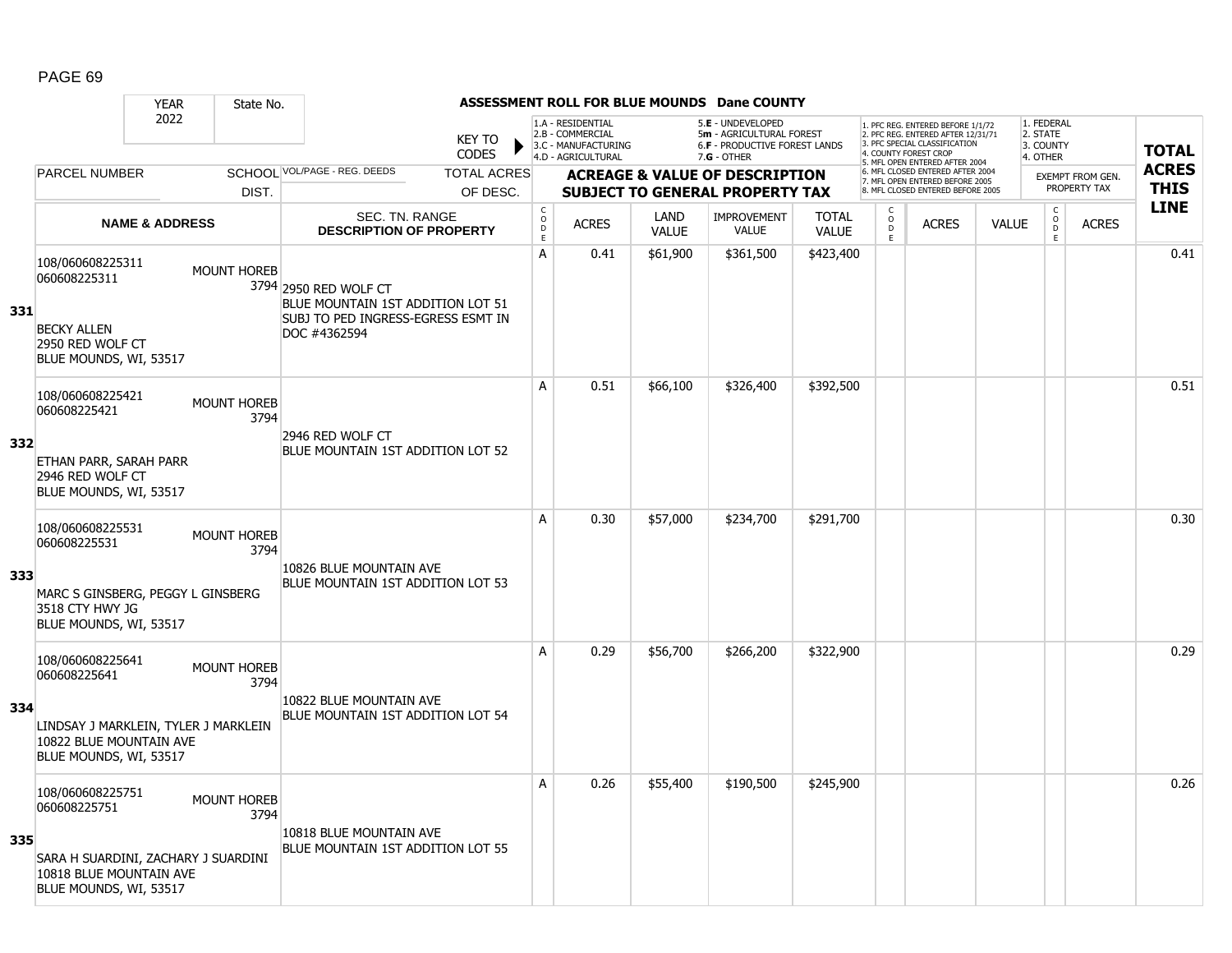|     |                                                                                                                               | <b>YEAR</b>               | State No.                  |                                                                                                                  |                               |                         |                                                                                    |                             | <b>ASSESSMENT ROLL FOR BLUE MOUNDS Dane COUNTY</b>                                            |                              |                                            |                                                                                                                                   |              |                                                 |                         |              |
|-----|-------------------------------------------------------------------------------------------------------------------------------|---------------------------|----------------------------|------------------------------------------------------------------------------------------------------------------|-------------------------------|-------------------------|------------------------------------------------------------------------------------|-----------------------------|-----------------------------------------------------------------------------------------------|------------------------------|--------------------------------------------|-----------------------------------------------------------------------------------------------------------------------------------|--------------|-------------------------------------------------|-------------------------|--------------|
|     |                                                                                                                               | 2022                      |                            |                                                                                                                  | <b>KEY TO</b><br><b>CODES</b> |                         | 1.A - RESIDENTIAL<br>2.B - COMMERCIAL<br>3.C - MANUFACTURING<br>4.D - AGRICULTURAL |                             | 5.E - UNDEVELOPED<br>5m - AGRICULTURAL FOREST<br>6.F - PRODUCTIVE FOREST LANDS<br>7.G - OTHER |                              |                                            | 1. PFC REG. ENTERED BEFORE 1/1/72<br>2. PFC REG. ENTERED AFTER 12/31/71<br>3. PFC SPECIAL CLASSIFICATION<br>4. COUNTY FOREST CROP |              | 1. FEDERAL<br>2. STATE<br>3. COUNTY<br>4. OTHER |                         | <b>TOTAL</b> |
|     | <b>PARCEL NUMBER</b>                                                                                                          |                           |                            | SCHOOL VOL/PAGE - REG. DEEDS                                                                                     | <b>TOTAL ACRES</b>            |                         |                                                                                    |                             | <b>ACREAGE &amp; VALUE OF DESCRIPTION</b>                                                     |                              |                                            | 5. MFL OPEN ENTERED AFTER 2004<br>6. MFL CLOSED ENTERED AFTER 2004                                                                |              |                                                 | <b>EXEMPT FROM GEN.</b> | <b>ACRES</b> |
|     |                                                                                                                               |                           | DIST.                      |                                                                                                                  | OF DESC.                      |                         |                                                                                    |                             | <b>SUBJECT TO GENERAL PROPERTY TAX</b>                                                        |                              |                                            | 7. MFL OPEN ENTERED BEFORE 2005<br>8. MFL CLOSED ENTERED BEFORE 2005                                                              |              |                                                 | PROPERTY TAX            | <b>THIS</b>  |
|     |                                                                                                                               | <b>NAME &amp; ADDRESS</b> |                            | SEC. TN. RANGE<br><b>DESCRIPTION OF PROPERTY</b>                                                                 |                               | $\frac{c}{0}$<br>D<br>Ē | <b>ACRES</b>                                                                       | <b>LAND</b><br><b>VALUE</b> | <b>IMPROVEMENT</b><br><b>VALUE</b>                                                            | <b>TOTAL</b><br><b>VALUE</b> | $\frac{c}{0}$<br>$\ddot{\mathsf{D}}$<br>E. | <b>ACRES</b>                                                                                                                      | <b>VALUE</b> | $_{\rm o}^{\rm c}$<br><b>D</b><br>$\mathsf E$   | <b>ACRES</b>            | <b>LINE</b>  |
| 331 | 108/060608225311<br>060608225311<br><b>BECKY ALLEN</b><br>2950 RED WOLF CT<br>BLUE MOUNDS, WI, 53517                          |                           | <b>MOUNT HOREB</b>         | 3794 2950 RED WOLF CT<br>BLUE MOUNTAIN 1ST ADDITION LOT 51<br>SUBJ TO PED INGRESS-EGRESS ESMT IN<br>DOC #4362594 |                               | A                       | 0.41                                                                               | \$61,900                    | \$361,500                                                                                     | \$423,400                    |                                            |                                                                                                                                   |              |                                                 |                         | 0.41         |
| 332 | 108/060608225421<br>060608225421<br>ETHAN PARR, SARAH PARR<br>2946 RED WOLF CT<br>BLUE MOUNDS, WI, 53517                      |                           | <b>MOUNT HOREB</b><br>3794 | 2946 RED WOLF CT<br>BLUE MOUNTAIN 1ST ADDITION LOT 52                                                            |                               | A                       | 0.51                                                                               | \$66,100                    | \$326,400                                                                                     | \$392,500                    |                                            |                                                                                                                                   |              |                                                 |                         | 0.51         |
| 333 | 108/060608225531<br>060608225531<br>MARC S GINSBERG, PEGGY L GINSBERG<br>3518 CTY HWY JG<br>BLUE MOUNDS, WI, 53517            |                           | <b>MOUNT HOREB</b><br>3794 | 10826 BLUE MOUNTAIN AVE<br>BLUE MOUNTAIN 1ST ADDITION LOT 53                                                     |                               | A                       | 0.30                                                                               | \$57,000                    | \$234,700                                                                                     | \$291,700                    |                                            |                                                                                                                                   |              |                                                 |                         | 0.30         |
| 334 | 108/060608225641<br>060608225641<br>LINDSAY J MARKLEIN, TYLER J MARKLEIN<br>10822 BLUE MOUNTAIN AVE<br>BLUE MOUNDS, WI, 53517 |                           | <b>MOUNT HOREB</b><br>3794 | 10822 BLUE MOUNTAIN AVE<br>BLUE MOUNTAIN 1ST ADDITION LOT 54                                                     |                               | A                       | 0.29                                                                               | \$56,700                    | \$266,200                                                                                     | \$322,900                    |                                            |                                                                                                                                   |              |                                                 |                         | 0.29         |
| 335 | 108/060608225751<br>060608225751<br>SARA H SUARDINI, ZACHARY J SUARDINI<br>10818 BLUE MOUNTAIN AVE<br>BLUE MOUNDS, WI, 53517  |                           | <b>MOUNT HOREB</b><br>3794 | 10818 BLUE MOUNTAIN AVE<br>BLUE MOUNTAIN 1ST ADDITION LOT 55                                                     |                               | Α                       | 0.26                                                                               | \$55,400                    | \$190,500                                                                                     | \$245,900                    |                                            |                                                                                                                                   |              |                                                 |                         | 0.26         |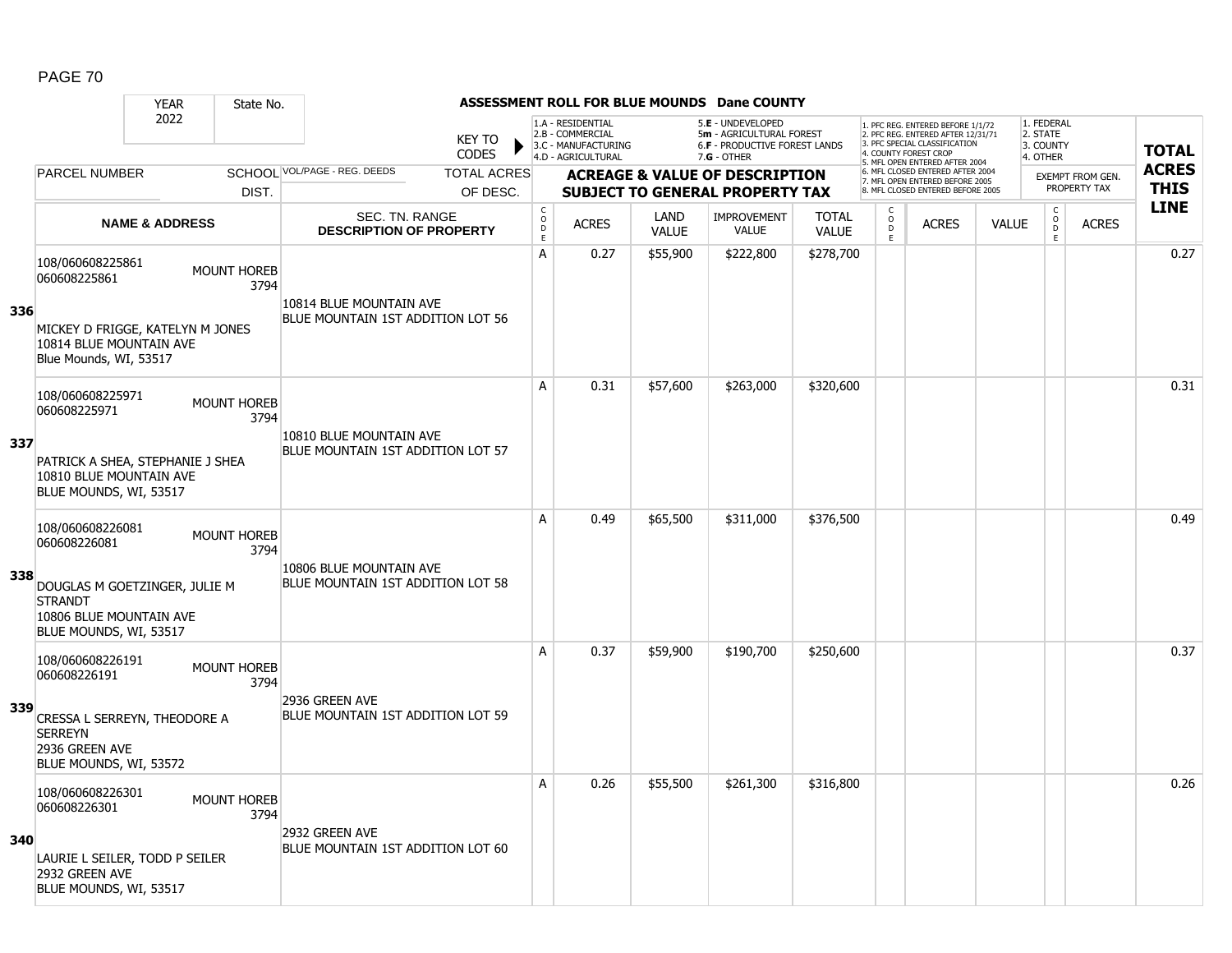|     |                                                                                                      | <b>YEAR</b>               | State No.                  |                                                              |                               |                                       |                                                                                    |                             | <b>ASSESSMENT ROLL FOR BLUE MOUNDS Dane COUNTY</b>                                                     |                              |                               |                                                                                                                                   |              |                                                 |                         |              |
|-----|------------------------------------------------------------------------------------------------------|---------------------------|----------------------------|--------------------------------------------------------------|-------------------------------|---------------------------------------|------------------------------------------------------------------------------------|-----------------------------|--------------------------------------------------------------------------------------------------------|------------------------------|-------------------------------|-----------------------------------------------------------------------------------------------------------------------------------|--------------|-------------------------------------------------|-------------------------|--------------|
|     |                                                                                                      | 2022                      |                            |                                                              | <b>KEY TO</b><br><b>CODES</b> |                                       | 1.A - RESIDENTIAL<br>2.B - COMMERCIAL<br>3.C - MANUFACTURING<br>4.D - AGRICULTURAL |                             | 5.E - UNDEVELOPED<br>5m - AGRICULTURAL FOREST<br><b>6.F - PRODUCTIVE FOREST LANDS</b><br>$7.G - OTHER$ |                              |                               | 1. PFC REG. ENTERED BEFORE 1/1/72<br>2. PFC REG. ENTERED AFTER 12/31/71<br>3. PFC SPECIAL CLASSIFICATION<br>4. COUNTY FOREST CROP |              | 1. FEDERAL<br>2. STATE<br>3. COUNTY<br>4. OTHER |                         | <b>TOTAL</b> |
|     | <b>PARCEL NUMBER</b>                                                                                 |                           |                            | SCHOOL VOL/PAGE - REG. DEEDS                                 | <b>TOTAL ACRES</b>            |                                       |                                                                                    |                             | <b>ACREAGE &amp; VALUE OF DESCRIPTION</b>                                                              |                              |                               | 5. MFL OPEN ENTERED AFTER 2004<br>6. MFL CLOSED ENTERED AFTER 2004<br>7. MFL OPEN ENTERED BEFORE 2005                             |              |                                                 | <b>EXEMPT FROM GEN.</b> | <b>ACRES</b> |
|     |                                                                                                      |                           | DIST.                      |                                                              | OF DESC.                      |                                       |                                                                                    |                             | <b>SUBJECT TO GENERAL PROPERTY TAX</b>                                                                 |                              |                               | 8. MFL CLOSED ENTERED BEFORE 2005                                                                                                 |              |                                                 | PROPERTY TAX            | <b>THIS</b>  |
|     |                                                                                                      | <b>NAME &amp; ADDRESS</b> |                            | SEC. TN. RANGE<br><b>DESCRIPTION OF PROPERTY</b>             |                               | C<br>$\mathsf{O}$<br>$\mathsf D$<br>E | <b>ACRES</b>                                                                       | <b>LAND</b><br><b>VALUE</b> | <b>IMPROVEMENT</b><br>VALUE                                                                            | <b>TOTAL</b><br><b>VALUE</b> | C<br>$_{\rm D}^{\rm O}$<br>E. | <b>ACRES</b>                                                                                                                      | <b>VALUE</b> | $\mathsf{C}$<br>$_{\rm D}^{\rm O}$<br>E         | <b>ACRES</b>            | <b>LINE</b>  |
| 336 | 108/060608225861<br>060608225861<br>MICKEY D FRIGGE, KATELYN M JONES                                 |                           | MOUNT HOREB<br>3794        | 10814 BLUE MOUNTAIN AVE<br>BLUE MOUNTAIN 1ST ADDITION LOT 56 |                               | А                                     | 0.27                                                                               | \$55,900                    | \$222,800                                                                                              | \$278,700                    |                               |                                                                                                                                   |              |                                                 |                         | 0.27         |
|     | 10814 BLUE MOUNTAIN AVE<br>Blue Mounds, WI, 53517                                                    |                           |                            |                                                              |                               |                                       |                                                                                    |                             |                                                                                                        |                              |                               |                                                                                                                                   |              |                                                 |                         |              |
|     | 108/060608225971<br>060608225971                                                                     |                           | <b>MOUNT HOREB</b><br>3794 |                                                              |                               | A                                     | 0.31                                                                               | \$57,600                    | \$263,000                                                                                              | \$320,600                    |                               |                                                                                                                                   |              |                                                 |                         | 0.31         |
| 337 | PATRICK A SHEA, STEPHANIE J SHEA<br>10810 BLUE MOUNTAIN AVE<br>BLUE MOUNDS, WI, 53517                |                           |                            | 10810 BLUE MOUNTAIN AVE<br>BLUE MOUNTAIN 1ST ADDITION LOT 57 |                               |                                       |                                                                                    |                             |                                                                                                        |                              |                               |                                                                                                                                   |              |                                                 |                         |              |
|     | 108/060608226081<br>060608226081                                                                     |                           | MOUNT HOREB<br>3794        | 10806 BLUE MOUNTAIN AVE                                      |                               | A                                     | 0.49                                                                               | \$65,500                    | \$311,000                                                                                              | \$376,500                    |                               |                                                                                                                                   |              |                                                 |                         | 0.49         |
| 338 | DOUGLAS M GOETZINGER, JULIE M<br><b>STRANDT</b><br>10806 BLUE MOUNTAIN AVE<br>BLUE MOUNDS, WI, 53517 |                           |                            | BLUE MOUNTAIN 1ST ADDITION LOT 58                            |                               |                                       |                                                                                    |                             |                                                                                                        |                              |                               |                                                                                                                                   |              |                                                 |                         |              |
|     | 108/060608226191<br>060608226191                                                                     |                           | <b>MOUNT HOREB</b><br>3794 |                                                              |                               | A                                     | 0.37                                                                               | \$59,900                    | \$190,700                                                                                              | \$250,600                    |                               |                                                                                                                                   |              |                                                 |                         | 0.37         |
| 339 | CRESSA L SERREYN, THEODORE A<br><b>SERREYN</b><br>2936 GREEN AVE<br>BLUE MOUNDS, WI, 53572           |                           |                            | 2936 GREEN AVE<br>BLUE MOUNTAIN 1ST ADDITION LOT 59          |                               |                                       |                                                                                    |                             |                                                                                                        |                              |                               |                                                                                                                                   |              |                                                 |                         |              |
|     | 108/060608226301<br>060608226301                                                                     |                           | <b>MOUNT HOREB</b><br>3794 | 2932 GREEN AVE                                               |                               | A                                     | 0.26                                                                               | \$55,500                    | \$261,300                                                                                              | \$316,800                    |                               |                                                                                                                                   |              |                                                 |                         | 0.26         |
| 340 | LAURIE L SEILER, TODD P SEILER<br>2932 GREEN AVE<br>BLUE MOUNDS, WI, 53517                           |                           |                            | BLUE MOUNTAIN 1ST ADDITION LOT 60                            |                               |                                       |                                                                                    |                             |                                                                                                        |                              |                               |                                                                                                                                   |              |                                                 |                         |              |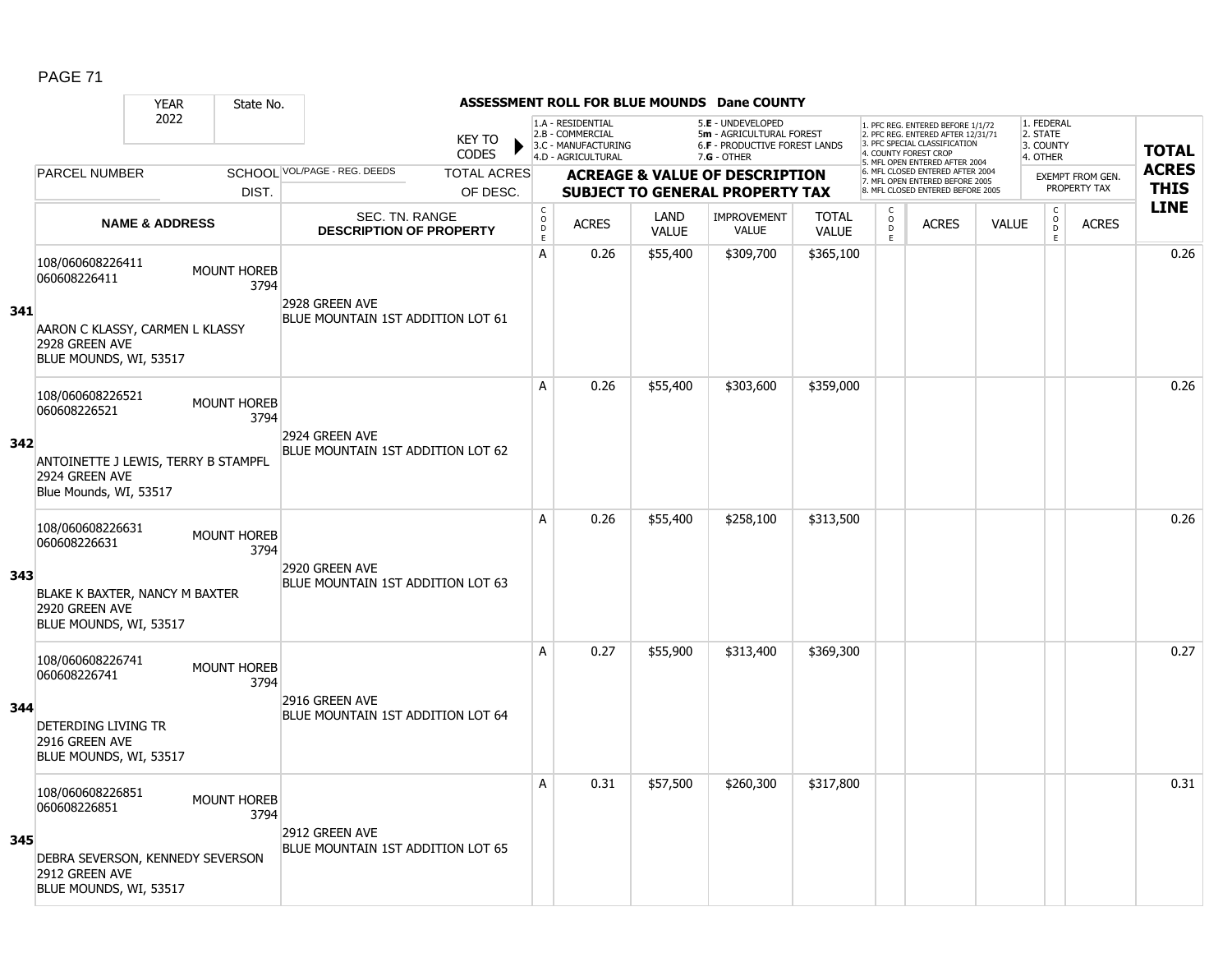|     |                                                                                 | <b>YEAR</b>               | State No.                  |                                                     |                               |                      |                                                                                    |                      | <b>ASSESSMENT ROLL FOR BLUE MOUNDS Dane COUNTY</b>                                            |                              |                                                |                                                                                                                                   |              |                                                 |                         |              |
|-----|---------------------------------------------------------------------------------|---------------------------|----------------------------|-----------------------------------------------------|-------------------------------|----------------------|------------------------------------------------------------------------------------|----------------------|-----------------------------------------------------------------------------------------------|------------------------------|------------------------------------------------|-----------------------------------------------------------------------------------------------------------------------------------|--------------|-------------------------------------------------|-------------------------|--------------|
|     |                                                                                 | 2022                      |                            |                                                     | <b>KEY TO</b><br><b>CODES</b> |                      | 1.A - RESIDENTIAL<br>2.B - COMMERCIAL<br>3.C - MANUFACTURING<br>4.D - AGRICULTURAL |                      | 5.E - UNDEVELOPED<br>5m - AGRICULTURAL FOREST<br>6.F - PRODUCTIVE FOREST LANDS<br>7.G - OTHER |                              |                                                | 1. PFC REG. ENTERED BEFORE 1/1/72<br>2. PFC REG. ENTERED AFTER 12/31/71<br>3. PFC SPECIAL CLASSIFICATION<br>4. COUNTY FOREST CROP |              | 1. FEDERAL<br>2. STATE<br>3. COUNTY<br>4. OTHER |                         | <b>TOTAL</b> |
|     | <b>PARCEL NUMBER</b>                                                            |                           |                            | SCHOOL VOL/PAGE - REG. DEEDS                        | <b>TOTAL ACRES</b>            |                      |                                                                                    |                      | <b>ACREAGE &amp; VALUE OF DESCRIPTION</b>                                                     |                              |                                                | 5. MFL OPEN ENTERED AFTER 2004<br>6. MFL CLOSED ENTERED AFTER 2004<br>7. MFL OPEN ENTERED BEFORE 2005                             |              |                                                 | <b>EXEMPT FROM GEN.</b> | <b>ACRES</b> |
|     |                                                                                 |                           | DIST.                      |                                                     | OF DESC.                      |                      |                                                                                    |                      | <b>SUBJECT TO GENERAL PROPERTY TAX</b>                                                        |                              |                                                | 8. MFL CLOSED ENTERED BEFORE 2005                                                                                                 |              |                                                 | PROPERTY TAX            | <b>THIS</b>  |
|     |                                                                                 | <b>NAME &amp; ADDRESS</b> |                            | SEC. TN. RANGE<br><b>DESCRIPTION OF PROPERTY</b>    |                               | $\rm _c^C$<br>D<br>Ē | <b>ACRES</b>                                                                       | LAND<br><b>VALUE</b> | <b>IMPROVEMENT</b><br><b>VALUE</b>                                                            | <b>TOTAL</b><br><b>VALUE</b> | $\begin{matrix} 0 \\ 0 \\ 0 \end{matrix}$<br>E | <b>ACRES</b>                                                                                                                      | <b>VALUE</b> | $\begin{matrix} 0 \\ 0 \\ D \end{matrix}$<br>E  | <b>ACRES</b>            | <b>LINE</b>  |
|     | 108/060608226411<br>060608226411                                                |                           | <b>MOUNT HOREB</b><br>3794 | 2928 GREEN AVE                                      |                               | A                    | 0.26                                                                               | \$55,400             | \$309,700                                                                                     | \$365,100                    |                                                |                                                                                                                                   |              |                                                 |                         | 0.26         |
| 341 | AARON C KLASSY, CARMEN L KLASSY<br>2928 GREEN AVE<br>BLUE MOUNDS, WI, 53517     |                           |                            | BLUE MOUNTAIN 1ST ADDITION LOT 61                   |                               |                      |                                                                                    |                      |                                                                                               |                              |                                                |                                                                                                                                   |              |                                                 |                         |              |
|     | 108/060608226521<br>060608226521                                                |                           | <b>MOUNT HOREB</b><br>3794 |                                                     |                               | A                    | 0.26                                                                               | \$55,400             | \$303,600                                                                                     | \$359,000                    |                                                |                                                                                                                                   |              |                                                 |                         | 0.26         |
| 342 | ANTOINETTE J LEWIS, TERRY B STAMPFL<br>2924 GREEN AVE<br>Blue Mounds, WI, 53517 |                           |                            | 2924 GREEN AVE<br>BLUE MOUNTAIN 1ST ADDITION LOT 62 |                               |                      |                                                                                    |                      |                                                                                               |                              |                                                |                                                                                                                                   |              |                                                 |                         |              |
|     | 108/060608226631<br>060608226631                                                |                           | <b>MOUNT HOREB</b><br>3794 |                                                     |                               | A                    | 0.26                                                                               | \$55,400             | \$258,100                                                                                     | \$313,500                    |                                                |                                                                                                                                   |              |                                                 |                         | 0.26         |
| 343 | BLAKE K BAXTER, NANCY M BAXTER<br>2920 GREEN AVE<br>BLUE MOUNDS, WI, 53517      |                           |                            | 2920 GREEN AVE<br>BLUE MOUNTAIN 1ST ADDITION LOT 63 |                               |                      |                                                                                    |                      |                                                                                               |                              |                                                |                                                                                                                                   |              |                                                 |                         |              |
|     | 108/060608226741<br>060608226741                                                |                           | <b>MOUNT HOREB</b><br>3794 |                                                     |                               | Α                    | 0.27                                                                               | \$55,900             | \$313,400                                                                                     | \$369,300                    |                                                |                                                                                                                                   |              |                                                 |                         | 0.27         |
| 344 | DETERDING LIVING TR<br>2916 GREEN AVE<br>BLUE MOUNDS, WI, 53517                 |                           |                            | 2916 GREEN AVE<br>BLUE MOUNTAIN 1ST ADDITION LOT 64 |                               |                      |                                                                                    |                      |                                                                                               |                              |                                                |                                                                                                                                   |              |                                                 |                         |              |
|     | 108/060608226851<br>060608226851                                                |                           | <b>MOUNT HOREB</b><br>3794 |                                                     |                               | Α                    | 0.31                                                                               | \$57,500             | \$260,300                                                                                     | \$317,800                    |                                                |                                                                                                                                   |              |                                                 |                         | 0.31         |
| 345 | DEBRA SEVERSON, KENNEDY SEVERSON<br>2912 GREEN AVE<br>BLUE MOUNDS, WI, 53517    |                           |                            | 2912 GREEN AVE<br>BLUE MOUNTAIN 1ST ADDITION LOT 65 |                               |                      |                                                                                    |                      |                                                                                               |                              |                                                |                                                                                                                                   |              |                                                 |                         |              |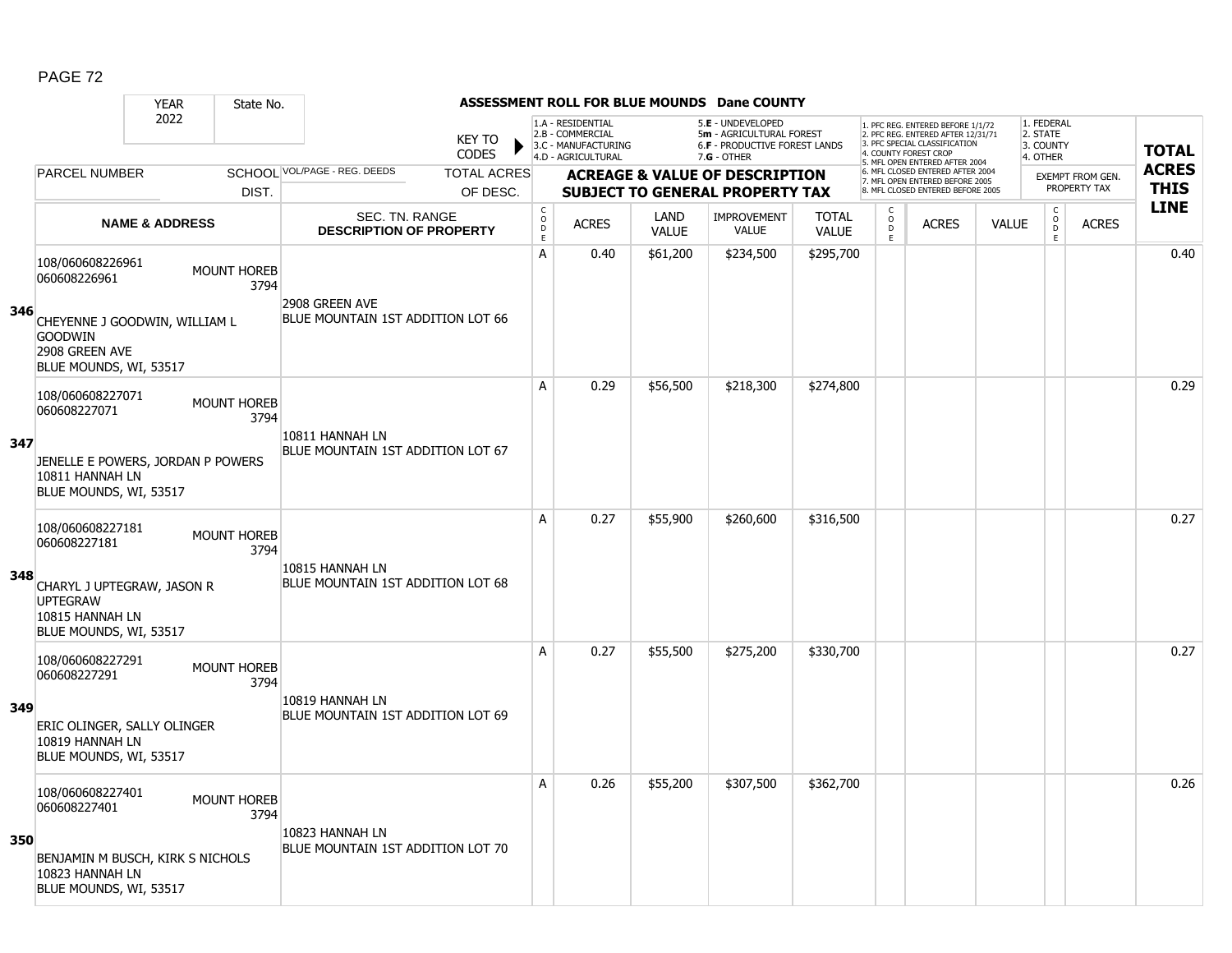|     |                                                                                                                                              | <b>YEAR</b>               | State No.                  |                                                      |                               |                                     |                                                              |                      | <b>ASSESSMENT ROLL FOR BLUE MOUNDS Dane COUNTY</b>                                    |                              |                                                |                                                                                                                                   |              |                                                |                                         |              |
|-----|----------------------------------------------------------------------------------------------------------------------------------------------|---------------------------|----------------------------|------------------------------------------------------|-------------------------------|-------------------------------------|--------------------------------------------------------------|----------------------|---------------------------------------------------------------------------------------|------------------------------|------------------------------------------------|-----------------------------------------------------------------------------------------------------------------------------------|--------------|------------------------------------------------|-----------------------------------------|--------------|
|     |                                                                                                                                              | 2022                      |                            |                                                      | <b>KEY TO</b><br><b>CODES</b> |                                     | 1.A - RESIDENTIAL<br>2.B - COMMERCIAL<br>3.C - MANUFACTURING |                      | 5.E - UNDEVELOPED<br>5m - AGRICULTURAL FOREST<br><b>6.F - PRODUCTIVE FOREST LANDS</b> |                              |                                                | 1. PFC REG. ENTERED BEFORE 1/1/72<br>2. PFC REG. ENTERED AFTER 12/31/71<br>3. PFC SPECIAL CLASSIFICATION<br>4. COUNTY FOREST CROP |              | 1. FEDERAL<br>2. STATE<br>3. COUNTY            |                                         | <b>TOTAL</b> |
|     | <b>PARCEL NUMBER</b>                                                                                                                         |                           |                            | SCHOOL VOL/PAGE - REG. DEEDS                         | <b>TOTAL ACRES</b>            |                                     | 4.D - AGRICULTURAL                                           |                      | $7.G - OTHER$                                                                         |                              |                                                | 5. MFL OPEN ENTERED AFTER 2004<br>6. MFL CLOSED ENTERED AFTER 2004                                                                |              | 4. OTHER                                       |                                         | <b>ACRES</b> |
|     |                                                                                                                                              |                           | DIST.                      |                                                      | OF DESC.                      |                                     |                                                              |                      | <b>ACREAGE &amp; VALUE OF DESCRIPTION</b><br><b>SUBJECT TO GENERAL PROPERTY TAX</b>   |                              |                                                | 7. MFL OPEN ENTERED BEFORE 2005<br>8. MFL CLOSED ENTERED BEFORE 2005                                                              |              |                                                | <b>EXEMPT FROM GEN.</b><br>PROPERTY TAX | <b>THIS</b>  |
|     |                                                                                                                                              | <b>NAME &amp; ADDRESS</b> |                            | SEC. TN. RANGE<br><b>DESCRIPTION OF PROPERTY</b>     |                               | $_{\rm o}^{\rm c}$<br>$\frac{D}{E}$ | <b>ACRES</b>                                                 | LAND<br><b>VALUE</b> | <b>IMPROVEMENT</b><br>VALUE                                                           | <b>TOTAL</b><br><b>VALUE</b> | $\begin{matrix} 0 \\ 0 \\ 0 \end{matrix}$<br>E | <b>ACRES</b>                                                                                                                      | <b>VALUE</b> | $\begin{matrix} 0 \\ 0 \\ D \end{matrix}$<br>E | <b>ACRES</b>                            | <b>LINE</b>  |
| 346 | 108/060608226961<br>060608226961<br>CHEYENNE J GOODWIN, WILLIAM L<br><b>GOODWIN</b><br>2908 GREEN AVE                                        |                           | <b>MOUNT HOREB</b><br>3794 | 2908 GREEN AVE<br>BLUE MOUNTAIN 1ST ADDITION LOT 66  |                               | $\mathsf{A}$                        | 0.40                                                         | \$61,200             | \$234,500                                                                             | \$295,700                    |                                                |                                                                                                                                   |              |                                                |                                         | 0.40         |
| 347 | BLUE MOUNDS, WI, 53517<br>108/060608227071<br>060608227071<br>JENELLE E POWERS, JORDAN P POWERS<br>10811 HANNAH LN<br>BLUE MOUNDS, WI, 53517 |                           | <b>MOUNT HOREB</b><br>3794 | 10811 HANNAH LN<br>BLUE MOUNTAIN 1ST ADDITION LOT 67 |                               | A                                   | 0.29                                                         | \$56,500             | \$218,300                                                                             | \$274,800                    |                                                |                                                                                                                                   |              |                                                |                                         | 0.29         |
| 348 | 108/060608227181<br>060608227181<br>CHARYL J UPTEGRAW, JASON R<br><b>UPTEGRAW</b><br>10815 HANNAH LN<br>BLUE MOUNDS, WI, 53517               |                           | <b>MOUNT HOREB</b><br>3794 | 10815 HANNAH LN<br>BLUE MOUNTAIN 1ST ADDITION LOT 68 |                               | A                                   | 0.27                                                         | \$55,900             | \$260,600                                                                             | \$316,500                    |                                                |                                                                                                                                   |              |                                                |                                         | 0.27         |
| 349 | 108/060608227291<br>060608227291<br>ERIC OLINGER, SALLY OLINGER<br>10819 HANNAH LN<br>BLUE MOUNDS, WI, 53517                                 |                           | <b>MOUNT HOREB</b><br>3794 | 10819 HANNAH LN<br>BLUE MOUNTAIN 1ST ADDITION LOT 69 |                               | A                                   | 0.27                                                         | \$55,500             | \$275,200                                                                             | \$330,700                    |                                                |                                                                                                                                   |              |                                                |                                         | 0.27         |
| 350 | 108/060608227401<br>060608227401<br>BENJAMIN M BUSCH, KIRK S NICHOLS<br>10823 HANNAH LN<br>BLUE MOUNDS, WI, 53517                            |                           | <b>MOUNT HOREB</b><br>3794 | 10823 HANNAH LN<br>BLUE MOUNTAIN 1ST ADDITION LOT 70 |                               | A                                   | 0.26                                                         | \$55,200             | \$307,500                                                                             | \$362,700                    |                                                |                                                                                                                                   |              |                                                |                                         | 0.26         |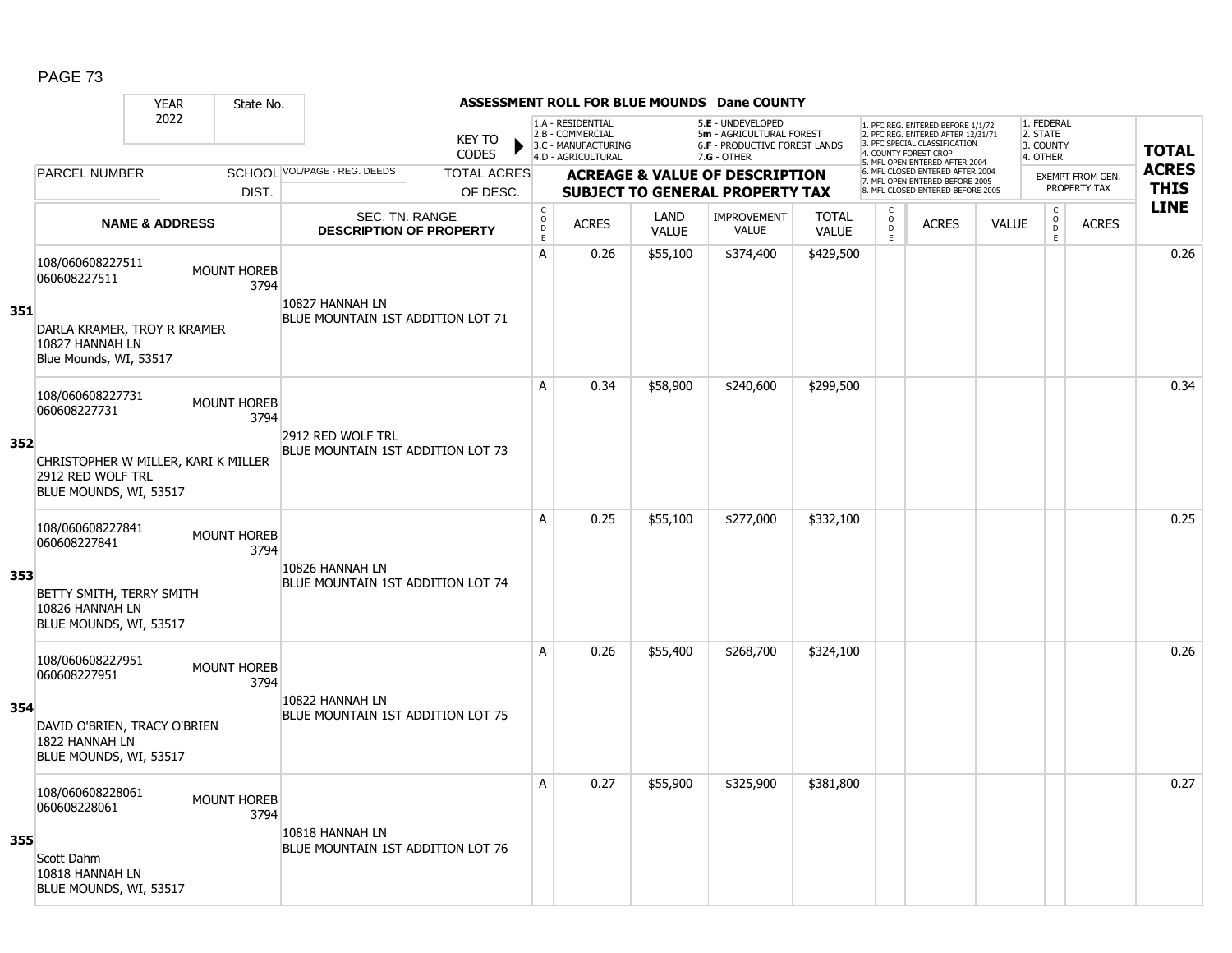|     |                                                                                    | <b>YEAR</b>               | State No.                  |                                                         |                               |                                       |                                                                                    |                      | <b>ASSESSMENT ROLL FOR BLUE MOUNDS Dane COUNTY</b>                                              |                              |                              |                                                                                                                                   |              |                                                 |                         |                             |
|-----|------------------------------------------------------------------------------------|---------------------------|----------------------------|---------------------------------------------------------|-------------------------------|---------------------------------------|------------------------------------------------------------------------------------|----------------------|-------------------------------------------------------------------------------------------------|------------------------------|------------------------------|-----------------------------------------------------------------------------------------------------------------------------------|--------------|-------------------------------------------------|-------------------------|-----------------------------|
|     |                                                                                    | 2022                      |                            |                                                         | <b>KEY TO</b><br><b>CODES</b> |                                       | 1.A - RESIDENTIAL<br>2.B - COMMERCIAL<br>3.C - MANUFACTURING<br>4.D - AGRICULTURAL |                      | 5.E - UNDEVELOPED<br>5m - AGRICULTURAL FOREST<br>6.F - PRODUCTIVE FOREST LANDS<br>$7.G - OTHER$ |                              |                              | 1. PFC REG. ENTERED BEFORE 1/1/72<br>2. PFC REG. ENTERED AFTER 12/31/71<br>3. PFC SPECIAL CLASSIFICATION<br>4. COUNTY FOREST CROP |              | 1. FEDERAL<br>2. STATE<br>3. COUNTY<br>4. OTHER |                         | <b>TOTAL</b>                |
|     | PARCEL NUMBER                                                                      |                           |                            | SCHOOL VOL/PAGE - REG. DEEDS                            | <b>TOTAL ACRES</b>            |                                       |                                                                                    |                      | <b>ACREAGE &amp; VALUE OF DESCRIPTION</b>                                                       |                              |                              | 5. MFL OPEN ENTERED AFTER 2004<br>6. MFL CLOSED ENTERED AFTER 2004<br>7. MFL OPEN ENTERED BEFORE 2005                             |              |                                                 | <b>EXEMPT FROM GEN.</b> | <b>ACRES</b><br><b>THIS</b> |
|     |                                                                                    |                           | DIST.                      |                                                         | OF DESC.                      |                                       |                                                                                    |                      | <b>SUBJECT TO GENERAL PROPERTY TAX</b>                                                          |                              |                              | 8. MFL CLOSED ENTERED BEFORE 2005                                                                                                 |              |                                                 | PROPERTY TAX            | <b>LINE</b>                 |
|     |                                                                                    | <b>NAME &amp; ADDRESS</b> |                            | <b>SEC. TN. RANGE</b><br><b>DESCRIPTION OF PROPERTY</b> |                               | C<br>$\mathsf{O}$<br>$\mathsf D$<br>E | <b>ACRES</b>                                                                       | LAND<br><b>VALUE</b> | IMPROVEMENT<br><b>VALUE</b>                                                                     | <b>TOTAL</b><br><b>VALUE</b> | C<br>$_{\rm D}^{\rm O}$<br>E | <b>ACRES</b>                                                                                                                      | <b>VALUE</b> | $\begin{matrix} 0 \\ 0 \\ D \end{matrix}$<br>E  | <b>ACRES</b>            |                             |
| 351 | 108/060608227511<br>060608227511                                                   |                           | <b>MOUNT HOREB</b><br>3794 | 10827 HANNAH LN                                         |                               | A                                     | 0.26                                                                               | \$55,100             | \$374,400                                                                                       | \$429,500                    |                              |                                                                                                                                   |              |                                                 |                         | 0.26                        |
|     | DARLA KRAMER, TROY R KRAMER<br>10827 HANNAH LN<br>Blue Mounds, WI, 53517           |                           |                            | BLUE MOUNTAIN 1ST ADDITION LOT 71                       |                               |                                       |                                                                                    |                      |                                                                                                 |                              |                              |                                                                                                                                   |              |                                                 |                         |                             |
|     | 108/060608227731<br>060608227731                                                   |                           | <b>MOUNT HOREB</b><br>3794 |                                                         |                               | A                                     | 0.34                                                                               | \$58,900             | \$240,600                                                                                       | \$299,500                    |                              |                                                                                                                                   |              |                                                 |                         | 0.34                        |
| 352 | CHRISTOPHER W MILLER, KARI K MILLER<br>2912 RED WOLF TRL<br>BLUE MOUNDS, WI, 53517 |                           |                            | 2912 RED WOLF TRL<br>BLUE MOUNTAIN 1ST ADDITION LOT 73  |                               |                                       |                                                                                    |                      |                                                                                                 |                              |                              |                                                                                                                                   |              |                                                 |                         |                             |
|     | 108/060608227841<br>060608227841                                                   |                           | <b>MOUNT HOREB</b><br>3794 |                                                         |                               | A                                     | 0.25                                                                               | \$55,100             | \$277,000                                                                                       | \$332,100                    |                              |                                                                                                                                   |              |                                                 |                         | 0.25                        |
| 353 | BETTY SMITH, TERRY SMITH<br>10826 HANNAH LN<br>BLUE MOUNDS, WI, 53517              |                           |                            | 10826 HANNAH LN<br>BLUE MOUNTAIN 1ST ADDITION LOT 74    |                               |                                       |                                                                                    |                      |                                                                                                 |                              |                              |                                                                                                                                   |              |                                                 |                         |                             |
|     | 108/060608227951<br>060608227951                                                   |                           | <b>MOUNT HOREB</b><br>3794 |                                                         |                               | A                                     | 0.26                                                                               | \$55,400             | \$268,700                                                                                       | \$324,100                    |                              |                                                                                                                                   |              |                                                 |                         | 0.26                        |
| 354 | DAVID O'BRIEN, TRACY O'BRIEN<br>1822 HANNAH LN<br>BLUE MOUNDS, WI, 53517           |                           |                            | 10822 HANNAH LN<br>BLUE MOUNTAIN 1ST ADDITION LOT 75    |                               |                                       |                                                                                    |                      |                                                                                                 |                              |                              |                                                                                                                                   |              |                                                 |                         |                             |
|     | 108/060608228061<br>060608228061                                                   |                           | <b>MOUNT HOREB</b><br>3794 |                                                         |                               | A                                     | 0.27                                                                               | \$55,900             | \$325,900                                                                                       | \$381,800                    |                              |                                                                                                                                   |              |                                                 |                         | 0.27                        |
| 355 | Scott Dahm<br>10818 HANNAH LN<br>BLUE MOUNDS, WI, 53517                            |                           |                            | 10818 HANNAH LN<br>BLUE MOUNTAIN 1ST ADDITION LOT 76    |                               |                                       |                                                                                    |                      |                                                                                                 |                              |                              |                                                                                                                                   |              |                                                 |                         |                             |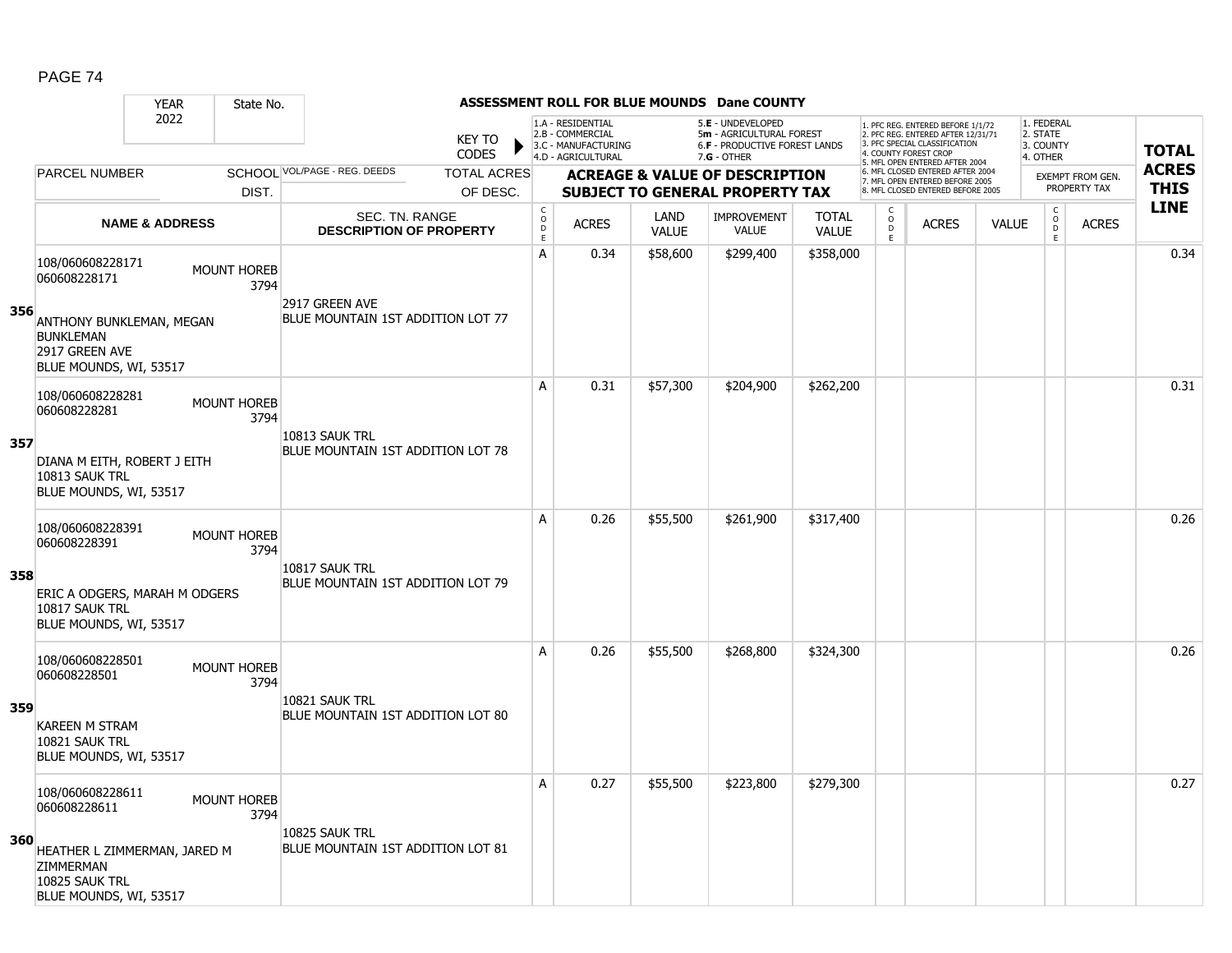|     |                                                                                                                                       | <b>YEAR</b>               | State No.                  |                                                         |                        |                                |                                                                                    |                      | <b>ASSESSMENT ROLL FOR BLUE MOUNDS Dane COUNTY</b>                                                     |                              |                                                          |                                                                                                                                                                     |              |                                                         |                         |              |
|-----|---------------------------------------------------------------------------------------------------------------------------------------|---------------------------|----------------------------|---------------------------------------------------------|------------------------|--------------------------------|------------------------------------------------------------------------------------|----------------------|--------------------------------------------------------------------------------------------------------|------------------------------|----------------------------------------------------------|---------------------------------------------------------------------------------------------------------------------------------------------------------------------|--------------|---------------------------------------------------------|-------------------------|--------------|
|     |                                                                                                                                       | 2022                      |                            |                                                         | <b>KEY TO</b><br>CODES |                                | 1.A - RESIDENTIAL<br>2.B - COMMERCIAL<br>3.C - MANUFACTURING<br>4.D - AGRICULTURAL |                      | 5.E - UNDEVELOPED<br>5m - AGRICULTURAL FOREST<br><b>6.F - PRODUCTIVE FOREST LANDS</b><br>$7.G - OTHER$ |                              |                                                          | 1. PFC REG. ENTERED BEFORE 1/1/72<br>2. PFC REG. ENTERED AFTER 12/31/71<br>3. PFC SPECIAL CLASSIFICATION<br>4. COUNTY FOREST CROP<br>5. MFL OPEN ENTERED AFTER 2004 |              | 1. FEDERAL<br>2. STATE<br>3. COUNTY<br>4. OTHER         |                         | <b>TOTAL</b> |
|     | <b>PARCEL NUMBER</b>                                                                                                                  |                           |                            | SCHOOL VOL/PAGE - REG. DEEDS                            | <b>TOTAL ACRES</b>     |                                |                                                                                    |                      | <b>ACREAGE &amp; VALUE OF DESCRIPTION</b>                                                              |                              |                                                          | 6. MFL CLOSED ENTERED AFTER 2004<br>7. MFL OPEN ENTERED BEFORE 2005                                                                                                 |              |                                                         | <b>EXEMPT FROM GEN.</b> | <b>ACRES</b> |
|     |                                                                                                                                       |                           | DIST.                      |                                                         | OF DESC.               |                                |                                                                                    |                      | <b>SUBJECT TO GENERAL PROPERTY TAX</b>                                                                 |                              |                                                          | 8. MFL CLOSED ENTERED BEFORE 2005                                                                                                                                   |              |                                                         | PROPERTY TAX            | <b>THIS</b>  |
|     |                                                                                                                                       | <b>NAME &amp; ADDRESS</b> |                            | <b>SEC. TN. RANGE</b><br><b>DESCRIPTION OF PROPERTY</b> |                        | $\rm _c^C$<br>D<br>$\mathsf E$ | <b>ACRES</b>                                                                       | LAND<br><b>VALUE</b> | <b>IMPROVEMENT</b><br><b>VALUE</b>                                                                     | <b>TOTAL</b><br><b>VALUE</b> | $\begin{matrix} 0 \\ 0 \\ D \end{matrix}$<br>$\mathsf E$ | <b>ACRES</b>                                                                                                                                                        | <b>VALUE</b> | $\begin{smallmatrix} C\\O\\O\\D \end{smallmatrix}$<br>E | <b>ACRES</b>            | <b>LINE</b>  |
| 356 | 108/060608228171<br>060608228171<br>ANTHONY BUNKLEMAN, MEGAN<br><b>BUNKLEMAN</b><br>2917 GREEN AVE                                    |                           | <b>MOUNT HOREB</b><br>3794 | 2917 GREEN AVE<br>BLUE MOUNTAIN 1ST ADDITION LOT 77     |                        | Α                              | 0.34                                                                               | \$58,600             | \$299,400                                                                                              | \$358,000                    |                                                          |                                                                                                                                                                     |              |                                                         |                         | 0.34         |
| 357 | BLUE MOUNDS, WI, 53517<br>108/060608228281<br>060608228281<br>DIANA M EITH, ROBERT J EITH<br>10813 SAUK TRL<br>BLUE MOUNDS, WI, 53517 |                           | <b>MOUNT HOREB</b><br>3794 | 10813 SAUK TRL<br>BLUE MOUNTAIN 1ST ADDITION LOT 78     |                        | A                              | 0.31                                                                               | \$57,300             | \$204,900                                                                                              | \$262,200                    |                                                          |                                                                                                                                                                     |              |                                                         |                         | 0.31         |
| 358 | 108/060608228391<br>060608228391<br>ERIC A ODGERS, MARAH M ODGERS<br>10817 SAUK TRL<br>BLUE MOUNDS, WI, 53517                         |                           | <b>MOUNT HOREB</b><br>3794 | 10817 SAUK TRL<br>BLUE MOUNTAIN 1ST ADDITION LOT 79     |                        | A                              | 0.26                                                                               | \$55,500             | \$261,900                                                                                              | \$317,400                    |                                                          |                                                                                                                                                                     |              |                                                         |                         | 0.26         |
| 359 | 108/060608228501<br>060608228501<br><b>KAREEN M STRAM</b><br>10821 SAUK TRL<br>BLUE MOUNDS, WI, 53517                                 |                           | <b>MOUNT HOREB</b><br>3794 | 10821 SAUK TRL<br>BLUE MOUNTAIN 1ST ADDITION LOT 80     |                        | A                              | 0.26                                                                               | \$55,500             | \$268,800                                                                                              | \$324,300                    |                                                          |                                                                                                                                                                     |              |                                                         |                         | 0.26         |
| 360 | 108/060608228611<br>060608228611<br>HEATHER L ZIMMERMAN, JARED M<br>ZIMMERMAN<br>10825 SAUK TRL<br>BLUE MOUNDS, WI, 53517             |                           | <b>MOUNT HOREB</b><br>3794 | 10825 SAUK TRL<br>BLUE MOUNTAIN 1ST ADDITION LOT 81     |                        | Α                              | 0.27                                                                               | \$55,500             | \$223,800                                                                                              | \$279,300                    |                                                          |                                                                                                                                                                     |              |                                                         |                         | 0.27         |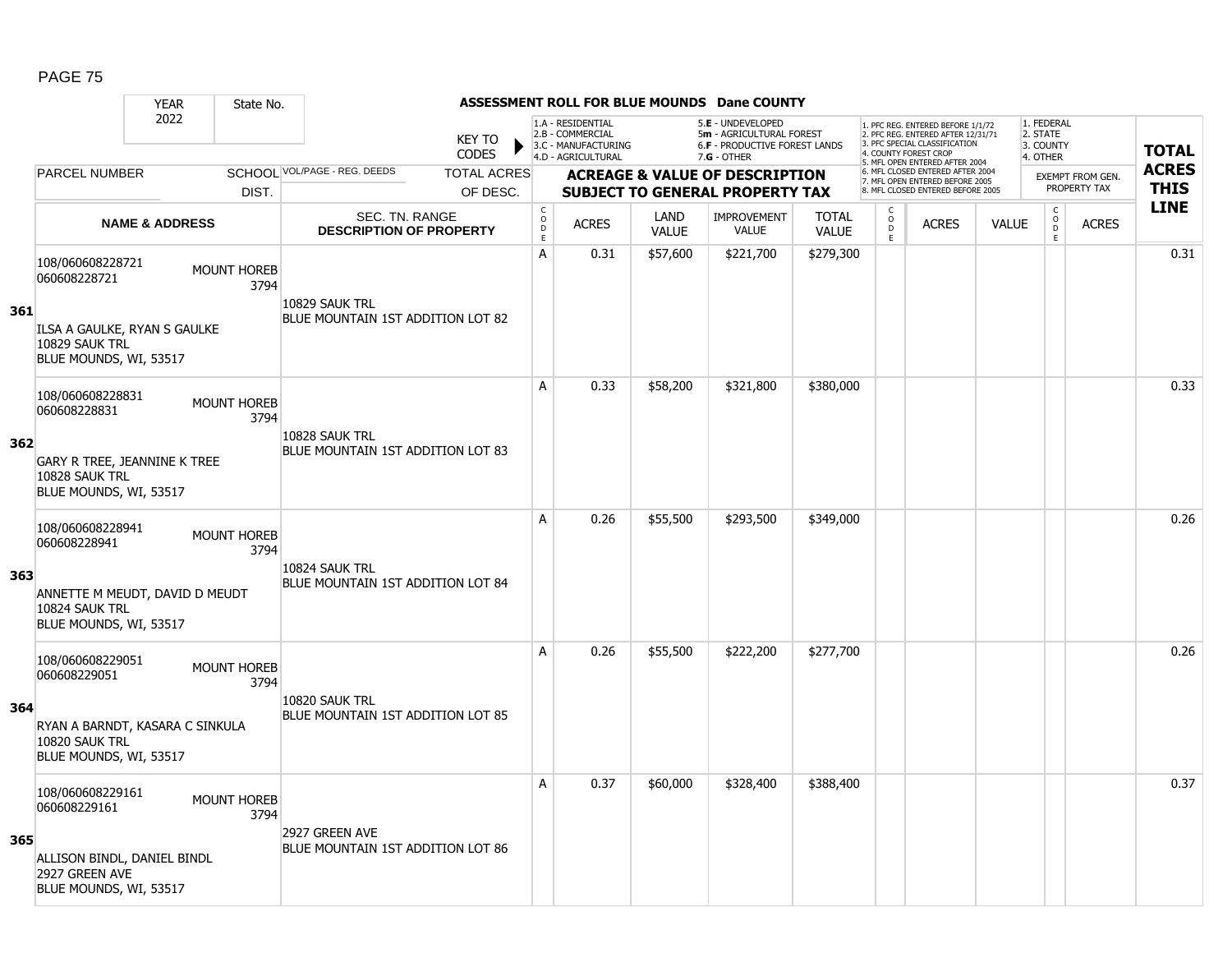|     |                                                                                 | <b>YEAR</b>               | State No.                  |                                                     |                               |                                        |                                                                                    |                      | <b>ASSESSMENT ROLL FOR BLUE MOUNDS Dane COUNTY</b>                                              |                              |                                              |                                                                                                                                   |              |                                                 |                  |              |
|-----|---------------------------------------------------------------------------------|---------------------------|----------------------------|-----------------------------------------------------|-------------------------------|----------------------------------------|------------------------------------------------------------------------------------|----------------------|-------------------------------------------------------------------------------------------------|------------------------------|----------------------------------------------|-----------------------------------------------------------------------------------------------------------------------------------|--------------|-------------------------------------------------|------------------|--------------|
|     |                                                                                 | 2022                      |                            |                                                     | <b>KEY TO</b><br><b>CODES</b> |                                        | 1.A - RESIDENTIAL<br>2.B - COMMERCIAL<br>3.C - MANUFACTURING<br>4.D - AGRICULTURAL |                      | 5.E - UNDEVELOPED<br>5m - AGRICULTURAL FOREST<br>6.F - PRODUCTIVE FOREST LANDS<br>$7.G - OTHER$ |                              |                                              | 1. PFC REG. ENTERED BEFORE 1/1/72<br>2. PFC REG. ENTERED AFTER 12/31/71<br>3. PFC SPECIAL CLASSIFICATION<br>4. COUNTY FOREST CROP |              | 1. FEDERAL<br>2. STATE<br>3. COUNTY<br>4. OTHER |                  | <b>TOTAL</b> |
|     | <b>PARCEL NUMBER</b>                                                            |                           |                            | SCHOOL VOL/PAGE - REG. DEEDS                        | <b>TOTAL ACRES</b>            |                                        |                                                                                    |                      | <b>ACREAGE &amp; VALUE OF DESCRIPTION</b>                                                       |                              |                                              | 5. MFL OPEN ENTERED AFTER 2004<br>6. MFL CLOSED ENTERED AFTER 2004<br>7. MFL OPEN ENTERED BEFORE 2005                             |              |                                                 | EXEMPT FROM GEN. | <b>ACRES</b> |
|     |                                                                                 |                           | DIST.                      |                                                     | OF DESC.                      |                                        |                                                                                    |                      | <b>SUBJECT TO GENERAL PROPERTY TAX</b>                                                          |                              |                                              | 8. MFL CLOSED ENTERED BEFORE 2005                                                                                                 |              |                                                 | PROPERTY TAX     | <b>THIS</b>  |
|     |                                                                                 | <b>NAME &amp; ADDRESS</b> |                            | SEC. TN. RANGE<br><b>DESCRIPTION OF PROPERTY</b>    |                               | $_{\rm o}^{\rm c}$<br>$\mathsf D$<br>E | <b>ACRES</b>                                                                       | LAND<br><b>VALUE</b> | <b>IMPROVEMENT</b><br><b>VALUE</b>                                                              | <b>TOTAL</b><br><b>VALUE</b> | C<br>$\overset{\circ}{\phantom{\circ}}$<br>E | <b>ACRES</b>                                                                                                                      | <b>VALUE</b> | $\begin{matrix} 0 \\ 0 \end{matrix}$<br>E       | <b>ACRES</b>     | <b>LINE</b>  |
| 361 | 108/060608228721<br>060608228721                                                |                           | <b>MOUNT HOREB</b><br>3794 | 10829 SAUK TRL<br>BLUE MOUNTAIN 1ST ADDITION LOT 82 |                               | A                                      | 0.31                                                                               | \$57,600             | \$221,700                                                                                       | \$279,300                    |                                              |                                                                                                                                   |              |                                                 |                  | 0.31         |
|     | ILSA A GAULKE, RYAN S GAULKE<br>10829 SAUK TRL<br>BLUE MOUNDS, WI, 53517        |                           |                            |                                                     |                               |                                        |                                                                                    |                      |                                                                                                 |                              |                                              |                                                                                                                                   |              |                                                 |                  |              |
|     | 108/060608228831<br>060608228831                                                |                           | <b>MOUNT HOREB</b><br>3794 |                                                     |                               | A                                      | 0.33                                                                               | \$58,200             | \$321,800                                                                                       | \$380,000                    |                                              |                                                                                                                                   |              |                                                 |                  | 0.33         |
| 362 | <b>GARY R TREE, JEANNINE K TREE</b><br>10828 SAUK TRL<br>BLUE MOUNDS, WI, 53517 |                           |                            | 10828 SAUK TRL<br>BLUE MOUNTAIN 1ST ADDITION LOT 83 |                               |                                        |                                                                                    |                      |                                                                                                 |                              |                                              |                                                                                                                                   |              |                                                 |                  |              |
|     | 108/060608228941<br>060608228941                                                |                           | <b>MOUNT HOREB</b><br>3794 |                                                     |                               | A                                      | 0.26                                                                               | \$55,500             | \$293,500                                                                                       | \$349,000                    |                                              |                                                                                                                                   |              |                                                 |                  | 0.26         |
| 363 | ANNETTE M MEUDT, DAVID D MEUDT<br>10824 SAUK TRL<br>BLUE MOUNDS, WI, 53517      |                           |                            | 10824 SAUK TRL<br>BLUE MOUNTAIN 1ST ADDITION LOT 84 |                               |                                        |                                                                                    |                      |                                                                                                 |                              |                                              |                                                                                                                                   |              |                                                 |                  |              |
|     | 108/060608229051<br>060608229051                                                |                           | <b>MOUNT HOREB</b><br>3794 |                                                     |                               | A                                      | 0.26                                                                               | \$55,500             | \$222,200                                                                                       | \$277,700                    |                                              |                                                                                                                                   |              |                                                 |                  | 0.26         |
| 364 | RYAN A BARNDT, KASARA C SINKULA<br>10820 SAUK TRL<br>BLUE MOUNDS, WI, 53517     |                           |                            | 10820 SAUK TRL<br>BLUE MOUNTAIN 1ST ADDITION LOT 85 |                               |                                        |                                                                                    |                      |                                                                                                 |                              |                                              |                                                                                                                                   |              |                                                 |                  |              |
|     | 108/060608229161<br>060608229161                                                |                           | <b>MOUNT HOREB</b><br>3794 | 2927 GREEN AVE                                      |                               | A                                      | 0.37                                                                               | \$60,000             | \$328,400                                                                                       | \$388,400                    |                                              |                                                                                                                                   |              |                                                 |                  | 0.37         |
| 365 | ALLISON BINDL, DANIEL BINDL<br>2927 GREEN AVE<br>BLUE MOUNDS, WI, 53517         |                           |                            | BLUE MOUNTAIN 1ST ADDITION LOT 86                   |                               |                                        |                                                                                    |                      |                                                                                                 |                              |                                              |                                                                                                                                   |              |                                                 |                  |              |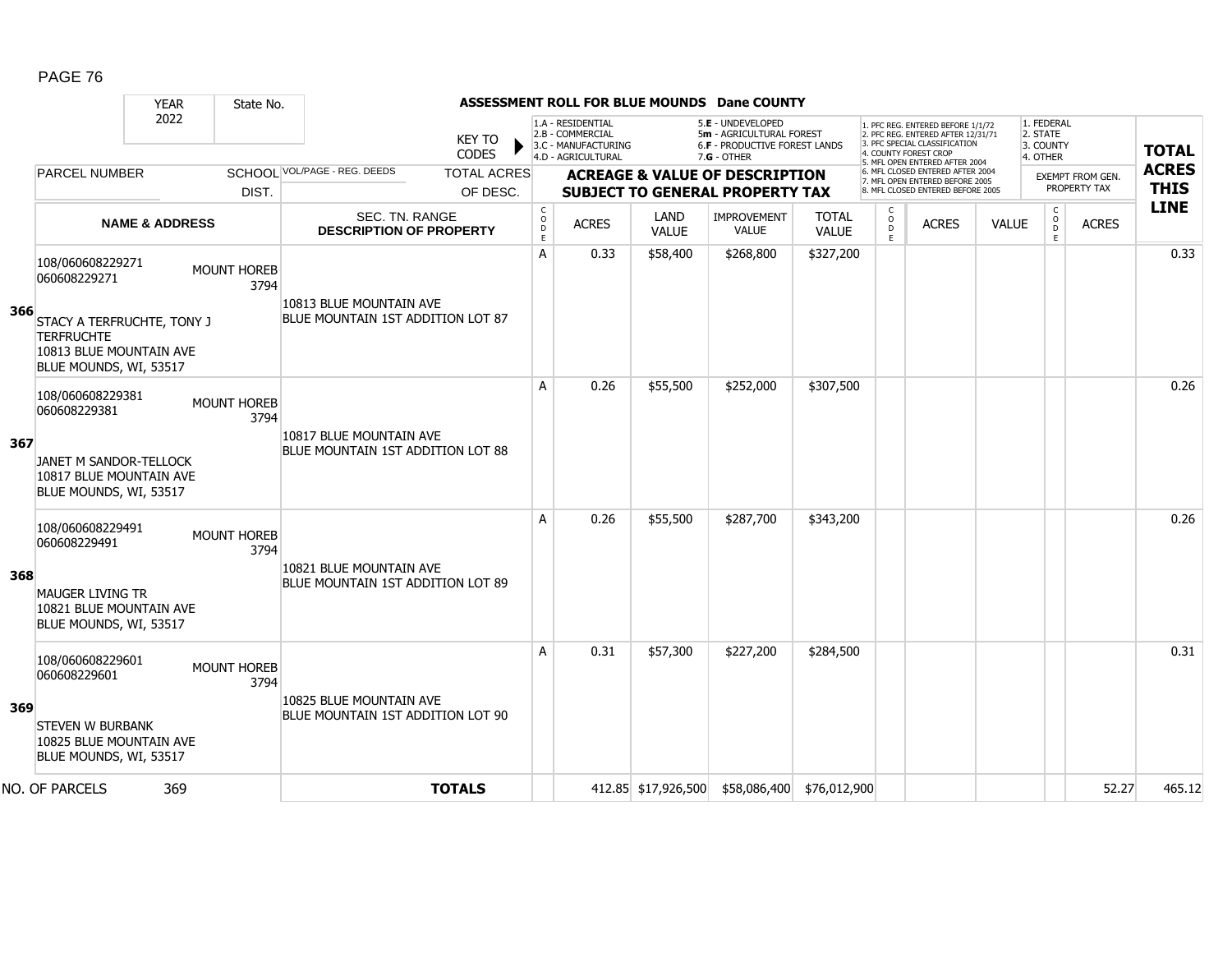|     |                                                                                                                                          | <b>YEAR</b> | State No.                  |                                                              |                                |                                                  |                                                                                    |                             | ASSESSMENT ROLL FOR BLUE MOUNDS Dane COUNTY                                                          |                              |                                   |                                                                                                                                                                     |              |                                                 |                                         |                             |
|-----|------------------------------------------------------------------------------------------------------------------------------------------|-------------|----------------------------|--------------------------------------------------------------|--------------------------------|--------------------------------------------------|------------------------------------------------------------------------------------|-----------------------------|------------------------------------------------------------------------------------------------------|------------------------------|-----------------------------------|---------------------------------------------------------------------------------------------------------------------------------------------------------------------|--------------|-------------------------------------------------|-----------------------------------------|-----------------------------|
|     |                                                                                                                                          | 2022        |                            |                                                              | <b>KEY TO</b><br><b>CODES</b>  |                                                  | 1.A - RESIDENTIAL<br>2.B - COMMERCIAL<br>3.C - MANUFACTURING<br>4.D - AGRICULTURAL |                             | 5.E - UNDEVELOPED<br>5m - AGRICULTURAL FOREST<br><b>6.F - PRODUCTIVE FOREST LANDS</b><br>7.G - OTHER |                              |                                   | 1. PFC REG. ENTERED BEFORE 1/1/72<br>2. PFC REG. ENTERED AFTER 12/31/71<br>3. PFC SPECIAL CLASSIFICATION<br>4. COUNTY FOREST CROP<br>5. MFL OPEN ENTERED AFTER 2004 |              | 1. FEDERAL<br>2. STATE<br>3. COUNTY<br>4. OTHER |                                         | <b>TOTAL</b>                |
|     | <b>PARCEL NUMBER</b>                                                                                                                     |             | DIST.                      | SCHOOL VOL/PAGE - REG. DEEDS                                 | <b>TOTAL ACRES</b><br>OF DESC. |                                                  |                                                                                    |                             | <b>ACREAGE &amp; VALUE OF DESCRIPTION</b><br><b>SUBJECT TO GENERAL PROPERTY TAX</b>                  |                              |                                   | 6. MFL CLOSED ENTERED AFTER 2004<br>7. MFL OPEN ENTERED BEFORE 2005<br>8. MFL CLOSED ENTERED BEFORE 2005                                                            |              |                                                 | <b>EXEMPT FROM GEN.</b><br>PROPERTY TAX | <b>ACRES</b><br><b>THIS</b> |
|     | <b>NAME &amp; ADDRESS</b>                                                                                                                |             |                            | <b>SEC. TN. RANGE</b><br><b>DESCRIPTION OF PROPERTY</b>      |                                | $\mathsf{C}$<br>$\mathsf{o}$<br>$\mathsf D$<br>E | <b>ACRES</b>                                                                       | <b>LAND</b><br><b>VALUE</b> | <b>IMPROVEMENT</b><br><b>VALUE</b>                                                                   | <b>TOTAL</b><br><b>VALUE</b> | $\mathsf{C}$<br>$\circ$<br>D<br>E | <b>ACRES</b>                                                                                                                                                        | <b>VALUE</b> | $\rm _c^C$<br>D<br>E                            | <b>ACRES</b>                            | <b>LINE</b>                 |
| 366 | 108/060608229271<br>060608229271<br>STACY A TERFRUCHTE, TONY J<br><b>TERFRUCHTE</b><br>10813 BLUE MOUNTAIN AVE<br>BLUE MOUNDS, WI, 53517 |             | <b>MOUNT HOREB</b><br>3794 | 10813 BLUE MOUNTAIN AVE<br>BLUE MOUNTAIN 1ST ADDITION LOT 87 |                                | A                                                | 0.33                                                                               | \$58,400                    | \$268,800                                                                                            | \$327,200                    |                                   |                                                                                                                                                                     |              |                                                 |                                         | 0.33                        |
| 367 | 108/060608229381<br>060608229381<br>JANET M SANDOR-TELLOCK<br>10817 BLUE MOUNTAIN AVE<br>BLUE MOUNDS, WI, 53517                          |             | <b>MOUNT HOREB</b><br>3794 | 10817 BLUE MOUNTAIN AVE<br>BLUE MOUNTAIN 1ST ADDITION LOT 88 |                                | A                                                | 0.26                                                                               | \$55,500                    | \$252,000                                                                                            | \$307,500                    |                                   |                                                                                                                                                                     |              |                                                 |                                         | 0.26                        |
| 368 | 108/060608229491<br>060608229491<br><b>MAUGER LIVING TR</b><br>10821 BLUE MOUNTAIN AVE<br>BLUE MOUNDS, WI, 53517                         |             | <b>MOUNT HOREB</b><br>3794 | 10821 BLUE MOUNTAIN AVE<br>BLUE MOUNTAIN 1ST ADDITION LOT 89 |                                | A                                                | 0.26                                                                               | \$55,500                    | \$287,700                                                                                            | \$343,200                    |                                   |                                                                                                                                                                     |              |                                                 |                                         | 0.26                        |
| 369 | 108/060608229601<br>060608229601<br><b>STEVEN W BURBANK</b><br>10825 BLUE MOUNTAIN AVE<br>BLUE MOUNDS, WI, 53517                         |             | <b>MOUNT HOREB</b><br>3794 | 10825 BLUE MOUNTAIN AVE<br>BLUE MOUNTAIN 1ST ADDITION LOT 90 |                                | A                                                | 0.31                                                                               | \$57,300                    | \$227,200                                                                                            | \$284,500                    |                                   |                                                                                                                                                                     |              |                                                 |                                         | 0.31                        |
|     | NO. OF PARCELS                                                                                                                           | 369         |                            |                                                              | <b>TOTALS</b>                  |                                                  |                                                                                    |                             | 412.85 \$17,926,500 \$58,086,400 \$76,012,900                                                        |                              |                                   |                                                                                                                                                                     |              |                                                 | 52.27                                   | 465.12                      |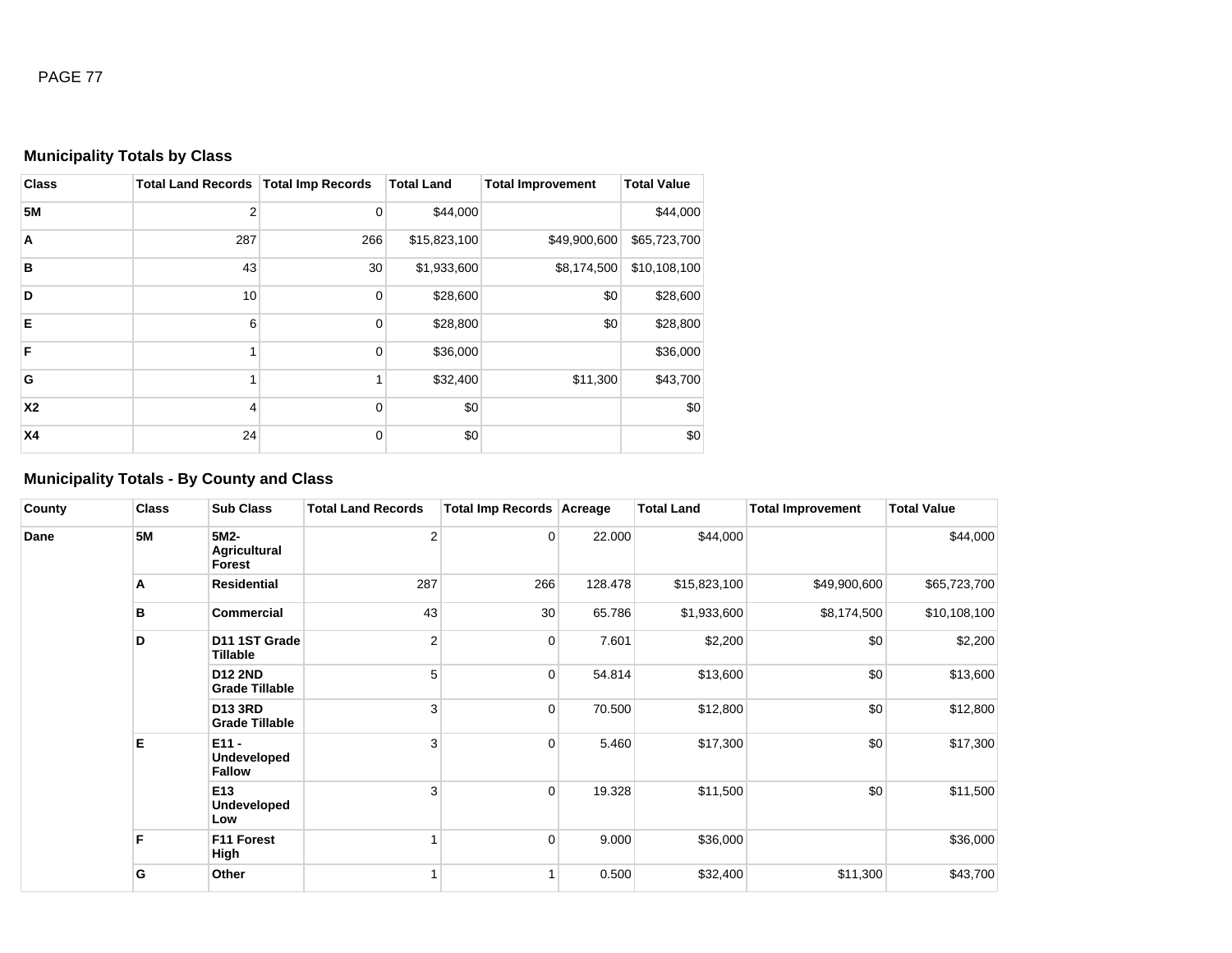## **Municipality Totals by Class**

| <b>Class</b> | Total Land Records   Total Imp Records |     | <b>Total Land</b> | <b>Total Improvement</b> | <b>Total Value</b> |
|--------------|----------------------------------------|-----|-------------------|--------------------------|--------------------|
| <b>5M</b>    | $\overline{2}$                         | 0   | \$44,000          |                          | \$44,000           |
| A            | 287                                    | 266 | \$15,823,100      | \$49,900,600             | \$65,723,700       |
| B            | 43                                     | 30  | \$1,933,600       | \$8,174,500              | \$10,108,100       |
| D            | 10                                     | 0   | \$28,600          | \$0                      | \$28,600           |
| E            | 6                                      | 0   | \$28,800          | \$0                      | \$28,800           |
| F            |                                        | 0   | \$36,000          |                          | \$36,000           |
| G            |                                        |     | \$32,400          | \$11,300                 | \$43,700           |
| <b>X2</b>    | 4                                      | 0   | \$0               |                          | \$0                |
| <b>X4</b>    | 24                                     | 0   | \$0               |                          | \$0                |

# **Municipality Totals - By County and Class**

| County | <b>Class</b> | <b>Sub Class</b>                               | <b>Total Land Records</b> | <b>Total Imp Records Acreage</b> |         | <b>Total Land</b> | <b>Total Improvement</b> | <b>Total Value</b> |
|--------|--------------|------------------------------------------------|---------------------------|----------------------------------|---------|-------------------|--------------------------|--------------------|
| Dane   | <b>5M</b>    | 5M2-<br>Agricultural<br>Forest                 | $\overline{2}$            | $\overline{0}$                   | 22.000  | \$44,000          |                          | \$44,000           |
|        | Α            | <b>Residential</b>                             | 287                       | 266                              | 128.478 | \$15,823,100      | \$49,900,600             | \$65,723,700       |
|        | в            | Commercial                                     | 43                        | 30                               | 65.786  | \$1,933,600       | \$8,174,500              | \$10,108,100       |
|        | D            | D11 1ST Grade<br>Tillable                      | $\overline{2}$            | 0                                | 7.601   | \$2,200           | \$0                      | \$2,200            |
|        |              | <b>D12 2ND</b><br><b>Grade Tillable</b>        | 5                         | 0                                | 54.814  | \$13,600          | \$0                      | \$13,600           |
|        |              | <b>D13 3RD</b><br><b>Grade Tillable</b>        | 3                         | $\overline{0}$                   | 70.500  | \$12,800          | \$0                      | \$12,800           |
|        | Е            | $E11 -$<br><b>Undeveloped</b><br><b>Fallow</b> | 3                         | $\overline{0}$                   | 5.460   | \$17,300          | \$0                      | \$17,300           |
|        |              | E13<br><b>Undeveloped</b><br>Low               | 3                         | 0                                | 19.328  | \$11,500          | \$0                      | \$11,500           |
|        | F            | F11 Forest<br>High                             |                           | $\pmb{0}$                        | 9.000   | \$36,000          |                          | \$36,000           |
|        | G            | Other                                          |                           |                                  | 0.500   | \$32,400          | \$11,300                 | \$43,700           |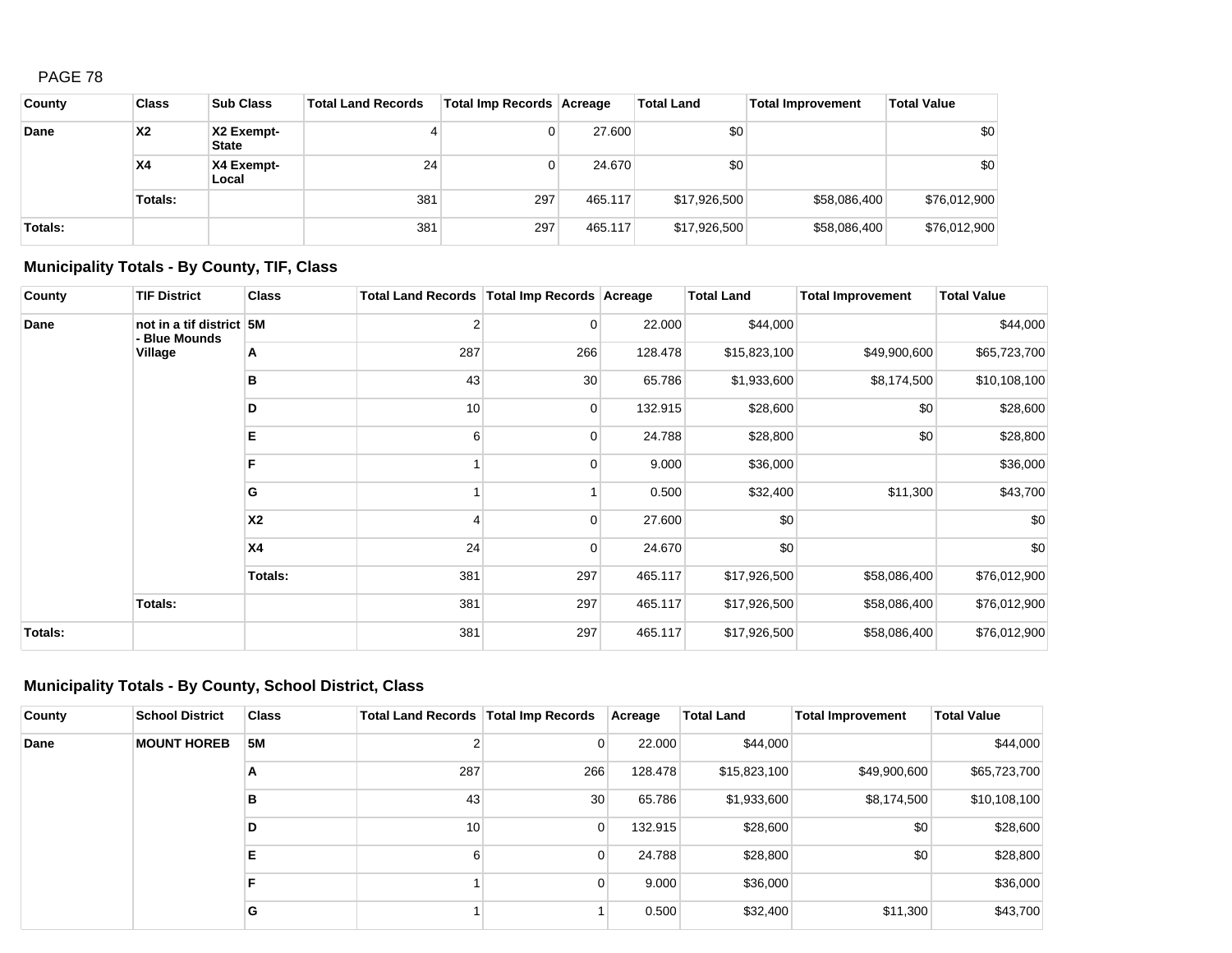| County  | <b>Class</b> | <b>Sub Class</b>           | <b>Total Land Records</b> | Total Imp Records   Acreage |         | <b>Total Land</b> | <b>Total Improvement</b> | <b>Total Value</b> |
|---------|--------------|----------------------------|---------------------------|-----------------------------|---------|-------------------|--------------------------|--------------------|
| Dane    | <b>X2</b>    | X2 Exempt-<br><b>State</b> |                           | 0                           | 27,600  | \$0               |                          | \$0                |
|         | <b>X4</b>    | X4 Exempt-<br>Local        | 24                        | 0                           | 24.670  | \$0               |                          | \$0                |
|         | Totals:      |                            | 381                       | 297                         | 465.117 | \$17,926,500      | \$58,086,400             | \$76,012,900       |
| Totals: |              |                            | 381                       | 297                         | 465.117 | \$17,926,500      | \$58,086,400             | \$76,012,900       |

## **Municipality Totals - By County, TIF, Class**

| County         | <b>TIF District</b>                       | <b>Class</b> | Total Land Records   Total Imp Records   Acreage |             |         | <b>Total Land</b> | <b>Total Improvement</b> | <b>Total Value</b> |
|----------------|-------------------------------------------|--------------|--------------------------------------------------|-------------|---------|-------------------|--------------------------|--------------------|
| Dane           | not in a tif district 5M<br>- Blue Mounds |              | 2                                                | 0           | 22.000  | \$44,000          |                          | \$44,000           |
|                | Village                                   | Α            | 287                                              | 266         | 128.478 | \$15,823,100      | \$49,900,600             | \$65,723,700       |
|                |                                           | в            | 43                                               | 30          | 65.786  | \$1,933,600       | \$8,174,500              | \$10,108,100       |
|                |                                           | D            | 10                                               | 0           | 132.915 | \$28,600          | \$0                      | \$28,600           |
|                |                                           | Е            | 6                                                | $\mathbf 0$ | 24.788  | \$28,800          | \$0                      | \$28,800           |
|                |                                           | F            |                                                  | 0           | 9.000   | \$36,000          |                          | \$36,000           |
|                |                                           | G            |                                                  |             | 0.500   | \$32,400          | \$11,300                 | \$43,700           |
|                |                                           | <b>X2</b>    | 4                                                | 0           | 27.600  | \$0               |                          | \$0                |
|                |                                           | <b>X4</b>    | 24                                               | 0           | 24.670  | \$0               |                          | \$0                |
|                |                                           | Totals:      | 381                                              | 297         | 465.117 | \$17,926,500      | \$58,086,400             | \$76,012,900       |
|                | Totals:                                   |              | 381                                              | 297         | 465.117 | \$17,926,500      | \$58,086,400             | \$76,012,900       |
| <b>Totals:</b> |                                           |              | 381                                              | 297         | 465.117 | \$17,926,500      | \$58,086,400             | \$76,012,900       |

### **Municipality Totals - By County, School District, Class**

| County | <b>School District</b> | <b>Class</b> | Total Land Records   Total Imp Records |     | Acreage | <b>Total Land</b> | <b>Total Improvement</b> | <b>Total Value</b> |
|--------|------------------------|--------------|----------------------------------------|-----|---------|-------------------|--------------------------|--------------------|
| Dane   | <b>MOUNT HOREB</b>     | <b>5M</b>    |                                        | 0   | 22,000  | \$44,000          |                          | \$44,000           |
|        |                        | A            | 287                                    | 266 | 128.478 | \$15,823,100      | \$49,900,600             | \$65,723,700       |
|        |                        | в            | 43                                     | 30  | 65.786  | \$1,933,600       | \$8,174,500              | \$10,108,100       |
|        |                        | D            | 10 <sub>1</sub>                        | 0   | 132.915 | \$28,600          | \$0                      | \$28,600           |
|        |                        | Е            |                                        | 0   | 24.788  | \$28,800          | \$0                      | \$28,800           |
|        |                        | F            |                                        | 0   | 9.000   | \$36,000          |                          | \$36,000           |
|        |                        | G            |                                        |     | 0.500   | \$32,400          | \$11,300                 | \$43,700           |